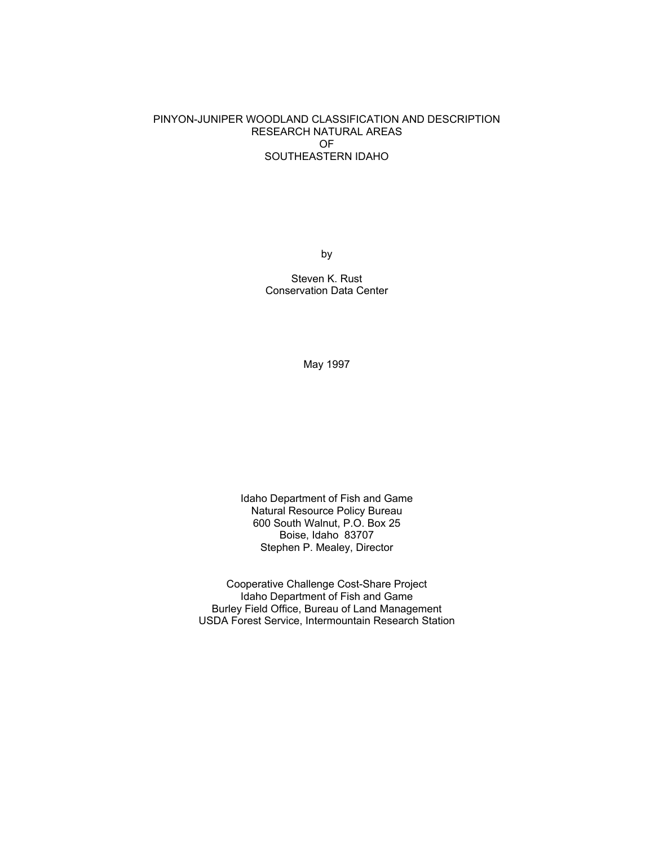## PINYON-JUNIPER WOODLAND CLASSIFICATION AND DESCRIPTION RESEARCH NATURAL AREAS OF SOUTHEASTERN IDAHO

by

Steven K. Rust Conservation Data Center

May 1997

Idaho Department of Fish and Game Natural Resource Policy Bureau 600 South Walnut, P.O. Box 25 Boise, Idaho 83707 Stephen P. Mealey, Director

Cooperative Challenge Cost-Share Project Idaho Department of Fish and Game Burley Field Office, Bureau of Land Management USDA Forest Service, Intermountain Research Station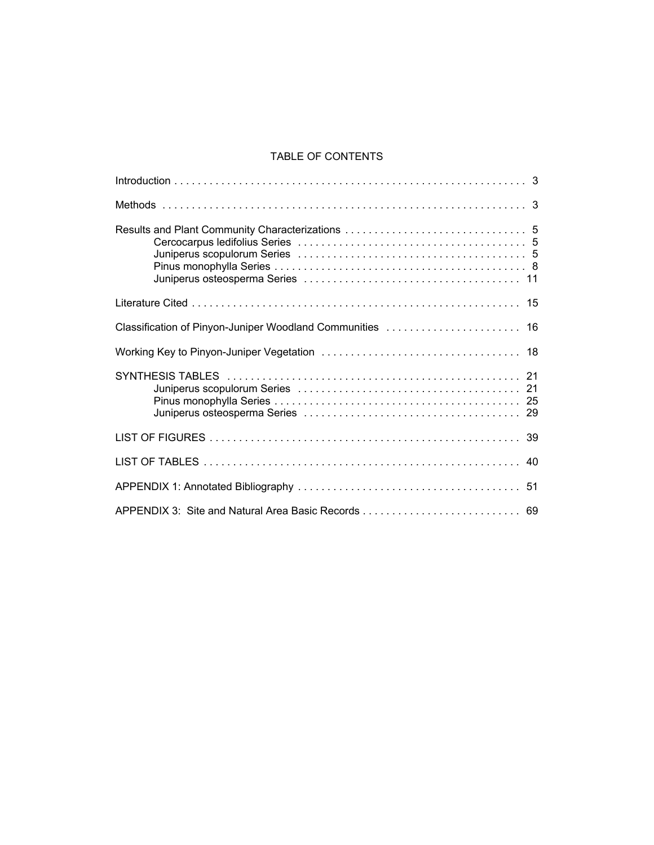## TABLE OF CONTENTS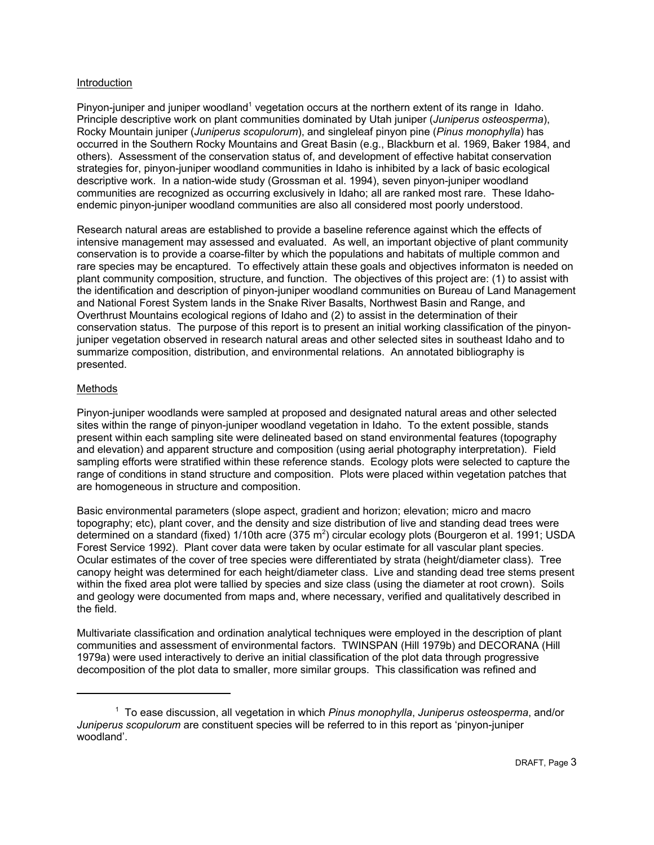#### Introduction

Pinyon-juniper and juniper woodland<sup>1</sup> vegetation occurs at the northern extent of its range in Idaho. Principle descriptive work on plant communities dominated by Utah juniper (*Juniperus osteosperma*), Rocky Mountain juniper (*Juniperus scopulorum*), and singleleaf pinyon pine (*Pinus monophylla*) has occurred in the Southern Rocky Mountains and Great Basin (e.g., Blackburn et al. 1969, Baker 1984, and others). Assessment of the conservation status of, and development of effective habitat conservation strategies for, pinyon-juniper woodland communities in Idaho is inhibited by a lack of basic ecological descriptive work. In a nation-wide study (Grossman et al. 1994), seven pinyon-juniper woodland communities are recognized as occurring exclusively in Idaho; all are ranked most rare. These Idahoendemic pinyon-juniper woodland communities are also all considered most poorly understood.

Research natural areas are established to provide a baseline reference against which the effects of intensive management may assessed and evaluated. As well, an important objective of plant community conservation is to provide a coarse-filter by which the populations and habitats of multiple common and rare species may be encaptured. To effectively attain these goals and objectives informaton is needed on plant community composition, structure, and function. The objectives of this project are: (1) to assist with the identification and description of pinyon-juniper woodland communities on Bureau of Land Management and National Forest System lands in the Snake River Basalts, Northwest Basin and Range, and Overthrust Mountains ecological regions of Idaho and (2) to assist in the determination of their conservation status. The purpose of this report is to present an initial working classification of the pinyonjuniper vegetation observed in research natural areas and other selected sites in southeast Idaho and to summarize composition, distribution, and environmental relations. An annotated bibliography is presented.

## Methods

Pinyon-juniper woodlands were sampled at proposed and designated natural areas and other selected sites within the range of pinyon-juniper woodland vegetation in Idaho. To the extent possible, stands present within each sampling site were delineated based on stand environmental features (topography and elevation) and apparent structure and composition (using aerial photography interpretation). Field sampling efforts were stratified within these reference stands. Ecology plots were selected to capture the range of conditions in stand structure and composition. Plots were placed within vegetation patches that are homogeneous in structure and composition.

Basic environmental parameters (slope aspect, gradient and horizon; elevation; micro and macro topography; etc), plant cover, and the density and size distribution of live and standing dead trees were determined on a standard (fixed) 1/10th acre (375 m<sup>2</sup>) circular ecology plots (Bourgeron et al. 1991; USDA Forest Service 1992). Plant cover data were taken by ocular estimate for all vascular plant species. Ocular estimates of the cover of tree species were differentiated by strata (height/diameter class). Tree canopy height was determined for each height/diameter class. Live and standing dead tree stems present within the fixed area plot were tallied by species and size class (using the diameter at root crown). Soils and geology were documented from maps and, where necessary, verified and qualitatively described in the field.

Multivariate classification and ordination analytical techniques were employed in the description of plant communities and assessment of environmental factors. TWINSPAN (Hill 1979b) and DECORANA (Hill 1979a) were used interactively to derive an initial classification of the plot data through progressive decomposition of the plot data to smaller, more similar groups. This classification was refined and

<sup>1</sup> To ease discussion, all vegetation in which *Pinus monophylla*, *Juniperus osteosperma*, and/or *Juniperus scopulorum* are constituent species will be referred to in this report as 'pinyon-juniper woodland'.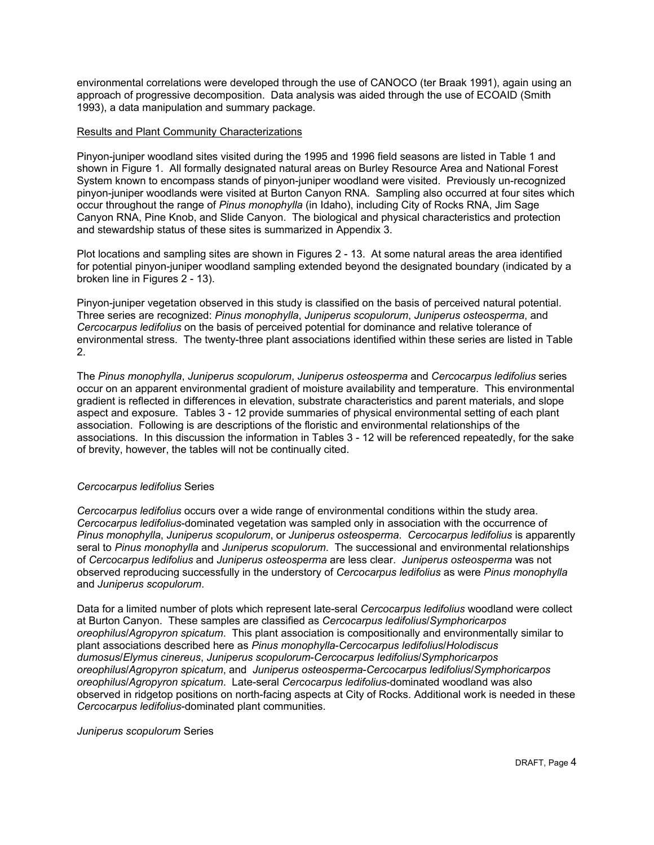environmental correlations were developed through the use of CANOCO (ter Braak 1991), again using an approach of progressive decomposition. Data analysis was aided through the use of ECOAID (Smith 1993), a data manipulation and summary package.

#### Results and Plant Community Characterizations

Pinyon-juniper woodland sites visited during the 1995 and 1996 field seasons are listed in Table 1 and shown in Figure 1. All formally designated natural areas on Burley Resource Area and National Forest System known to encompass stands of pinyon-juniper woodland were visited. Previously un-recognized pinyon-juniper woodlands were visited at Burton Canyon RNA. Sampling also occurred at four sites which occur throughout the range of *Pinus monophylla* (in Idaho), including City of Rocks RNA, Jim Sage Canyon RNA, Pine Knob, and Slide Canyon. The biological and physical characteristics and protection and stewardship status of these sites is summarized in Appendix 3.

Plot locations and sampling sites are shown in Figures 2 - 13. At some natural areas the area identified for potential pinyon-juniper woodland sampling extended beyond the designated boundary (indicated by a broken line in Figures 2 - 13).

Pinyon-juniper vegetation observed in this study is classified on the basis of perceived natural potential. Three series are recognized: *Pinus monophylla*, *Juniperus scopulorum*, *Juniperus osteosperma*, and *Cercocarpus ledifolius* on the basis of perceived potential for dominance and relative tolerance of environmental stress. The twenty-three plant associations identified within these series are listed in Table 2.

The *Pinus monophylla*, *Juniperus scopulorum*, *Juniperus osteosperma* and *Cercocarpus ledifolius* series occur on an apparent environmental gradient of moisture availability and temperature. This environmental gradient is reflected in differences in elevation, substrate characteristics and parent materials, and slope aspect and exposure. Tables 3 - 12 provide summaries of physical environmental setting of each plant association. Following is are descriptions of the floristic and environmental relationships of the associations. In this discussion the information in Tables 3 - 12 will be referenced repeatedly, for the sake of brevity, however, the tables will not be continually cited.

## *Cercocarpus ledifolius* Series

*Cercocarpus ledifolius* occurs over a wide range of environmental conditions within the study area. *Cercocarpus ledifolius*-dominated vegetation was sampled only in association with the occurrence of *Pinus monophylla*, *Juniperus scopulorum*, or *Juniperus osteosperma*. *Cercocarpus ledifolius* is apparently seral to *Pinus monophylla* and *Juniperus scopulorum*. The successional and environmental relationships of *Cercocarpus ledifolius* and *Juniperus osteosperma* are less clear. *Juniperus osteosperma* was not observed reproducing successfully in the understory of *Cercocarpus ledifolius* as were *Pinus monophylla* and *Juniperus scopulorum*.

Data for a limited number of plots which represent late-seral *Cercocarpus ledifolius* woodland were collect at Burton Canyon. These samples are classified as *Cercocarpus ledifolius*/*Symphoricarpos oreophilus*/*Agropyron spicatum*. This plant association is compositionally and environmentally similar to plant associations described here as *Pinus monophylla*-*Cercocarpus ledifolius*/*Holodiscus dumosus*/*Elymus cinereus*, *Juniperus scopulorum*-*Cercocarpus ledifolius*/*Symphoricarpos oreophilus*/*Agropyron spicatum*, and *Juniperus osteosperma*-*Cercocarpus ledifolius*/*Symphoricarpos oreophilus*/*Agropyron spicatum*. Late-seral *Cercocarpus ledifolius*-dominated woodland was also observed in ridgetop positions on north-facing aspects at City of Rocks. Additional work is needed in these *Cercocarpus ledifolius*-dominated plant communities.

*Juniperus scopulorum* Series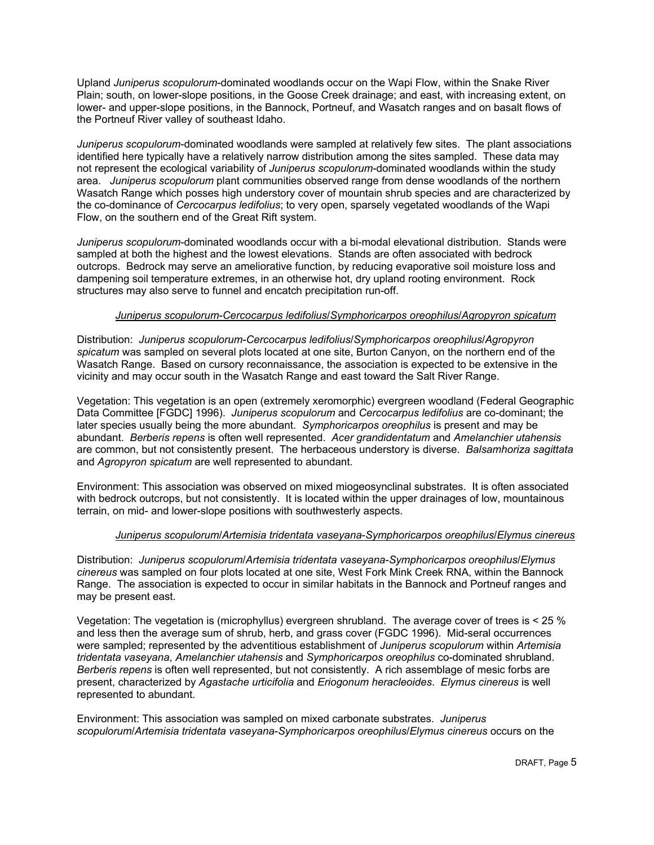Upland *Juniperus scopulorum*-dominated woodlands occur on the Wapi Flow, within the Snake River Plain; south, on lower-slope positions, in the Goose Creek drainage; and east, with increasing extent, on lower- and upper-slope positions, in the Bannock, Portneuf, and Wasatch ranges and on basalt flows of the Portneuf River valley of southeast Idaho.

*Juniperus scopulorum*-dominated woodlands were sampled at relatively few sites. The plant associations identified here typically have a relatively narrow distribution among the sites sampled. These data may not represent the ecological variability of *Juniperus scopulorum*-dominated woodlands within the study area. *Juniperus scopulorum* plant communities observed range from dense woodlands of the northern Wasatch Range which posses high understory cover of mountain shrub species and are characterized by the co-dominance of *Cercocarpus ledifolius*; to very open, sparsely vegetated woodlands of the Wapi Flow, on the southern end of the Great Rift system.

*Juniperus scopulorum*-dominated woodlands occur with a bi-modal elevational distribution. Stands were sampled at both the highest and the lowest elevations. Stands are often associated with bedrock outcrops. Bedrock may serve an ameliorative function, by reducing evaporative soil moisture loss and dampening soil temperature extremes, in an otherwise hot, dry upland rooting environment. Rock structures may also serve to funnel and encatch precipitation run-off.

## *Juniperus scopulorum*-*Cercocarpus ledifolius*/*Symphoricarpos oreophilus*/*Agropyron spicatum*

Distribution: *Juniperus scopulorum*-*Cercocarpus ledifolius*/*Symphoricarpos oreophilus*/*Agropyron spicatum* was sampled on several plots located at one site, Burton Canyon, on the northern end of the Wasatch Range. Based on cursory reconnaissance, the association is expected to be extensive in the vicinity and may occur south in the Wasatch Range and east toward the Salt River Range.

Vegetation: This vegetation is an open (extremely xeromorphic) evergreen woodland (Federal Geographic Data Committee [FGDC] 1996). *Juniperus scopulorum* and *Cercocarpus ledifolius* are co-dominant; the later species usually being the more abundant. *Symphoricarpos oreophilus* is present and may be abundant. *Berberis repens* is often well represented. *Acer grandidentatum* and *Amelanchier utahensis* are common, but not consistently present. The herbaceous understory is diverse. *Balsamhoriza sagittata* and *Agropyron spicatum* are well represented to abundant.

Environment: This association was observed on mixed miogeosynclinal substrates. It is often associated with bedrock outcrops, but not consistently. It is located within the upper drainages of low, mountainous terrain, on mid- and lower-slope positions with southwesterly aspects.

#### *Juniperus scopulorum*/*Artemisia tridentata vaseyana*-*Symphoricarpos oreophilus*/*Elymus cinereus*

Distribution: *Juniperus scopulorum*/*Artemisia tridentata vaseyana*-*Symphoricarpos oreophilus*/*Elymus cinereus* was sampled on four plots located at one site, West Fork Mink Creek RNA, within the Bannock Range. The association is expected to occur in similar habitats in the Bannock and Portneuf ranges and may be present east.

Vegetation: The vegetation is (microphyllus) evergreen shrubland. The average cover of trees is < 25 % and less then the average sum of shrub, herb, and grass cover (FGDC 1996). Mid-seral occurrences were sampled; represented by the adventitious establishment of *Juniperus scopulorum* within *Artemisia tridentata vaseyana*, *Amelanchier utahensis* and *Symphoricarpos oreophilus* co-dominated shrubland. *Berberis repens* is often well represented, but not consistently. A rich assemblage of mesic forbs are present, characterized by *Agastache urticifolia* and *Eriogonum heracleoides*. *Elymus cinereus* is well represented to abundant.

Environment: This association was sampled on mixed carbonate substrates. *Juniperus scopulorum*/*Artemisia tridentata vaseyana*-*Symphoricarpos oreophilus*/*Elymus cinereus* occurs on the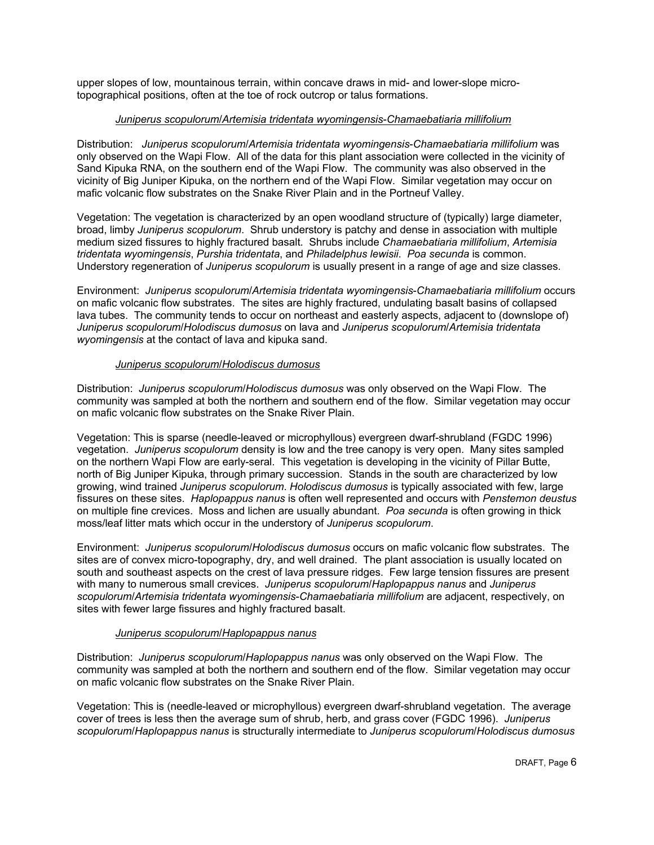upper slopes of low, mountainous terrain, within concave draws in mid- and lower-slope microtopographical positions, often at the toe of rock outcrop or talus formations.

## *Juniperus scopulorum*/*Artemisia tridentata wyomingensis*-*Chamaebatiaria millifolium*

Distribution: *Juniperus scopulorum*/*Artemisia tridentata wyomingensis*-*Chamaebatiaria millifolium* was only observed on the Wapi Flow. All of the data for this plant association were collected in the vicinity of Sand Kipuka RNA, on the southern end of the Wapi Flow. The community was also observed in the vicinity of Big Juniper Kipuka, on the northern end of the Wapi Flow. Similar vegetation may occur on mafic volcanic flow substrates on the Snake River Plain and in the Portneuf Valley.

Vegetation: The vegetation is characterized by an open woodland structure of (typically) large diameter, broad, limby *Juniperus scopulorum*. Shrub understory is patchy and dense in association with multiple medium sized fissures to highly fractured basalt. Shrubs include *Chamaebatiaria millifolium*, *Artemisia tridentata wyomingensis*, *Purshia tridentata*, and *Philadelphus lewisii*. *Poa secunda* is common. Understory regeneration of *Juniperus scopulorum* is usually present in a range of age and size classes.

Environment: *Juniperus scopulorum*/*Artemisia tridentata wyomingensis*-*Chamaebatiaria millifolium* occurs on mafic volcanic flow substrates. The sites are highly fractured, undulating basalt basins of collapsed lava tubes. The community tends to occur on northeast and easterly aspects, adjacent to (downslope of) *Juniperus scopulorum*/*Holodiscus dumosus* on lava and *Juniperus scopulorum*/*Artemisia tridentata wyomingensis* at the contact of lava and kipuka sand.

## *Juniperus scopulorum*/*Holodiscus dumosus*

Distribution: *Juniperus scopulorum*/*Holodiscus dumosus* was only observed on the Wapi Flow. The community was sampled at both the northern and southern end of the flow. Similar vegetation may occur on mafic volcanic flow substrates on the Snake River Plain.

Vegetation: This is sparse (needle-leaved or microphyllous) evergreen dwarf-shrubland (FGDC 1996) vegetation. *Juniperus scopulorum* density is low and the tree canopy is very open. Many sites sampled on the northern Wapi Flow are early-seral. This vegetation is developing in the vicinity of Pillar Butte, north of Big Juniper Kipuka, through primary succession. Stands in the south are characterized by low growing, wind trained *Juniperus scopulorum*. *Holodiscus dumosus* is typically associated with few, large fissures on these sites. *Haplopappus nanus* is often well represented and occurs with *Penstemon deustus* on multiple fine crevices. Moss and lichen are usually abundant. *Poa secunda* is often growing in thick moss/leaf litter mats which occur in the understory of *Juniperus scopulorum*.

Environment: *Juniperus scopulorum*/*Holodiscus dumosus* occurs on mafic volcanic flow substrates. The sites are of convex micro-topography, dry, and well drained. The plant association is usually located on south and southeast aspects on the crest of lava pressure ridges. Few large tension fissures are present with many to numerous small crevices. *Juniperus scopulorum*/*Haplopappus nanus* and *Juniperus scopulorum*/*Artemisia tridentata wyomingensis*-*Chamaebatiaria millifolium* are adjacent, respectively, on sites with fewer large fissures and highly fractured basalt.

## *Juniperus scopulorum*/*Haplopappus nanus*

Distribution: *Juniperus scopulorum*/*Haplopappus nanus* was only observed on the Wapi Flow. The community was sampled at both the northern and southern end of the flow. Similar vegetation may occur on mafic volcanic flow substrates on the Snake River Plain.

Vegetation: This is (needle-leaved or microphyllous) evergreen dwarf-shrubland vegetation. The average cover of trees is less then the average sum of shrub, herb, and grass cover (FGDC 1996). *Juniperus scopulorum*/*Haplopappus nanus* is structurally intermediate to *Juniperus scopulorum*/*Holodiscus dumosus*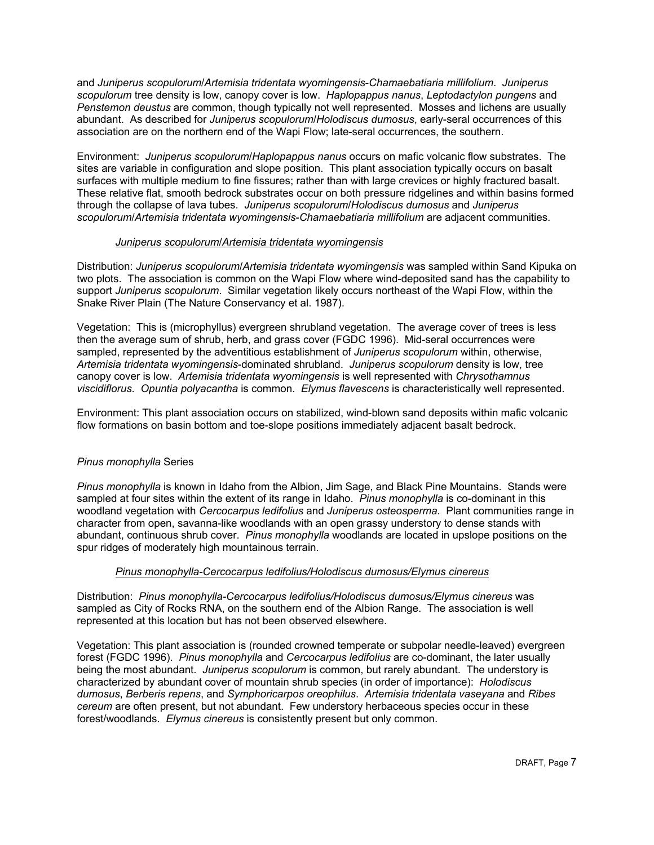and *Juniperus scopulorum*/*Artemisia tridentata wyomingensis*-*Chamaebatiaria millifolium*. *Juniperus scopulorum* tree density is low, canopy cover is low. *Haplopappus nanus*, *Leptodactylon pungens* and *Penstemon deustus* are common, though typically not well represented. Mosses and lichens are usually abundant. As described for *Juniperus scopulorum*/*Holodiscus dumosus*, early-seral occurrences of this association are on the northern end of the Wapi Flow; late-seral occurrences, the southern.

Environment: *Juniperus scopulorum*/*Haplopappus nanus* occurs on mafic volcanic flow substrates. The sites are variable in configuration and slope position. This plant association typically occurs on basalt surfaces with multiple medium to fine fissures; rather than with large crevices or highly fractured basalt. These relative flat, smooth bedrock substrates occur on both pressure ridgelines and within basins formed through the collapse of lava tubes. *Juniperus scopulorum*/*Holodiscus dumosus* and *Juniperus scopulorum*/*Artemisia tridentata wyomingensis*-*Chamaebatiaria millifolium* are adjacent communities.

#### *Juniperus scopulorum*/*Artemisia tridentata wyomingensis*

Distribution: *Juniperus scopulorum*/*Artemisia tridentata wyomingensis* was sampled within Sand Kipuka on two plots. The association is common on the Wapi Flow where wind-deposited sand has the capability to support *Juniperus scopulorum*. Similar vegetation likely occurs northeast of the Wapi Flow, within the Snake River Plain (The Nature Conservancy et al. 1987).

Vegetation: This is (microphyllus) evergreen shrubland vegetation. The average cover of trees is less then the average sum of shrub, herb, and grass cover (FGDC 1996). Mid-seral occurrences were sampled, represented by the adventitious establishment of *Juniperus scopulorum* within, otherwise, *Artemisia tridentata wyomingensis*-dominated shrubland. *Juniperus scopulorum* density is low, tree canopy cover is low. *Artemisia tridentata wyomingensis* is well represented with *Chrysothamnus viscidiflorus*. *Opuntia polyacantha* is common. *Elymus flavescens* is characteristically well represented.

Environment: This plant association occurs on stabilized, wind-blown sand deposits within mafic volcanic flow formations on basin bottom and toe-slope positions immediately adjacent basalt bedrock.

## *Pinus monophylla* Series

*Pinus monophylla* is known in Idaho from the Albion, Jim Sage, and Black Pine Mountains. Stands were sampled at four sites within the extent of its range in Idaho. *Pinus monophylla* is co-dominant in this woodland vegetation with *Cercocarpus ledifolius* and *Juniperus osteosperma.* Plant communities range in character from open, savanna-like woodlands with an open grassy understory to dense stands with abundant, continuous shrub cover. *Pinus monophylla* woodlands are located in upslope positions on the spur ridges of moderately high mountainous terrain.

## *Pinus monophylla-Cercocarpus ledifolius/Holodiscus dumosus/Elymus cinereus*

Distribution: *Pinus monophylla-Cercocarpus ledifolius/Holodiscus dumosus/Elymus cinereus* was sampled as City of Rocks RNA, on the southern end of the Albion Range. The association is well represented at this location but has not been observed elsewhere.

Vegetation: This plant association is (rounded crowned temperate or subpolar needle-leaved) evergreen forest (FGDC 1996). *Pinus monophylla* and *Cercocarpus ledifolius* are co-dominant, the later usually being the most abundant. *Juniperus scopulorum* is common, but rarely abundant. The understory is characterized by abundant cover of mountain shrub species (in order of importance): *Holodiscus dumosus*, *Berberis repens*, and *Symphoricarpos oreophilus*. *Artemisia tridentata vaseyana* and *Ribes cereum* are often present, but not abundant. Few understory herbaceous species occur in these forest/woodlands. *Elymus cinereus* is consistently present but only common.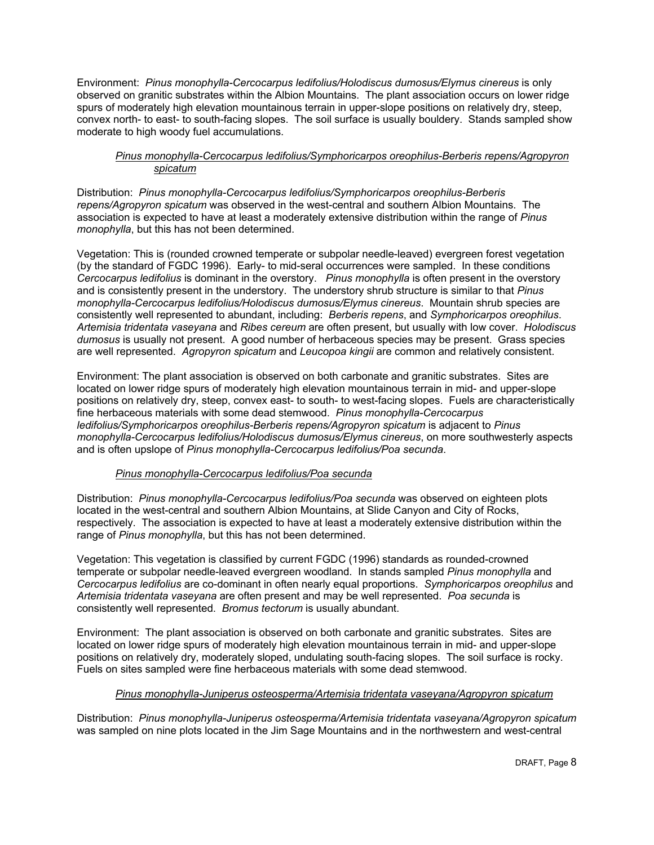Environment: *Pinus monophylla-Cercocarpus ledifolius/Holodiscus dumosus/Elymus cinereus* is only observed on granitic substrates within the Albion Mountains. The plant association occurs on lower ridge spurs of moderately high elevation mountainous terrain in upper-slope positions on relatively dry, steep, convex north- to east- to south-facing slopes. The soil surface is usually bouldery. Stands sampled show moderate to high woody fuel accumulations.

## *Pinus monophylla-Cercocarpus ledifolius/Symphoricarpos oreophilus-Berberis repens/Agropyron spicatum*

Distribution: *Pinus monophylla-Cercocarpus ledifolius/Symphoricarpos oreophilus-Berberis repens/Agropyron spicatum* was observed in the west-central and southern Albion Mountains. The association is expected to have at least a moderately extensive distribution within the range of *Pinus monophylla*, but this has not been determined.

Vegetation: This is (rounded crowned temperate or subpolar needle-leaved) evergreen forest vegetation (by the standard of FGDC 1996). Early- to mid-seral occurrences were sampled. In these conditions *Cercocarpus ledifolius* is dominant in the overstory. *Pinus monophylla* is often present in the overstory and is consistently present in the understory. The understory shrub structure is similar to that *Pinus monophylla-Cercocarpus ledifolius/Holodiscus dumosus/Elymus cinereus*. Mountain shrub species are consistently well represented to abundant, including: *Berberis repens*, and *Symphoricarpos oreophilus*. *Artemisia tridentata vaseyana* and *Ribes cereum* are often present, but usually with low cover. *Holodiscus dumosus* is usually not present. A good number of herbaceous species may be present. Grass species are well represented. *Agropyron spicatum* and *Leucopoa kingii* are common and relatively consistent.

Environment: The plant association is observed on both carbonate and granitic substrates. Sites are located on lower ridge spurs of moderately high elevation mountainous terrain in mid- and upper-slope positions on relatively dry, steep, convex east- to south- to west-facing slopes. Fuels are characteristically fine herbaceous materials with some dead stemwood. *Pinus monophylla-Cercocarpus ledifolius/Symphoricarpos oreophilus-Berberis repens/Agropyron spicatum* is adjacent to *Pinus monophylla-Cercocarpus ledifolius/Holodiscus dumosus/Elymus cinereus*, on more southwesterly aspects and is often upslope of *Pinus monophylla-Cercocarpus ledifolius/Poa secunda*.

## *Pinus monophylla-Cercocarpus ledifolius/Poa secunda*

Distribution: *Pinus monophylla-Cercocarpus ledifolius/Poa secunda* was observed on eighteen plots located in the west-central and southern Albion Mountains, at Slide Canyon and City of Rocks, respectively. The association is expected to have at least a moderately extensive distribution within the range of *Pinus monophylla*, but this has not been determined.

Vegetation: This vegetation is classified by current FGDC (1996) standards as rounded-crowned temperate or subpolar needle-leaved evergreen woodland. In stands sampled *Pinus monophylla* and *Cercocarpus ledifolius* are co-dominant in often nearly equal proportions. *Symphoricarpos oreophilus* and *Artemisia tridentata vaseyana* are often present and may be well represented. *Poa secunda* is consistently well represented. *Bromus tectorum* is usually abundant.

Environment: The plant association is observed on both carbonate and granitic substrates. Sites are located on lower ridge spurs of moderately high elevation mountainous terrain in mid- and upper-slope positions on relatively dry, moderately sloped, undulating south-facing slopes. The soil surface is rocky. Fuels on sites sampled were fine herbaceous materials with some dead stemwood.

## *Pinus monophylla-Juniperus osteosperma/Artemisia tridentata vaseyana/Agropyron spicatum*

Distribution: *Pinus monophylla-Juniperus osteosperma/Artemisia tridentata vaseyana/Agropyron spicatum* was sampled on nine plots located in the Jim Sage Mountains and in the northwestern and west-central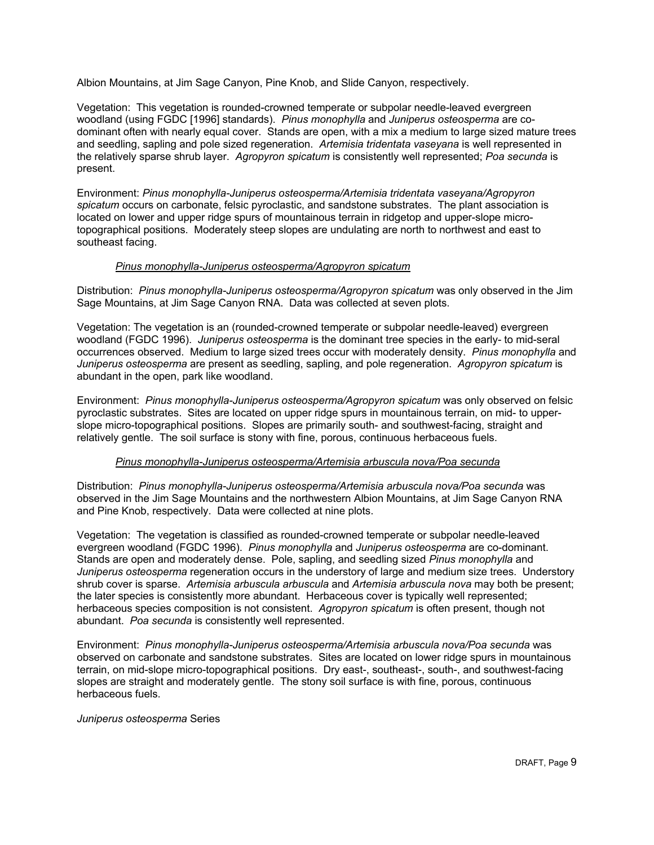Albion Mountains, at Jim Sage Canyon, Pine Knob, and Slide Canyon, respectively.

Vegetation: This vegetation is rounded-crowned temperate or subpolar needle-leaved evergreen woodland (using FGDC [1996] standards). *Pinus monophylla* and *Juniperus osteosperma* are codominant often with nearly equal cover. Stands are open, with a mix a medium to large sized mature trees and seedling, sapling and pole sized regeneration. *Artemisia tridentata vaseyana* is well represented in the relatively sparse shrub layer. *Agropyron spicatum* is consistently well represented; *Poa secunda* is present.

Environment: *Pinus monophylla-Juniperus osteosperma/Artemisia tridentata vaseyana/Agropyron spicatum* occurs on carbonate, felsic pyroclastic, and sandstone substrates. The plant association is located on lower and upper ridge spurs of mountainous terrain in ridgetop and upper-slope microtopographical positions. Moderately steep slopes are undulating are north to northwest and east to southeast facing.

## *Pinus monophylla-Juniperus osteosperma/Agropyron spicatum*

Distribution: *Pinus monophylla-Juniperus osteosperma/Agropyron spicatum* was only observed in the Jim Sage Mountains, at Jim Sage Canyon RNA. Data was collected at seven plots.

Vegetation: The vegetation is an (rounded-crowned temperate or subpolar needle-leaved) evergreen woodland (FGDC 1996). *Juniperus osteosperma* is the dominant tree species in the early- to mid-seral occurrences observed. Medium to large sized trees occur with moderately density. *Pinus monophylla* and *Juniperus osteosperma* are present as seedling, sapling, and pole regeneration. *Agropyron spicatum* is abundant in the open, park like woodland.

Environment: *Pinus monophylla-Juniperus osteosperma/Agropyron spicatum* was only observed on felsic pyroclastic substrates. Sites are located on upper ridge spurs in mountainous terrain, on mid- to upperslope micro-topographical positions. Slopes are primarily south- and southwest-facing, straight and relatively gentle. The soil surface is stony with fine, porous, continuous herbaceous fuels.

## *Pinus monophylla-Juniperus osteosperma/Artemisia arbuscula nova/Poa secunda*

Distribution: *Pinus monophylla-Juniperus osteosperma/Artemisia arbuscula nova/Poa secunda* was observed in the Jim Sage Mountains and the northwestern Albion Mountains, at Jim Sage Canyon RNA and Pine Knob, respectively. Data were collected at nine plots.

Vegetation: The vegetation is classified as rounded-crowned temperate or subpolar needle-leaved evergreen woodland (FGDC 1996). *Pinus monophylla* and *Juniperus osteosperma* are co-dominant. Stands are open and moderately dense. Pole, sapling, and seedling sized *Pinus monophylla* and *Juniperus osteosperma* regeneration occurs in the understory of large and medium size trees. Understory shrub cover is sparse. *Artemisia arbuscula arbuscula* and *Artemisia arbuscula nova* may both be present; the later species is consistently more abundant. Herbaceous cover is typically well represented; herbaceous species composition is not consistent. *Agropyron spicatum* is often present, though not abundant. *Poa secunda* is consistently well represented.

Environment: *Pinus monophylla-Juniperus osteosperma/Artemisia arbuscula nova/Poa secunda* was observed on carbonate and sandstone substrates. Sites are located on lower ridge spurs in mountainous terrain, on mid-slope micro-topographical positions. Dry east-, southeast-, south-, and southwest-facing slopes are straight and moderately gentle. The stony soil surface is with fine, porous, continuous herbaceous fuels.

## *Juniperus osteosperma* Series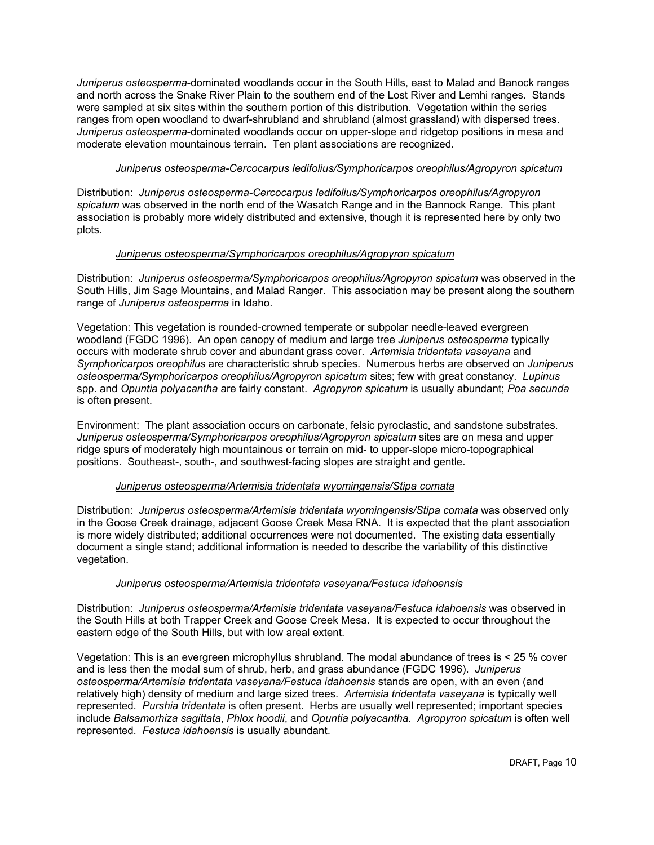*Juniperus osteosperma*-dominated woodlands occur in the South Hills, east to Malad and Banock ranges and north across the Snake River Plain to the southern end of the Lost River and Lemhi ranges. Stands were sampled at six sites within the southern portion of this distribution. Vegetation within the series ranges from open woodland to dwarf-shrubland and shrubland (almost grassland) with dispersed trees. *Juniperus osteosperma*-dominated woodlands occur on upper-slope and ridgetop positions in mesa and moderate elevation mountainous terrain. Ten plant associations are recognized.

## *Juniperus osteosperma-Cercocarpus ledifolius/Symphoricarpos oreophilus/Agropyron spicatum*

Distribution: *Juniperus osteosperma-Cercocarpus ledifolius/Symphoricarpos oreophilus/Agropyron spicatum* was observed in the north end of the Wasatch Range and in the Bannock Range. This plant association is probably more widely distributed and extensive, though it is represented here by only two plots.

## *Juniperus osteosperma/Symphoricarpos oreophilus/Agropyron spicatum*

Distribution: *Juniperus osteosperma/Symphoricarpos oreophilus/Agropyron spicatum* was observed in the South Hills, Jim Sage Mountains, and Malad Ranger. This association may be present along the southern range of *Juniperus osteosperma* in Idaho.

Vegetation: This vegetation is rounded-crowned temperate or subpolar needle-leaved evergreen woodland (FGDC 1996). An open canopy of medium and large tree *Juniperus osteosperma* typically occurs with moderate shrub cover and abundant grass cover. *Artemisia tridentata vaseyana* and *Symphoricarpos oreophilus* are characteristic shrub species. Numerous herbs are observed on *Juniperus osteosperma/Symphoricarpos oreophilus/Agropyron spicatum* sites; few with great constancy. *Lupinus* spp. and *Opuntia polyacantha* are fairly constant. *Agropyron spicatum* is usually abundant; *Poa secunda* is often present.

Environment: The plant association occurs on carbonate, felsic pyroclastic, and sandstone substrates. *Juniperus osteosperma/Symphoricarpos oreophilus/Agropyron spicatum* sites are on mesa and upper ridge spurs of moderately high mountainous or terrain on mid- to upper-slope micro-topographical positions. Southeast-, south-, and southwest-facing slopes are straight and gentle.

## *Juniperus osteosperma/Artemisia tridentata wyomingensis/Stipa comata*

Distribution: *Juniperus osteosperma/Artemisia tridentata wyomingensis/Stipa comata* was observed only in the Goose Creek drainage, adjacent Goose Creek Mesa RNA. It is expected that the plant association is more widely distributed; additional occurrences were not documented. The existing data essentially document a single stand; additional information is needed to describe the variability of this distinctive vegetation.

## *Juniperus osteosperma/Artemisia tridentata vaseyana/Festuca idahoensis*

Distribution: *Juniperus osteosperma/Artemisia tridentata vaseyana/Festuca idahoensis* was observed in the South Hills at both Trapper Creek and Goose Creek Mesa. It is expected to occur throughout the eastern edge of the South Hills, but with low areal extent.

Vegetation: This is an evergreen microphyllus shrubland. The modal abundance of trees is < 25 % cover and is less then the modal sum of shrub, herb, and grass abundance (FGDC 1996). *Juniperus osteosperma/Artemisia tridentata vaseyana/Festuca idahoensis* stands are open, with an even (and relatively high) density of medium and large sized trees. *Artemisia tridentata vaseyana* is typically well represented. *Purshia tridentata* is often present. Herbs are usually well represented; important species include *Balsamorhiza sagittata*, *Phlox hoodii*, and *Opuntia polyacantha*. *Agropyron spicatum* is often well represented. *Festuca idahoensis* is usually abundant.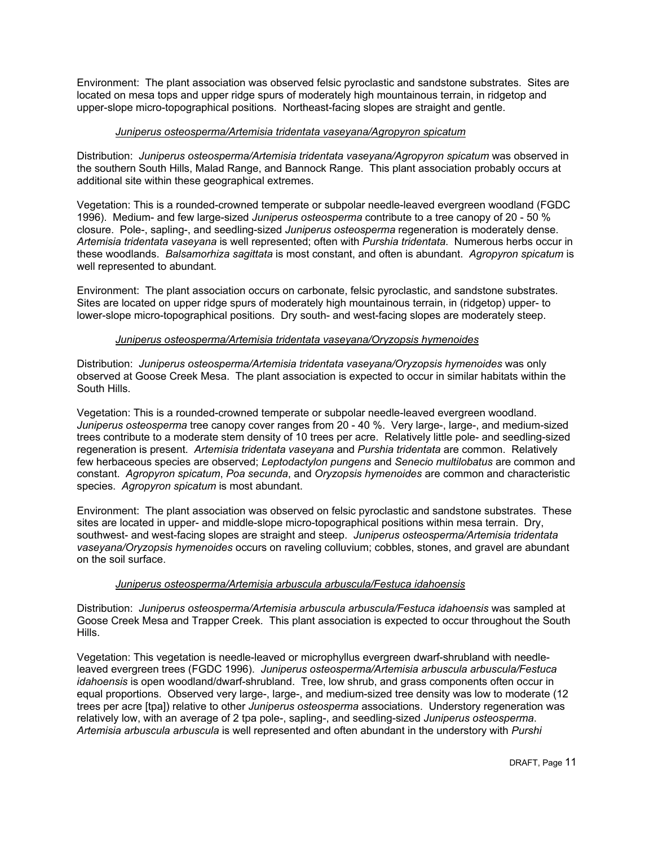Environment: The plant association was observed felsic pyroclastic and sandstone substrates. Sites are located on mesa tops and upper ridge spurs of moderately high mountainous terrain, in ridgetop and upper-slope micro-topographical positions. Northeast-facing slopes are straight and gentle.

## *Juniperus osteosperma/Artemisia tridentata vaseyana/Agropyron spicatum*

Distribution: *Juniperus osteosperma/Artemisia tridentata vaseyana/Agropyron spicatum* was observed in the southern South Hills, Malad Range, and Bannock Range. This plant association probably occurs at additional site within these geographical extremes.

Vegetation: This is a rounded-crowned temperate or subpolar needle-leaved evergreen woodland (FGDC 1996). Medium- and few large-sized *Juniperus osteosperma* contribute to a tree canopy of 20 - 50 % closure. Pole-, sapling-, and seedling-sized *Juniperus osteosperma* regeneration is moderately dense. *Artemisia tridentata vaseyana* is well represented; often with *Purshia tridentata*. Numerous herbs occur in these woodlands. *Balsamorhiza sagittata* is most constant, and often is abundant. *Agropyron spicatum* is well represented to abundant.

Environment: The plant association occurs on carbonate, felsic pyroclastic, and sandstone substrates. Sites are located on upper ridge spurs of moderately high mountainous terrain, in (ridgetop) upper- to lower-slope micro-topographical positions. Dry south- and west-facing slopes are moderately steep.

## *Juniperus osteosperma/Artemisia tridentata vaseyana/Oryzopsis hymenoides*

Distribution: *Juniperus osteosperma/Artemisia tridentata vaseyana/Oryzopsis hymenoides* was only observed at Goose Creek Mesa. The plant association is expected to occur in similar habitats within the South Hills.

Vegetation: This is a rounded-crowned temperate or subpolar needle-leaved evergreen woodland. *Juniperus osteosperma* tree canopy cover ranges from 20 - 40 %. Very large-, large-, and medium-sized trees contribute to a moderate stem density of 10 trees per acre. Relatively little pole- and seedling-sized regeneration is present. *Artemisia tridentata vaseyana* and *Purshia tridentata* are common. Relatively few herbaceous species are observed; *Leptodactylon pungens* and *Senecio multilobatus* are common and constant. *Agropyron spicatum*, *Poa secunda*, and *Oryzopsis hymenoides* are common and characteristic species. *Agropyron spicatum* is most abundant.

Environment: The plant association was observed on felsic pyroclastic and sandstone substrates. These sites are located in upper- and middle-slope micro-topographical positions within mesa terrain. Dry, southwest- and west-facing slopes are straight and steep. *Juniperus osteosperma/Artemisia tridentata vaseyana/Oryzopsis hymenoides* occurs on raveling colluvium; cobbles, stones, and gravel are abundant on the soil surface.

## *Juniperus osteosperma/Artemisia arbuscula arbuscula/Festuca idahoensis*

Distribution: *Juniperus osteosperma/Artemisia arbuscula arbuscula/Festuca idahoensis* was sampled at Goose Creek Mesa and Trapper Creek. This plant association is expected to occur throughout the South Hills.

Vegetation: This vegetation is needle-leaved or microphyllus evergreen dwarf-shrubland with needleleaved evergreen trees (FGDC 1996). *Juniperus osteosperma/Artemisia arbuscula arbuscula/Festuca idahoensis* is open woodland/dwarf-shrubland. Tree, low shrub, and grass components often occur in equal proportions. Observed very large-, large-, and medium-sized tree density was low to moderate (12 trees per acre [tpa]) relative to other *Juniperus osteosperma* associations. Understory regeneration was relatively low, with an average of 2 tpa pole-, sapling-, and seedling-sized *Juniperus osteosperma*. *Artemisia arbuscula arbuscula* is well represented and often abundant in the understory with *Purshi*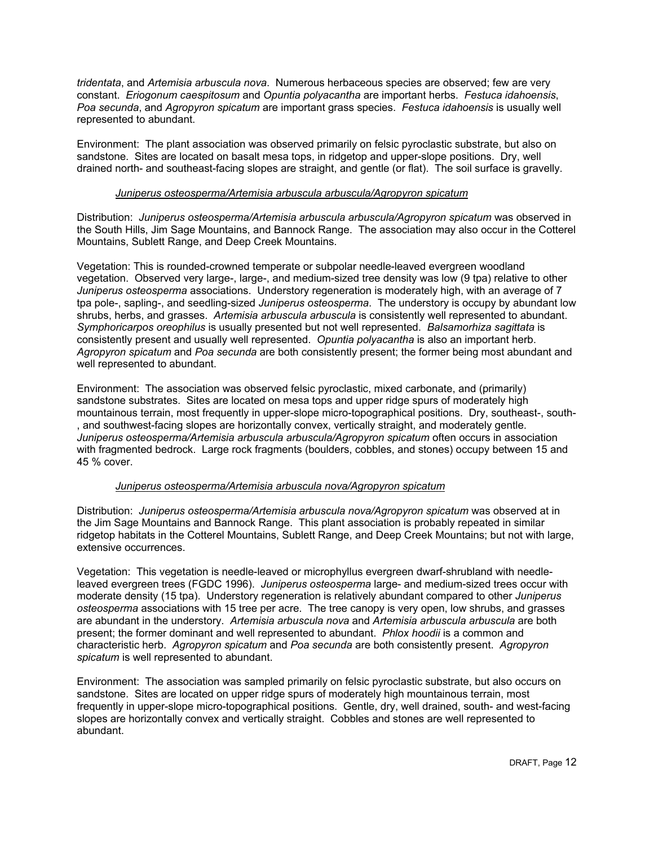*tridentata*, and *Artemisia arbuscula nova*. Numerous herbaceous species are observed; few are very constant. *Eriogonum caespitosum* and *Opuntia polyacantha* are important herbs. *Festuca idahoensis*, *Poa secunda*, and *Agropyron spicatum* are important grass species. *Festuca idahoensis* is usually well represented to abundant.

Environment: The plant association was observed primarily on felsic pyroclastic substrate, but also on sandstone. Sites are located on basalt mesa tops, in ridgetop and upper-slope positions. Dry, well drained north- and southeast-facing slopes are straight, and gentle (or flat). The soil surface is gravelly.

## *Juniperus osteosperma/Artemisia arbuscula arbuscula/Agropyron spicatum*

Distribution: *Juniperus osteosperma/Artemisia arbuscula arbuscula/Agropyron spicatum* was observed in the South Hills, Jim Sage Mountains, and Bannock Range. The association may also occur in the Cotterel Mountains, Sublett Range, and Deep Creek Mountains.

Vegetation: This is rounded-crowned temperate or subpolar needle-leaved evergreen woodland vegetation. Observed very large-, large-, and medium-sized tree density was low (9 tpa) relative to other *Juniperus osteosperma* associations. Understory regeneration is moderately high, with an average of 7 tpa pole-, sapling-, and seedling-sized *Juniperus osteosperma*. The understory is occupy by abundant low shrubs, herbs, and grasses. *Artemisia arbuscula arbuscula* is consistently well represented to abundant. *Symphoricarpos oreophilus* is usually presented but not well represented. *Balsamorhiza sagittata* is consistently present and usually well represented. *Opuntia polyacantha* is also an important herb. *Agropyron spicatum* and *Poa secunda* are both consistently present; the former being most abundant and well represented to abundant.

Environment: The association was observed felsic pyroclastic, mixed carbonate, and (primarily) sandstone substrates. Sites are located on mesa tops and upper ridge spurs of moderately high mountainous terrain, most frequently in upper-slope micro-topographical positions. Dry, southeast-, south- , and southwest-facing slopes are horizontally convex, vertically straight, and moderately gentle. *Juniperus osteosperma/Artemisia arbuscula arbuscula/Agropyron spicatum* often occurs in association with fragmented bedrock. Large rock fragments (boulders, cobbles, and stones) occupy between 15 and 45 % cover.

## *Juniperus osteosperma/Artemisia arbuscula nova/Agropyron spicatum*

Distribution: *Juniperus osteosperma/Artemisia arbuscula nova/Agropyron spicatum* was observed at in the Jim Sage Mountains and Bannock Range. This plant association is probably repeated in similar ridgetop habitats in the Cotterel Mountains, Sublett Range, and Deep Creek Mountains; but not with large, extensive occurrences.

Vegetation: This vegetation is needle-leaved or microphyllus evergreen dwarf-shrubland with needleleaved evergreen trees (FGDC 1996). *Juniperus osteosperma* large- and medium-sized trees occur with moderate density (15 tpa). Understory regeneration is relatively abundant compared to other *Juniperus osteosperma* associations with 15 tree per acre. The tree canopy is very open, low shrubs, and grasses are abundant in the understory. *Artemisia arbuscula nova* and *Artemisia arbuscula arbuscula* are both present; the former dominant and well represented to abundant. *Phlox hoodii* is a common and characteristic herb. *Agropyron spicatum* and *Poa secunda* are both consistently present. *Agropyron spicatum* is well represented to abundant.

Environment: The association was sampled primarily on felsic pyroclastic substrate, but also occurs on sandstone. Sites are located on upper ridge spurs of moderately high mountainous terrain, most frequently in upper-slope micro-topographical positions. Gentle, dry, well drained, south- and west-facing slopes are horizontally convex and vertically straight. Cobbles and stones are well represented to abundant.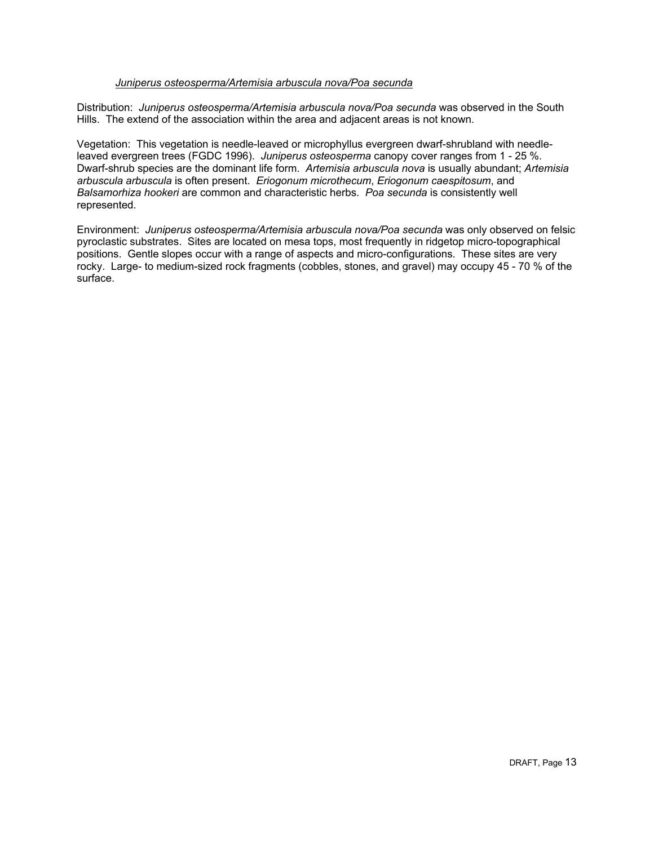## *Juniperus osteosperma/Artemisia arbuscula nova/Poa secunda*

Distribution: *Juniperus osteosperma/Artemisia arbuscula nova/Poa secunda* was observed in the South Hills. The extend of the association within the area and adjacent areas is not known.

Vegetation: This vegetation is needle-leaved or microphyllus evergreen dwarf-shrubland with needleleaved evergreen trees (FGDC 1996). *Juniperus osteosperma* canopy cover ranges from 1 - 25 %. Dwarf-shrub species are the dominant life form. *Artemisia arbuscula nova* is usually abundant; *Artemisia arbuscula arbuscula* is often present. *Eriogonum microthecum*, *Eriogonum caespitosum*, and *Balsamorhiza hookeri* are common and characteristic herbs. *Poa secunda* is consistently well represented.

Environment: *Juniperus osteosperma/Artemisia arbuscula nova/Poa secunda* was only observed on felsic pyroclastic substrates. Sites are located on mesa tops, most frequently in ridgetop micro-topographical positions. Gentle slopes occur with a range of aspects and micro-configurations. These sites are very rocky. Large- to medium-sized rock fragments (cobbles, stones, and gravel) may occupy 45 - 70 % of the surface.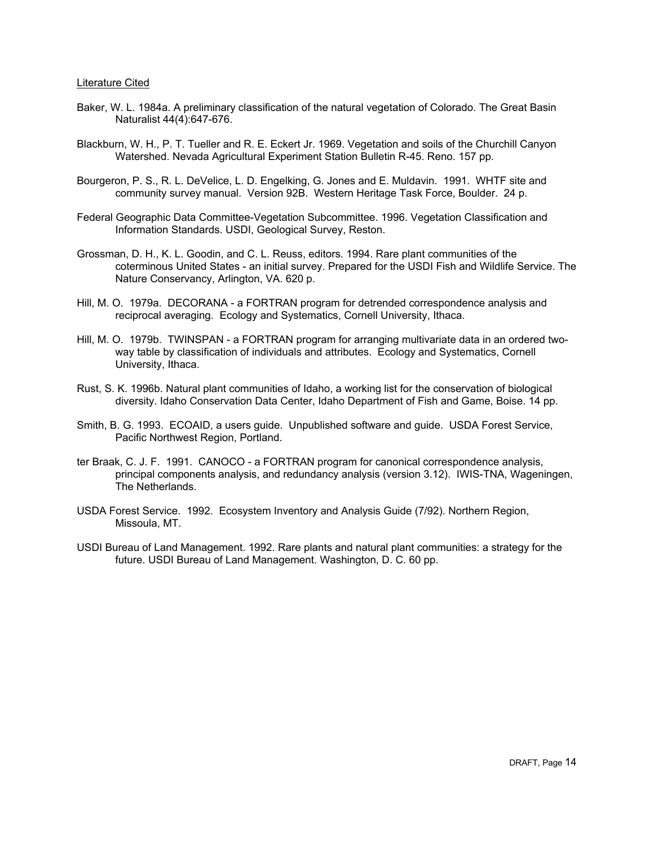#### Literature Cited

- Baker, W. L. 1984a. A preliminary classification of the natural vegetation of Colorado. The Great Basin Naturalist 44(4):647-676.
- Blackburn, W. H., P. T. Tueller and R. E. Eckert Jr. 1969. Vegetation and soils of the Churchill Canyon Watershed. Nevada Agricultural Experiment Station Bulletin R-45. Reno. 157 pp.
- Bourgeron, P. S., R. L. DeVelice, L. D. Engelking, G. Jones and E. Muldavin. 1991. WHTF site and community survey manual. Version 92B. Western Heritage Task Force, Boulder. 24 p.
- Federal Geographic Data Committee-Vegetation Subcommittee. 1996. Vegetation Classification and Information Standards. USDI, Geological Survey, Reston.
- Grossman, D. H., K. L. Goodin, and C. L. Reuss, editors. 1994. Rare plant communities of the coterminous United States - an initial survey. Prepared for the USDI Fish and Wildlife Service. The Nature Conservancy, Arlington, VA. 620 p.
- Hill, M. O. 1979a. DECORANA a FORTRAN program for detrended correspondence analysis and reciprocal averaging. Ecology and Systematics, Cornell University, Ithaca.
- Hill, M. O. 1979b. TWINSPAN a FORTRAN program for arranging multivariate data in an ordered twoway table by classification of individuals and attributes. Ecology and Systematics, Cornell University, Ithaca.
- Rust, S. K. 1996b. Natural plant communities of Idaho, a working list for the conservation of biological diversity. Idaho Conservation Data Center, Idaho Department of Fish and Game, Boise. 14 pp.
- Smith, B. G. 1993. ECOAID, a users guide. Unpublished software and guide. USDA Forest Service, Pacific Northwest Region, Portland.
- ter Braak, C. J. F. 1991. CANOCO a FORTRAN program for canonical correspondence analysis, principal components analysis, and redundancy analysis (version 3.12). IWIS-TNA, Wageningen, The Netherlands.
- USDA Forest Service. 1992. Ecosystem Inventory and Analysis Guide (7/92). Northern Region, Missoula, MT.
- USDI Bureau of Land Management. 1992. Rare plants and natural plant communities: a strategy for the future. USDI Bureau of Land Management. Washington, D. C. 60 pp.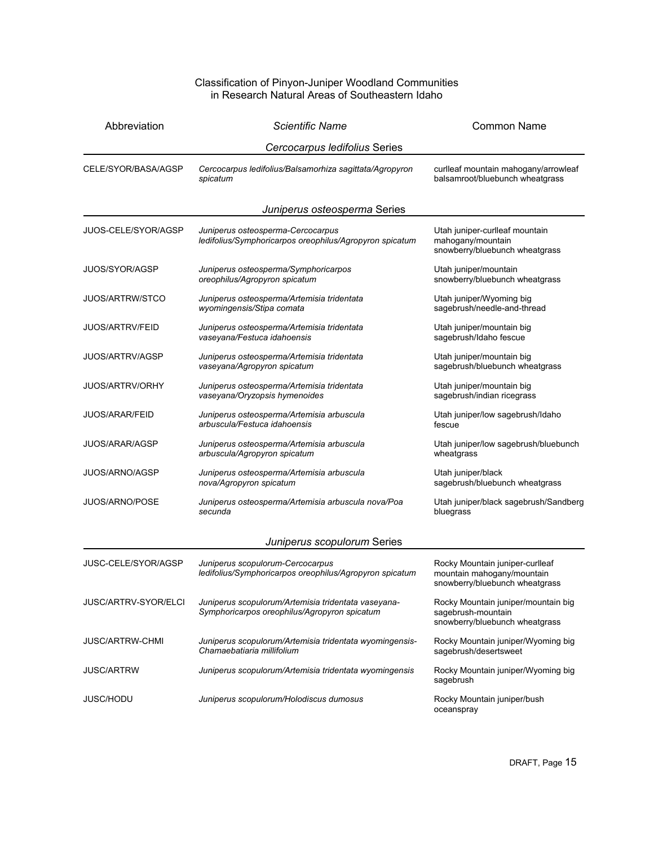#### Classification of Pinyon-Juniper Woodland Communities in Research Natural Areas of Southeastern Idaho

| Abbreviation                | <b>Scientific Name</b>                                                                              | <b>Common Name</b>                                                                              |
|-----------------------------|-----------------------------------------------------------------------------------------------------|-------------------------------------------------------------------------------------------------|
|                             | Cercocarpus ledifolius Series                                                                       |                                                                                                 |
| CELE/SYOR/BASA/AGSP         | Cercocarpus ledifolius/Balsamorhiza sagittata/Agropyron<br>spicatum                                 | curlleaf mountain mahogany/arrowleaf<br>balsamroot/bluebunch wheatgrass                         |
|                             | Juniperus osteosperma Series                                                                        |                                                                                                 |
| JUOS-CELE/SYOR/AGSP         | Juniperus osteosperma-Cercocarpus<br>ledifolius/Symphoricarpos oreophilus/Agropyron spicatum        | Utah juniper-curlleaf mountain<br>mahogany/mountain<br>snowberry/bluebunch wheatgrass           |
| JUOS/SYOR/AGSP              | Juniperus osteosperma/Symphoricarpos<br>oreophilus/Agropyron spicatum                               | Utah juniper/mountain<br>snowberry/bluebunch wheatgrass                                         |
| <b>JUOS/ARTRW/STCO</b>      | Juniperus osteosperma/Artemisia tridentata<br>wyomingensis/Stipa comata                             | Utah juniper/Wyoming big<br>sagebrush/needle-and-thread                                         |
| <b>JUOS/ARTRV/FEID</b>      | Juniperus osteosperma/Artemisia tridentata<br>vaseyana/Festuca idahoensis                           | Utah juniper/mountain big<br>sagebrush/Idaho fescue                                             |
| <b>JUOS/ARTRV/AGSP</b>      | Juniperus osteosperma/Artemisia tridentata<br>vaseyana/Agropyron spicatum                           | Utah juniper/mountain big<br>sagebrush/bluebunch wheatgrass                                     |
| <b>JUOS/ARTRV/ORHY</b>      | Juniperus osteosperma/Artemisia tridentata<br>vaseyana/Oryzopsis hymenoides                         | Utah juniper/mountain big<br>sagebrush/indian ricegrass                                         |
| <b>JUOS/ARAR/FEID</b>       | Juniperus osteosperma/Artemisia arbuscula<br>arbuscula/Festuca idahoensis                           | Utah juniper/low sagebrush/Idaho<br>fescue                                                      |
| <b>JUOS/ARAR/AGSP</b>       | Juniperus osteosperma/Artemisia arbuscula<br>arbuscula/Agropyron spicatum                           | Utah juniper/low sagebrush/bluebunch<br>wheatgrass                                              |
| JUOS/ARNO/AGSP              | Juniperus osteosperma/Artemisia arbuscula<br>nova/Agropyron spicatum                                | Utah juniper/black<br>sagebrush/bluebunch wheatgrass                                            |
| <b>JUOS/ARNO/POSE</b>       | Juniperus osteosperma/Artemisia arbuscula nova/Poa<br>secunda                                       | Utah juniper/black sagebrush/Sandberg<br>bluegrass                                              |
|                             | Juniperus scopulorum Series                                                                         |                                                                                                 |
| JUSC-CELE/SYOR/AGSP         | Juniperus scopulorum-Cercocarpus<br>ledifolius/Symphoricarpos oreophilus/Agropyron spicatum         | Rocky Mountain juniper-curlleaf<br>mountain mahogany/mountain<br>snowberry/bluebunch wheatgrass |
| <b>JUSC/ARTRV-SYOR/ELCI</b> | Juniperus scopulorum/Artemisia tridentata vaseyana-<br>Symphoricarpos oreophilus/Agropyron spicatum | Rocky Mountain juniper/mountain big<br>sagebrush-mountain<br>snowberry/bluebunch wheatgrass     |
| <b>JUSC/ARTRW-CHMI</b>      | Juniperus scopulorum/Artemisia tridentata wyomingensis-<br>Chamaebatiaria millifolium               | Rocky Mountain juniper/Wyoming big<br>sagebrush/desertsweet                                     |
| <b>JUSC/ARTRW</b>           | Juniperus scopulorum/Artemisia tridentata wyomingensis                                              | Rocky Mountain juniper/Wyoming big<br>sagebrush                                                 |
| <b>JUSC/HODU</b>            | Juniperus scopulorum/Holodiscus dumosus                                                             | Rocky Mountain juniper/bush<br>oceanspray                                                       |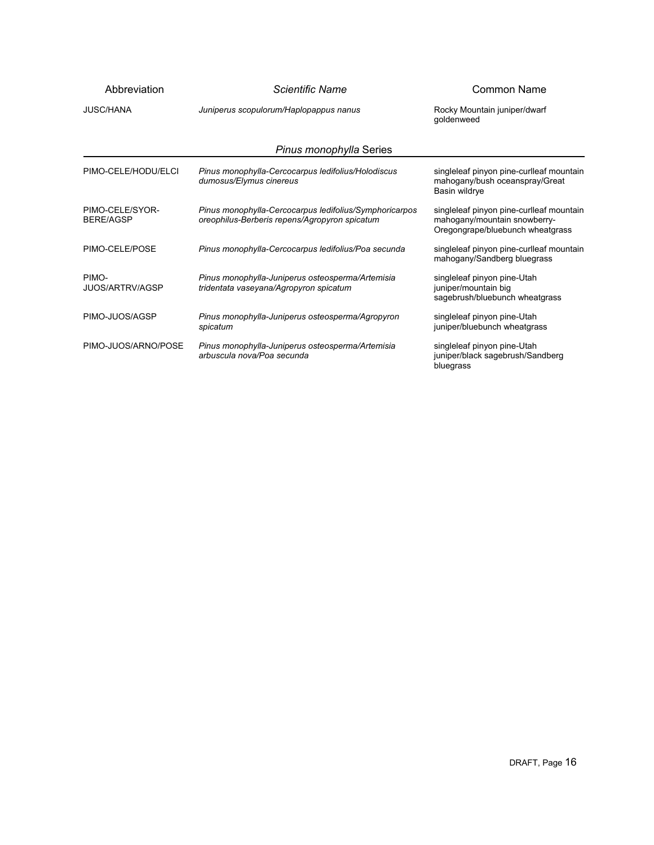| Abbreviation                        | Scientific Name                                                                                         | Common Name                                                                                                  |
|-------------------------------------|---------------------------------------------------------------------------------------------------------|--------------------------------------------------------------------------------------------------------------|
| <b>JUSC/HANA</b>                    | Juniperus scopulorum/Haplopappus nanus                                                                  | Rocky Mountain juniper/dwarf<br>qoldenweed                                                                   |
|                                     | Pinus monophylla Series                                                                                 |                                                                                                              |
| PIMO-CELE/HODU/ELCI                 | Pinus monophylla-Cercocarpus ledifolius/Holodiscus<br>dumosus/Elymus cinereus                           | singleleaf pinyon pine-curlleaf mountain<br>mahogany/bush oceanspray/Great<br>Basin wildrye                  |
| PIMO-CELE/SYOR-<br><b>BERE/AGSP</b> | Pinus monophylla-Cercocarpus ledifolius/Symphoricarpos<br>oreophilus-Berberis repens/Agropyron spicatum | singleleaf pinyon pine-curlleaf mountain<br>mahogany/mountain snowberry-<br>Oregongrape/bluebunch wheatgrass |
| PIMO-CELE/POSE                      | Pinus monophylla-Cercocarpus ledifolius/Poa secunda                                                     | singleleaf pinyon pine-curlleaf mountain<br>mahogany/Sandberg bluegrass                                      |
| PIMO-<br><b>JUOS/ARTRV/AGSP</b>     | Pinus monophylla-Juniperus osteosperma/Artemisia<br>tridentata vaseyana/Agropyron spicatum              | singleleaf pinyon pine-Utah<br>juniper/mountain big<br>sagebrush/bluebunch wheatgrass                        |
| PIMO-JUOS/AGSP                      | Pinus monophylla-Juniperus osteosperma/Agropyron<br>spicatum                                            | singleleaf pinyon pine-Utah<br>juniper/bluebunch wheatgrass                                                  |
| PIMO-JUOS/ARNO/POSE                 | Pinus monophylla-Juniperus osteosperma/Artemisia<br>arbuscula nova/Poa secunda                          | singleleaf pinyon pine-Utah<br>juniper/black sagebrush/Sandberg<br>bluegrass                                 |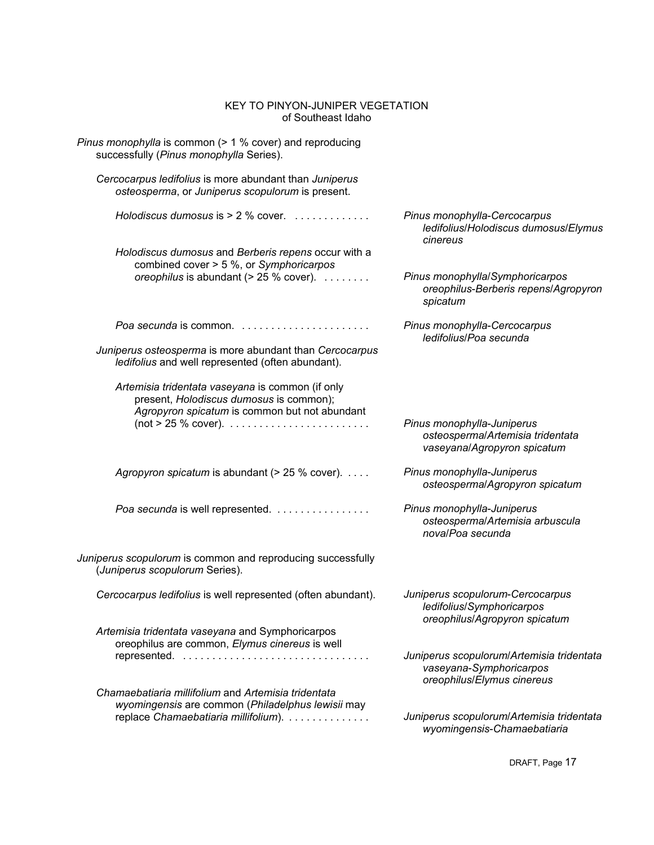| KEY TO PINYON-JUNIPER VEGETATION<br>of Southeast Idaho                                                                                       |                                                                                                    |
|----------------------------------------------------------------------------------------------------------------------------------------------|----------------------------------------------------------------------------------------------------|
| Pinus monophylla is common $($ > 1 % cover) and reproducing<br>successfully (Pinus monophylla Series).                                       |                                                                                                    |
| Cercocarpus ledifolius is more abundant than Juniperus<br>osteosperma, or Juniperus scopulorum is present.                                   |                                                                                                    |
| Holodiscus dumosus is $> 2$ % cover.                                                                                                         | Pinus monophylla-Cercocarpus<br>ledifolius/Holodiscus dumosus/Elymus<br>cinereus                   |
| Holodiscus dumosus and Berberis repens occur with a                                                                                          |                                                                                                    |
| combined cover > 5 %, or Symphoricarpos                                                                                                      |                                                                                                    |
| oreophilus is abundant ( $> 25$ % cover). $\ldots \ldots$                                                                                    | Pinus monophylla/Symphoricarpos<br>oreophilus-Berberis repens/Agropyron<br>spicatum                |
|                                                                                                                                              | Pinus monophylla-Cercocarpus<br>ledifolius/Poa secunda                                             |
| Juniperus osteosperma is more abundant than Cercocarpus<br>ledifolius and well represented (often abundant).                                 |                                                                                                    |
| Artemisia tridentata vaseyana is common (if only<br>present, Holodiscus dumosus is common);<br>Agropyron spicatum is common but not abundant |                                                                                                    |
|                                                                                                                                              | Pinus monophylla-Juniperus<br>osteosperma/Artemisia tridentata<br>vaseyana/Agropyron spicatum      |
| Agropyron spicatum is abundant (> 25 % cover).                                                                                               | Pinus monophylla-Juniperus<br>osteosperma/Agropyron spicatum                                       |
| Poa secunda is well represented.                                                                                                             | Pinus monophylla-Juniperus<br>osteosperma/Artemisia arbuscula<br>nova/Poa secunda                  |
| Juniperus scopulorum is common and reproducing successfully<br>(Juniperus scopulorum Series).                                                |                                                                                                    |
| Cercocarpus ledifolius is well represented (often abundant).                                                                                 | Juniperus scopulorum-Cercocarpus<br>ledifolius/Symphoricarpos<br>oreophilus/Agropyron spicatum     |
| Artemisia tridentata vaseyana and Symphoricarpos                                                                                             |                                                                                                    |
| oreophilus are common, Elymus cinereus is well                                                                                               |                                                                                                    |
|                                                                                                                                              | Juniperus scopulorum/Artemisia tridentata<br>vaseyana-Symphoricarpos<br>oreophilus/Elymus cinereus |
| Chamaebatiaria millifolium and Artemisia tridentata                                                                                          |                                                                                                    |
| wyomingensis are common (Philadelphus lewisii may                                                                                            |                                                                                                    |
| replace Chamaebatiaria millifolium).                                                                                                         | Juniperus scopulorum/Artemisia tridentata<br>wyomingensis-Chamaebatiaria                           |

DRAFT, Page 17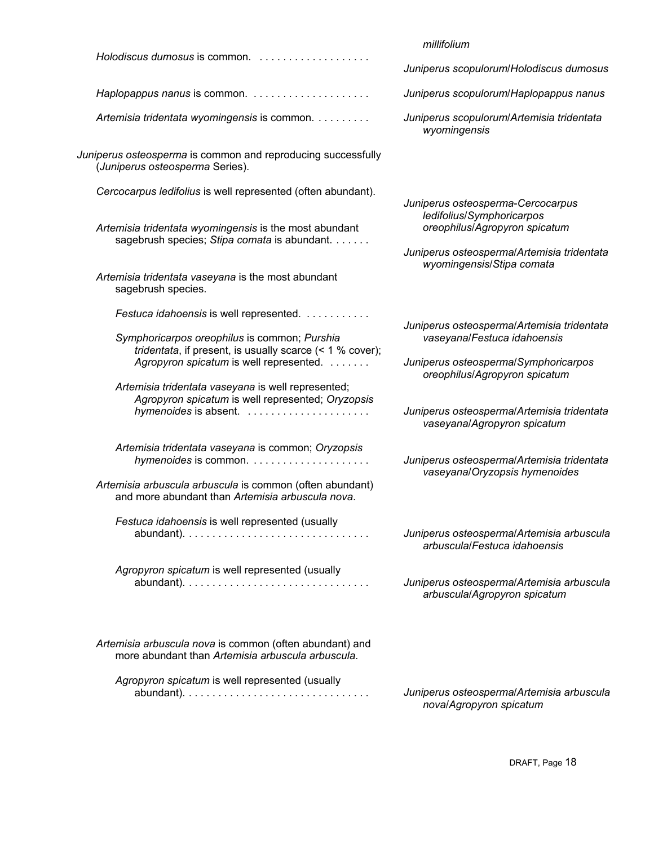|                                                                                                                                                        | millifolium                                                                                                        |
|--------------------------------------------------------------------------------------------------------------------------------------------------------|--------------------------------------------------------------------------------------------------------------------|
| Holodiscus dumosus is common.                                                                                                                          | Juniperus scopulorum/Holodiscus dumosus                                                                            |
|                                                                                                                                                        | Juniperus scopulorum/Haplopappus nanus                                                                             |
| Artemisia tridentata wyomingensis is common.                                                                                                           | Juniperus scopulorum/Artemisia tridentata<br>wyomingensis                                                          |
| Juniperus osteosperma is common and reproducing successfully<br>(Juniperus osteosperma Series).                                                        |                                                                                                                    |
| Cercocarpus ledifolius is well represented (often abundant).                                                                                           | Juniperus osteosperma-Cercocarpus<br>ledifolius/Symphoricarpos                                                     |
| Artemisia tridentata wyomingensis is the most abundant<br>sagebrush species; Stipa comata is abundant.                                                 | oreophilus/Agropyron spicatum<br>Juniperus osteosperma/Artemisia tridentata                                        |
| Artemisia tridentata vaseyana is the most abundant<br>sagebrush species.                                                                               | wyomingensis/Stipa comata                                                                                          |
| Festuca idahoensis is well represented.                                                                                                                |                                                                                                                    |
| Symphoricarpos oreophilus is common; Purshia<br>tridentata, if present, is usually scarce $($ < 1 % cover);<br>Agropyron spicatum is well represented. | Juniperus osteospermal Artemisia tridentata<br>vaseyana/Festuca idahoensis<br>Juniperus osteosperma/Symphoricarpos |
| Artemisia tridentata vaseyana is well represented;<br>Agropyron spicatum is well represented; Oryzopsis                                                | oreophilus/Agropyron spicatum<br>Juniperus osteospermal Artemisia tridentata<br>vaseyana/Agropyron spicatum        |
| Artemisia tridentata vaseyana is common; Oryzopsis                                                                                                     | Juniperus osteospermal Artemisia tridentata<br>vaseyana/Oryzopsis hymenoides                                       |
| Artemisia arbuscula arbuscula is common (often abundant)<br>and more abundant than Artemisia arbuscula nova.                                           |                                                                                                                    |
| Festuca idahoensis is well represented (usually                                                                                                        | Juniperus osteospermal Artemisia arbuscula<br>arbuscula/Festuca idahoensis                                         |
| Agropyron spicatum is well represented (usually                                                                                                        | Juniperus osteosperma/Artemisia arbuscula<br>arbuscula/Agropyron spicatum                                          |
| Artemisia arbuscula nova is common (often abundant) and<br>more abundant than Artemisia arbuscula arbuscula.                                           |                                                                                                                    |
| Agropyron spicatum is well represented (usually                                                                                                        | Juniperus osteospermal Artemisia arbuscula<br>noval Agropyron spicatum                                             |

DRAFT, Page 18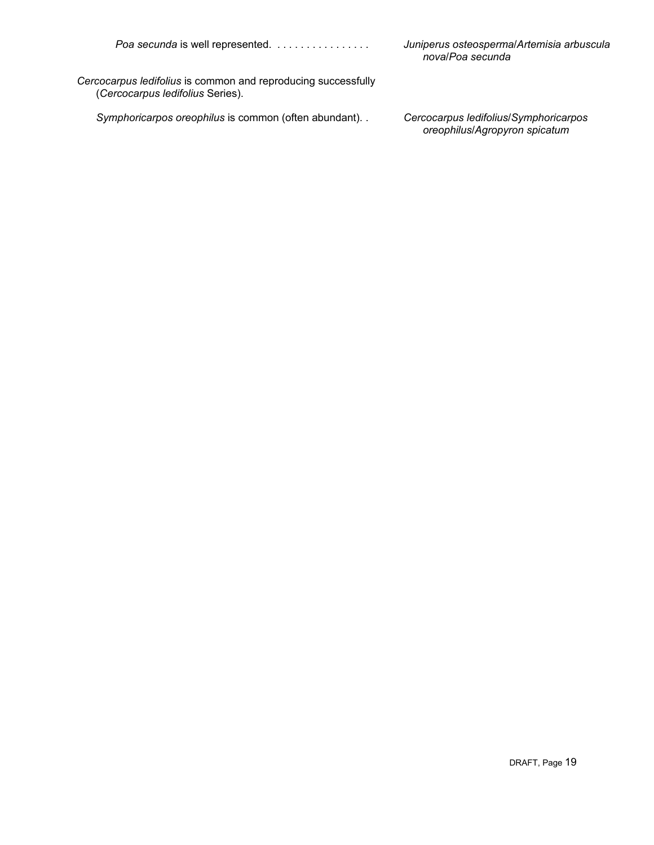Poa secunda is well represented. . . . . . . . . . . . . . . .

*Juniperus osteosperma*/*Artemisia arbuscula nova*/*Poa secunda*

*Cercocarpus ledifolius* is common and reproducing successfully (*Cercocarpus ledifolius* Series).

*Symphoricarpos oreophilus* is common (often abundant). .

*Cercocarpus ledifolius*/*Symphoricarpos oreophilus*/*Agropyron spicatum*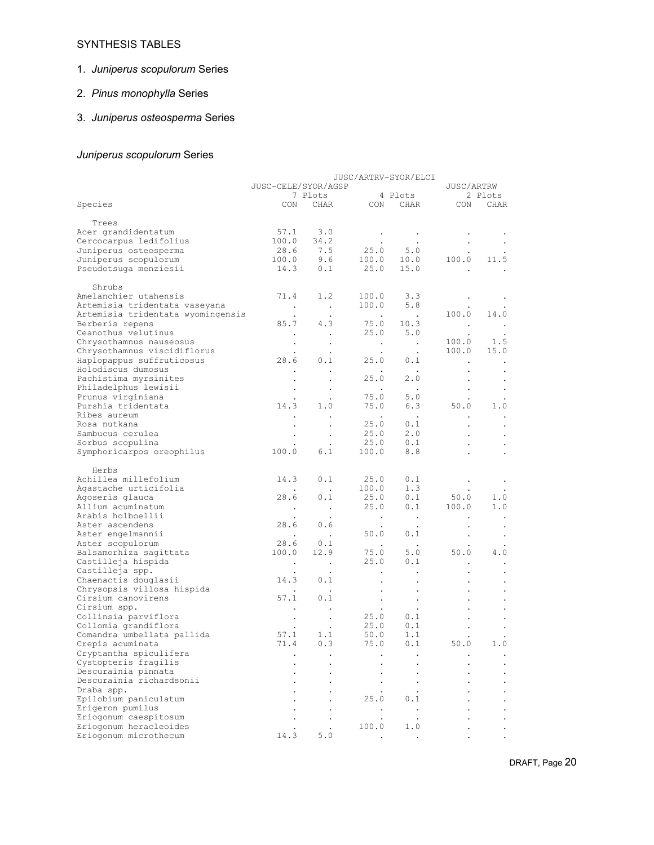## SYNTHESIS TABLES

# 1. *Juniperus scopulorum* Series

# 2. *Pinus monophylla* Series

# 3. *Juniperus osteosperma* Series

# *Juniperus scopulorum* Series

| JUSC/ARTRV-SYOR/ELCI              |                      |                                |                                                                     |                                |                      |           |  |
|-----------------------------------|----------------------|--------------------------------|---------------------------------------------------------------------|--------------------------------|----------------------|-----------|--|
|                                   | JUSC-CELE/SYOR/AGSP  |                                |                                                                     |                                | JUSC/ARTRW           |           |  |
|                                   |                      | 7 Plots                        |                                                                     | 4 Plots                        |                      | 2 Plots   |  |
| Species                           |                      | CON CHAR                       | CON                                                                 | CHAR                           | CON                  | CHAR      |  |
|                                   |                      |                                |                                                                     |                                |                      |           |  |
| Trees                             |                      |                                |                                                                     |                                |                      |           |  |
| Acer grandidentatum               |                      | 57.1 3.0                       | $\sim$ 100 $\mu$                                                    | $\sim$ 100 $\pm$               |                      |           |  |
| Cercocarpus ledifolius            | 100.0                | 34.2                           |                                                                     |                                |                      |           |  |
| Juniperus osteosperma             |                      |                                |                                                                     |                                |                      |           |  |
| Juniperus scopulorum              |                      | $28.6$ 7.5<br>100.0 9.6<br>9.6 |                                                                     | $25.0$ $5.0$<br>$100.0$ $10.0$ | 100.0                | 11.5      |  |
| Pseudotsuga menziesii             | 14.3                 | 0.1                            | 25.0                                                                | 15.0                           | $\bullet$            |           |  |
|                                   |                      |                                |                                                                     |                                |                      |           |  |
| Shrubs                            |                      |                                |                                                                     |                                |                      |           |  |
| Amelanchier utahensis             | 71.4                 | 1.2                            | 100.0                                                               | 3.3                            | $\blacksquare$       |           |  |
| Artemisia tridentata vaseyana     | $\sim$ $\sim$        | $\sim 100$                     | 100.0                                                               | 5.8                            |                      |           |  |
| Artemisia tridentata wyomingensis |                      | $\bullet$                      | $\sim 10^{-11}$                                                     | $\sim 10^{11}$ km s $^{-1}$    | 100.0                | 14.0      |  |
| Berberis repens                   | 85.7                 | 4.3                            |                                                                     | $75.0$ 10.3                    | $\sim$               | $\sim$    |  |
| Ceanothus velutinus               | $\sim$ $\sim$        | $\sim$                         | 25.0                                                                | 5.0                            | $\bullet$            |           |  |
| Chrysothamnus nauseosus           | $\cdot$              |                                | $\sim$ 100 $\sim$                                                   | $\sim 10$                      | 100.0                | 1.5       |  |
| Chrysothamnus viscidiflorus       | $\bullet$            |                                | $\sim$ $\sim$                                                       | $\cdot$                        | 100.0                | 15.0      |  |
| Haplopappus suffruticosus         | 28.6                 | 0.1                            | 25.0                                                                | 0.1                            | $\cdot$              |           |  |
| Holodiscus dumosus                | $\ddot{\phantom{0}}$ |                                |                                                                     | $\sim 10$                      |                      | $\bullet$ |  |
| Pachistima myrsinites             |                      | $\bullet$                      | $\ddot{\phantom{0}}$<br>25.0                                        | 2.0                            | $\bullet$            | $\bullet$ |  |
| Philadelphus lewisii              |                      | $\bullet$                      |                                                                     |                                | $\cdot$              | $\bullet$ |  |
| Prunus virginiana                 |                      |                                | 75.0                                                                | 5.0                            | $\bullet$            | $\bullet$ |  |
| Purshia tridentata                | 14.3                 | 1.0                            | 75.0                                                                | 6.3                            | 50.0                 | 1.0       |  |
| Ribes aureum                      |                      |                                |                                                                     |                                |                      |           |  |
| Rosa nutkana                      | $\bullet$            |                                | $\sim 100$ km s $^{-1}$<br>25.0                                     | $\sim 100$ $\mu$<br>$0.1$      | $\bullet$            |           |  |
|                                   | $\bullet$            | $\,$ .                         |                                                                     |                                | $\bullet$            | $\bullet$ |  |
| Sambucus cerulea                  | $\bullet$            | $\cdot$                        | 25.0                                                                | 2.0                            | $\ddot{\phantom{0}}$ |           |  |
| Sorbus scopulina                  |                      |                                |                                                                     | $25.0$ $0.1$<br>100.0 8.8      | $\ddot{\phantom{0}}$ | $\bullet$ |  |
| Symphoricarpos oreophilus         | 100.0                | 6.1                            |                                                                     |                                |                      |           |  |
|                                   |                      |                                |                                                                     |                                |                      |           |  |
| Herbs<br>Achillea millefolium     |                      |                                |                                                                     |                                |                      |           |  |
|                                   | 14.3                 | 0.1                            | 25.0                                                                | 0.1                            | $\bullet$            |           |  |
| Agastache urticifolia             |                      | $\sim$                         | 100.0                                                               | 1.3                            | $\bullet$            |           |  |
| Agoseris glauca                   | 28.6                 | 0.1                            | 25.0                                                                | 0.1                            | 50.0                 | 1.0       |  |
| Allium acuminatum                 | $\sim$               | $\sim$ $\sim$                  | 25.0                                                                | 0.1                            | 100.0                | 1.0       |  |
| Arabis holboellii                 |                      |                                | $\sim 100$ km s $^{-1}$                                             | $\sim 100$                     |                      | $\bullet$ |  |
| Aster ascendens                   | 28.6                 | 0.6                            | $\bullet$                                                           | $\bullet$                      | $\bullet$            | $\bullet$ |  |
| Aster engelmannii                 |                      |                                | 50.0                                                                | 0.1                            | $\bullet$            | $\bullet$ |  |
| Aster scopulorum                  | 28.6                 | 0.1                            | $\mathcal{L}^{\mathcal{L}}(\mathcal{L}^{\mathcal{L}}(\mathcal{L}))$ | $\sim$ $\sim$                  |                      |           |  |
| Balsamorhiza sagittata            | 100.0                | 12.9                           | 75.0                                                                | 5.0                            | 50.0                 | 4.0       |  |
| Castilleja hispida                | $\sim$               | $\sim$ $\sim$                  | 25.0                                                                | 0.1                            | $\ddot{\phantom{0}}$ | $\bullet$ |  |
| Castilleja spp.                   | $\bullet$            | $\cdot$                        | $\bullet$                                                           | $\bullet$                      | $\bullet$            | $\bullet$ |  |
| Chaenactis douglasii              | 14.3                 | 0.1                            |                                                                     |                                |                      |           |  |
| Chrysopsis villosa hispida        |                      |                                | $\bullet$                                                           | $\bullet$                      |                      |           |  |
| Cirsium canovirens                | 57.1                 | 0.1                            | $\sim$                                                              | $\bullet$                      |                      |           |  |
| Cirsium spp.                      |                      |                                | $\sim$                                                              |                                |                      |           |  |
| Collinsia parviflora              | $\sim$               | $\sim$                         | 25.0                                                                | $0.1$                          |                      |           |  |
| Collomia grandiflora              | $\bullet$            | $\bullet$                      | 25.0                                                                | 0.1                            |                      |           |  |
| Comandra umbellata pallida        | 57.1                 | 1.1                            | 50.0                                                                | 1.1                            |                      |           |  |
| Crepis acuminata                  | 71.4                 | 0.3                            | 75.0                                                                | 0.1                            | 50.0                 | 1.0       |  |
| Cryptantha spiculifera            |                      |                                |                                                                     |                                |                      |           |  |
| Cystopteris fragilis              |                      |                                |                                                                     |                                |                      |           |  |
| Descurainia pinnata               |                      |                                |                                                                     |                                |                      |           |  |
| Descurainia richardsonii          |                      |                                |                                                                     |                                |                      |           |  |
| Draba spp.                        |                      |                                |                                                                     |                                |                      |           |  |
| Epilobium paniculatum             |                      |                                | 25.0                                                                | 0.1                            |                      |           |  |
| Erigeron pumilus                  |                      |                                |                                                                     |                                |                      |           |  |
| Eriogonum caespitosum             |                      |                                |                                                                     |                                |                      |           |  |
| Eriogonum heracleoides            |                      |                                | 100.0                                                               | 1.0                            |                      |           |  |
| Eriogonum microthecum             | 14.3                 | 5.0                            |                                                                     |                                |                      |           |  |
|                                   |                      |                                |                                                                     |                                |                      |           |  |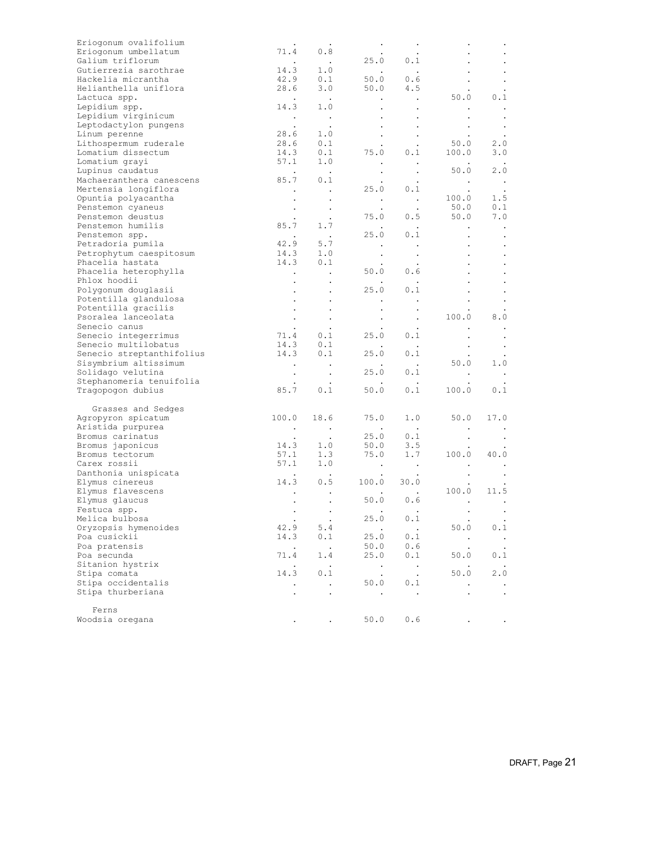| Eriogonum ovalifolium     |                          |                      |                         |                        |               |                  |
|---------------------------|--------------------------|----------------------|-------------------------|------------------------|---------------|------------------|
| Eriogonum umbellatum      | 71.4                     | 0.8                  |                         |                        |               |                  |
| Galium triflorum          |                          | $\sim 10$            |                         | 25.0 0.1               |               |                  |
| Gutierrezia sarothrae     | 14.3                     | 1.0                  |                         |                        |               |                  |
| Hackelia micrantha        | $42.9$<br>$28.6$         | 0.1                  | 50.0                    | $0.\dot{6}$            |               | $\bullet$        |
| Helianthella uniflora     |                          | 3.0                  | 50.0                    | 4.5                    |               |                  |
| Lactuca spp.              | <b>Contractor</b>        | $\sim$ $\sim$        | $\sim$ $-$              | $\sim 100$ km $^{-1}$  | 50.0          | 0.1              |
| Lepidium spp.             | 14.3                     | 1.0                  | $\bullet$               | $\bullet$              |               | $\blacksquare$ . |
| Lepidium virginicum       | $\sim 100$               |                      | $\bullet$               |                        |               | $\,$ .           |
| Leptodactylon pungens     |                          | $\frac{1}{2}$        |                         |                        | $\bullet$     | $\blacksquare$ . |
| Linum perenne             | 28.6                     | 1.0                  | $\bullet$ .             |                        |               |                  |
| Lithospermum ruderale     | 28.6                     | 0.1                  |                         |                        | 50.0          | $2.0$            |
|                           |                          |                      | $\bullet$<br>75.0       | $\sim$                 |               |                  |
| Lomatium dissectum        | 14.3                     | 0.1                  |                         | 0.1                    | 100.0         | 3.0              |
| Lomatium grayi            | 57.1                     | 1.0                  | $\bullet$               | $\sim$ $\sim$          |               |                  |
| Lupinus caudatus          | <b>Contract Contract</b> | $\sim 10$            | $\bullet$               | $\sim$                 | 50.0          | 2.0              |
| Machaeranthera canescens  | 85.7                     | 0.1                  |                         |                        | $\sim$ $\sim$ | $\mathbb{R}^2$   |
| Mertensia longiflora      | $\sim 100$               | $\sim$ $\sim$        |                         | $25.0 \t 0.1$          |               |                  |
| Opuntia polyacantha       |                          | $\bullet$            |                         |                        | 100.0         | 1.5              |
| Penstemon cyaneus         |                          | $\sim$               |                         |                        | 50.0          | 0.1              |
| Penstemon deustus         |                          | $\cdot$              |                         | 75.0 0.5               | 50.0          | 7.0              |
| Penstemon humilis         | 85.7                     | 1.7                  |                         | $\sim 10$              | $\bullet$     | $\sim$           |
| Penstemon spp.            |                          |                      |                         | $25.0$ $0.1$           |               | $\bullet$        |
| Petradoria pumila         | 42.9                     | 5.7                  |                         |                        | $\bullet$     | $\bullet$        |
| Petrophytum caespitosum   | 14.3                     | 1.0                  |                         |                        |               |                  |
|                           |                          | $14.3$ 0.1           | $\bullet$               | $\blacksquare$ .       |               | $\bullet$        |
| Phacelia hastata          |                          |                      |                         |                        |               |                  |
| Phacelia heterophylla     | <b>Contract Contract</b> | $\sim 100$           | 50.0                    | 0.6                    |               | $\bullet$        |
| Phlox hoodii              |                          | $\bullet$            |                         | $\ddot{\phantom{1}}$   |               |                  |
| Polygonum douglasii       | $\bullet$                | $\bullet$            | 25.0                    | 0.1                    |               | $\bullet$        |
| Potentilla glandulosa     |                          |                      |                         |                        |               |                  |
| Potentilla gracilis       |                          | $\bullet$            |                         | $\bullet$              |               |                  |
| Psoralea lanceolata       |                          | $\bullet$            | $\sim$                  | $\bullet$              | 100.0         | 8.0              |
| Senecio canus             |                          | $\cdot$              |                         |                        |               |                  |
| Senecio integerrimus      |                          | $71.4$ 0.1           | 25.0                    | 0.1                    | $\bullet$     | $\bullet$        |
| Senecio multilobatus      |                          | $14.3$ 0.1           | $\cdot$                 | $\sim$ $\sim$          | $\bullet$     | $\bullet$        |
| Senecio streptanthifolius | 14.3                     | 0.1                  | 25.0                    | 0.1                    |               |                  |
| Sisymbrium altissimum     |                          |                      |                         |                        | 50.0          | 1.0              |
|                           |                          | $\sim 100$           |                         |                        |               |                  |
| Solidago velutina         | $\bullet$                | $\sim$               | 25.0                    | 0.1                    | $\bullet$     | $\,$ .           |
| Stephanomeria tenuifolia  |                          |                      |                         |                        |               |                  |
| Tragopogon dubius         | 85.7                     | 0.1                  | 50.0                    | 0.1                    | 100.0         | 0.1              |
|                           |                          |                      |                         |                        |               |                  |
| Grasses and Sedges        |                          |                      |                         |                        |               |                  |
| Agropyron spicatum        | 100.0                    | 18.6                 | 75.0                    | 1.0                    | 50.0          | 17.0             |
| Aristida purpurea         | $\sim$ $\sim$            | $\sim 100$ $\mu$     |                         |                        |               |                  |
| Bromus carinatus          | $\sim$ $\sim$            | $\sim 100$           |                         | $25.0$ 0.1<br>50.0 3.5 |               | $\bullet$        |
| Bromus japonicus          | 14.3                     | 1.0                  |                         |                        |               |                  |
| Bromus tectorum           | 57.1                     | 1.3                  | 75.0                    | 1.7                    | 100.0         | 40.0             |
| Carex rossii              | 57.1                     | 1.0                  | $\sim 100$ km s $^{-1}$ | $\sim 100$             |               |                  |
| Danthonia unispicata      | <b>Contract Contract</b> |                      |                         |                        |               |                  |
| Elymus cinereus           |                          | $14.3$ 0.5           | 100.0 30.0              |                        |               |                  |
| Elymus flavescens         |                          |                      |                         |                        | 100.0         | 11.5             |
|                           |                          |                      | $50.0$ 0.6              |                        |               |                  |
| Elymus glaucus            |                          |                      |                         |                        |               |                  |
| Festuca spp.              | $\bullet$                |                      |                         |                        | $\bullet$     |                  |
| Melica bulbosa            | $\sim 100$ km s $^{-1}$  | $\sim 100$           | 25.0 0.1                |                        |               |                  |
| Oryzopsis hymenoides      | 42.9                     | 5.4                  |                         | $\blacksquare$         | 50.0          | 0.1              |
| Poa cusickii              | 14.3                     | 0.1                  | 25.0                    | 0.1                    | $\,$ .        | $\sim$           |
| Poa pratensis             | $\bullet$                | $\sim$ $\sim$        | 50.0                    | 0.6                    |               |                  |
| Poa secunda               | 71.4                     | 1.4                  | 25.0                    | 0.1                    | 50.0          | 0.1              |
| Sitanion hystrix          |                          | $\blacksquare$ .     | $\cdot$                 | $\bullet$              |               |                  |
| Stipa comata              | 14.3                     | 0.1                  | $\cdot$                 | $\ddot{\phantom{0}}$   | 50.0          | 2.0              |
| Stipa occidentalis        |                          | $\ddot{\phantom{a}}$ | 50.0                    | 0.1                    |               |                  |
|                           |                          |                      |                         |                        |               |                  |
| Stipa thurberiana         |                          | $\ddot{\phantom{a}}$ | $\blacksquare$ .        | $\sim$                 |               | $\blacksquare$ . |
|                           |                          |                      |                         |                        |               |                  |
| Ferns                     |                          |                      |                         |                        |               |                  |
| Woodsia oregana           |                          |                      | 50.0                    | 0.6                    |               |                  |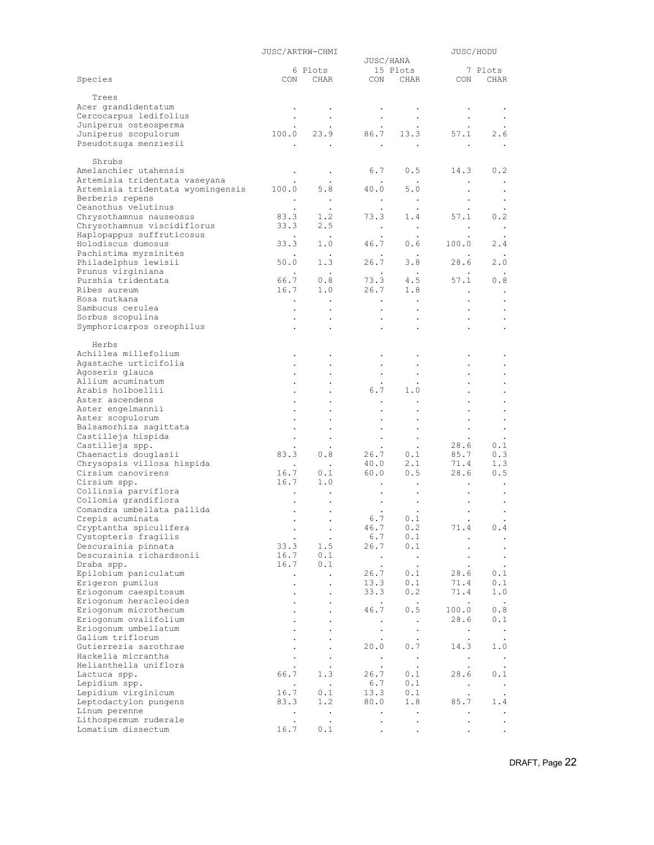|                                                        | JUSC/ARTRW-CHMI      |                        |                                   |                               | JUSC/HODU            |                        |
|--------------------------------------------------------|----------------------|------------------------|-----------------------------------|-------------------------------|----------------------|------------------------|
|                                                        |                      | 6 Plots                | JUSC/HANA                         |                               |                      | 7 Plots                |
| Species                                                | CON                  | CHAR                   | CON                               | 15 Plots<br>CHAR              | CON                  | CHAR                   |
|                                                        |                      |                        |                                   |                               |                      |                        |
| Trees                                                  |                      |                        |                                   |                               |                      |                        |
| Acer grandidentatum                                    |                      |                        |                                   |                               |                      |                        |
| Cercocarpus ledifolius                                 |                      |                        |                                   |                               |                      |                        |
| Juniperus osteosperma                                  |                      |                        |                                   |                               |                      |                        |
| Juniperus scopulorum                                   | 100.0                | 23.9                   | 86.7                              | 13.3                          | 57.1                 | 2.6                    |
| Pseudotsuga menziesii                                  |                      |                        | $\bullet$                         |                               |                      |                        |
|                                                        |                      |                        |                                   |                               |                      |                        |
| Shrubs                                                 |                      |                        |                                   |                               |                      |                        |
| Amelanchier utahensis<br>Artemisia tridentata vaseyana | $\bullet$            | $\bullet$              | 6.7                               | 0.5                           | 14.3                 | 0.2                    |
| Artemisia tridentata wyomingensis                      | 100.0                | 5.8                    | 40.0                              | 5.0                           | $\bullet$            |                        |
| Berberis repens                                        |                      |                        |                                   |                               |                      |                        |
| Ceanothus velutinus                                    | $\bullet$            | $\sim$<br>$\bullet$    | $\bullet$<br>$\ddot{\phantom{0}}$ | $\blacksquare$ .<br>$\bullet$ |                      | $\bullet$<br>$\bullet$ |
| Chrysothamnus nauseosus                                | 83.3                 | 1.2                    | 73.3                              | 1.4                           | 57.1                 | 0.2                    |
| Chrysothamnus viscidiflorus                            | 33.3                 | 2.5                    | $\bullet$                         | $\sim$                        | $\bullet$            | $\bullet$              |
| Haplopappus suffruticosus                              |                      | $\blacksquare$ .       |                                   |                               |                      |                        |
| Holodiscus dumosus                                     | 33.3                 | 1.0                    | 46.7                              | 0.6                           | 100.0                | 2.4                    |
| Pachistima myrsinites                                  |                      |                        |                                   | $\sim$ $\sim$                 |                      |                        |
| Philadelphus lewisii                                   | 50.0                 | 1.3                    | 26.7                              | 3.8                           | 28.6                 | 2.0                    |
| Prunus virginiana                                      |                      | $\sim$                 | $\bullet$                         | $\sim$ $\sim$                 |                      |                        |
| Purshia tridentata                                     | 66.7                 | 0.8                    | 73.3                              | 4.5                           | 57.1                 | 0.8                    |
| Ribes aureum                                           | 16.7                 | 1.0                    | 26.7                              | 1.8                           | $\ddot{\phantom{a}}$ | $\bullet$              |
| Rosa nutkana                                           | $\bullet$            |                        | $\bullet$                         | $\blacksquare$ .              |                      | $\bullet$              |
| Sambucus cerulea                                       |                      |                        | $\bullet$                         |                               |                      |                        |
| Sorbus scopulina                                       | $\bullet$            |                        |                                   |                               |                      |                        |
| Symphoricarpos oreophilus                              | $\bullet$            |                        |                                   | $\bullet$                     |                      |                        |
| Herbs                                                  |                      |                        |                                   |                               |                      |                        |
| Achillea millefolium                                   |                      |                        |                                   |                               |                      |                        |
| Agastache urticifolia                                  |                      |                        |                                   |                               |                      |                        |
| Agoseris glauca                                        |                      |                        |                                   |                               | $\bullet$            |                        |
| Allium acuminatum                                      |                      |                        | $\bullet$                         |                               |                      |                        |
| Arabis holboellii                                      |                      |                        | 6.7                               | 1.0                           |                      |                        |
| Aster ascendens                                        |                      |                        |                                   |                               |                      |                        |
| Aster engelmannii                                      |                      |                        |                                   |                               | $\bullet$            |                        |
| Aster scopulorum                                       |                      |                        |                                   |                               |                      |                        |
| Balsamorhiza sagittata                                 |                      |                        |                                   |                               | $\bullet$            |                        |
| Castilleja hispida                                     |                      |                        |                                   |                               |                      |                        |
| Castilleja spp.                                        |                      |                        |                                   | $\bullet$                     | 28.6                 | 0.1                    |
| Chaenactis douglasii                                   | 83.3                 | 0.8                    |                                   | $26.7$ 0.1                    | 85.7                 | 0.3                    |
| Chrysopsis villosa hispida                             |                      | $\ddot{\phantom{0}}$   | 40.0                              | 2.1                           | 71.4                 | 1.3                    |
| Cirsium canovirens                                     | 16.7                 | 0.1                    | 60.0                              | 0.5                           | 28.6                 | 0.5                    |
| Cirsium spp.                                           | 16.7                 | 1.0                    |                                   |                               |                      |                        |
| Collinsia parviflora<br>Collomia grandiflora           | $\bullet$            |                        |                                   |                               |                      |                        |
| Comandra umbellata pallida                             |                      |                        |                                   |                               |                      |                        |
| Crepis acuminata                                       | $\bullet$            | $\bullet$              | 6.7                               | 0.1                           | $\bullet$            |                        |
| Cryptantha spiculifera                                 | $\bullet$            |                        | 46.7                              | $0\,.2$                       | 71.4                 | 0.4                    |
| Cystopteris fragilis                                   |                      | $\bullet$              | 6.7                               | 0.1                           |                      | $\bullet$              |
| Descurainia pinnata                                    | 33.3                 | 1.5                    | 26.7                              | 0.1                           |                      | $\bullet$              |
| Descurainia richardsonii                               | 16.7                 | 0.1                    | $\bullet$                         | $\cdot$                       |                      | $\bullet$              |
| Draba spp.                                             | 16.7                 | 0.1                    | $\bullet$                         | $\cdot$                       |                      |                        |
| Epilobium paniculatum                                  | $\ddot{\phantom{1}}$ |                        | 26.7                              | 0.1                           | 28.6                 | 0.1                    |
| Erigeron pumilus                                       |                      | $\ddot{\phantom{0}}$   | 13.3                              | 0.1                           | 71.4                 | 0.1                    |
| Eriogonum caespitosum                                  |                      |                        | 33.3                              | 0.2                           | 71.4                 | 1.0                    |
| Eriogonum heracleoides                                 |                      | $\ddot{\phantom{0}}$   | $\bullet$                         | $\sim$                        | $\bullet$            | $\cdot$                |
| Eriogonum microthecum                                  |                      |                        | 46.7                              | 0.5                           | 100.0                | 0.8                    |
| Eriogonum ovalifolium                                  |                      |                        | $\bullet$                         | $\cdot$                       | 28.6                 | 0.1                    |
| Eriogonum umbellatum                                   |                      |                        | $\bullet$                         | $\bullet$                     | $\bullet$            | $\cdot$                |
| Galium triflorum                                       |                      |                        |                                   |                               | $\ddot{\phantom{0}}$ |                        |
| Gutierrezia sarothrae<br>Hackelia micrantha            |                      |                        | 20.0                              | 0.7                           | 14.3                 | 1.0                    |
| Helianthella uniflora                                  |                      |                        | $\bullet$                         | $\blacksquare$ .              | $\bullet$            | $\bullet$              |
| Lactuca spp.                                           | 66.7                 | $\bullet$<br>1.3       | $\bullet$<br>26.7                 | $\bullet$<br>0.1              | 28.6                 | $\bullet$<br>0.1       |
| Lepidium spp.                                          |                      | $\ddot{\phantom{1}}$ . | 6.7                               | 0.1                           |                      |                        |
| Lepidium virginicum                                    | $\bullet$<br>16.7    | 0.1                    | 13.3                              | 0.1                           | $\bullet$            | $\bullet$              |
| Leptodactylon pungens                                  | 83.3                 | 1.2                    | 80.0                              | 1.8                           | 85.7                 | 1.4                    |
| Linum perenne                                          | $\bullet$            | $\ddot{\phantom{1}}$   | $\ddot{\phantom{0}}$              | $\ddot{\phantom{0}}$          |                      |                        |
| Lithospermum ruderale                                  | $\bullet$            | $\ddot{\phantom{a}}$   |                                   |                               |                      |                        |
| Lomatium dissectum                                     | 16.7                 | 0.1                    | $\bullet$                         |                               |                      | $\bullet$              |
|                                                        |                      |                        |                                   |                               |                      |                        |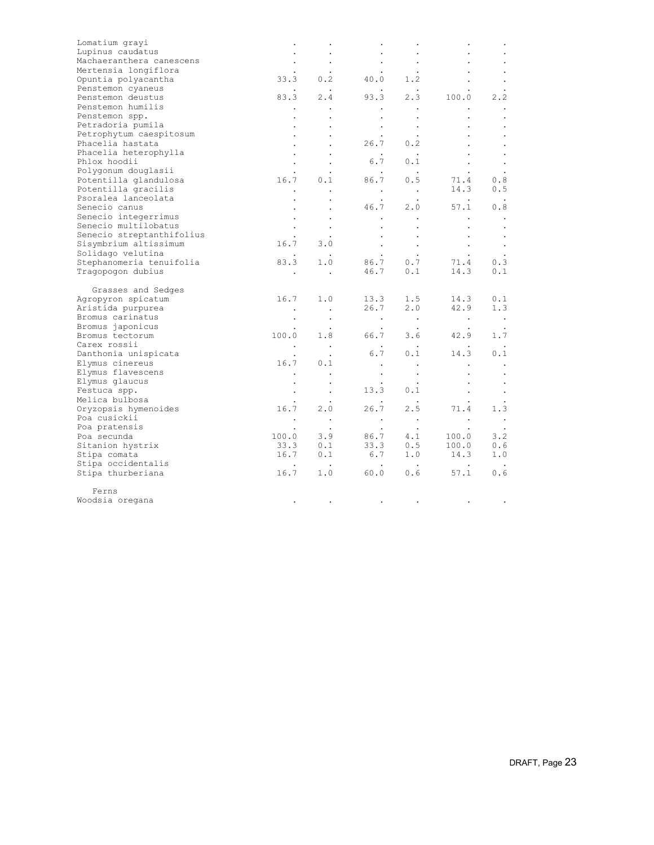| Lomatium grayi            |               |                      |                         |                                                  |                         |                  |
|---------------------------|---------------|----------------------|-------------------------|--------------------------------------------------|-------------------------|------------------|
| Lupinus caudatus          |               |                      |                         | $\bullet$                                        |                         |                  |
| Machaeranthera canescens  |               |                      |                         | $\bullet$                                        |                         |                  |
| Mertensia longiflora      |               |                      |                         |                                                  |                         |                  |
| Opuntia polyacantha       | 33.3          | 0.2                  |                         | 40.0 1.2                                         |                         |                  |
| Penstemon cyaneus         |               |                      |                         |                                                  |                         |                  |
| Penstemon deustus         | 83.3          | 2.4                  | 93.3                    | 2.3                                              | 100.0                   | 2, 2             |
| Penstemon humilis         |               |                      |                         | $\bullet$                                        |                         |                  |
| Penstemon spp.            |               |                      | $\ddot{\phantom{0}}$    | $\bullet$                                        |                         | $\cdot$          |
| Petradoria pumila         |               |                      |                         |                                                  |                         | $\cdot$          |
| Petrophytum caespitosum   |               |                      |                         |                                                  |                         |                  |
| Phacelia hastata          |               |                      | 26.7                    | 0.2                                              |                         |                  |
| Phacelia heterophylla     |               | $\bullet$            | $\sim$ 100 $\pm$        | $\sim$ $\sim$                                    |                         | $\bullet$        |
| Phlox hoodii              |               |                      | 6.7                     | 0.1                                              |                         | $\bullet$        |
| Polygonum douglasii       |               |                      |                         |                                                  |                         |                  |
| Potentilla glandulosa     |               | $16.7$ 0.1           | 86.7 0.5                |                                                  | 71.4                    | 0.8              |
| Potentilla gracilis       | $\bullet$     | $\ddot{\phantom{0}}$ | $\sim$ $-$              | $\sim 100$ km s $^{-1}$                          | 14.3                    | 0.5              |
| Psoralea lanceolata       |               |                      |                         |                                                  | $\sim$ $\sim$           |                  |
| Senecio canus             |               | $\bullet$            | 46.7                    | 2.0                                              | 57.1                    | 0.8              |
| Senecio integerrimus      |               |                      |                         |                                                  |                         | $\blacksquare$ . |
| Senecio multilobatus      |               | $\cdot$              |                         |                                                  | $\bullet$               | $\bullet$        |
| Senecio streptanthifolius |               |                      |                         |                                                  | $\bullet$               | $\cdot$          |
| Sisymbrium altissimum     | 16.7          | 3.0                  | $\sim$ $-$              | $\sim 100$ km s $^{-1}$                          | $\sim$                  | $\sim$           |
| Solidago velutina         |               | $\sim$               |                         | $\sim 100$                                       | $\sim 100$ km s $^{-1}$ |                  |
| Stephanomeria tenuifolia  | 83.3          | 1.0                  | 86.7 0.7                |                                                  | 71.4                    | 0.3              |
| Tragopogon dubius         |               | $\sim$ $\sim$        | 46.7                    | 0.1                                              | 14.3                    | 0.1              |
| Grasses and Sedges        |               |                      |                         |                                                  |                         |                  |
| Agropyron spicatum        | 16.7          | 1.0                  | 13.3                    | 1.5                                              | 14.3                    | 0.1              |
| Aristida purpurea         | $\sim$ $\sim$ | $\sim 100$           | 26.7                    | 2.0                                              | 42.9                    | 1.3              |
| Bromus carinatus          | $\cdot$       | $\blacksquare$ .     | $\sim 100$ km s $^{-1}$ | $\sim 100$ km s $^{-1}$                          | $\sim 100$              | $\sim$ $\sim$    |
| Bromus japonicus          |               | $\ddot{\phantom{1}}$ | $\sim$                  | $\sim$                                           | $\ddot{\phantom{1}}$    |                  |
| Bromus tectorum           | 100.0         | 1.8                  | 66.7                    | 3.6                                              | 42.9                    | 1.7              |
| Carex rossii              | $\sim$ $\sim$ | $\sim$ $\sim$        |                         |                                                  |                         |                  |
| Danthonia unispicata      |               |                      | 6.7                     | 0.1                                              | 14.3                    | 0.1              |
| Elymus cinereus           | 16.7          | 0.1                  | $\bullet$               |                                                  | $\bullet$               | $\bullet$        |
| Elymus flavescens         | $\bullet$     | $\cdot$              |                         | $\bullet$                                        |                         | $\cdot$          |
| Elymus glaucus            |               | $\bullet$            |                         |                                                  | $\bullet$               | $\cdot$          |
| Festuca spp.              | $\bullet$     | $\sim$ $\sim$        | 13.3                    | 0.1                                              |                         | $\blacksquare$   |
| Melica bulbosa            |               |                      |                         |                                                  |                         |                  |
| Oryzopsis hymenoides      | 16.7          | 2.0                  | 26.7                    | 2.5                                              | 71.4                    | 1.3              |
| Poa cusickii              | $\sim$ $\sim$ |                      | $\sim 100$ km s $^{-1}$ | $\sim 100$ km s $^{-1}$                          | $\sim$ $\sim$           | $\sim$ $\sim$    |
| Poa pratensis             | $\cdot$       | $\sim$ .             | $\sim 10^{-11}$         | $\sim$ $\sim$                                    | $\sim$ $\sim$           |                  |
| Poa secunda               | 100.0         | 3.9                  |                         | 86.7 4.1                                         | 100.0                   | 3.2              |
| Sitanion hystrix          | 33.3          | 0.1                  |                         | 33.3 0.5                                         | 100.0                   | 0.6              |
| Stipa comata              |               | $16.7$ 0.1           |                         |                                                  | 14.3                    | 1.0              |
| Stipa occidentalis        |               | $\sim 100$           |                         | $\begin{matrix} 6.7 & 1.0 \\ . & . \end{matrix}$ |                         |                  |
| Stipa thurberiana         | 16.7          |                      | 1.0 60.0                |                                                  | $0.6$ 57.1              | 0.6              |
| Ferns                     |               |                      |                         |                                                  |                         |                  |
| Woodsia oregana           |               |                      |                         |                                                  |                         |                  |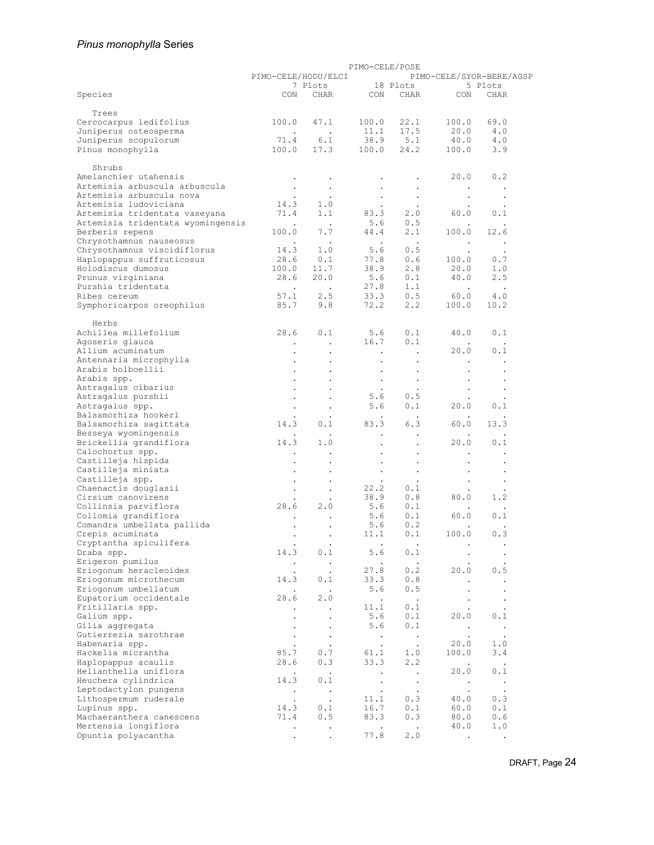# *Pinus monophylla* Series

|                                                 |                         |                         | PIMO-CELE/POSE       |                      |                      |                          |
|-------------------------------------------------|-------------------------|-------------------------|----------------------|----------------------|----------------------|--------------------------|
|                                                 | PIMO-CELE/HODU/ELCI     |                         |                      |                      |                      | PIMO-CELE/SYOR-BERE/AGSP |
|                                                 |                         | 7 Plots                 |                      | 18 Plots             |                      | 5 Plots                  |
| Species                                         | CON                     | CHAR                    | CON                  | CHAR                 | CON                  | CHAR                     |
|                                                 |                         |                         |                      |                      |                      |                          |
| Trees                                           | 100.0                   | 47.1                    | 100.0                | 22.1                 | 100.0                | 69.0                     |
| Cercocarpus ledifolius<br>Juniperus osteosperma |                         | $\sim 100$ km s $^{-1}$ | 11.1                 | 17.5                 | 20.0                 | 4.0                      |
| Juniperus scopulorum                            | <b>Contract</b><br>71.4 | 6.1                     | 38.9                 | 5.1                  | 40.0                 | 4.0                      |
| Pinus monophylla                                | 100.0                   | 17.3                    | 100.0                | 24.2                 | 100.0                | 3.9                      |
|                                                 |                         |                         |                      |                      |                      |                          |
| Shrubs                                          |                         |                         |                      |                      |                      |                          |
| Amelanchier utahensis                           |                         |                         |                      |                      | 20.0                 | 0.2                      |
| Artemisia arbuscula arbuscula                   |                         | $\bullet$               |                      |                      |                      | $\cdot$                  |
| Artemisia arbuscula nova                        |                         |                         |                      | $\bullet$<br>$\cdot$ | $\bullet$            |                          |
| Artemisia ludoviciana                           | 14.3                    | 1.0                     |                      |                      | $\bullet$            |                          |
| Artemisia tridentata vaseyana                   | 71.4                    | 1.1                     | 83.3                 | 2.0                  | 60.0                 | 0.1                      |
| Artemisia tridentata wyomingensis               | $\sim 100$              | $\sim$ $\sim$           | 5.6                  | 0.5                  |                      | $\bullet$                |
| Berberis repens                                 | 100.0                   | 7.7                     | 44.4                 | 2.1                  | 100.0                | 12.6                     |
| Chrysothamnus nauseosus                         |                         | $\sim$                  | $\sim$               | $\sim$ $\sim$        |                      | $\cdot$                  |
| Chrysothamnus viscidiflorus                     | 14.3                    | 1.0                     | 5.6                  | 0.5                  | $\bullet$            | $\cdot$                  |
| Haplopappus suffruticosus                       | 28.6                    | 0.1                     | 77.8                 | 0.6                  | 100.0                | 0.7                      |
| Holodiscus dumosus                              | 100.0                   | 11.7                    | 38.9                 | 2.8                  | 20.0                 | 1.0                      |
| Prunus virginiana                               | 28.6                    | 20.0                    | 5.6                  | 0.1                  | 40.0                 | 2.5                      |
| Purshia tridentata                              | $\sim$ $\sim$           | $\sim$ $\sim$           | 27.8                 | 1.1                  | $\ddot{\phantom{1}}$ | $\cdot$                  |
| Ribes cereum                                    | 57.1                    | 2.5                     | 33.3                 | 0.5                  | 60.0                 | 4.0                      |
| Symphoricarpos oreophilus                       | 85.7                    | 9.8                     | 72.2                 | 2.2                  | 100.0                | 10.2                     |
|                                                 |                         |                         |                      |                      |                      |                          |
| Herbs                                           |                         |                         |                      |                      |                      |                          |
| Achillea millefolium                            | 28.6                    | 0.1                     | 5.6                  | 0.1                  | 40.0                 | 0.1                      |
| Agoseris glauca                                 | $\bullet$               | $\cdot$                 | 16.7                 | 0.1                  |                      | $\cdot$                  |
| Allium acuminatum                               |                         |                         |                      | $\ddot{\phantom{a}}$ | 20.0                 | 0.1                      |
| Antennaria microphylla                          |                         | $\bullet$               | $\bullet$            | $\bullet$            | $\bullet$            | $\bullet$                |
| Arabis holboellii                               |                         |                         |                      |                      |                      |                          |
| Arabis spp.                                     |                         | $\ddot{\phantom{0}}$    | $\bullet$            | $\bullet$            |                      | $\bullet$                |
| Astragalus cibarius                             |                         |                         |                      | $\ddot{\phantom{a}}$ |                      |                          |
| Astragalus purshii                              |                         |                         | 5.6                  | 0.5                  |                      |                          |
| Astragalus spp.                                 |                         | $\cdot$                 | 5.6                  | 0.1                  | 20.0                 | 0.1                      |
| Balsamorhiza hookeri                            |                         | $\bullet$               |                      | $\cdot$              |                      |                          |
| Balsamorhiza sagittata                          | 14.3                    | 0.1                     | 83.3                 | 6.3                  | 60.0                 | 13.3                     |
| Besseya wyomingensis                            |                         |                         |                      |                      |                      |                          |
| Brickellia grandiflora                          | 14.3                    | 1.0                     |                      | $\ddot{\phantom{a}}$ | 20.0                 | 0.1                      |
| Calochortus spp.                                |                         |                         |                      |                      |                      |                          |
| Castilleja hispida                              |                         |                         |                      |                      |                      |                          |
| Castilleja miniata                              |                         |                         | $\bullet$            |                      |                      |                          |
| Castilleja spp.                                 |                         |                         |                      | $\bullet$            |                      | $\bullet$                |
| Chaenactis douglasii                            |                         | $\bullet$               | 22.2                 | 0.1                  |                      | $\cdot$                  |
| Cirsium canovirens                              |                         |                         | 38.9                 | 0.8                  | 80.0                 | 1.2                      |
| Collinsia parviflora                            | 28.6                    | 2.0                     | 5.6                  | 0.1                  |                      | $\ddot{\phantom{a}}$     |
| Collomia grandiflora                            |                         |                         | 5.6                  | 0.1                  | 60.0                 | 0.1                      |
| Comandra umbellata pallida                      |                         |                         | 5.6                  | 0.2                  |                      |                          |
| Crepis acuminata                                |                         | $\cdot$                 | 11.1                 | 0.1                  | 100.0                | 0.3                      |
| Cryptantha spiculifera                          |                         |                         |                      |                      |                      |                          |
| Draba spp.                                      | 14.3                    | 0.1                     | 5.6                  | 0.1                  |                      | $\bullet$                |
| Erigeron pumilus                                | $\bullet$               | $\sim$ $\sim$           |                      | $\bullet$            |                      |                          |
| Eriogonum heracleoides                          |                         | $\ddot{\phantom{0}}$    | 27.8                 | 0.2                  | 20.0                 | 0.5                      |
| Eriogonum microthecum                           | 14.3                    | 0.1                     | 33.3                 | 0.8                  | $\bullet$            | $\Box$                   |
| Eriogonum umbellatum                            |                         |                         | 5.6                  | 0.5                  |                      |                          |
| Eupatorium occidentale                          | 28.6                    | 2.0                     | $\sim$ $\sim$        | $\sim$ $\sim$        | $\bullet$            | $\bullet$                |
| Fritillaria spp.                                | $\ddot{\phantom{a}}$    | $\bullet$               | 11.1                 | 0.1                  |                      | $\ddot{\phantom{0}}$     |
| Galium spp.                                     | $\bullet$               | $\bullet$               | 5.6                  | 0.1                  | 20.0                 | 0.1                      |
| Gilia aggregata                                 |                         |                         | 5.6                  | 0.1                  | $\bullet$            | $\sim$                   |
| Gutierrezia sarothrae                           |                         | $\bullet$               | $\sim$               | $\sim$               | $\bullet$            | $\cdot$                  |
| Habenaria spp.                                  |                         | $\bullet$               | $\bullet$            | $\sim$               | 20.0                 | 1.0                      |
| Hackelia micrantha                              | 85.7                    | 0.7                     | 61.1                 | 1.0                  | 100.0                | 3.4                      |
| Haplopappus acaulis                             | 28.6                    | 0.3                     | 33.3                 | 2.2                  | $\blacksquare$       | $\sim$                   |
| Helianthella uniflora                           | $\bullet$               | $\sim$                  | $\ddot{\phantom{0}}$ | $\ddot{\phantom{0}}$ | 20.0                 | 0.1                      |
| Heuchera cylindrica                             | 14.3                    | 0.1                     | $\sim$               | $\sim$               | $\sim$               | $\sim$                   |
| Leptodactylon pungens                           | $\sim$                  | $\sim$ $\sim$           | $\bullet$            | $\bullet$            | $\bullet$            | $\bullet$                |
| Lithospermum ruderale                           | $\ddot{\phantom{0}}$    | $\cdot$                 | 11.1                 | 0.3                  | 40.0                 | 0.3                      |
| Lupinus spp.                                    | 14.3                    | 0.1                     | 16.7                 | 0.1                  | 60.0                 | 0.1                      |
| Machaeranthera canescens                        | 71.4                    | 0.5                     | 83.3                 | 0.3                  | 80.0                 | 0.6                      |
| Mertensia longiflora                            | $\bullet$               | $\bullet$               | $\ddot{\phantom{0}}$ | $\blacksquare$ .     | 40.0                 | 1.0                      |
| Opuntia polyacantha                             |                         | $\bullet$               | 77.8                 | 2.0                  | $\bullet$            | $\bullet$                |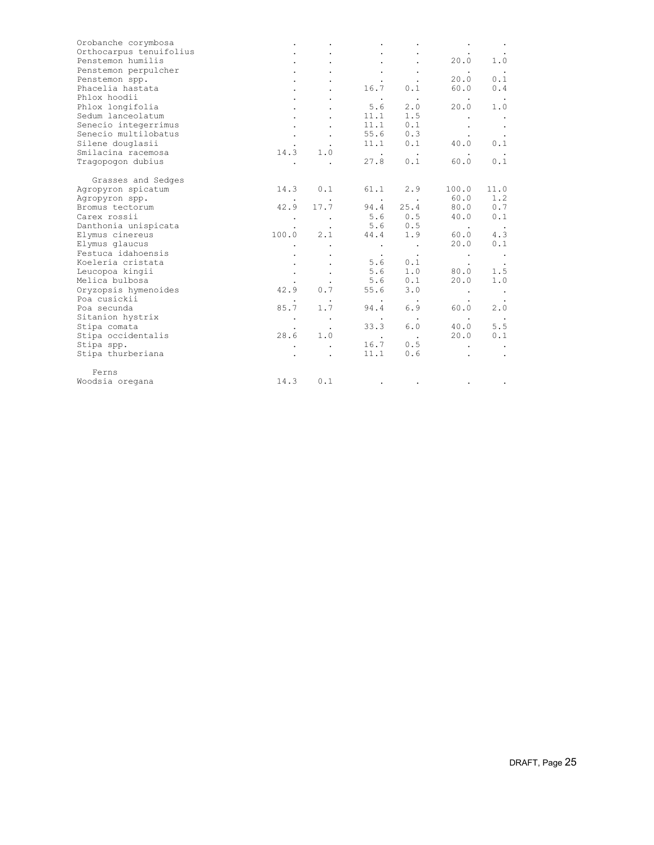| Orobanche corymbosa     |       |           |            |                      |                      |         |
|-------------------------|-------|-----------|------------|----------------------|----------------------|---------|
| Orthocarpus tenuifolius |       |           |            |                      |                      |         |
| Penstemon humilis       |       |           |            |                      | 20.0                 | 1.0     |
| Penstemon perpulcher    |       |           |            | $\bullet$            | $\ddot{\phantom{0}}$ | $\cdot$ |
| Penstemon spp.          |       |           |            |                      | 20.0                 | 0.1     |
| Phacelia hastata        |       |           | 16.7       | 0.1                  | 60.0                 | 0.4     |
| Phlox hoodii            |       |           | $\sim 100$ | $\bullet$            |                      |         |
| Phlox longifolia        |       |           | 5.6        | 2.0                  | 20.0                 | 1.0     |
| Sedum lanceolatum       |       |           | 11.1       | 1.5                  |                      |         |
| Senecio integerrimus    |       |           | 11.1       | 0.1                  |                      |         |
| Senecio multilobatus    |       |           | 55.6       | 0.3                  |                      |         |
| Silene douglasii        |       |           | 11.1       | 0.1                  | 40.0                 | 0.1     |
| Smilacina racemosa      | 14.3  | 1.0       | $\sim$     | $\ddot{\phantom{0}}$ |                      |         |
| Tragopogon dubius       |       |           | 27.8       | 0.1                  | 60.0                 | 0.1     |
| Grasses and Sedges      |       |           |            |                      |                      |         |
| Agropyron spicatum      | 14.3  | 0.1       | 61.1       | 2.9                  | 100.0                | 11.0    |
| Agropyron spp.          |       |           | $\sim$     | $\sim$ 100 $\pm$     | 60.0                 | 1.2     |
| Bromus tectorum         | 42.9  | 17.7      | 94.4       | 25.4                 | 80.0                 | 0.7     |
| Carex rossii            |       |           | 5.6        | 0.5                  | 40.0                 | 0.1     |
| Danthonia unispicata    |       |           | 5.6        | 0.5                  | $\sim$               | $\sim$  |
| Elymus cinereus         | 100.0 | 2.1       | 44.4       | 1.9                  | 60.0                 | 4.3     |
| Elymus glaucus          |       |           | $\bullet$  | $\bullet$            | 20.0                 | 0.1     |
| Festuca idahoensis      |       |           | $\bullet$  | $\bullet$            | $\bullet$            | $\sim$  |
| Koeleria cristata       |       | $\bullet$ | 5.6        | 0.1                  |                      | $\cdot$ |
| Leucopoa kingii         |       |           | 5.6        | 1.0                  | 80.0                 | 1.5     |
| Melica bulbosa          |       | $\bullet$ | 5.6        | 0.1                  | 20.0                 | 1.0     |
| Oryzopsis hymenoides    | 42.9  | 0.7       | 55.6       | 3.0                  | $\bullet$            | $\sim$  |
| Poa cusickii            |       | $\bullet$ | $\bullet$  | $\bullet$            |                      |         |
| Poa secunda             | 85.7  | 1.7       | 94.4       | 6.9                  | 60.0                 | 2.0     |
| Sitanion hystrix        |       | $\bullet$ | $\bullet$  |                      | $\bullet$            |         |
| Stipa comata            |       |           | 33.3       | 6.0                  | 40.0                 | 5.5     |
| Stipa occidentalis      | 28.6  | 1.0       | $\cdot$    | $\sim$ $\sim$        | 20.0                 | 0.1     |
| Stipa spp.              |       |           | 16.7       | 0.5                  |                      |         |
| Stipa thurberiana       |       |           | 11.1       | 0.6                  |                      |         |
| Ferns                   |       |           |            |                      |                      |         |
| Woodsia oregana         | 14.3  | 0.1       |            |                      |                      |         |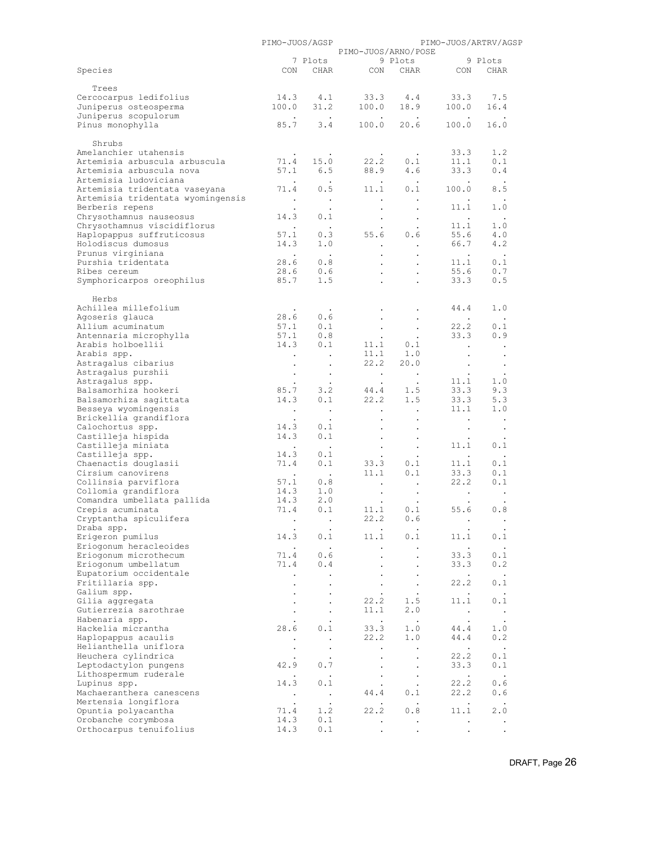|                                                      | PIMO-JUOS/AGSP                |                             |                                   |                                   |                            | PIMO-JUOS/ARTRV/AGSP |  |
|------------------------------------------------------|-------------------------------|-----------------------------|-----------------------------------|-----------------------------------|----------------------------|----------------------|--|
|                                                      |                               |                             | PIMO-JUOS/ARNO/POSE               |                                   |                            |                      |  |
|                                                      |                               | 7 Plots                     |                                   | 9 Plots                           |                            | 9 Plots              |  |
| Species                                              | CON                           |                             | CHAR CON                          | CHAR                              | CON                        | CHAR                 |  |
| Trees                                                |                               |                             |                                   |                                   |                            |                      |  |
| Cercocarpus ledifolius                               | 14.3                          | 4.1                         |                                   | $33.3$ 4.4                        | 33.3                       | 7.5                  |  |
| Juniperus osteosperma                                | 100.0                         | 31.2                        | 100.0                             | 18.9                              | 100.0                      | 16.4                 |  |
| Juniperus scopulorum                                 | $\sim$ 100 $\mu$              | <b>Contract</b>             | $\sim$ $-$                        | $\sim$                            |                            |                      |  |
| Pinus monophylla                                     | 85.7                          | 3.4                         | 100.0                             | 20.6                              | 100.0                      | 16.0                 |  |
|                                                      |                               |                             |                                   |                                   |                            |                      |  |
| Shrubs                                               |                               |                             |                                   |                                   |                            |                      |  |
| Amelanchier utahensis                                | $\bullet$                     | $\cdot$                     | $\ddot{\phantom{1}}$              | $\bullet$                         | 33.3                       | 1.2                  |  |
| Artemisia arbuscula arbuscula                        | 71.4                          | 15.0                        | 22.2                              | 0.1                               | 11.1                       | 0.1                  |  |
| Artemisia arbuscula nova                             | 57.1                          | 6.5                         | 88.9                              | 4.6                               | 33.3                       | 0.4                  |  |
| Artemisia ludoviciana                                | $\sim$ $\sim$                 | <b>Contract</b>             | $\ddot{\phantom{1}}$              | $\sim$ $\sim$                     |                            |                      |  |
| Artemisia tridentata vaseyana                        | 71.4                          | 0.5                         | 11.1                              | 0.1                               | 100.0                      | 8.5                  |  |
| Artemisia tridentata wyomingensis<br>Berberis repens | $\sim$ $\sim$                 | $\sim$ $\sim$               | $\bullet$                         |                                   | 11.1                       | 1.0                  |  |
| Chrysothamnus nauseosus                              | $\cdot$<br>14.3               | $\cdot$<br>0.1              | $\bullet$                         | $\cdot$                           |                            | $\sim$ $\sim$        |  |
| Chrysothamnus viscidiflorus                          | $\ddot{\phantom{0}}$          |                             | $\bullet$<br>$\bullet$            | $\bullet$<br>$\ddot{\phantom{0}}$ | $\blacksquare$ .<br>11.1   | 1.0                  |  |
| Haplopappus suffruticosus                            | 57.1                          | 0.3                         | 55.6                              | 0.6                               | 55.6                       | 4.0                  |  |
| Holodiscus dumosus                                   | 14.3                          | 1.0                         | $\ddot{\phantom{0}}$              | $\ddot{\phantom{a}}$              | 66.7                       | 4.2                  |  |
| Prunus virginiana                                    | $\sim$                        | $\sim$ $\sim$               |                                   | $\bullet$                         | $\ddot{\phantom{0}}$       | $\sim$               |  |
| Purshia tridentata                                   | 28.6                          | 0.8                         |                                   |                                   | 11.1                       | 0.1                  |  |
| Ribes cereum                                         | 28.6                          | 0.6                         | $\ddot{\phantom{0}}$              | $\ddot{\phantom{a}}$              | 55.6                       | 0.7                  |  |
| Symphoricarpos oreophilus                            | 85.7                          | 1.5                         | $\ddot{\phantom{0}}$              |                                   | 33.3                       | $0.5$                |  |
|                                                      |                               |                             |                                   |                                   |                            |                      |  |
| Herbs                                                |                               |                             |                                   |                                   |                            |                      |  |
| Achillea millefolium                                 | $\bullet$                     | $\sim$                      | $\bullet$                         | $\cdot$                           | 44.4                       | 1.0                  |  |
| Agoseris glauca                                      | 28.6                          | 0.6                         |                                   | $\bullet$                         |                            |                      |  |
| Allium acuminatum                                    | 57.1                          | 0.1                         | $\sim$                            | $\bullet$                         | 22.2                       | 0.1                  |  |
| Antennaria microphylla<br>Arabis holboellii          | 57.1<br>14.3                  | 0.8<br>0.1                  | $\sim$<br>11.1                    | $\sim 100$<br>0.1                 | 33.3                       | 0.9                  |  |
| Arabis spp.                                          |                               |                             |                                   | $11.1 \qquad 1.0$                 | $\ddot{\phantom{a}}$       | $\bullet$            |  |
| Astragalus cibarius                                  | $\bullet$                     | $\sim$ 100 $\pm$<br>$\cdot$ |                                   | $22.2$ $20.0$                     | $\bullet$                  | $\,$ .               |  |
| Astragalus purshii                                   | $\bullet$                     | $\bullet$                   | $\sim$                            | $\bullet$                         | $\sim$                     | $\bullet$            |  |
| Astragalus spp.                                      |                               | $\ddot{\phantom{0}}$        | $\sim$ $\sim$                     | $\ddot{\phantom{0}}$              | 11.1                       | 1.0                  |  |
| Balsamorhiza hookeri                                 | 85.7                          | 3.2                         | 44.4                              | 1.5                               | 33.3                       | 9.3                  |  |
| Balsamorhiza sagittata                               | 14.3                          | 0.1                         | 22.2                              | 1.5                               | 33.3                       | 5.3                  |  |
| Besseya wyomingensis                                 | $\bullet$                     | $\bullet$                   | $\bullet$                         | $\bullet$                         | 11.1                       | 1.0                  |  |
| Brickellia grandiflora                               |                               | $\bullet$                   | $\bullet$                         | $\bullet$                         | $\bullet$                  | $\bullet$            |  |
| Calochortus spp.                                     | 14.3                          | 0.1                         |                                   |                                   |                            |                      |  |
| Castilleja hispida                                   | 14.3                          | 0.1                         | $\bullet$                         | $\bullet$                         |                            |                      |  |
| Castilleja miniata                                   | $\ddot{\phantom{0}}$          | $\ddot{\phantom{0}}$        | $\ddot{\phantom{0}}$              | $\blacksquare$                    | 11.1                       | 0.1                  |  |
| Castilleja spp.                                      | 14.3                          | 0.1                         |                                   | $\ddot{\phantom{a}}$              |                            |                      |  |
| Chaenactis douglasii                                 | 71.4                          | 0.1                         | 33.3                              | 0.1                               | 11.1                       | 0.1                  |  |
| Cirsium canovirens<br>Collinsia parviflora           | $\sim 100$ km $^{-1}$<br>57.1 | $\sim 10$<br>0.8            | 11.1                              | 0.1                               | 33.3<br>22.2               | 0.1<br>0.1           |  |
| Collomia grandiflora                                 | 14.3                          | 1.0                         | $\sim$                            | $\ddot{\phantom{0}}$              |                            |                      |  |
| Comandra umbellata pallida                           | 14.3                          | 2.0                         | $\bullet$<br>$\ddot{\phantom{0}}$ | $\bullet$<br>$\bullet$            | $\sim$ $\sim$<br>$\bullet$ | $\blacksquare$       |  |
| Crepis acuminata                                     | 71.4                          | 0.1                         | 11.1                              | 0.1                               | 55.6                       | 0.8                  |  |
| Cryptantha spiculifera                               |                               | $\bullet$                   | 22.2                              | 0.6                               |                            |                      |  |
| Draba spp.                                           |                               |                             |                                   |                                   |                            |                      |  |
| Erigeron pumilus                                     | 14.3                          | 0.1                         | 11.1                              | 0.1                               | 11.1                       | 0.1                  |  |
| Eriogonum heracleoides                               | $\bullet$                     | $\bullet$                   | $\sim$                            | $\bullet$                         | $\ddot{\phantom{0}}$       | $\ddot{\phantom{0}}$ |  |
| Eriogonum microthecum                                | 71.4                          | 0.6                         | $\ddot{\phantom{0}}$              | $\ddot{\phantom{0}}$              | 33.3                       | 0.1                  |  |
| Eriogonum umbellatum                                 | 71.4                          | 0.4                         | $\ddot{\phantom{a}}$              | $\ddot{\phantom{a}}$              | 33.3                       | 0.2                  |  |
| Eupatorium occidentale                               |                               |                             |                                   |                                   | $\ddot{\phantom{0}}$       | $\sim$               |  |
| Fritillaria spp.                                     |                               |                             | $\ddot{\phantom{0}}$              | $\ddot{\phantom{a}}$              | 22.2                       | 0.1                  |  |
| Galium spp.                                          |                               |                             | $\bullet$                         | $\bullet$                         | $\bullet$                  | $\blacksquare$       |  |
| Gilia aggregata                                      |                               | $\ddot{\phantom{a}}$        | 22.2                              | 1.5                               | 11.1                       | 0.1                  |  |
| Gutierrezia sarothrae                                |                               | $\bullet$                   | 11.1                              | 2.0                               | $\sim 100$ $\mu$           | $\sim$ $\sim$        |  |
| Habenaria spp.<br>Hackelia micrantha                 | 28.6                          | 0.1                         | 33.3                              | 1.0                               | 44.4                       | 1.0                  |  |
| Haplopappus acaulis                                  |                               | $\ddot{\phantom{0}}$        | 22.2                              | 1.0                               | 44.4                       | 0.2                  |  |
| Helianthella uniflora                                |                               |                             | $\bullet$                         |                                   | $\ddot{\phantom{0}}$       | $\sim$ $\sim$        |  |
| Heuchera cylindrica                                  |                               | $\bullet$                   | $\bullet$                         | $\bullet$                         | 22.2                       | 0.1                  |  |
| Leptodactylon pungens                                | 42.9                          | 0.7                         | $\bullet$                         | $\bullet$                         | 33.3                       | 0.1                  |  |
| Lithospermum ruderale                                | $\ddot{\phantom{a}}$          | $\ddot{\phantom{0}}$        | $\bullet$                         | $\bullet$                         | $\bullet$                  | $\sim$               |  |
| Lupinus spp.                                         | 14.3                          | 0.1                         |                                   |                                   | 22.2                       | 0.6                  |  |
| Machaeranthera canescens                             | $\bullet$                     | $\bullet$                   | 44.4                              | 0.1                               | 22.2                       | 0.6                  |  |
| Mertensia longiflora                                 | $\cdot$                       | $\bullet$                   |                                   |                                   | $\sim$                     | $\sim$               |  |
| Opuntia polyacantha                                  | 71.4                          | 1.2                         | 22.2                              | 0.8                               | 11.1                       | 2.0                  |  |
| Orobanche corymbosa                                  | 14.3                          | 0.1                         | $\bullet$                         | $\bullet$                         | $\ddot{\phantom{0}}$       | $\,$ .               |  |
| Orthocarpus tenuifolius                              | 14.3                          | 0.1                         |                                   |                                   |                            |                      |  |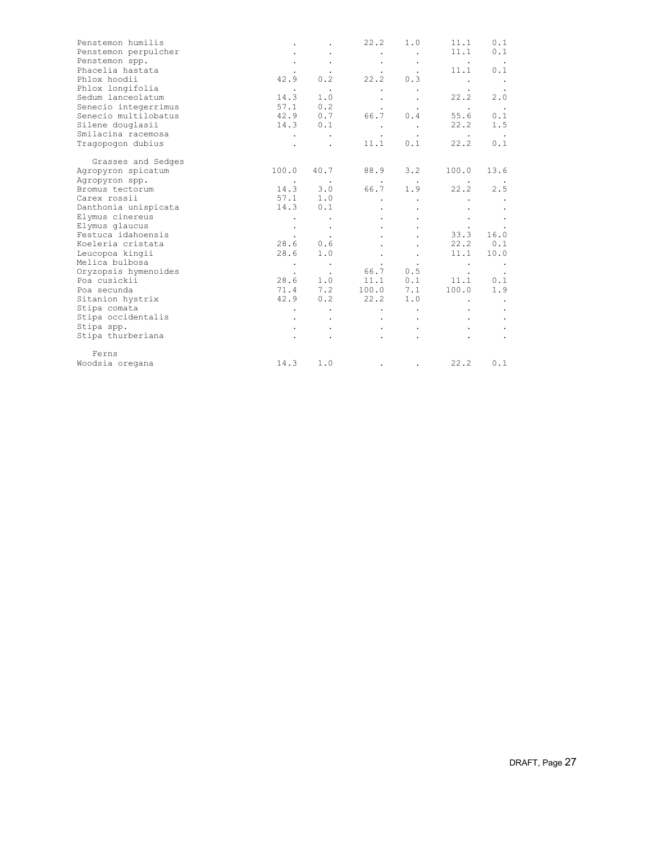| Penstemon humilis    |                      |           | 22.2      | 1.0    | 11.1                 | 0.1    |
|----------------------|----------------------|-----------|-----------|--------|----------------------|--------|
| Penstemon perpulcher |                      |           |           |        | 11.1                 | 0.1    |
| Penstemon spp.       |                      |           |           |        | $\sim$ $\sim$        |        |
| Phacelia hastata     |                      |           |           |        | 11.1                 | 0.1    |
| Phlox hoodii         | 42.9                 | 0.2       | 22.2      | 0.3    |                      | $\sim$ |
| Phlox longifolia     | $\bullet$            | $\bullet$ |           |        |                      |        |
| Sedum lanceolatum    | 14.3                 | 1.0       |           |        | 22.2                 | 2.0    |
| Senecio integerrimus | 57.1                 | 0.2       |           |        | $\ddot{\phantom{1}}$ |        |
| Senecio multilobatus | 42.9                 | 0.7       | 66.7      | 0.4    | 55.6                 | 0.1    |
| Silene douglasii     | 14.3                 | 0.1       |           |        | 22.2                 | 1.5    |
| Smilacina racemosa   |                      |           |           |        |                      |        |
| Tragopogon dubius    |                      |           | 11.1      | 0.1    | 22.2                 | 0.1    |
| Grasses and Sedges   |                      |           |           |        |                      |        |
| Agropyron spicatum   | 100.0                | 40.7      | 88.9      | 3.2    | 100.0                | 13.6   |
| Agropyron spp.       | $\ddot{\phantom{1}}$ | $\sim$    | $\cdot$   | $\sim$ |                      |        |
| Bromus tectorum      | 14.3                 | 3.0       | 66.7      | 1.9    | 22.2                 | 2.5    |
| Carex rossii         | 57.1                 | 1.0       |           |        |                      |        |
| Danthonia unispicata | 14.3                 | 0.1       |           |        |                      |        |
| Elymus cinereus      |                      |           |           |        |                      |        |
| Elymus glaucus       |                      |           |           |        |                      |        |
| Festuca idahoensis   |                      |           |           |        | 33.3                 | 16.0   |
| Koeleria cristata    | 28.6                 | 0.6       |           |        | 22.2                 | 0.1    |
| Leucopoa kingii      | 28.6                 | 1.0       |           |        | 11.1                 | 10.0   |
| Melica bulbosa       |                      | $\sim$    |           |        |                      |        |
| Oryzopsis hymenoides |                      | $\cdot$   | 66.7      | 0.5    |                      |        |
| Poa cusickii         | 28.6                 | 1.0       | 11.1 0.1  |        | 11.1                 | 0.1    |
| Poa secunda          | 71.4                 | 7.2       | 100.0 7.1 |        | 100.0                | 1.9    |
| Sitanion hystrix     | 42.9                 | 0.2       | 22.2      | 1.0    |                      |        |
| Stipa comata         |                      |           |           |        |                      |        |
| Stipa occidentalis   |                      |           |           |        |                      |        |
| Stipa spp.           |                      |           |           |        |                      |        |
| Stipa thurberiana    |                      |           |           |        |                      |        |
| Ferns                |                      |           |           |        |                      |        |
| Woodsia oregana      | 14.3                 | 1.0       |           |        | 22.2                 | 0.1    |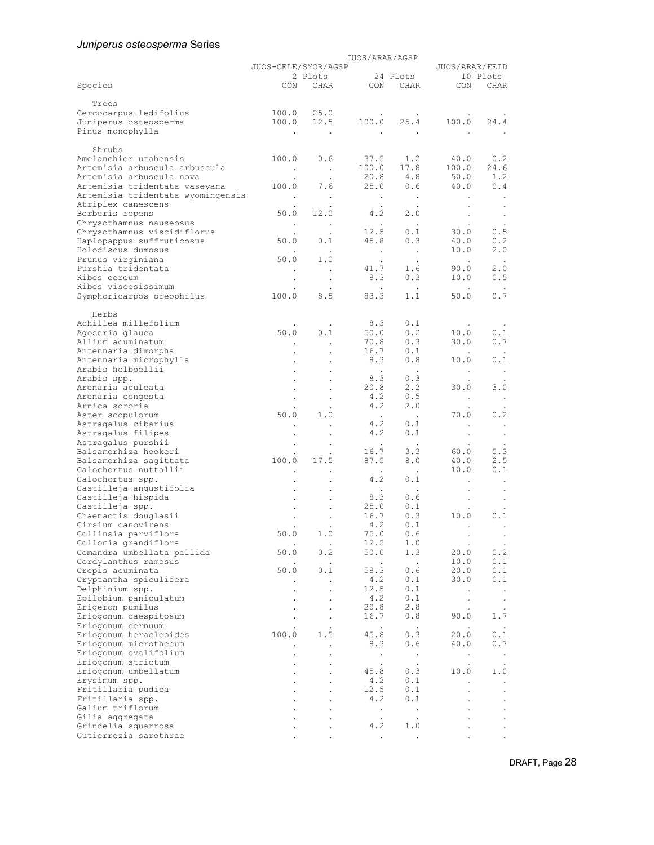# *Juniperus osteosperma* Series

|                                                           | JUOS/ARAR/AGSP<br>JUOS-CELE/SYOR/AGSP |                      |                             |                             | JUOS/ARAR/FEID                    |                               |  |
|-----------------------------------------------------------|---------------------------------------|----------------------|-----------------------------|-----------------------------|-----------------------------------|-------------------------------|--|
|                                                           |                                       | 2 Plots              |                             | 24 Plots                    |                                   | 10 Plots                      |  |
| Species                                                   |                                       | CON CHAR             | CON                         | CHAR                        | CON                               | CHAR                          |  |
| Trees                                                     |                                       |                      |                             |                             |                                   |                               |  |
| Cercocarpus ledifolius<br>Juniperus osteosperma           | 100.0<br>100.0                        | 25.0<br>12.5         | 100.0                       | 25.4                        | 100.0                             | 24.4                          |  |
| Pinus monophylla                                          | $\blacksquare$ .                      |                      |                             |                             |                                   |                               |  |
| Shrubs                                                    |                                       |                      |                             |                             |                                   |                               |  |
| Amelanchier utahensis                                     | 100.0                                 | 0.6                  | 37.5                        | 1.2                         | 40.0                              | 0.2                           |  |
| Artemisia arbuscula arbuscula                             | $\sim$                                | $\sim$ $\sim$        | 100.0                       | 17.8                        | 100.0                             | 24.6                          |  |
| Artemisia arbuscula nova<br>Artemisia tridentata vaseyana | 100.0                                 | $\cdot$<br>7.6       | 20.8<br>25.0                | 4.8<br>0.6                  | 50.0<br>40.0                      | 1.2<br>0.4                    |  |
| Artemisia tridentata wyomingensis                         | $\blacksquare$ .                      | $\bullet$            | $\cdot$                     | $\bullet$                   | $\bullet$                         |                               |  |
| Atriplex canescens                                        | 50.0                                  | $\bullet$<br>12.0    | $\ddot{\phantom{0}}$<br>4.2 | $\bullet$<br>2.0            | $\bullet$                         | $\bullet$                     |  |
| Berberis repens<br>Chrysothamnus nauseosus                | $\ddot{\phantom{a}}$                  | $\bullet$            | $\bullet$                   | $\bullet$                   | $\Box$                            | $\bullet$                     |  |
| Chrysothamnus viscidiflorus                               |                                       |                      | 12.5                        | 0.1                         | 30.0                              | 0.5                           |  |
| Haplopappus suffruticosus<br>Holodiscus dumosus           | 50.0                                  | 0.1                  | 45.8<br>$\sim$              | 0.3<br>$\sim$               | 40.0<br>10.0                      | 0.2<br>2.0                    |  |
| Prunus virginiana                                         | 50.0                                  | $\cdot$<br>1.0       | $\cdot$                     |                             | $\blacksquare$ .                  |                               |  |
| Purshia tridentata                                        | $\bullet$                             | $\,$ .               | 41.7                        | 1.6                         | 90.0                              | 2.0                           |  |
| Ribes cereum<br>Ribes viscosissimum                       |                                       | $\bullet$            | 8.3                         | 0.3                         | 10.0                              | 0.5                           |  |
| Symphoricarpos oreophilus                                 | 100.0                                 | 8.5                  | 83.3                        | 1.1                         | 50.0                              | 0.7                           |  |
|                                                           |                                       |                      |                             |                             |                                   |                               |  |
| Herbs<br>Achillea millefolium                             |                                       |                      | 8.3                         | 0.1                         |                                   |                               |  |
| Agoseris glauca                                           | 50.0                                  | 0.1                  | 50.0                        | 0.2                         | 10.0                              | 0.1                           |  |
| Allium acuminatum                                         |                                       | $\ddot{\phantom{a}}$ | 70.8                        | 0.3                         | 30.0                              | 0.7                           |  |
| Antennaria dimorpha<br>Antennaria microphylla             |                                       | $\bullet$            | 16.7<br>8.3                 | 0.1<br>0.8                  | 10.0                              | 0.1                           |  |
| Arabis holboellii                                         |                                       |                      | $\bullet$                   | $\ddot{\phantom{0}}$        | $\bullet$                         | $\bullet$                     |  |
| Arabis spp.<br>Arenaria aculeata                          |                                       |                      | 8.3<br>20.8                 | 0.3<br>2.2                  | 30.0                              | 3.0                           |  |
| Arenaria congesta                                         |                                       |                      | 4.2                         | 0.5                         | $\blacksquare$                    | $\blacksquare$ .              |  |
| Arnica sororia                                            |                                       |                      | 4.2                         | 2.0                         |                                   |                               |  |
| Aster scopulorum<br>Astragalus cibarius                   | 50.0                                  | 1.0                  | $\sim$ $\sim$<br>4.2        | $\ddot{\phantom{a}}$<br>0.1 | 70.0                              | 0.2                           |  |
| Astragalus filipes                                        |                                       |                      | 4.2                         | 0.1                         | $\bullet$                         | $\bullet$<br>$\bullet$        |  |
| Astragalus purshii                                        |                                       |                      | $\cdot$                     |                             |                                   |                               |  |
| Balsamorhiza hookeri<br>Balsamorhiza sagittata            | 100.0                                 | 17.5                 | 16.7<br>87.5                | 3.3<br>8.0                  | 60.0<br>40.0                      | 5.3<br>2.5                    |  |
| Calochortus nuttallii                                     |                                       |                      | $\sim$ $\sim$               | $\ddot{\phantom{1}}$        | 10.0                              | 0.1                           |  |
| Calochortus spp.                                          |                                       | $\cdot$              | 4.2                         | 0.1                         | $\bullet$                         | $\bullet$                     |  |
| Castilleja angustifolia<br>Castilleja hispida             |                                       |                      | 8.3                         | 0.6                         |                                   | $\bullet$<br>$\bullet$        |  |
| Castilleja spp.                                           |                                       |                      | 25.0                        | 0.1                         |                                   |                               |  |
| Chaenactis douglasii<br>Cirsium canovirens                |                                       |                      | 16.7<br>4.2                 | 0.3<br>0.1                  | 10.0                              | 0.1                           |  |
| Collinsia parviflora                                      | 50.0                                  | 1.0                  | 75.0                        | 0.6                         | $\bullet$                         | $\bullet$                     |  |
| Collomia grandiflora                                      |                                       | $\cdot$              | 12.5                        | 1.0                         |                                   |                               |  |
| Comandra umbellata pallida<br>Cordylanthus ramosus        | 50.0                                  | 0.2                  | 50.0<br>$\cdot$             | 1.3<br>$\Box$               | 20.0<br>10.0                      | 0.2<br>0.1                    |  |
| Crepis acuminata                                          | 50.0                                  | 0.1                  | 58.3                        | 0.6                         | 20.0                              | 0.1                           |  |
| Cryptantha spiculifera                                    |                                       |                      | 4.2                         | 0.1                         | 30.0                              | 0.1                           |  |
| Delphinium spp.<br>Epilobium paniculatum                  |                                       |                      | 12.5<br>4.2                 | 0.1<br>0.1                  | $\bullet$<br>$\ddot{\phantom{0}}$ | $\sim$<br>$\bullet$           |  |
| Erigeron pumilus                                          |                                       | $\cdot$              | 20.8                        | 2.8                         |                                   | $\bullet$                     |  |
| Eriogonum caespitosum<br>Eriogonum cernuum                |                                       |                      | 16.7                        | 0.8                         | 90.0                              | 1.7                           |  |
| Eriogonum heracleoides                                    | 100.0                                 | 1.5                  | $\cdot$<br>45.8             | $\ddot{\phantom{a}}$<br>0.3 | 20.0                              | $\ddot{\phantom{1}}$ .<br>0.1 |  |
| Eriogonum microthecum                                     |                                       |                      | 8.3                         | 0.6                         | 40.0                              | 0.7                           |  |
| Eriogonum ovalifolium<br>Eriogonum strictum               |                                       |                      | $\blacksquare$              | $\bullet$                   | $\bullet$                         | $\sim$                        |  |
| Eriogonum umbellatum                                      |                                       |                      | $\bullet$<br>45.8           | $\bullet$<br>0.3            | $\ddot{\phantom{0}}$<br>10.0      | $\bullet$<br>1.0              |  |
| Erysimum spp.                                             |                                       |                      | 4.2                         | 0.1                         |                                   | $\bullet$                     |  |
| Fritillaria pudica<br>Fritillaria spp.                    |                                       |                      | 12.5<br>4.2                 | 0.1<br>0.1                  |                                   | $\bullet$<br>$\bullet$        |  |
| Galium triflorum                                          |                                       |                      | $\bullet$                   |                             |                                   | $\bullet$                     |  |
| Gilia aggregata                                           |                                       |                      | $\bullet$                   |                             |                                   |                               |  |
| Grindelia squarrosa<br>Gutierrezia sarothrae              |                                       |                      | 4.2<br>$\bullet$            | 1.0<br>$\cdot$              |                                   |                               |  |

DRAFT, Page 28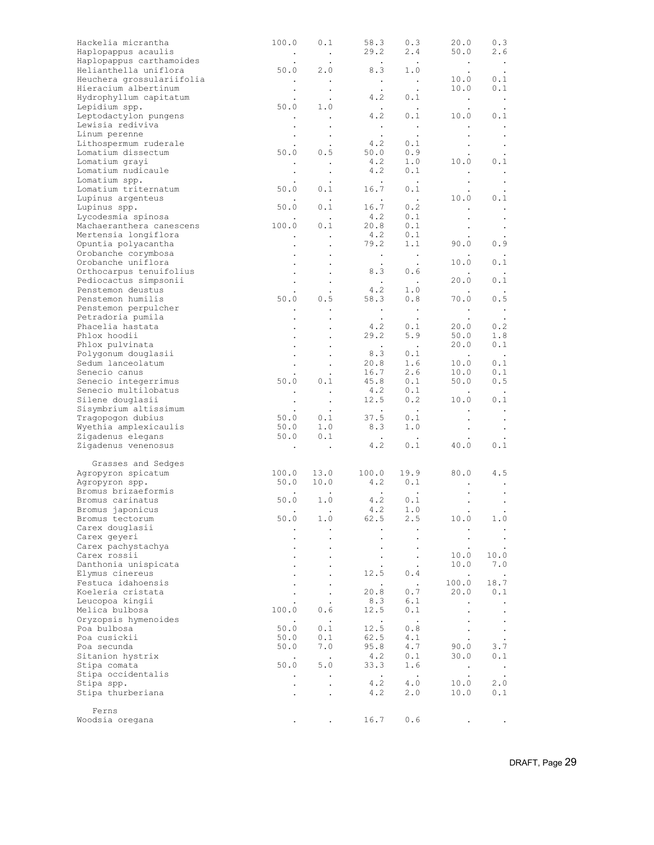| Hackelia micrantha<br>Haplopappus acaulis   | 100.0                  | 0.1                                   | 58.3<br>29.2                                                  | 0.3<br>2.4                                                      | 20.0<br>50.0           | 0.3<br>2.6              |
|---------------------------------------------|------------------------|---------------------------------------|---------------------------------------------------------------|-----------------------------------------------------------------|------------------------|-------------------------|
| Haplopappus carthamoides                    | $\sim$ $\sim$          | $\sim$ $\sim$<br>$\ddot{\phantom{1}}$ | <b>Contract</b>                                               | $\sim 100$                                                      | $\sim$                 | $\sim$                  |
| Helianthella uniflora                       | 50.0                   | 2.0                                   | 8.3                                                           | 1.0                                                             | $\bullet$              | $\cdot$                 |
| Heuchera grossulariifolia                   | $\sim$                 | $\sim 100$                            | $\sim 100$ $\mu$                                              | $\sim 100$                                                      | 10.0                   | 0.1                     |
| Hieracium albertinum                        |                        | $\bullet$                             |                                                               | $\sim 100$ km s $^{-1}$                                         | 10.0                   | 0.1                     |
| Hydrophyllum capitatum<br>Lepidium spp.     | 50.0                   | $\ddot{\phantom{a}}$<br>1.0           | 4.2                                                           | 0.1                                                             | $\sim 100$ $\mu$       | $\sim$ $\sim$           |
| Leptodactylon pungens                       | $\bullet$              | $\sim$ $\sim$                         | $\sim 100$ km s $^{-1}$<br>4.2                                | 0.1                                                             | $\bullet$<br>10.0      | $\blacksquare$<br>0.1   |
| Lewisia rediviva                            |                        | $\bullet$                             | $\sim$ $\sim$                                                 | $\sim$ $\sim$                                                   | $\bullet$              | $\blacksquare$ .        |
| Linum perenne                               | $\bullet$              | $\cdot$                               | $\cdot$                                                       | $\bullet$                                                       | $\bullet$              | $\langle \cdot \rangle$ |
| Lithospermum ruderale                       |                        | $\bullet$                             | $4.2$<br>50.0                                                 | 0.1                                                             | $\bullet$              | $\sim$                  |
| Lomatium dissectum                          | 50.0                   | 0.5                                   |                                                               | 0.9                                                             |                        |                         |
| Lomatium grayi                              | $\bullet$              | $\sim$                                | 4.2<br>4.2                                                    | 1.0                                                             | 10.0                   | 0.1                     |
| Lomatium nudicaule<br>Lomatium spp.         | $\bullet$              | $\bullet$                             | $\sim 100$                                                    | 0.1<br>$\sim 100$                                               | $\bullet$              | $\cdot$                 |
| Lomatium triternatum                        | 50.0                   | 0.1                                   | 16.7                                                          | 0.1                                                             | $\bullet$<br>$\bullet$ | $\bullet$<br>$\cdot$    |
| Lupinus argenteus                           |                        | $\sim$ $\sim$                         | $\blacksquare$ .                                              | $\sim 100$ $\mu$                                                | 10.0                   | 0.1                     |
| Lupinus spp.                                | 50.0                   | 0.1                                   |                                                               | $16.7$ 0.2                                                      | $\bullet$              | $\bullet$               |
| Lycodesmia spinosa                          |                        | $\sim$                                | 4.2                                                           | 0.1                                                             | $\bullet$              | $\bullet$               |
| Machaeranthera canescens                    | 100.0                  | 0.1                                   | 20.8                                                          | 0.1                                                             | $\bullet$              | $\sim$                  |
| Mertensia longiflora<br>Opuntia polyacantha | $\bullet$              | $\cdot$                               | 4.2<br>79.2                                                   | 0.1<br>1.1                                                      | 90.0                   | 0.9                     |
| Orobanche corymbosa                         | $\bullet$<br>$\bullet$ | $\bullet$                             | $\sim$ $\sim$                                                 | $\sim 100$                                                      |                        | $\cdot$                 |
| Orobanche uniflora                          | $\bullet$              | $\bullet$                             | $\ddot{\phantom{1}}$                                          | $\sim 100$                                                      | 10.0                   | 0.1                     |
| Orthocarpus tenuifolius                     |                        | $\bullet$                             | 8.3                                                           | 0.6                                                             |                        |                         |
| Pediocactus simpsonii                       |                        |                                       | $\sim 100$ km s $^{-1}$                                       | $\sim 100$ $\mu$                                                | 20.0                   | 0.1                     |
| Penstemon deustus                           |                        | $\ddot{\phantom{0}}$                  | 4.2                                                           | 1.0                                                             |                        |                         |
| Penstemon humilis                           | 50.0                   | 0.5                                   | 58.3                                                          | 0.8                                                             | 70.0                   | 0.5                     |
| Penstemon perpulcher<br>Petradoria pumila   |                        | $\sim$                                | $\mathcal{L}^{\mathcal{L}}(\mathcal{A})$ .<br><b>Contract</b> | $\frac{1}{2}$                                                   | $\sim$ $\sim$          | $\sim$                  |
| Phacelia hastata                            | $\bullet$              | $\bullet$                             |                                                               | $4.\overline{2}$ $0.\overline{1}$                               | 20.0                   | 0.2                     |
| Phlox hoodii                                |                        | $\bullet$                             | 29.2                                                          | 5.9                                                             | 50.0                   | 1.8                     |
| Phlox pulvinata                             |                        |                                       | <b>Contract Contract</b>                                      | <b>Contract Contract</b>                                        | 20.0                   | 0.1                     |
| Polygonum douglasii                         |                        | $\Box$                                | 8.3                                                           | 0.1                                                             | $\sim$ $\sim$          | $\sim$ $\sim$           |
| Sedum lanceolatum                           |                        | $\bullet$                             | 20.8<br>16.7                                                  | 1.6                                                             | 10.0                   | 0.1                     |
| Senecio canus<br>Senecio integerrimus       | 50.0                   | $\cdot$<br>0.1                        | 45.8                                                          | 2.6<br>0.1                                                      | 10.0<br>50.0           | 0.1<br>0.5              |
| Senecio multilobatus                        | $\sim$                 | $\sim$ $\sim$                         |                                                               |                                                                 | $\sim$                 |                         |
| Silene douglasii                            | $\bullet$              | $\bullet$                             |                                                               | $\begin{array}{ccc} 4.2 & 0.1 \\ 12.5 & 0.2 \end{array}$<br>0.2 | 10.0                   | 0.1                     |
| Sisymbrium altissimum                       |                        | $\sim 100$                            | $\mathcal{L}^{\text{max}}$ .                                  | $\sim 100$ km s $^{-1}$                                         | $\bullet$              | $\blacksquare$ .        |
| Tragopogon dubius                           | 50.0                   | 0.1                                   |                                                               | $37.5$ 0.1                                                      | $\bullet$              | $\blacksquare$ .        |
| Wyethia amplexicaulis                       | 50.0                   | 1.0                                   | 8.3                                                           | 1.0                                                             | $\bullet$              | $\blacksquare$ .        |
| Zigadenus elegans<br>Zigadenus venenosus    | 50.0                   | 0.1                                   | $\sim 100$ km s $^{-1}$<br>4.2                                | $\sim 100$<br>0.1                                               | 40.0                   | 0.1                     |
|                                             | $\sim$                 | $\sim$ $\sim$                         |                                                               |                                                                 |                        |                         |
| Grasses and Sedges                          |                        |                                       |                                                               |                                                                 |                        |                         |
| Agropyron spicatum                          |                        | $100.0$ 13.0                          | 100.0                                                         | 19.9                                                            | 80.0                   | 4.5                     |
| Agropyron spp.                              |                        | 50.0 10.0                             | 4.2                                                           | 0.1                                                             | $\bullet$              | $\blacksquare$ .        |
| Bromus brizaeformis<br>Bromus carinatus     | 50.0                   | 1.0                                   | <b>Contract Contract</b><br>4.2                               | $\ddot{\phantom{0}}$<br>0.1                                     | $\bullet$              | $\bullet$               |
| Bromus japonicus                            | $\bullet$              | $\sim$                                | 4.2                                                           | 1.0                                                             | $\bullet$<br>$\bullet$ |                         |
| Bromus tectorum                             | 50.0                   | 1.0                                   | 62.5                                                          | 2.5                                                             | 10.0                   | 1.0                     |
| Carex douglasii                             |                        |                                       |                                                               |                                                                 |                        |                         |
| Carex geyeri                                |                        |                                       |                                                               |                                                                 |                        | $\bullet$               |
| Carex pachystachya                          |                        |                                       |                                                               |                                                                 |                        |                         |
| Carex rossii                                |                        |                                       |                                                               |                                                                 | 10.0                   | 10.0<br>7.0             |
| Danthonia unispicata<br>Elymus cinereus     |                        |                                       | 12.5                                                          | 0.4                                                             | 10.0<br>$\blacksquare$ | $\cdot$                 |
| Festuca idahoensis                          |                        | $\bullet$                             | $\bullet$                                                     | $\mathcal{L}$                                                   | 100.0                  | 18.7                    |
| Koeleria cristata                           |                        |                                       | 20.8                                                          | 0.7                                                             | 20.0                   | 0.1                     |
| Leucopoa kingii                             |                        |                                       | 8.3                                                           | 6.1                                                             | $\blacksquare$         | $\bullet$               |
| Melica bulbosa                              | 100.0                  | 0.6                                   | 12.5                                                          | 0.1                                                             |                        | $\bullet$               |
| Oryzopsis hymenoides                        | $\bullet$              | $\sim$                                | $\bullet$                                                     | $\bullet$                                                       |                        | $\bullet$               |
| Poa bulbosa<br>Poa cusickii                 | 50.0<br>50.0           | 0.1<br>0.1                            | 12.5<br>62.5                                                  | 0.8<br>4.1                                                      | $\bullet$              | $\bullet$<br>$\bullet$  |
| Poa secunda                                 | 50.0                   | 7.0                                   | 95.8                                                          | 4.7                                                             | 90.0                   | 3.7                     |
| Sitanion hystrix                            |                        | $\sim$                                | 4.2                                                           | 0.1                                                             | 30.0                   | 0.1                     |
| Stipa comata                                | 50.0                   | 5.0                                   | 33.3                                                          | 1.6                                                             | $\bullet$              | $\bullet$               |
| Stipa occidentalis                          |                        |                                       | $\cdot$                                                       | $\bullet$                                                       | $\bullet$              | $\cdot$                 |
| Stipa spp.                                  |                        |                                       | 4.2                                                           | 4.0                                                             | 10.0                   | 2.0                     |
| Stipa thurberiana                           |                        |                                       | 4.2                                                           | 2.0                                                             | 10.0                   | 0.1                     |
| Ferns                                       |                        |                                       |                                                               |                                                                 |                        |                         |
| Woodsia oregana                             |                        |                                       | 16.7                                                          | 0.6                                                             |                        |                         |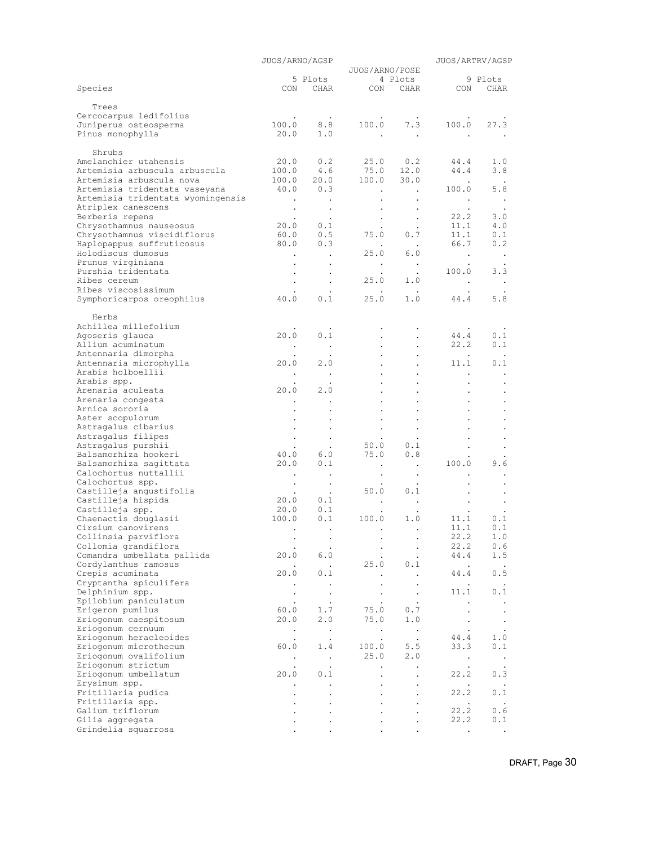|                                                           | JUOS/ARNO/AGSP       |                      |                              |                             |                    | JUOS/ARTRV/AGSP        |  |
|-----------------------------------------------------------|----------------------|----------------------|------------------------------|-----------------------------|--------------------|------------------------|--|
|                                                           |                      | 5 Plots              | JUOS/ARNO/POSE               | 4 Plots                     |                    | 9 Plots                |  |
| Species                                                   | CON                  | <b>CHAR</b>          |                              | CON CHAR                    | CON                | CHAR                   |  |
| Trees                                                     |                      |                      |                              |                             |                    |                        |  |
| Cercocarpus ledifolius                                    |                      |                      |                              |                             |                    |                        |  |
| Juniperus osteosperma                                     | 100.0                | 8.8                  | 100.0                        | 7.3                         | 100.0              | 27.3                   |  |
| Pinus monophylla                                          | 20.0                 | 1.0                  |                              | $\sim$                      |                    |                        |  |
| Shrubs                                                    |                      |                      |                              |                             |                    |                        |  |
| Amelanchier utahensis                                     | 20.0                 | 0.2                  | 25.0                         | 0.2                         | 44.4               | 1.0                    |  |
| Artemisia arbuscula arbuscula                             | 100.0<br>100.0       | 4.6<br>20.0          | 75.0                         | 12.0                        | 44.4               | 3.8                    |  |
| Artemisia arbuscula nova<br>Artemisia tridentata vaseyana | 40.0                 | 0.3                  | 100.0<br>$\bullet$           | 30.0<br>$\sim$              | 100.0              | 5.8                    |  |
| Artemisia tridentata wyomingensis                         | $\bullet$            |                      |                              | $\bullet$                   | $\bullet$          | $\cdot$                |  |
| Atriplex canescens                                        | $\bullet$            | $\sim$               |                              | $\bullet$                   |                    |                        |  |
| Berberis repens                                           | $\bullet$            | $\bullet$<br>0.1     |                              | $\bullet$                   | 22.2<br>11.1       | 3.0<br>4.0             |  |
| Chrysothamnus nauseosus<br>Chrysothamnus viscidiflorus    | 20.0<br>60.0         | 0.5                  | $\ddot{\phantom{0}}$<br>75.0 | $\ddot{\phantom{0}}$<br>0.7 | 11.1               | 0.1                    |  |
| Haplopappus suffruticosus                                 | 80.0                 | 0.3                  |                              |                             | 66.7               | 0.2                    |  |
| Holodiscus dumosus                                        | $\blacksquare$ .     | $\sim$               | 25.0                         | 6.0                         | $\sim$ $\sim$      | $\blacksquare$ .       |  |
| Prunus virginiana                                         | $\bullet$            |                      | $\bullet$                    | $\blacksquare$              |                    |                        |  |
| Purshia tridentata<br>Ribes cereum                        | $\bullet$            | $\bullet$            | 25.0                         | 1.0                         | 100.0<br>$\bullet$ | 3.3<br>$\bullet$       |  |
| Ribes viscosissimum                                       | $\bullet$            | $\bullet$            |                              | $\ddot{\phantom{0}}$        | $\bullet$          |                        |  |
| Symphoricarpos oreophilus                                 | 40.0                 | 0.1                  | 25.0                         | 1.0                         | 44.4               | 5.8                    |  |
| Herbs                                                     |                      |                      |                              |                             |                    |                        |  |
| Achillea millefolium                                      |                      |                      |                              |                             |                    |                        |  |
| Agoseris glauca                                           | 20.0                 | 0.1                  |                              |                             | 44.4               | 0.1                    |  |
| Allium acuminatum                                         | $\bullet$            | $\cdot$              |                              |                             | 22.2               | 0.1                    |  |
| Antennaria dimorpha                                       | $\bullet$<br>20.0    | $\bullet$<br>2.0     |                              |                             | $\bullet$<br>11.1  | $\blacksquare$ .       |  |
| Antennaria microphylla<br>Arabis holboellii               | $\bullet$            | $\,$ .               |                              |                             | $\bullet$          | 0.1<br>$\bullet$       |  |
| Arabis spp.                                               |                      |                      |                              |                             |                    |                        |  |
| Arenaria aculeata                                         | 20.0                 | 2.0                  |                              |                             |                    | $\bullet$              |  |
| Arenaria congesta                                         | $\bullet$            | $\bullet$            |                              |                             |                    |                        |  |
| Arnica sororia<br>Aster scopulorum                        | $\ddot{\phantom{0}}$ |                      |                              |                             | $\bullet$          |                        |  |
| Astragalus cibarius                                       |                      |                      |                              |                             |                    |                        |  |
| Astragalus filipes                                        | $\bullet$            | $\bullet$            |                              |                             |                    | $\bullet$              |  |
| Astragalus purshii                                        |                      |                      | 50.0                         | 0.1                         |                    |                        |  |
| Balsamorhiza hookeri<br>Balsamorhiza sagittata            | 40.0<br>20.0         | 6.0<br>0.1           | 75.0<br>$\bullet$            | 0.8<br>$\sim$               | 100.0              | 9.6                    |  |
| Calochortus nuttallii                                     | $\bullet$            |                      |                              | $\bullet$                   |                    |                        |  |
| Calochortus spp.                                          | $\bullet$            | $\sim$               |                              | $\bullet$                   |                    |                        |  |
| Castilleja angustifolia                                   | $\bullet$            | $\ddot{\phantom{0}}$ | 50.0                         | 0.1                         |                    |                        |  |
| Castilleja hispida<br>Castilleja spp.                     | 20.0<br>20.0         | 0.1<br>0.1           | $\bullet$                    | $\bullet$                   | $\bullet$          | $\bullet$              |  |
| Chaenactis douglasii                                      | 100.0                | 0.1                  | 100.0                        | 1.0                         | 11.1               | 0.1                    |  |
| Cirsium canovirens                                        | $\bullet$            | $\ddot{\phantom{1}}$ | $\bullet$                    | $\ddot{\phantom{0}}$        | 11.1               | 0.1                    |  |
| Collinsia parviflora                                      | $\bullet$            | $\bullet$            |                              |                             | 22.2               | 1.0                    |  |
| Collomia grandiflora<br>Comandra umbellata pallida        | 20.0                 | 6.0                  |                              | $\ddot{\phantom{0}}$        | 22.2<br>44.4       | 0.6<br>1.5             |  |
| Cordylanthus ramosus                                      |                      | $\ddot{\phantom{0}}$ | 25.0                         | ٠<br>0.1                    | $\bullet$          | $\bullet$              |  |
| Crepis acuminata                                          | 20.0                 | 0.1                  |                              | $\cdot$                     | 44.4               | 0.5                    |  |
| Cryptantha spiculifera                                    | $\bullet$            | $\bullet$            |                              | $\bullet$                   | $\bullet$          |                        |  |
| Delphinium spp.<br>Epilobium paniculatum                  | $\ddot{\phantom{0}}$ | $\ddot{\phantom{1}}$ |                              | $\ddot{\phantom{0}}$        | 11.1               | 0.1                    |  |
| Erigeron pumilus                                          | $\bullet$<br>60.0    | $\bullet$<br>1.7     | 75.0                         | $\bullet$<br>0.7            | $\bullet$          | $\bullet$<br>$\bullet$ |  |
| Eriogonum caespitosum                                     | 20.0                 | 2.0                  | 75.0                         | 1.0                         | $\bullet$          | $\bullet$              |  |
| Eriogonum cernuum                                         | $\bullet$            | $\blacksquare$ .     | $\cdot$                      | $\sim$                      | $\bullet$          | $\cdot$                |  |
| Eriogonum heracleoides                                    |                      | $\bullet$            |                              |                             | 44.4               | 1.0                    |  |
| Eriogonum microthecum<br>Eriogonum ovalifolium            | 60.0<br>$\bullet$    | 1.4<br>$\sim$ $\sim$ | 100.0<br>25.0                | 5.5<br>2.0                  | 33.3<br>$\sim$     | 0.1<br>$\sim$          |  |
| Eriogonum strictum                                        |                      | $\ddot{\phantom{0}}$ | $\ddot{\phantom{0}}$         |                             |                    |                        |  |
| Eriogonum umbellatum                                      | 20.0                 | 0.1                  | $\bullet$                    |                             | 22.2               | 0.3                    |  |
| Erysimum spp.                                             | ٠                    |                      |                              |                             |                    |                        |  |
| Fritillaria pudica<br>Fritillaria spp.                    |                      |                      |                              |                             | 22.2               | 0.1                    |  |
| Galium triflorum                                          |                      |                      |                              |                             | 22.2               | 0.6                    |  |
| Gilia aggregata                                           |                      |                      |                              |                             | 22.2               | 0.1                    |  |
| Grindelia squarrosa                                       |                      |                      |                              |                             |                    |                        |  |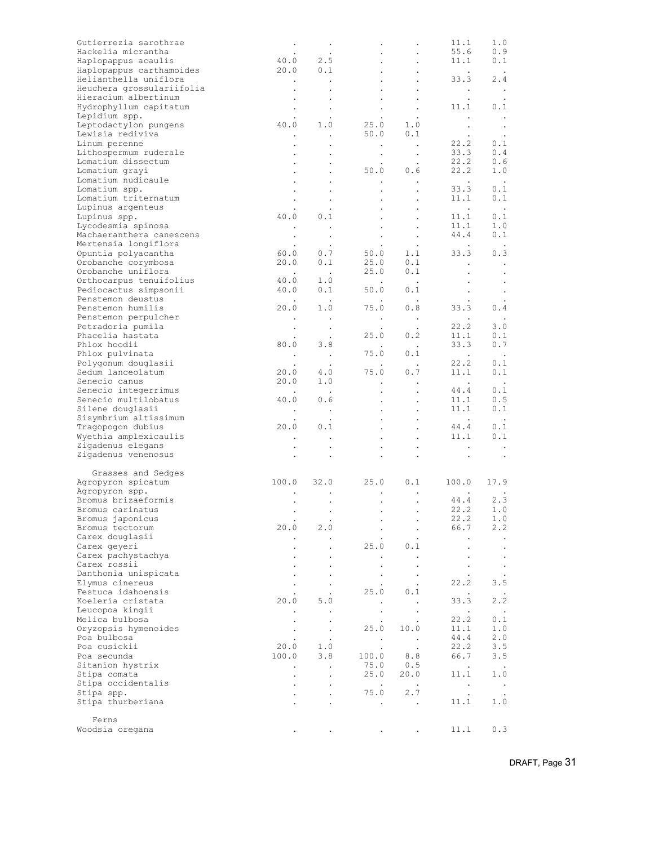| Gutierrezia sarothrae                       |                                                  | $\bullet$                                                                      |                                                                         |                                                                                                               | 11.1                                                      | 1.0                  |
|---------------------------------------------|--------------------------------------------------|--------------------------------------------------------------------------------|-------------------------------------------------------------------------|---------------------------------------------------------------------------------------------------------------|-----------------------------------------------------------|----------------------|
| Hackelia micrantha                          |                                                  |                                                                                |                                                                         |                                                                                                               | 55.6                                                      | 0.9                  |
| Haplopappus acaulis                         |                                                  | $\begin{array}{ccccc} & . & . & . \\ 40.0 & & 2.5 \\ 20.0 & & 0.1 \end{array}$ |                                                                         | $\ddot{\phantom{0}}$                                                                                          | 11.1                                                      | 0.1                  |
| Haplopappus carthamoides                    |                                                  |                                                                                |                                                                         |                                                                                                               | $\sim 100$ km s $^{-1}$                                   | $\sim 100$           |
| Helianthella uniflora                       | $\mathcal{L}^{\mathcal{L}}(\mathcal{A})$ .       | $\sim$ $\sim$                                                                  |                                                                         |                                                                                                               | 33.3                                                      | 2.4                  |
| Heuchera grossulariifolia                   |                                                  |                                                                                | $\bullet$ .<br><br><br><br><br><br><br><br><br><br><br><br><br><br><br> |                                                                                                               | $\sim 100$ km s $^{-1}$                                   | $\sim$ $\sim$        |
| Hieracium albertinum                        | $\bullet$                                        | $\bullet$                                                                      | $\bullet$                                                               | $\bullet$                                                                                                     | $\cdot$                                                   | $\cdot$              |
| Hydrophyllum capitatum                      |                                                  | $\bullet$                                                                      | $\sim$                                                                  | $\bullet$                                                                                                     | 11.1                                                      | 0.1                  |
| Lepidium spp.                               | 40.0                                             |                                                                                |                                                                         | $25.0$ 1.0                                                                                                    | $\sim 100$ km s $^{-1}$                                   | $\sim$ $\sim$        |
| Leptodactylon pungens                       |                                                  | 1.0                                                                            |                                                                         |                                                                                                               | $\sim 10^{-11}$                                           | $\sim$ $\sim$        |
| Lewisia rediviva                            |                                                  | $\sim 100$                                                                     |                                                                         | 50.0 0.1                                                                                                      | $\sim$ $-$                                                | $\sim$ $\sim$        |
| Linum perenne                               |                                                  | $\bullet$                                                                      | $\sim 10^{-10}$ km s $^{-1}$                                            | $\sim 100$ km $^{-1}$                                                                                         | 22.2                                                      | 0.1                  |
| Lithospermum ruderale<br>Lomatium dissectum |                                                  |                                                                                |                                                                         | $\epsilon_{\rm{max}}$<br>$\bullet$                                                                            | 33.3<br>22.2                                              | 0.4<br>0.6           |
|                                             | $\bullet$                                        | $\bullet$                                                                      |                                                                         | $\cdot$<br>50.0 0.6                                                                                           | 22.2                                                      | 1.0                  |
| Lomatium grayi<br>Lomatium nudicaule        |                                                  | $\bullet$                                                                      |                                                                         |                                                                                                               | $\mathcal{L}^{\text{max}}$ and $\mathcal{L}^{\text{max}}$ |                      |
| Lomatium spp.                               |                                                  | $\bullet$                                                                      | $\bullet$ .                                                             | $\sim 10$                                                                                                     | 33.3                                                      | $\sim$ $\sim$<br>0.1 |
| Lomatium triternatum                        |                                                  | $\bullet$                                                                      | $\bullet$ .                                                             | $\ddot{\phantom{0}}$                                                                                          | 11.1                                                      | 0.1                  |
| Lupinus argenteus                           | $\sim$                                           | $\sim$ $\sim$                                                                  | $\bullet$ .<br><br><br><br><br><br><br><br><br><br><br><br><br>         |                                                                                                               | $\sim 100$ km s $^{-1}$                                   | $\sim$ $\sim$        |
| Lupinus spp.                                | 40.0                                             | $\sim$ $\sim$<br>0.1                                                           | $\sim 10^{-11}$                                                         | $\cdot$                                                                                                       | 11.1                                                      | 0.1                  |
| Lycodesmia spinosa                          |                                                  | $\sim 100$                                                                     | $\epsilon$ .                                                            | $\bullet$<br>$\sim$ $\sim$                                                                                    | 11.1                                                      | 1.0                  |
| Machaeranthera canescens                    | $\sim 10^{-11}$                                  |                                                                                | $\bullet$ .                                                             | $\bullet$                                                                                                     | 44.4                                                      | 0.1                  |
| Mertensia longiflora                        | $\sim$ $-$                                       | $\bullet$<br>$\sim$ $\sim$                                                     | $\sim$ $-$                                                              |                                                                                                               | <b>Contract Contract</b>                                  | $\sim$ $\sim$        |
| Opuntia polyacantha                         | 60.0                                             | 0.7                                                                            |                                                                         | $\begin{array}{ccccc} & . & . & . \\ & . & . & . \\ 50.0 & & 1.1 \\ 25.0 & & 0.1 \\ 25.0 & & 0.1 \end{array}$ | 33.3                                                      | 0.3                  |
| Orobanche corymbosa                         | 20.0                                             | 0.1                                                                            |                                                                         |                                                                                                               |                                                           |                      |
| Orobanche uniflora                          | $\sim 100$ km s $^{-1}$                          | $\sim 100$                                                                     |                                                                         |                                                                                                               | $\sim 100$                                                | $\blacksquare$ .     |
| Orthocarpus tenuifolius                     | 40.0                                             | 1.0                                                                            |                                                                         | $\sim 10^{11}$ km $^{-1}$                                                                                     | $\bullet$                                                 | $\cdot$              |
| Pediocactus simpsonii                       | 40.0                                             | 0.1                                                                            | 50.0                                                                    | 0.1                                                                                                           | $\sim$ $-$                                                | $\sim$ $\sim$        |
| Penstemon deustus                           | $\sim 100$ km s $^{-1}$                          | $\sim$ $\sim$                                                                  |                                                                         | $\sim 100$                                                                                                    | $\sim 10^{-10}$                                           | $\sim$ $\sim$        |
| Penstemon humilis                           | 20.0                                             | 1.0                                                                            |                                                                         | 75.0 0.8                                                                                                      | $33.\overline{3}$                                         | $\sim$ $\sim$<br>0.4 |
| Penstemon perpulcher                        |                                                  |                                                                                |                                                                         |                                                                                                               |                                                           |                      |
| Petradoria pumila                           |                                                  | $\sim$ $\sim$                                                                  | $\sim 100$ km s $^{-1}$                                                 | $\sim 100$ km $^{-1}$                                                                                         | 22.2                                                      | 3.0                  |
| Phacelia hastata                            | $\sim 10^{-11}$                                  | $\sim$ $\sim$<br>$\frac{1}{2}$ .                                               |                                                                         | $\begin{array}{ccc}\n & \cdot & \cdot \\ 25.0 & 0.2\n\end{array}$                                             | 11.1                                                      | 0.1                  |
| Phlox hoodii                                | 80.0                                             | 3.8                                                                            |                                                                         |                                                                                                               | 33.3                                                      | 0.7                  |
| Phlox pulvinata                             |                                                  | $\mathcal{L}^{\text{max}}_{\text{max}}$                                        |                                                                         | $\begin{matrix} . & & . & \cdot \\ . & 0 & .1 & \cdot \\ . & & & \end{matrix}$                                | $\mathcal{L}^{\mathcal{L}}$ , $\mathcal{L}^{\mathcal{L}}$ | $\sim$ $\sim$        |
| Polygonum douglasii                         | $\sim 100$ km s $^{-1}$                          |                                                                                |                                                                         | $\mathcal{L}(\mathcal{L})$                                                                                    | 22.2                                                      | 0.1                  |
| Sedum lanceolatum                           |                                                  | $\sim$<br>4.0                                                                  |                                                                         | $75.0\qquad 0.7$                                                                                              | 11.1                                                      | 0.1                  |
| Senecio canus                               | $\begin{array}{c} \n 0.0 \\  20.0\n \end{array}$ | 1.0                                                                            |                                                                         | $\sim 100$                                                                                                    | <b>Contractor</b>                                         | $\sim$ $\sim$        |
| Senecio integerrimus                        |                                                  | $\sim$ $\sim$                                                                  | $\sim 100$ km s $^{-1}$<br>$\mathcal{L}^{\text{max}}$                   |                                                                                                               |                                                           | 0.1                  |
| Senecio multilobatus                        | 40.0                                             | 0.6                                                                            | $\mathcal{L}^{\text{max}}$                                              | $\bullet$<br>$\ddot{\phantom{a}}$                                                                             | $44.4$<br>$11.1$                                          | 0.5                  |
| Silene douglasii                            |                                                  |                                                                                | $\mathcal{L}_{\text{max}}$                                              | $\bullet$                                                                                                     |                                                           | 0.1                  |
| Sisymbrium altissimum                       |                                                  | $\sim$ $\sim$                                                                  |                                                                         | $\bullet$ - $\bullet$ - $\bullet$ - $\bullet$                                                                 | 11.1<br>$\sim 100$ $\mu$                                  | $\sim$ $\sim$        |
| Tragopogon dubius                           | 20.0                                             | 0.1                                                                            | $\mathcal{L}_{\text{max}}$                                              | $\bullet$                                                                                                     | $44.4$                                                    | 0.1                  |
| Wyethia amplexicaulis                       |                                                  |                                                                                | $\bullet$ .                                                             | $\bullet$                                                                                                     | 11.1                                                      | 0.1                  |
| Zigadenus elegans                           | $\sim$                                           | $\sim$                                                                         |                                                                         |                                                                                                               |                                                           |                      |
| Zigadenus venenosus                         |                                                  |                                                                                |                                                                         |                                                                                                               | <b>Contract Contract</b>                                  | $\sim$ $\sim$        |
|                                             |                                                  |                                                                                | $\ddot{\phantom{0}}$                                                    | $\bullet$                                                                                                     | $\sim$ $\sim$                                             | $\sim$               |
| Grasses and Sedges                          |                                                  |                                                                                |                                                                         |                                                                                                               |                                                           |                      |
| Agropyron spicatum                          | 100.0 32.0                                       |                                                                                |                                                                         | 25.0 0.1                                                                                                      | 100.0                                                     | 17.9                 |
| Agropyron spp.                              |                                                  |                                                                                |                                                                         |                                                                                                               |                                                           |                      |
| Bromus brizaeformis                         |                                                  |                                                                                | $\bullet$ .<br>$\bullet$                                                | $\bullet$<br>$\bullet$                                                                                        |                                                           |                      |
| Bromus carinatus                            | $\bullet$                                        | $\bullet$                                                                      |                                                                         |                                                                                                               | $44.4$ $2.3$<br>22 2 1 0<br>22.2                          | 1.0                  |
| Bromus japonicus                            |                                                  |                                                                                |                                                                         |                                                                                                               | 22.2                                                      | 1.0                  |
| Bromus tectorum                             | 20.0                                             | 2.0                                                                            |                                                                         | $\bullet$<br>$\bullet$                                                                                        | 66.7                                                      | 2.2                  |
| Carex douglasii                             |                                                  |                                                                                |                                                                         |                                                                                                               |                                                           | $\bullet$            |
| Carex geyeri                                |                                                  |                                                                                | 25.0                                                                    | 0.1                                                                                                           |                                                           |                      |
| Carex pachystachya                          |                                                  |                                                                                |                                                                         | $\bullet$                                                                                                     |                                                           | $\bullet$            |
| Carex rossii                                |                                                  |                                                                                |                                                                         | $\bullet$                                                                                                     |                                                           | $\bullet$            |
| Danthonia unispicata                        |                                                  |                                                                                |                                                                         |                                                                                                               |                                                           | $\bullet$            |
| Elymus cinereus                             |                                                  |                                                                                |                                                                         |                                                                                                               | 22.2                                                      | 3.5                  |
| Festuca idahoensis                          |                                                  |                                                                                | 25.0                                                                    | 0.1                                                                                                           |                                                           |                      |
| Koeleria cristata                           | 20.0                                             | 5.0                                                                            |                                                                         |                                                                                                               | 33.3                                                      | 2.2                  |
| Leucopoa kingii                             |                                                  |                                                                                |                                                                         |                                                                                                               | $\ddot{\phantom{0}}$                                      | $\sim$               |
| Melica bulbosa                              |                                                  |                                                                                | $\bullet$                                                               | $\bullet$                                                                                                     | 22.2                                                      | 0.1                  |
| Oryzopsis hymenoides                        |                                                  | $\cdot$                                                                        | 25.0                                                                    | 10.0                                                                                                          | 11.1                                                      | 1.0                  |
| Poa bulbosa                                 |                                                  |                                                                                |                                                                         | $\sim 100$                                                                                                    | 44.4                                                      | 2.0                  |
| Poa cusickii                                | 20.0                                             | 1.0                                                                            | $\sim$ $\sim$<br>$\cdot$                                                | $\ddot{\phantom{a}}$                                                                                          | 22.2                                                      | 3.5                  |
| Poa secunda                                 | 100.0                                            | 3.8                                                                            | 100.0                                                                   | 8.8                                                                                                           | 66.7                                                      | 3.5                  |
| Sitanion hystrix                            |                                                  |                                                                                | 75.0                                                                    | 0.5                                                                                                           | $\ddot{\phantom{0}}$                                      | $\sim$ $\sim$        |
| Stipa comata                                | $\ddot{\phantom{0}}$                             | $\bullet$                                                                      | 25.0                                                                    | 20.0                                                                                                          | 11.1                                                      | 1.0                  |
| Stipa occidentalis                          |                                                  |                                                                                | $\cdot$                                                                 | $\ddot{\phantom{a}}$                                                                                          | $\blacksquare$ .                                          | $\sim$ $\sim$        |
| Stipa spp.                                  |                                                  | $\cdot$                                                                        | 75.0                                                                    | 2.7                                                                                                           | $\ddot{\phantom{0}}$                                      |                      |
| Stipa thurberiana                           |                                                  |                                                                                |                                                                         | $\bullet$                                                                                                     | 11.1                                                      | 1.0                  |
|                                             |                                                  |                                                                                |                                                                         |                                                                                                               |                                                           |                      |
| Ferns                                       |                                                  |                                                                                |                                                                         |                                                                                                               |                                                           |                      |
|                                             |                                                  |                                                                                |                                                                         |                                                                                                               |                                                           |                      |
| Woodsia oregana                             |                                                  |                                                                                |                                                                         | $\ddot{\phantom{0}}$                                                                                          | 11.1                                                      | 0.3                  |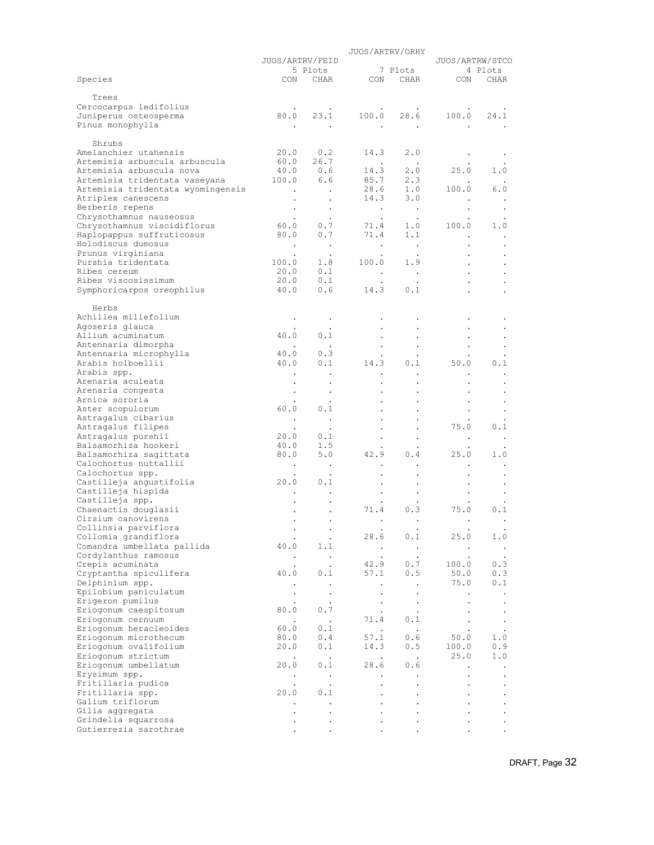|                                                           | JUOS/ARTRV/ORHY                   |                                   |                            |                               |                   |                        |
|-----------------------------------------------------------|-----------------------------------|-----------------------------------|----------------------------|-------------------------------|-------------------|------------------------|
|                                                           | JUOS/ARTRV/FEID                   |                                   |                            |                               | JUOS/ARTRW/STCO   |                        |
| Species                                                   |                                   | 5 Plots<br>CON CHAR               |                            | 7 Plots                       | CON CHAR CON CHAR | 4 Plots                |
|                                                           |                                   |                                   |                            |                               |                   |                        |
| Trees                                                     |                                   |                                   |                            |                               |                   |                        |
| Cercocarpus ledifolius                                    |                                   | 80.0 23.1                         | 100.0                      |                               | 28.6 100.0 24.1   |                        |
| Juniperus osteosperma<br>Pinus monophylla                 |                                   |                                   |                            | $\sim 100$ km $^{-1}$         |                   |                        |
|                                                           |                                   |                                   |                            |                               |                   |                        |
| Shrubs                                                    |                                   |                                   |                            |                               |                   |                        |
| Amelanchier utahensis                                     | 20.0                              | 0.2                               | 14.3                       | 2.0                           |                   |                        |
| Artemisia arbuscula arbuscula<br>Artemisia arbuscula nova | 40.0 0.6                          | 60.0 26.7                         | $\sim 100$ $\mu$<br>14.3   | $\sim 10$<br>2.0              | 25.0              | 1.0                    |
| Artemisia tridentata vaseyana                             | 100.0                             | 6.6                               |                            |                               |                   |                        |
| Artemisia tridentata wyomingensis                         | $\sim 100$                        |                                   |                            | 85.7 2.3<br>28.6 1.0          | 100.0             | 6.0                    |
| Atriplex canescens                                        | $\bullet$                         |                                   | 14.3                       | 3.0                           |                   |                        |
| Berberis repens                                           | $\bullet$                         | $\cdot$                           | $\sim 10^{-10}$ km $^{-1}$ | $\sim$ $\sim$                 |                   |                        |
| Chrysothamnus nauseosus<br>Chrysothamnus viscidiflorus    | $\bullet$<br>60.0                 | $\sim$<br>0.7                     | $\bullet$<br>71.4          | $\sim$<br>1.0                 | 100.0             | 1.0                    |
| Haplopappus suffruticosus                                 | 80.0                              | 0.7                               | 71.4                       | 1.1                           |                   |                        |
| Holodiscus dumosus                                        | $\sim$ $\sim$                     | $\sim$                            | $\blacksquare$ .           | $\sim$ $\sim$                 |                   |                        |
| Prunus virginiana                                         |                                   | $\sim$                            |                            | $\bullet$                     |                   |                        |
| Purshia tridentata<br>Ribes cereum                        | $100.0$<br>20.0                   | 1.8<br>0.1                        | 100.0                      | 1.9                           |                   |                        |
| Ribes viscosissimum                                       | 20.0                              | 0.1                               | $\blacksquare$ .           | $\blacksquare$ .<br>$\bullet$ |                   |                        |
| Symphoricarpos oreophilus                                 | $40.0$                            | 0.6                               | 14.3                       | 0.1                           |                   |                        |
|                                                           |                                   |                                   |                            |                               |                   |                        |
| Herbs                                                     |                                   |                                   |                            |                               |                   |                        |
| Achillea millefolium<br>Agoseris glauca                   |                                   | $\blacksquare$ .                  |                            |                               |                   |                        |
| Allium acuminatum                                         | 40.0                              | $\ddot{\phantom{0}}$<br>0.1       |                            |                               |                   |                        |
| Antennaria dimorpha                                       |                                   | $\sim$                            |                            |                               |                   |                        |
| Antennaria microphylla                                    | 40.0                              | 0.3                               | $\ddot{\phantom{0}}$       |                               |                   |                        |
| Arabis holboellii                                         | 40.0                              | 0.1                               | 14.3                       | 0.1                           | 50.0              | 0.1                    |
| Arabis spp.<br>Arenaria aculeata                          | $\bullet$                         | $\blacksquare$                    | $\bullet$                  | $\bullet$                     | $\bullet$         | $\cdot$                |
| Arenaria congesta                                         | $\bullet$                         |                                   |                            |                               |                   |                        |
| Arnica sororia                                            |                                   |                                   |                            |                               |                   |                        |
| Aster scopulorum                                          | 60.0                              | 0.1                               |                            |                               |                   |                        |
| Astragalus cibarius<br>Astragalus filipes                 | $\sim$                            | $\sim$                            |                            |                               | 75.0              | 0.1                    |
| Astragalus purshii                                        | $\ddot{\phantom{1}}$<br>20.0      | $\ddot{\phantom{1}}$<br>0.1       |                            | $\bullet$                     | $\bullet$         | $\bullet$              |
| Balsamorhiza hookeri                                      | 40.0                              | 1.5                               |                            |                               |                   |                        |
| Balsamorhiza sagittata                                    | 80.0                              | 5.0                               | 42.9                       | 0.4                           | 25.0              | 1.0                    |
| Calochortus nuttallii                                     | $\bullet$                         | $\sim$                            |                            |                               | $\bullet$         |                        |
| Calochortus spp.<br>Castilleja angustifolia               | 20.0                              | $\cdot$<br>0.1                    |                            |                               |                   |                        |
| Castilleja hispida                                        |                                   |                                   |                            | $\bullet$                     |                   |                        |
| Castilleja spp.                                           | $\bullet$                         |                                   |                            |                               |                   |                        |
| Chaenactis douglasii                                      |                                   |                                   | 71.4                       | 0.3                           | 75.0              | 0.1                    |
| Cirsium canovirens                                        | $\ddot{\phantom{0}}$              | $\ddot{\phantom{1}}$              | $\ddot{\phantom{0}}$       |                               | $\bullet$         |                        |
| Collinsia parviflora<br>Collomia grandiflora              | $\cdot$                           | $\ddot{\phantom{0}}$<br>$\bullet$ | 28.6                       | $\bullet$<br>0.1              | 25.0              | 1.0                    |
| Comandra umbellata pallida                                | 40.0                              | 1.1                               | $\sim 100$ km s $^{-1}$    | $\sim$                        | $\sim$ $\sim$     | $\sim$                 |
| Cordylanthus ramosus                                      | $\bullet$                         | $\ddot{\phantom{0}}$              | $\ddot{\phantom{0}}$       | $\bullet$                     | $\bullet$         | $\bullet$              |
| Crepis acuminata                                          |                                   |                                   | 42.9                       | 0.7                           | 100.0             | 0.3                    |
| Cryptantha spiculifera<br>Delphinium spp.                 | 40.0                              | 0.1                               | 57.1                       | 0.5<br>$\ddot{\phantom{a}}$   | 50.0<br>75.0      | 0.3<br>0.1             |
| Epilobium paniculatum                                     | $\bullet$<br>$\ddot{\phantom{0}}$ | $\bullet$<br>$\bullet$            | $\bullet$<br>$\bullet$     | $\ddot{\phantom{0}}$          | $\bullet$         | $\bullet$              |
| Erigeron pumilus                                          |                                   | $\ddot{\phantom{0}}$              |                            | $\bullet$                     |                   | $\bullet$              |
| Eriogonum caespitosum                                     | 80.0                              | $0.7\,$                           |                            | $\bullet$                     | $\bullet$         | $\bullet$              |
| Eriogonum cernuum<br>Eriogonum heracleoides               | $\cdot$<br>60.0                   | $\sim$ $\sim$<br>0.1              | 71.4<br>$\sim 10$          | 0.1                           | $\bullet$         | $\bullet$              |
| Eriogonum microthecum                                     | 80.0                              | 0.4                               | 57.1                       | $\sim$ $\sim$<br>0.6          | $\bullet$<br>50.0 | $\bullet$<br>1.0       |
| Eriogonum ovalifolium                                     | 20.0                              | 0.1                               | 14.3                       | 0.5                           | 100.0             | 0.9                    |
| Eriogonum strictum                                        | $\ddot{\phantom{0}}$              | $\sim$ $\sim$                     | $\sim$                     | $\sim$ $\sim$                 | 25.0              | 1.0                    |
| Eriogonum umbellatum                                      | 20.0                              | 0.1                               | 28.6                       | 0.6                           |                   | $\bullet$              |
| Erysimum spp.<br>Fritillaria pudica                       | $\bullet$                         | $\sim$                            | $\bullet$                  | $\bullet$                     |                   | $\bullet$              |
| Fritillaria spp.                                          | $\ddot{\phantom{0}}$<br>20.0      | $\bullet$<br>0.1                  | $\blacksquare$             |                               |                   | $\bullet$<br>$\bullet$ |
| Galium triflorum                                          |                                   | $\ddot{\phantom{0}}$              |                            |                               |                   |                        |
| Gilia aggregata                                           | $\bullet$                         |                                   |                            |                               |                   | $\bullet$              |
| Grindelia squarrosa                                       |                                   |                                   |                            |                               |                   |                        |
| Gutierrezia sarothrae                                     |                                   |                                   |                            |                               |                   |                        |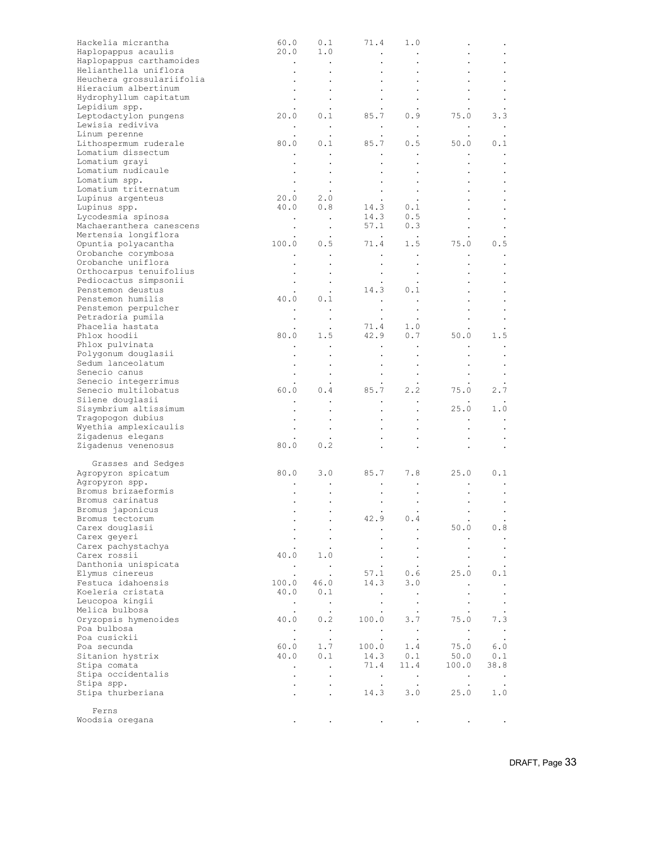| Hackelia micrantha                    | 60.0                 | 0.1                      | 71.4                                                        | 1.0                     |                        |                      |
|---------------------------------------|----------------------|--------------------------|-------------------------------------------------------------|-------------------------|------------------------|----------------------|
| Haplopappus acaulis                   | 20.0                 | 1.0                      | $\sim$ $\sim$                                               | $\sim$ $\sim$           | ٠                      |                      |
| Haplopappus carthamoides              | $\sim$               | $\sim$ $\sim$            | $\bullet$                                                   |                         |                        |                      |
| Helianthella uniflora                 |                      | $\bullet$                | $\bullet$                                                   |                         |                        |                      |
| Heuchera grossulariifolia             |                      | $\bullet$                |                                                             |                         |                        |                      |
| Hieracium albertinum                  |                      | $\bullet$                | $\sim$                                                      |                         |                        |                      |
| Hydrophyllum capitatum                |                      |                          | $\bullet$ . $\bullet$                                       |                         |                        |                      |
| Lepidium spp.                         |                      | $\cdot$                  |                                                             |                         |                        |                      |
| Leptodactylon pungens                 | 20.0                 | 0.1                      | 85.7                                                        | 0.9                     | 75.0                   | 3.3                  |
| Lewisia rediviva                      | $\bullet$            | $\sim 100$               | $\sim$ $\sim$                                               | $\sim$ $\sim$           | $\bullet$              | $\bullet$            |
| Linum perenne                         |                      |                          |                                                             |                         |                        |                      |
| Lithospermum ruderale                 |                      | 80.0 0.1                 | 85.7 0.5                                                    |                         | 50.0                   | 0.1                  |
| Lomatium dissectum                    |                      |                          | $\bullet$ .<br><br><br><br><br><br>                         |                         | $\bullet$              |                      |
| Lomatium grayi<br>Lomatium nudicaule  |                      |                          | $\bullet$                                                   |                         | $\ddot{\phantom{0}}$   |                      |
|                                       |                      |                          |                                                             |                         | $\bullet$              |                      |
| Lomatium spp.<br>Lomatium triternatum |                      | $\sim$                   | $\sim 10^{-10}$                                             | $\sim$                  | $\bullet$              |                      |
| Lupinus argenteus                     |                      | $\sim 100$               | $\sim 100$                                                  | $\bullet$               |                        |                      |
|                                       |                      | $20.0$ 2.0<br>40.0 0.8   |                                                             | $14.3$ 0.1<br>14.3 0.5  |                        |                      |
| Lupinus spp.<br>Lycodesmia spinosa    |                      |                          |                                                             |                         |                        |                      |
| Machaeranthera canescens              | $\sim 10^{-10}$      | $\sim$                   |                                                             | $57.1$ 0.3              | $\bullet$              |                      |
| Mertensia longiflora                  | $\bullet$            | $\sim$ $\sim$            | $\mathcal{L}^{\text{max}}$ , $\mathcal{L}^{\text{max}}$     | $\sim 100$              | $\bullet$              |                      |
| Opuntia polyacantha                   |                      | $100.0$ $0.5$            |                                                             | $71.4$ 1.5              | 75.0                   | 0.5                  |
| Orobanche corymbosa                   |                      | $\sim$ $\sim$            | $\sim$ $-$                                                  |                         |                        |                      |
| Orobanche uniflora                    |                      |                          |                                                             | $\sim$                  | $\bullet$              | $\bullet$            |
| Orthocarpus tenuifolius               |                      | $\bullet$                | $\bullet$                                                   | $\bullet$               | $\bullet$              | $\bullet$            |
| Pediocactus simpsonii                 |                      | $\bullet$                | $\sim$ $-$                                                  | $\bullet$               | $\bullet$              |                      |
| Penstemon deustus                     |                      | $\cdot$                  | 14.3                                                        | 0.1                     |                        |                      |
| Penstemon humilis                     | 40.0                 | 0.1                      |                                                             |                         |                        |                      |
| Penstemon perpulcher                  |                      |                          | $\sim 10^{-10}$                                             |                         |                        |                      |
| Petradoria pumila                     | $\bullet$            | $\sim$ $\sim$<br>$\cdot$ | $\bullet$                                                   | $\sim$                  | $\bullet$<br>$\bullet$ |                      |
| Phacelia hastata                      |                      |                          | $71.4$ $1.0$<br>$42.9$ $0.7$                                |                         |                        |                      |
| Phlox hoodii                          |                      | 80.0 1.5                 |                                                             |                         | 50.0                   | 1.5                  |
| Phlox pulvinata                       |                      | $\sim$ 100 $\pm$         | $\bullet$ .<br><br><br><br><br><br><br><br><br><br><br><br> | $\bullet$               | $\bullet$              | $\cdot$              |
| Polygonum douglasii                   |                      | $\bullet$                | $\bullet$                                                   |                         | $\bullet$              |                      |
| Sedum lanceolatum                     |                      |                          | $\bullet$ .<br><br><br><br><br><br><br><br><br><br><br><br> |                         |                        |                      |
| Senecio canus                         |                      | $\bullet$                | $\bullet$ . $\bullet$                                       | $\sim 100$ km s $^{-1}$ | $\bullet$              | $\bullet$            |
| Senecio integerrimus                  |                      | $\sim$                   |                                                             |                         |                        |                      |
| Senecio multilobatus                  | 60.0                 | 0.4                      | 85.7 2.2                                                    |                         | 75.0                   | 2.7                  |
| Silene douglasii                      |                      |                          | $\blacksquare$ .                                            | $\sim 100$              |                        |                      |
| Sisymbrium altissimum                 |                      |                          | $\bullet$                                                   |                         | 25.0                   | 1.0                  |
| Tragopogon dubius                     |                      |                          |                                                             |                         | $\bullet$              | $\,$ .               |
| Wyethia amplexicaulis                 |                      |                          |                                                             |                         |                        |                      |
| Zigadenus elegans                     |                      | $\bullet$                | $\bullet$                                                   | $\bullet$               | $\bullet$              |                      |
| Zigadenus venenosus                   | 80.0                 | 0.2                      |                                                             |                         | $\ddot{\phantom{0}}$   |                      |
|                                       |                      |                          |                                                             |                         |                        |                      |
| Grasses and Sedges                    |                      |                          |                                                             |                         |                        |                      |
| Agropyron spicatum                    | 80.0                 | 3.0                      |                                                             | 85.7 7.8                | 25.0                   | 0.1                  |
| Agropyron spp.                        |                      |                          | $\bullet$                                                   | $\bullet$               | $\bullet$              | $\cdot$              |
| Bromus brizaeformis                   |                      |                          | $\bullet$ .<br><br><br><br><br><br><br><br><br><br><br><br> |                         | $\bullet$              |                      |
| Bromus carinatus                      | $\cdot$              | $\bullet$                | $\bullet$                                                   | $\bullet$               | $\bullet$              |                      |
| Bromus japonicus                      |                      | $\bullet$                | $\bullet$                                                   | $\bullet$               | $\bullet$              |                      |
| Bromus tectorum                       |                      |                          | 42.9                                                        | $0.4\,$                 |                        |                      |
| Carex douglasii                       |                      |                          |                                                             |                         | 50.0                   | 0.8                  |
| Carex geyeri                          |                      | $\bullet$                |                                                             | $\bullet$               | $\bullet$              |                      |
| Carex pachystachya                    |                      |                          |                                                             |                         |                        | $\ddot{\phantom{1}}$ |
| Carex rossii                          | 40.0                 | 1.0                      |                                                             | $\bullet$               | $\bullet$              | $\bullet$            |
| Danthonia unispicata                  | $\sim$               | $\sim$ $\sim$            |                                                             | $\ddot{\phantom{0}}$    |                        | $\bullet$            |
| Elymus cinereus                       | $\bullet$            | $\cdot$                  | 57.1                                                        | 0.6                     | 25.0                   | 0.1                  |
| Festuca idahoensis                    | 100.0                | 46.0                     | 14.3                                                        | 3.0                     | $\bullet$              |                      |
| Koeleria cristata                     | 40.0                 | 0.1                      | $\cdot$                                                     |                         |                        |                      |
| Leucopoa kingii                       | $\sim$               | $\sim$ $\sim$            | $\bullet$                                                   | $\bullet$               | $\bullet$              | $\bullet$            |
| Melica bulbosa                        | $\sim$ $\sim$        | $\sim$                   |                                                             |                         | $\bullet$              |                      |
| Oryzopsis hymenoides                  | 40.0                 | 0.2                      | 100.0                                                       | 3.7                     | 75.0                   | 7.3                  |
| Poa bulbosa                           | $\sim$ $\sim$        | $\sim$ $\sim$            | $\sim$                                                      | $\sim 100$              | $\sim$                 | $\sim$               |
| Poa cusickii                          | $\ddot{\phantom{0}}$ | $\cdot$                  | $\cdot$                                                     | $\bullet$               | $\bullet$              | $\cdot$              |
| Poa secunda                           | 60.0                 | 1.7                      | 100.0                                                       | 1.4                     | 75.0                   | 6.0                  |
| Sitanion hystrix                      | 40.0                 | 0.1                      | 14.3                                                        | 0.1                     | 50.0                   | 0.1                  |
| Stipa comata                          | $\ddot{\phantom{0}}$ | $\ddot{\phantom{a}}$     | 71.4                                                        | 11.4                    | 100.0                  | 38.8                 |
| Stipa occidentalis                    |                      |                          | $\sim$ $\sim$                                               | $\sim 10$               | $\sim$                 | $\sim$ $\sim$        |
| Stipa spp.                            |                      |                          | $\bullet$                                                   | $\ddot{\phantom{0}}$    | $\bullet$              |                      |
| Stipa thurberiana                     | $\ddot{\phantom{0}}$ |                          | 14.3                                                        | 3.0                     | 25.0                   | 1.0                  |
|                                       |                      |                          |                                                             |                         |                        |                      |
| Ferns                                 |                      |                          |                                                             |                         |                        |                      |
| Woodsia oregana                       |                      |                          |                                                             |                         |                        |                      |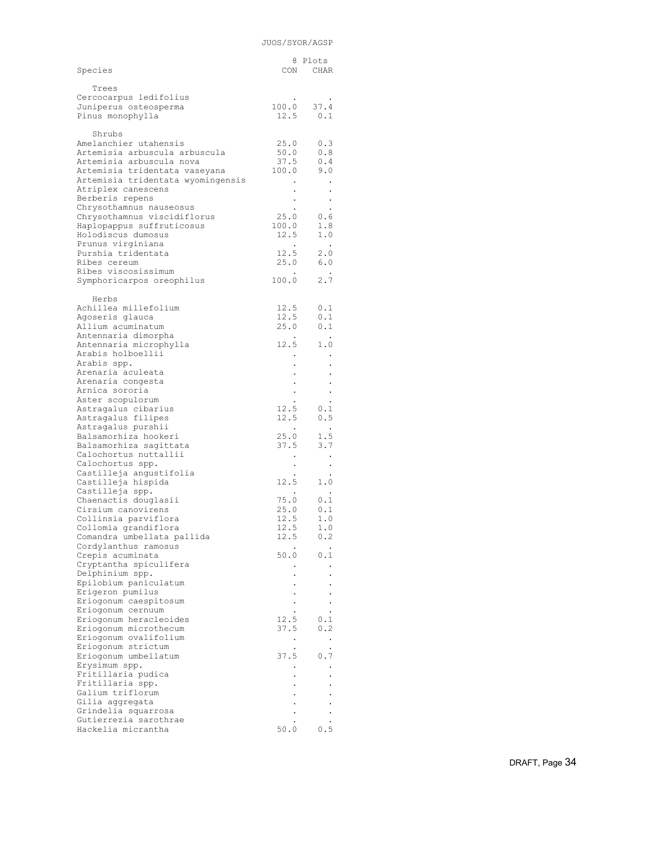| Species                                                            |                              | 8 Plots<br>CON CHAR                       |
|--------------------------------------------------------------------|------------------------------|-------------------------------------------|
| Trees<br>Cercocarpus ledifolius                                    |                              |                                           |
| Juniperus osteosperma<br>Pinus monophylla                          |                              | $100.0$ 37.4<br>$12.5$ 0.1                |
| Shrubs<br>Amelanchier utahensis                                    |                              | $25.0$ 0.3                                |
| Artemisia arbuscula arbuscula<br>Artemisia arbuscula nova          | 50.0<br>37.5                 | 0.8<br>0.4                                |
| Artemisia tridentata vaseyana<br>Artemisia tridentata wyomingensis | 100.0                        | 9.0                                       |
| Atriplex canescens<br>Berberis repens                              |                              |                                           |
| Chrysothamnus nauseosus<br>Chrysothamnus viscidiflorus             | 25.0                         | 0.6                                       |
| Haplopappus suffruticosus                                          | 100.0                        | 1.8                                       |
| Holodiscus dumosus<br>Prunus virginiana                            | 12.5<br>$\ddot{\phantom{0}}$ | 1.0<br>$\sim$                             |
| Purshia tridentata<br>Ribes cereum                                 |                              | $12.5$ $2.0$<br>25.0 6.0                  |
| Ribes viscosissimum                                                |                              |                                           |
| Symphoricarpos oreophilus                                          |                              | 100.0 2.7                                 |
| Herbs<br>Achillea millefolium                                      | 12.5                         | 0.1                                       |
| Agoseris glauca<br>Allium acuminatum                               | 12.5<br>25.0                 | 0.1<br>0.1                                |
| Antennaria dimorpha                                                |                              |                                           |
| Antennaria microphylla<br>Arabis holboellii                        |                              | $12.5$ 1.0                                |
| Arabis spp.<br>Arenaria aculeata                                   |                              |                                           |
| Arenaria congesta                                                  |                              |                                           |
| Arnica sororia<br>Aster scopulorum                                 |                              |                                           |
| Astragalus cibarius<br>Astragalus filipes                          | 12.5                         | 0.1<br>$12.5$ 0.5                         |
| Astragalus purshii                                                 | $\sim 100$                   | $\cdot$                                   |
| Balsamorhiza hookeri<br>Balsamorhiza saqittata                     | 25.0<br>37.5                 | $\frac{1.5}{3.7}$                         |
| Calochortus nuttallii<br>Calochortus spp.                          |                              | $\bullet$                                 |
| Castilleja angustifolia                                            |                              |                                           |
| Castilleja hispida<br>Castilleja spp.                              | $\blacksquare$               | $12.5$ $1.0$<br>$\sim$ $\sim$             |
| Chaenactis douglasii<br>Cirsium canovirens                         | 75.0<br>25.0                 | $\begin{array}{c} 0.1 \\ 0.1 \end{array}$ |
| Collinsia parviflora<br>Collomia grandiflora                       | 12.5<br>12.5                 | 1.0<br>1.0                                |
| Comandra umbellata pallida                                         | 12.5                         | 0.2                                       |
| Cordylanthus ramosus<br>Crepis acuminata                           | 50.0                         | 0.1                                       |
| Cryptantha spiculifera<br>Delphinium spp.                          |                              |                                           |
| Epilobium paniculatum                                              |                              |                                           |
| Erigeron pumilus<br>Eriogonum caespitosum                          |                              |                                           |
| Eriogonum cernuum<br>Eriogonum heracleoides                        | 12.5                         | 0.1                                       |
| Eriogonum microthecum<br>Eriogonum ovalifolium                     | 37.5                         | 0.2                                       |
| Eriogonum strictum                                                 | $\bullet$                    |                                           |
| Eriogonum umbellatum<br>Erysimum spp.                              | 37.5                         | 0.7                                       |
| Fritillaria pudica<br>Fritillaria spp.                             |                              |                                           |
| Galium triflorum                                                   |                              |                                           |
| Gilia aggregata<br>Grindelia squarrosa                             |                              |                                           |
| Gutierrezia sarothrae<br>Hackelia micrantha                        | 50.0                         | 0.5                                       |
|                                                                    |                              |                                           |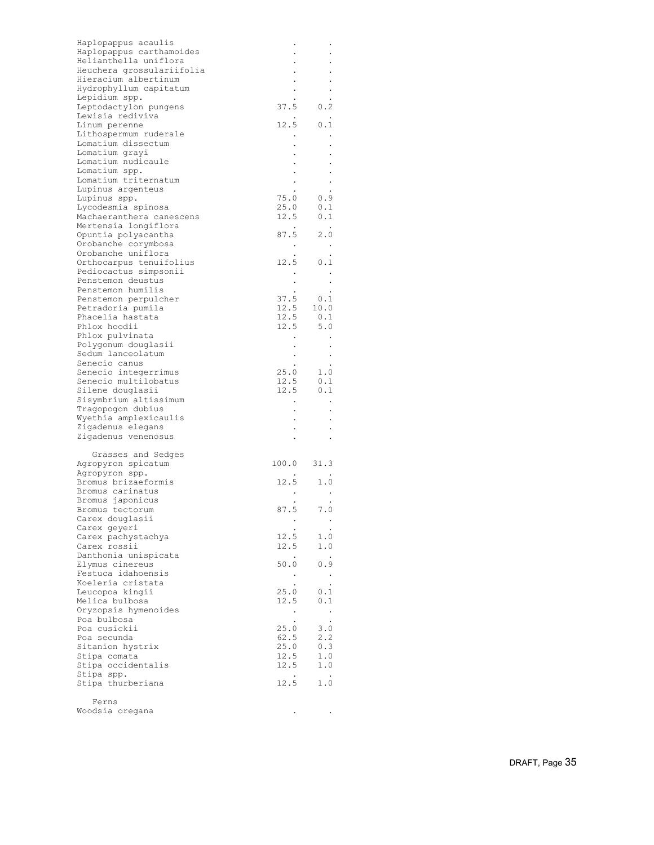| Haplopappus acaulis                        |                         |                                                                                                                     |  |
|--------------------------------------------|-------------------------|---------------------------------------------------------------------------------------------------------------------|--|
| Haplopappus carthamoides                   |                         |                                                                                                                     |  |
| Helianthella uniflora                      |                         |                                                                                                                     |  |
| Heuchera grossulariifolia                  |                         |                                                                                                                     |  |
| Hieracium albertinum                       |                         |                                                                                                                     |  |
| Hydrophyllum capitatum                     |                         |                                                                                                                     |  |
| Lepidium spp.                              |                         |                                                                                                                     |  |
| Leptodactylon pungens                      |                         | $37.5$ 0.2                                                                                                          |  |
| Lewisia rediviva                           | $\bullet$               | $\bullet$                                                                                                           |  |
| Linum perenne                              |                         | $12.5$ 0.1                                                                                                          |  |
| Lithospermum ruderale                      | $\sim$                  | $\bullet$                                                                                                           |  |
| Lomatium dissectum                         |                         |                                                                                                                     |  |
| Lomatium grayi                             |                         |                                                                                                                     |  |
| Lomatium nudicaule                         |                         |                                                                                                                     |  |
| Lomatium spp.                              | $\frac{1}{2}$           |                                                                                                                     |  |
| Lomatium triternatum                       |                         | $\cdot$                                                                                                             |  |
| Lupinus argenteus                          |                         | $\begin{array}{cccc} . & . & . & . \\ . & . & . & . \\ . & . & . & . \\ 25.0 & . & .1 \\ \end{array}$               |  |
| Lupinus spp.                               |                         |                                                                                                                     |  |
| Lycodesmia spinosa                         |                         |                                                                                                                     |  |
| Machaeranthera canescens                   |                         | $12.5$ 0.1                                                                                                          |  |
| Mertensia longiflora                       | $\sim 100$ km s $^{-1}$ | $\sim$ $\sim$                                                                                                       |  |
| Opuntia polyacantha                        |                         |                                                                                                                     |  |
| Orobanche corymbosa                        |                         |                                                                                                                     |  |
| Orobanche uniflora                         |                         | 87.5 2.0<br>$\vdots$ 2.0<br>12.5 0.1                                                                                |  |
| Orthocarpus tenuifolius                    |                         |                                                                                                                     |  |
| Pediocactus simpsonii                      |                         | $\sim$ $\sim$                                                                                                       |  |
| Penstemon deustus                          |                         | $\ddot{\phantom{a}}$                                                                                                |  |
| Penstemon humilis                          |                         | $\begin{array}{cccc} . & . & . & . & . \\ 37.5 & 0.1 & . & . \\ 12.5 & 10.0 & . & . \\ - & 0.1 & . & . \end{array}$ |  |
| Penstemon perpulcher                       |                         |                                                                                                                     |  |
| Petradoria pumila                          |                         |                                                                                                                     |  |
| Phacelia hastata                           |                         | $12.5$ 0.1<br>12.5 5.0                                                                                              |  |
| Phlox hoodii                               |                         |                                                                                                                     |  |
| Phlox pulvinata                            |                         |                                                                                                                     |  |
| Polygonum douglasii                        |                         |                                                                                                                     |  |
| Sedum lanceolatum                          |                         |                                                                                                                     |  |
| Senecio canus                              |                         |                                                                                                                     |  |
| Senecio integerrimus                       |                         |                                                                                                                     |  |
| Senecio multilobatus                       |                         |                                                                                                                     |  |
| Silene douglasii                           |                         | $12.5$ 0.1                                                                                                          |  |
| Sisymbrium altissimum                      |                         | $\sim$                                                                                                              |  |
| Tragopogon dubius<br>Wyethia amplexicaulis | $\frac{1}{2}$           |                                                                                                                     |  |
| Zigadenus elegans                          |                         |                                                                                                                     |  |
| Zigadenus venenosus                        |                         |                                                                                                                     |  |
|                                            | $\sim$                  | $\cdot$                                                                                                             |  |
| Grasses and Sedges                         |                         |                                                                                                                     |  |
| Agropyron spicatum                         | $100.0$ 31.3            |                                                                                                                     |  |
| Agropyron spp.                             |                         |                                                                                                                     |  |
| Bromus brizaeformis                        |                         | $\begin{array}{ccccc}\n & & \cdot & & \cdot \\ 12.5 & & 1.0\n\end{array}$                                           |  |
| Bromus carinatus                           |                         |                                                                                                                     |  |
| Bromus japonicus                           |                         |                                                                                                                     |  |
| Bromus tectorum                            |                         | $\begin{array}{ccccc}\n&\cdot&\cdot&\cdot\\ \cdot&\cdot&\cdot&\cdot\\ \hline\n87.5&\quad7.0\n\end{array}$           |  |
| Carex douglasii                            | $\bullet$               |                                                                                                                     |  |
| Carex geyeri                               |                         |                                                                                                                     |  |
| Carex pachystachya                         | 12.5                    | 1.0                                                                                                                 |  |
| Carex rossii                               | 12.5                    | 1.0                                                                                                                 |  |
| Danthonia unispicata                       | $\blacksquare$ .        | $\bullet$                                                                                                           |  |
| Elymus cinereus                            | 50.0                    | 0.9                                                                                                                 |  |
| Festuca idahoensis                         | $\bullet$               | $\blacksquare$                                                                                                      |  |
| Koeleria cristata                          |                         | $\bullet$                                                                                                           |  |
| Leucopoa kingii                            | 25.0                    | 0.1                                                                                                                 |  |
| Melica bulbosa                             | 12.5                    | 0.1                                                                                                                 |  |
| Oryzopsis hymenoides                       | $\bullet$               | $\blacksquare$                                                                                                      |  |
| Poa bulbosa                                |                         | $\ddot{\phantom{0}}$                                                                                                |  |
| Poa cusickii                               | 25.0                    | 3.0                                                                                                                 |  |
| Poa secunda                                | 62.5                    | 2.2                                                                                                                 |  |
| Sitanion hystrix                           | 25.0                    | 0.3                                                                                                                 |  |
| Stipa comata                               | 12.5                    | 1.0                                                                                                                 |  |
| Stipa occidentalis                         | 12.5                    | 1.0                                                                                                                 |  |
| Stipa spp.                                 | $\cdot$                 | $\ddot{\phantom{1}}$                                                                                                |  |
| Stipa thurberiana                          | 12.5                    | 1.0                                                                                                                 |  |
|                                            |                         |                                                                                                                     |  |
| Ferns                                      |                         |                                                                                                                     |  |
| Woodsia oregana                            |                         |                                                                                                                     |  |
|                                            |                         |                                                                                                                     |  |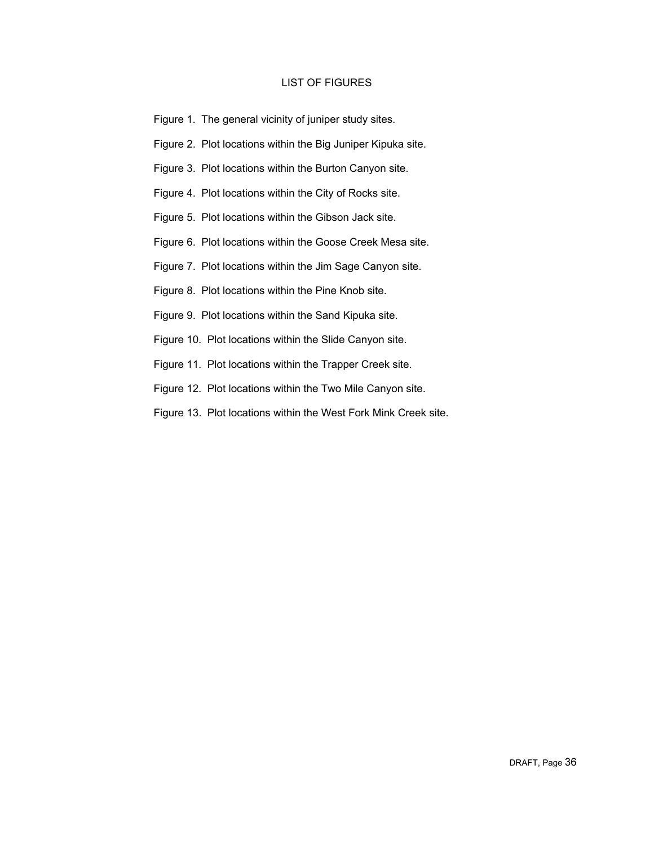## LIST OF FIGURES

- Figure 1. The general vicinity of juniper study sites.
- Figure 2. Plot locations within the Big Juniper Kipuka site.
- Figure 3. Plot locations within the Burton Canyon site.
- Figure 4. Plot locations within the City of Rocks site.
- Figure 5. Plot locations within the Gibson Jack site.
- Figure 6. Plot locations within the Goose Creek Mesa site.
- Figure 7. Plot locations within the Jim Sage Canyon site.
- Figure 8. Plot locations within the Pine Knob site.
- Figure 9. Plot locations within the Sand Kipuka site.
- Figure 10. Plot locations within the Slide Canyon site.
- Figure 11. Plot locations within the Trapper Creek site.
- Figure 12. Plot locations within the Two Mile Canyon site.
- Figure 13. Plot locations within the West Fork Mink Creek site.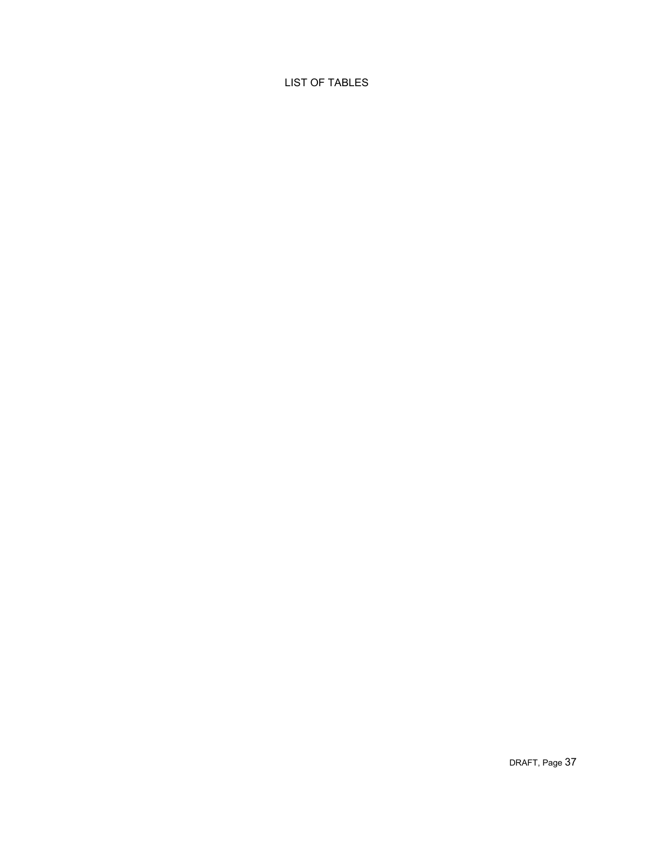# LIST OF TABLES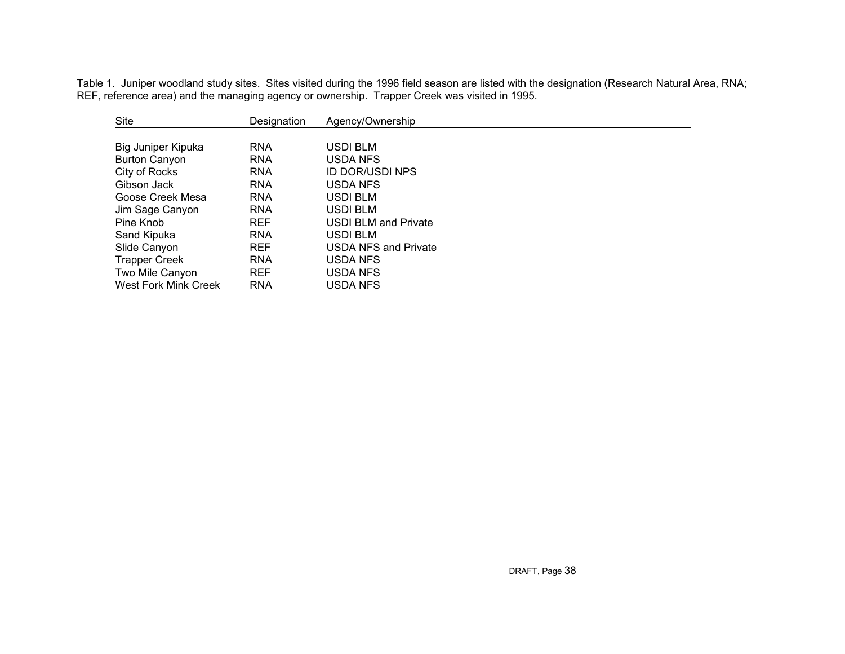Table 1. Juniper woodland study sites. Sites visited during the 1996 field season are listed with the designation (Research Natural Area, RNA; REF, reference area) and the managing agency or ownership. Trapper Creek was visited in 1995.

| Site                        | Designation | Agency/Ownership            |
|-----------------------------|-------------|-----------------------------|
|                             |             |                             |
| Big Juniper Kipuka          | <b>RNA</b>  | USDI BLM                    |
| <b>Burton Canyon</b>        | <b>RNA</b>  | USDA NFS                    |
| City of Rocks               | <b>RNA</b>  | <b>ID DOR/USDI NPS</b>      |
| Gibson Jack                 | <b>RNA</b>  | USDA NFS                    |
| Goose Creek Mesa            | <b>RNA</b>  | <b>USDI BLM</b>             |
| Jim Sage Canyon             | <b>RNA</b>  | USDI BLM                    |
| Pine Knob                   | <b>REF</b>  | USDI BLM and Private        |
| Sand Kipuka                 | <b>RNA</b>  | USDI BLM                    |
| Slide Canyon                | <b>REF</b>  | <b>USDA NFS and Private</b> |
| <b>Trapper Creek</b>        | <b>RNA</b>  | USDA NFS                    |
| Two Mile Canyon             | <b>REF</b>  | USDA NFS                    |
| <b>West Fork Mink Creek</b> | <b>RNA</b>  | USDA NFS                    |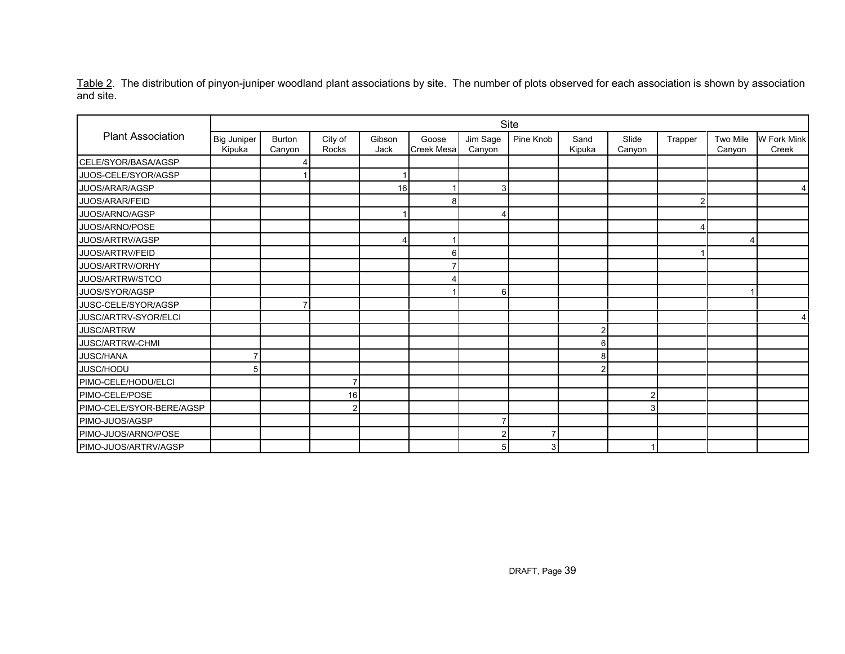<u>Table 2</u>. The distribution of pinyon-juniper woodland plant associations by site. The number of plots observed for each association is shown by association and site.

|                          | Site                         |                         |                  |                |                            |                    |           |                |                 |         |                    |                      |
|--------------------------|------------------------------|-------------------------|------------------|----------------|----------------------------|--------------------|-----------|----------------|-----------------|---------|--------------------|----------------------|
| <b>Plant Association</b> | <b>Big Juniper</b><br>Kipuka | <b>Burton</b><br>Canyon | City of<br>Rocks | Gibson<br>Jack | Goose<br><b>Creek Mesa</b> | Jim Sage<br>Canyon | Pine Knob | Sand<br>Kipuka | Slide<br>Canyon | Trapper | Two Mile<br>Canyon | W Fork Mink<br>Creek |
| CELE/SYOR/BASA/AGSP      |                              |                         |                  |                |                            |                    |           |                |                 |         |                    |                      |
| JUOS-CELE/SYOR/AGSP      |                              |                         |                  |                |                            |                    |           |                |                 |         |                    |                      |
| JUOS/ARAR/AGSP           |                              |                         |                  | 16             |                            | 3                  |           |                |                 |         |                    | 4                    |
| JUOS/ARAR/FEID           |                              |                         |                  |                | 8                          |                    |           |                |                 | 2       |                    |                      |
| JUOS/ARNO/AGSP           |                              |                         |                  |                |                            | 4                  |           |                |                 |         |                    |                      |
| JUOS/ARNO/POSE           |                              |                         |                  |                |                            |                    |           |                |                 |         |                    |                      |
| JUOS/ARTRV/AGSP          |                              |                         |                  |                |                            |                    |           |                |                 |         |                    |                      |
| JUOS/ARTRV/FEID          |                              |                         |                  |                | 6                          |                    |           |                |                 |         |                    |                      |
| JUOS/ARTRV/ORHY          |                              |                         |                  |                |                            |                    |           |                |                 |         |                    |                      |
| JUOS/ARTRW/STCO          |                              |                         |                  |                |                            |                    |           |                |                 |         |                    |                      |
| JUOS/SYOR/AGSP           |                              |                         |                  |                |                            | 6                  |           |                |                 |         |                    |                      |
| JUSC-CELE/SYOR/AGSP      |                              |                         |                  |                |                            |                    |           |                |                 |         |                    |                      |
| JUSC/ARTRV-SYOR/ELCI     |                              |                         |                  |                |                            |                    |           |                |                 |         |                    | 4                    |
| JUSC/ARTRW               |                              |                         |                  |                |                            |                    |           |                |                 |         |                    |                      |
| JUSC/ARTRW-CHMI          |                              |                         |                  |                |                            |                    |           | 6              |                 |         |                    |                      |
| JUSC/HANA                |                              |                         |                  |                |                            |                    |           |                |                 |         |                    |                      |
| JUSC/HODU                | 5                            |                         |                  |                |                            |                    |           |                |                 |         |                    |                      |
| PIMO-CELE/HODU/ELCI      |                              |                         | 7                |                |                            |                    |           |                |                 |         |                    |                      |
| PIMO-CELE/POSE           |                              |                         | 16               |                |                            |                    |           |                |                 |         |                    |                      |
| PIMO-CELE/SYOR-BERE/AGSP |                              |                         | $\overline{2}$   |                |                            |                    |           |                |                 |         |                    |                      |
| PIMO-JUOS/AGSP           |                              |                         |                  |                |                            |                    |           |                |                 |         |                    |                      |
| PIMO-JUOS/ARNO/POSE      |                              |                         |                  |                |                            | $\overline{c}$     |           |                |                 |         |                    |                      |
| PIMO-JUOS/ARTRV/AGSP     |                              |                         |                  |                |                            | 5                  | 3         |                |                 |         |                    |                      |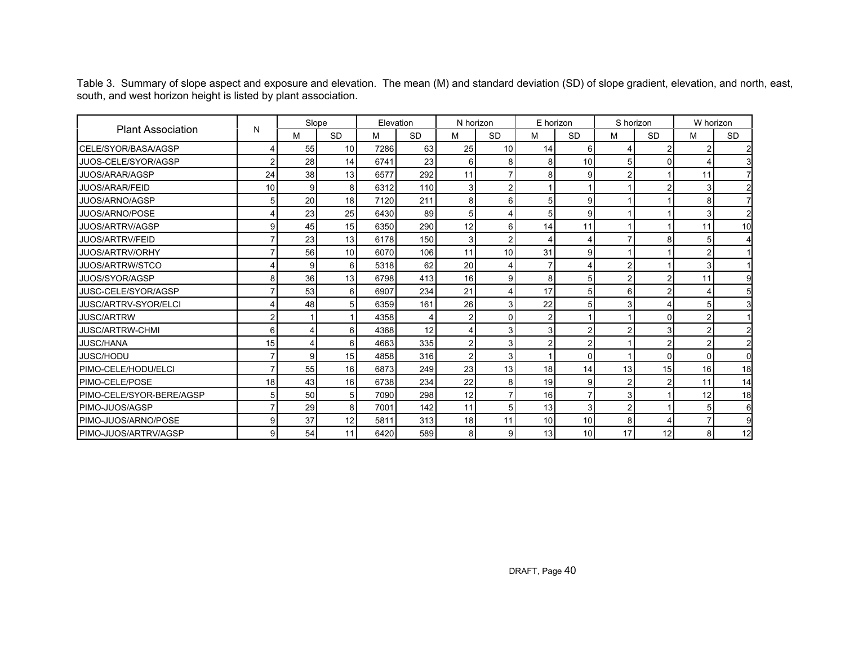Table 3. Summary of slope aspect and exposure and elevation. The mean (M) and standard deviation (SD) of slope gradient, elevation, and north, east, south, and west horizon height is listed by plant association.

|                          |    | Slope |                 | Elevation |           | N horizon      |                | E horizon      |           | S horizon      |                | W horizon      |                |
|--------------------------|----|-------|-----------------|-----------|-----------|----------------|----------------|----------------|-----------|----------------|----------------|----------------|----------------|
| <b>Plant Association</b> | N  | м     | <b>SD</b>       | М         | <b>SD</b> | M              | <b>SD</b>      | M              | <b>SD</b> | M              | <b>SD</b>      | м              | <b>SD</b>      |
| CELE/SYOR/BASA/AGSP      |    | 55    | 10              | 7286      | 63        | 25             | 10             | 14             | 6         |                |                |                | $\overline{2}$ |
| JUOS-CELE/SYOR/AGSP      | 2  | 28    | 14              | 6741      | 23        | 6              | 8              | 8              | 10        | 5              | $\Omega$       |                | $\mathbf{3}$   |
| JUOS/ARAR/AGSP           | 24 | 38    | 13              | 6577      | 292       | 11             | 7              | 8              | 9         | $\overline{2}$ |                | 11             |                |
| <b>JUOS/ARAR/FEID</b>    | 10 | 9     | 8               | 6312      | 110       | $\mathbf{3}$   | $\overline{c}$ |                |           |                | 2              | 3              | $\overline{a}$ |
| JUOS/ARNO/AGSP           | 5  | 20    | 18              | 7120      | 211       | 8              | $6 \,$         | 5 <sub>1</sub> | g         |                |                | 8              |                |
| JUOS/ARNO/POSE           |    | 23    | 25              | 6430      | 89        | 5 <sup>1</sup> | 4              | 5 <sub>1</sub> | 9         |                |                | 3              | $\overline{2}$ |
| JUOS/ARTRV/AGSP          | 9  | 45    | 15              | 6350      | 290       | 12             | $6 \,$         | 14             | 11        |                |                | 11             | 10             |
| JUOS/ARTRV/FEID          |    | 23    | 13              | 6178      | 150       | 3              | $\overline{a}$ | $\overline{4}$ |           |                | 8              | 5              |                |
| JUOS/ARTRV/ORHY          |    | 56    | 10 <sup>1</sup> | 6070      | 106       | 11             | 10             | 31             | 9         |                |                | $\mathcal{P}$  |                |
| <b>JUOS/ARTRW/STCO</b>   |    | 9     | 6               | 5318      | 62        | 20             | 4              | $\overline{7}$ |           | $\overline{2}$ |                | $\mathbf{3}$   |                |
| JUOS/SYOR/AGSP           | 8  | 36    | 13              | 6798      | 413       | 16             | 9              | 8              | 5         | $\overline{2}$ | $\overline{2}$ | 11             | 9              |
| JUSC-CELE/SYOR/AGSP      |    | 53    | 6               | 6907      | 234       | 21             | 4              | 17             | 5         | 6              | 2              |                |                |
| JUSC/ARTRV-SYOR/ELCI     |    | 48    | 5 <sub>1</sub>  | 6359      | 161       | 26             | 3              | 22             | 5         | 3              |                | 5              |                |
| <b>JUSC/ARTRW</b>        |    |       |                 | 4358      | 4         | $\overline{2}$ | $\Omega$       | $\overline{a}$ |           |                | 0              | 2              |                |
| <b>JUSC/ARTRW-CHMI</b>   | 6  | 4     | 6               | 4368      | 12        | 4              | 3              | 3 <sup>1</sup> |           |                | 3              |                |                |
| <b>JUSC/HANA</b>         | 15 | 4     | 6               | 4663      | 335       | $\overline{2}$ | $\overline{3}$ | $\overline{2}$ |           |                | 2              | $\overline{2}$ | $\overline{2}$ |
| JUSC/HODU                |    | 9     | 15              | 4858      | 316       | $\overline{2}$ | 3 <sup>1</sup> |                | $\Omega$  |                | $\Omega$       | n.             | $\Omega$       |
| PIMO-CELE/HODU/ELCI      |    | 55    | 16              | 6873      | 249       | 23             | 13             | 18             | 14        | 13             | 15             | 16             | 18             |
| <b>PIMO-CELE/POSE</b>    | 18 | 43    | 16              | 6738      | 234       | 22             | 8              | 19             | 9         | $\overline{2}$ | $\overline{2}$ | 11             | 14             |
| PIMO-CELE/SYOR-BERE/AGSP | 5  | 50    | 5 <sub>1</sub>  | 7090      | 298       | 12             | 7              | 16             |           | 3              |                | 12             | 18             |
| PIMO-JUOS/AGSP           |    | 29    | 8               | 7001      | 142       | 11             | 5 <sup>1</sup> | 13             | 3         | $\overline{2}$ |                | 5              | 6              |
| PIMO-JUOS/ARNO/POSE      | 9  | 37    | 12              | 5811      | 313       | 18             | 11             | 10             | 10        | 8              | 4              |                | 9              |
| PIMO-JUOS/ARTRV/AGSP     | 9  | 54    | 11              | 6420      | 589       | 8              | 9 <sub>l</sub> | 13             | 10        | 17             | 12             | 8 <sup>1</sup> | 12             |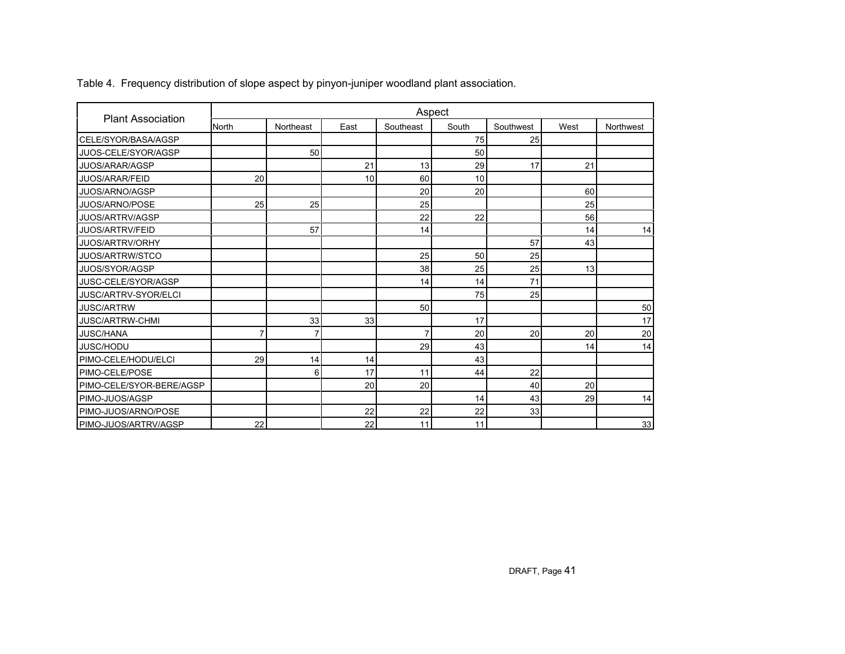| <b>Plant Association</b> |              |           |      |           | Aspect |           |      |           |
|--------------------------|--------------|-----------|------|-----------|--------|-----------|------|-----------|
|                          | <b>North</b> | Northeast | East | Southeast | South  | Southwest | West | Northwest |
| CELE/SYOR/BASA/AGSP      |              |           |      |           | 75     | 25        |      |           |
| JUOS-CELE/SYOR/AGSP      |              | 50        |      |           | 50     |           |      |           |
| JUOS/ARAR/AGSP           |              |           | 21   | 13        | 29     | 17        | 21   |           |
| JUOS/ARAR/FEID           | 20           |           | 10   | 60        | 10     |           |      |           |
| JUOS/ARNO/AGSP           |              |           |      | 20        | 20     |           | 60   |           |
| <b>JUOS/ARNO/POSE</b>    | 25           | 25        |      | 25        |        |           | 25   |           |
| JUOS/ARTRV/AGSP          |              |           |      | 22        | 22     |           | 56   |           |
| JUOS/ARTRV/FEID          |              | 57        |      | 14        |        |           | 14   | 14        |
| JUOS/ARTRV/ORHY          |              |           |      |           |        | 57        | 43   |           |
| <b>JUOS/ARTRW/STCO</b>   |              |           |      | 25        | 50     | 25        |      |           |
| JUOS/SYOR/AGSP           |              |           |      | 38        | 25     | 25        | 13   |           |
| JUSC-CELE/SYOR/AGSP      |              |           |      | 14        | 14     | 71        |      |           |
| JUSC/ARTRV-SYOR/ELCI     |              |           |      |           | 75     | 25        |      |           |
| <b>JUSC/ARTRW</b>        |              |           |      | 50        |        |           |      | 50        |
| <b>JUSC/ARTRW-CHMI</b>   |              | 33        | 33   |           | 17     |           |      | 17        |
| <b>JUSC/HANA</b>         |              |           |      |           | 20     | 20        | 20   | 20        |
| JUSC/HODU                |              |           |      | 29        | 43     |           | 14   | 14        |
| PIMO-CELE/HODU/ELCI      | 29           | 14        | 14   |           | 43     |           |      |           |
| <b>PIMO-CELE/POSE</b>    |              | 6         | 17   | 11        | 44     | 22        |      |           |
| PIMO-CELE/SYOR-BERE/AGSP |              |           | 20   | 20        |        | 40        | 20   |           |
| PIMO-JUOS/AGSP           |              |           |      |           | 14     | 43        | 29   | 14        |
| PIMO-JUOS/ARNO/POSE      |              |           | 22   | 22        | 22     | 33        |      |           |
| PIMO-JUOS/ARTRV/AGSP     | 22           |           | 22   | 11        | 11     |           |      | 33        |

Table 4. Frequency distribution of slope aspect by pinyon-juniper woodland plant association.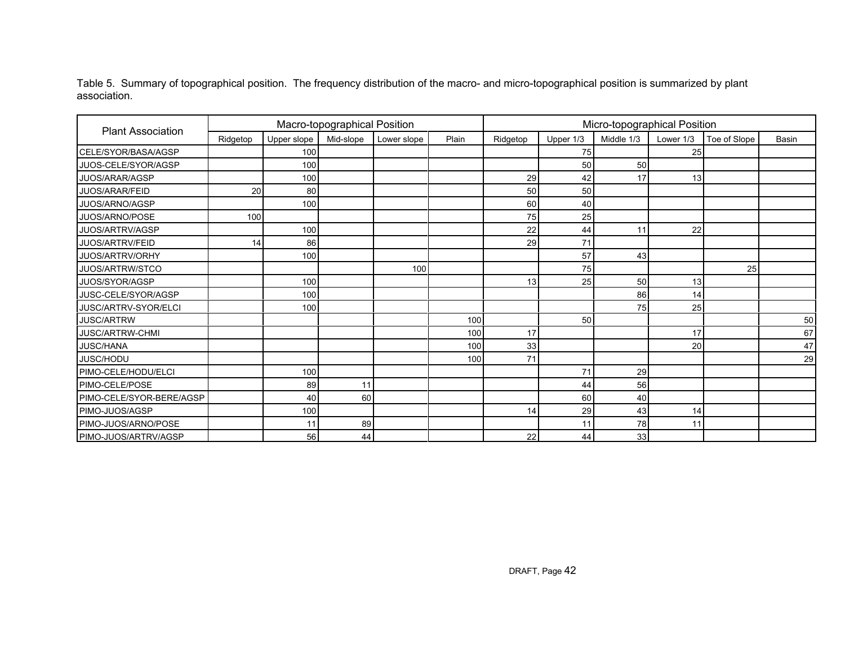Table 5. Summary of topographical position. The frequency distribution of the macro- and micro-topographical position is summarized by plant association.

|                          |          |             | Macro-topographical Position |             |       | Micro-topographical Position |              |                 |    |    |    |  |  |  |
|--------------------------|----------|-------------|------------------------------|-------------|-------|------------------------------|--------------|-----------------|----|----|----|--|--|--|
| <b>Plant Association</b> | Ridgetop | Upper slope | Mid-slope                    | Lower slope | Plain | Ridgetop                     | Toe of Slope | <b>Basin</b>    |    |    |    |  |  |  |
| CELE/SYOR/BASA/AGSP      |          | 100         |                              |             |       |                              | 75           |                 | 25 |    |    |  |  |  |
| JUOS-CELE/SYOR/AGSP      |          | 100         |                              |             |       |                              | 50           | 50              |    |    |    |  |  |  |
| JUOS/ARAR/AGSP           |          | 100         |                              |             |       | 29                           | 42           | 17              | 13 |    |    |  |  |  |
| <b>JUOS/ARAR/FEID</b>    | 20       | 80          |                              |             |       | 50                           | 50           |                 |    |    |    |  |  |  |
| JUOS/ARNO/AGSP           |          | 100         |                              |             |       | 60                           | 40           |                 |    |    |    |  |  |  |
| JUOS/ARNO/POSE           | 100      |             |                              |             |       | 75                           | 25           |                 |    |    |    |  |  |  |
| JUOS/ARTRV/AGSP          |          | 100         |                              |             |       | 22                           | 44           | 11              | 22 |    |    |  |  |  |
| JUOS/ARTRV/FEID          | 14       | 86          |                              |             |       | 29                           | 71           |                 |    |    |    |  |  |  |
| JUOS/ARTRV/ORHY          |          | 100         |                              |             |       |                              | 57           | 43              |    |    |    |  |  |  |
| JUOS/ARTRW/STCO          |          |             |                              | 100         |       |                              | 75           |                 |    | 25 |    |  |  |  |
| JUOS/SYOR/AGSP           |          | 100         |                              |             |       | 13                           | 25           | 50 <sub>1</sub> | 13 |    |    |  |  |  |
| JUSC-CELE/SYOR/AGSP      |          | 100         |                              |             |       |                              |              | 86              | 14 |    |    |  |  |  |
| JUSC/ARTRV-SYOR/ELCI     |          | 100         |                              |             |       |                              |              | 75              | 25 |    |    |  |  |  |
| <b>JUSC/ARTRW</b>        |          |             |                              |             | 100   |                              | 50           |                 |    |    | 50 |  |  |  |
| <b>JUSC/ARTRW-CHMI</b>   |          |             |                              |             | 100   | 17                           |              |                 | 17 |    | 67 |  |  |  |
| <b>JUSC/HANA</b>         |          |             |                              |             | 100   | 33                           |              |                 | 20 |    | 47 |  |  |  |
| JUSC/HODU                |          |             |                              |             | 100   | 71                           |              |                 |    |    | 29 |  |  |  |
| PIMO-CELE/HODU/ELCI      |          | 100         |                              |             |       |                              | 71           | 29              |    |    |    |  |  |  |
| PIMO-CELE/POSE           |          | 89          | 11                           |             |       |                              | 44           | 56              |    |    |    |  |  |  |
| PIMO-CELE/SYOR-BERE/AGSP |          | 40          | 60                           |             |       |                              | 60           | 40              |    |    |    |  |  |  |
| PIMO-JUOS/AGSP           |          | 100         |                              |             |       | 14                           | 29           | 43              | 14 |    |    |  |  |  |
| PIMO-JUOS/ARNO/POSE      |          | 11          | 89                           |             |       |                              | 11           | 78              | 11 |    |    |  |  |  |
| PIMO-JUOS/ARTRV/AGSP     |          | 56          | 44                           |             |       | 22                           | 44           | 33              |    |    |    |  |  |  |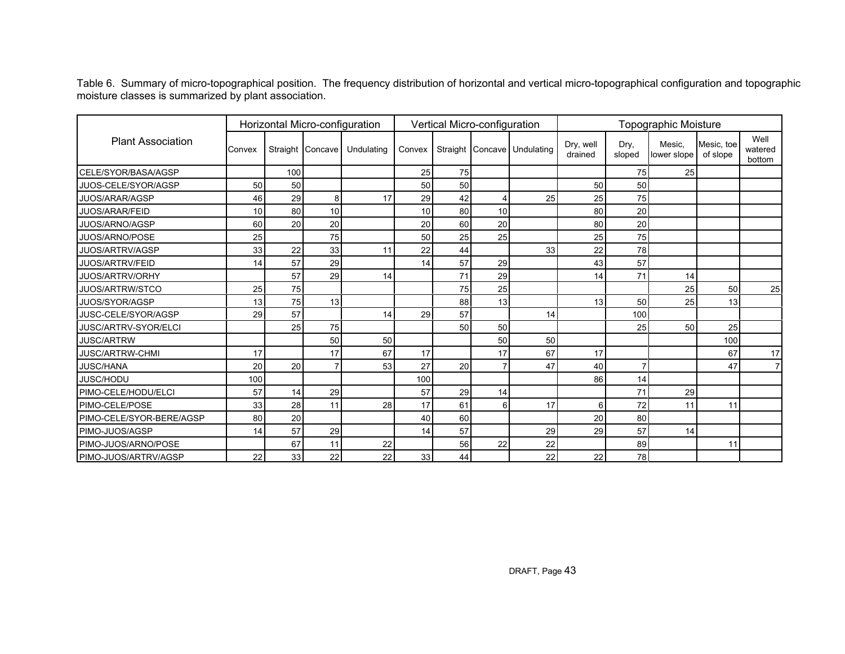Table 6. Summary of micro-topographical position. The frequency distribution of horizontal and vertical micro-topographical configuration and topographic moisture classes is summarized by plant association.

|                          |        |     |                  | Horizontal Micro-configuration |        | Vertical Micro-configuration |    |                             |                      |                |                       |                        |                           |
|--------------------------|--------|-----|------------------|--------------------------------|--------|------------------------------|----|-----------------------------|----------------------|----------------|-----------------------|------------------------|---------------------------|
| <b>Plant Association</b> | Convex |     | Straight Concave | Undulating                     | Convex |                              |    | Straight Concave Undulating | Dry, well<br>drained | Dry,<br>sloped | Mesic,<br>lower slope | Mesic, toe<br>of slope | Well<br>watered<br>bottom |
| CELE/SYOR/BASA/AGSP      |        | 100 |                  |                                | 25     | 75                           |    |                             |                      | 75             | 25                    |                        |                           |
| JUOS-CELE/SYOR/AGSP      | 50     | 50  |                  |                                | 50     | 50 <sub>1</sub>              |    |                             | 50                   | 50             |                       |                        |                           |
| <b>JUOS/ARAR/AGSP</b>    | 46     | 29  | 8                | 17                             | 29     | 42                           |    | 25                          | 25                   | 75             |                       |                        |                           |
| <b>JUOS/ARAR/FEID</b>    | 10     | 80  | 10               |                                | 10     | 80                           | 10 |                             | 80                   | 20             |                       |                        |                           |
| JUOS/ARNO/AGSP           | 60     | 20  | 20               |                                | 20     | 60                           | 20 |                             | 80                   | 20             |                       |                        |                           |
| JUOS/ARNO/POSE           | 25     |     | 75               |                                | 50     | 25                           | 25 |                             | 25                   | 75             |                       |                        |                           |
| <b>JUOS/ARTRV/AGSP</b>   | 33     | 22  | 33               | 11                             | 22     | 44                           |    | 33                          | 22                   | 78             |                       |                        |                           |
| <b>JUOS/ARTRV/FEID</b>   | 14     | 57  | 29               |                                | 14     | 57                           | 29 |                             | 43                   | 57             |                       |                        |                           |
| JUOS/ARTRV/ORHY          |        | 57  | 29               | 14                             |        | 71                           | 29 |                             | 14                   | 71             | 14                    |                        |                           |
| JUOS/ARTRW/STCO          | 25     | 75  |                  |                                |        | 75                           | 25 |                             |                      |                | 25                    | 50                     | 25                        |
| JUOS/SYOR/AGSP           | 13     | 75  | 13               |                                |        | 88                           | 13 |                             | 13                   | 50             | 25                    | 13 <sup>1</sup>        |                           |
| JUSC-CELE/SYOR/AGSP      | 29     | 57  |                  | 14                             | 29     | 57                           |    | 14                          |                      | 100            |                       |                        |                           |
| JUSC/ARTRV-SYOR/ELCI     |        | 25  | 75               |                                |        | 50 <sub>1</sub>              | 50 |                             |                      | 25             | 50                    | 25                     |                           |
| <b>JUSC/ARTRW</b>        |        |     | 50               | 50                             |        |                              | 50 | 50                          |                      |                |                       | 100                    |                           |
| <b>JUSC/ARTRW-CHMI</b>   | 17     |     | 17               | 67                             | 17     |                              | 17 | 67                          | 17                   |                |                       | 67                     | 17                        |
| <b>JUSC/HANA</b>         | 20     | 20  |                  | 53                             | 27     | 20 <sub>1</sub>              |    | 47                          | 40                   |                |                       | 47                     | $\overline{7}$            |
| <b>JUSC/HODU</b>         | 100    |     |                  |                                | 100    |                              |    |                             | 86                   | 14             |                       |                        |                           |
| PIMO-CELE/HODU/ELCI      | 57     | 14  | 29               |                                | 57     | 29                           | 14 |                             |                      | 71             | 29                    |                        |                           |
| PIMO-CELE/POSE           | 33     | 28  | 11               | 28                             | 17     | 61                           | 6  | 17                          | 6                    | 72             | 11                    | 11                     |                           |
| PIMO-CELE/SYOR-BERE/AGSP | 80     | 20  |                  |                                | 40     | 60                           |    |                             | 20                   | 80             |                       |                        |                           |
| PIMO-JUOS/AGSP           | 14     | 57  | 29               |                                | 14     | 57                           |    | 29                          | 29                   | 57             | 14                    |                        |                           |
| PIMO-JUOS/ARNO/POSE      |        | 67  | 11               | 22                             |        | 56                           | 22 | 22                          |                      | 89             |                       | 11                     |                           |
| PIMO-JUOS/ARTRV/AGSP     | 22     | 33  | 22               | 22                             | 33     | 44                           |    | 22                          | 22                   | 78             |                       |                        |                           |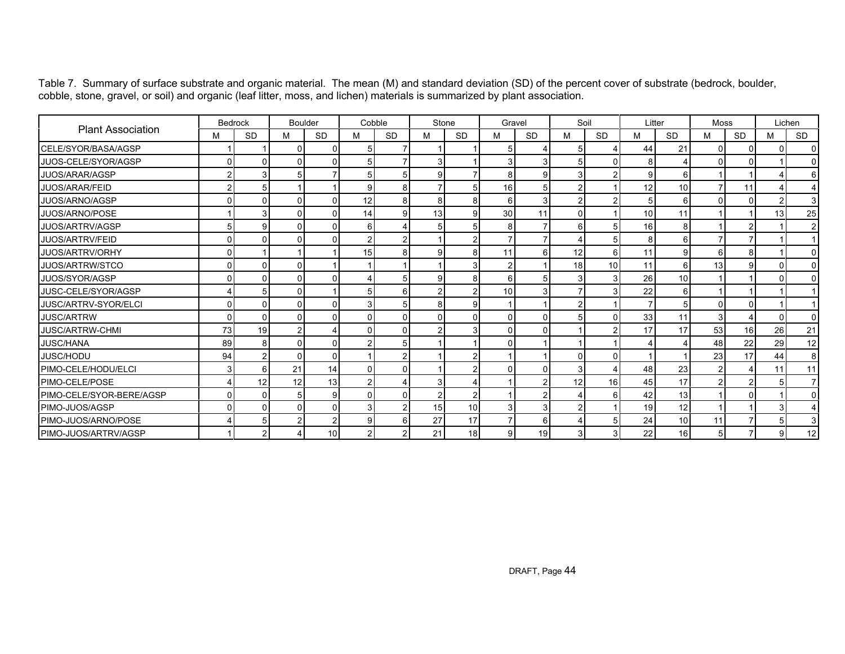Table 7. Summary of surface substrate and organic material. The mean (M) and standard deviation (SD) of the percent cover of substrate (bedrock, boulder, cobble, stone, gravel, or soil) and organic (leaf litter, moss, and lichen) materials is summarized by plant association.

|                          | Bedrock        |                | <b>Boulder</b> |           | Cobble         |           | Stone          |           | Gravel        |                | Soil     |               | Litter          |           | Moss     |                | Lichen |           |
|--------------------------|----------------|----------------|----------------|-----------|----------------|-----------|----------------|-----------|---------------|----------------|----------|---------------|-----------------|-----------|----------|----------------|--------|-----------|
| <b>Plant Association</b> | м              | <b>SD</b>      | М              | <b>SD</b> | M              | <b>SD</b> | м              | <b>SD</b> | М             | <b>SD</b>      | M        | <b>SD</b>     | M               | <b>SD</b> | М        | <b>SD</b>      | м      | <b>SD</b> |
| CELE/SYOR/BASA/AGSP      |                |                | 0              |           | 5              |           |                |           | 5             |                |          |               | 44              | 21        | $\Omega$ |                | U      |           |
| JUOS-CELE/SYOR/AGSP      | $\Omega$       | $\Omega$       |                |           |                |           | 3 <sup>1</sup> |           |               | 3              |          |               | 8               |           |          |                |        |           |
| JUOS/ARAR/AGSP           |                |                | 5              |           | 5              |           | 9 <sub>l</sub> |           | 8             | 9              |          |               | $\overline{9}$  |           |          |                |        |           |
| <b>JUOS/ARAR/FEID</b>    |                |                |                |           |                |           |                |           | 16            | 5              |          |               | 12              | 10        |          | 11             |        |           |
| JUOS/ARNO/AGSP           |                | $\Omega$       |                |           | 12             | R         | 8              |           | 6             | 3              |          |               | 5 <sup>1</sup>  |           |          | $\Omega$       |        |           |
| JUOS/ARNO/POSE           |                |                |                |           | 14             |           | 13             | a         | 30            | 11             | $\Omega$ |               | 10 <sup>1</sup> | 11        |          |                | 13     | 25        |
| JUOS/ARTRV/AGSP          |                | 9              |                |           | 6              |           | 5 <sub>5</sub> |           | 8             | $\overline{7}$ | 61       |               | 16              |           |          | 2              |        | 2         |
| <b>JUOS/ARTRV/FEID</b>   | οI             | $\Omega$       | U              |           | $\overline{c}$ | 2         |                |           |               | $\overline{7}$ |          | 5             | 8               |           |          |                |        |           |
| JUOS/ARTRV/ORHY          | $\Omega$       |                |                |           | 15             | 8         | 9 <sub>l</sub> |           | 11            | 6              | 12       | 6             | 11              |           | 6        | 8              |        |           |
| JUOS/ARTRW/STCO          | $\Omega$       | $\Omega$       | U              |           |                |           |                |           | $\mathcal{P}$ |                | 18       | 10            | 11              | ิค        | 13       | 9              |        |           |
| JUOS/SYOR/AGSP           | $\Omega$       | <sup>0</sup>   | U              |           |                | 5         | 9 <sub>l</sub> | 81        | 6             | 5 <sup>1</sup> |          | 3             | 26              | 10        |          |                |        |           |
| JUSC-CELE/SYOR/AGSP      |                |                | U              |           | 5              | 6         | $\overline{2}$ |           | 10            | 3              |          |               | 22              |           |          |                |        |           |
| JUSC/ARTRV-SYOR/ELCI     | 0              | $\Omega$       | <sup>0</sup>   |           | 3              | 5         | 8 <sup>1</sup> | a         |               |                |          |               | $\overline{7}$  |           | C        | O              |        |           |
| <b>JUSC/ARTRW</b>        | οI             | $\Omega$       | U              |           | ŋ              |           | $\Omega$       |           | O             | 0              |          | O             | 33              | 11        | 3        |                | U      |           |
| <b>JUSC/ARTRW-CHMI</b>   | 73             | 19             | 2              |           |                |           | $\overline{2}$ |           |               | $\Omega$       |          | $\mathcal{P}$ | 17              | 17        | 53       | 16             | 26     | 21        |
| <b>JUSC/HANA</b>         | 89             | 8              | U              |           |                |           |                |           |               |                |          |               |                 |           | 48       | 22             | 29     | 12        |
| JUSC/HODU                | 94             | $\mathcal{P}$  |                |           |                |           |                |           |               |                |          |               |                 |           | 23       | 17             | 44     | 8         |
| PIMO-CELE/HODU/ELCI      | $\overline{3}$ | 6              | 21             | 14        | C              | $\Omega$  |                |           | $\Omega$      | $\Omega$       |          |               | 48              | 23        |          | $\overline{4}$ | 11     | 11        |
| PIMO-CELE/POSE           |                | 12             | 12             | 13        |                |           | 3              |           |               |                | 12       | 16            | 45              | 17        |          | $\mathcal{P}$  |        |           |
| PIMO-CELE/SYOR-BERE/AGSP | $\overline{0}$ | $\Omega$       | 5              |           | ſ              | U         | 2 <sub>1</sub> |           |               | $\overline{2}$ |          | 6             | 42              | 13        |          | $\Omega$       |        | ŋ         |
| PIMO-JUOS/AGSP           | $\Omega$       | $\Omega$       | U              |           |                |           | 15             | 10        | 3             | $\mathbf{3}$   |          |               | 19              | 12        |          |                |        |           |
| PIMO-JUOS/ARNO/POSE      |                | 5              | 2              |           | g              | 6         | 27             | 17        |               | 6              |          | 5             | 24              | 10        | 11       | 7              | 5      | 3         |
| PIMO-JUOS/ARTRV/AGSP     |                | $\overline{2}$ |                | 10        | $\overline{2}$ | 2         | 21             | 18        | 9             | 19             | 31       | 3             | 22              | 16        | 5        | 7              | 91     | 12        |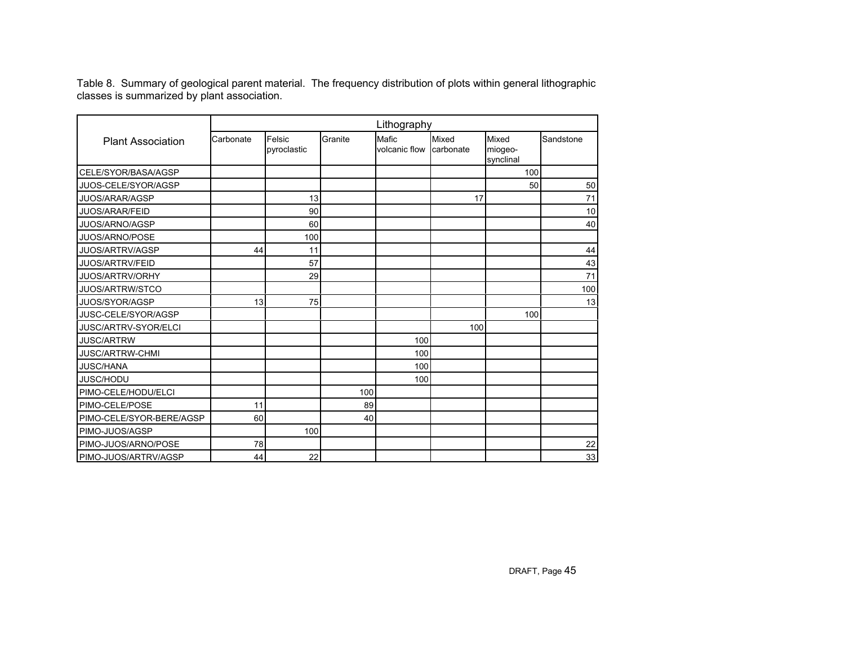Table 8. Summary of geological parent material. The frequency distribution of plots within general lithographic classes is summarized by plant association.

|                          | Lithography |                       |         |                        |                    |                               |           |  |  |  |  |
|--------------------------|-------------|-----------------------|---------|------------------------|--------------------|-------------------------------|-----------|--|--|--|--|
| <b>Plant Association</b> | Carbonate   | Felsic<br>pyroclastic | Granite | Mafic<br>volcanic flow | Mixed<br>carbonate | Mixed<br>miogeo-<br>synclinal | Sandstone |  |  |  |  |
| CELE/SYOR/BASA/AGSP      |             |                       |         |                        |                    | 100                           |           |  |  |  |  |
| JUOS-CELE/SYOR/AGSP      |             |                       |         |                        |                    | 50                            | 50        |  |  |  |  |
| JUOS/ARAR/AGSP           |             | 13                    |         |                        | 17                 |                               | 71        |  |  |  |  |
| JUOS/ARAR/FEID           |             | 90                    |         |                        |                    |                               | 10        |  |  |  |  |
| JUOS/ARNO/AGSP           |             | 60                    |         |                        |                    |                               | 40        |  |  |  |  |
| JUOS/ARNO/POSE           |             | 100                   |         |                        |                    |                               |           |  |  |  |  |
| JUOS/ARTRV/AGSP          | 44          | 11                    |         |                        |                    |                               | 44        |  |  |  |  |
| JUOS/ARTRV/FEID          |             | 57                    |         |                        |                    |                               | 43        |  |  |  |  |
| JUOS/ARTRV/ORHY          |             | 29                    |         |                        |                    |                               | 71        |  |  |  |  |
| JUOS/ARTRW/STCO          |             |                       |         |                        |                    |                               | 100       |  |  |  |  |
| JUOS/SYOR/AGSP           | 13          | 75                    |         |                        |                    |                               | 13        |  |  |  |  |
| JUSC-CELE/SYOR/AGSP      |             |                       |         |                        |                    | 100                           |           |  |  |  |  |
| JUSC/ARTRV-SYOR/ELCI     |             |                       |         |                        | 100                |                               |           |  |  |  |  |
| <b>JUSC/ARTRW</b>        |             |                       |         | 100                    |                    |                               |           |  |  |  |  |
| <b>JUSC/ARTRW-CHMI</b>   |             |                       |         | 100                    |                    |                               |           |  |  |  |  |
| <b>JUSC/HANA</b>         |             |                       |         | 100                    |                    |                               |           |  |  |  |  |
| JUSC/HODU                |             |                       |         | 100                    |                    |                               |           |  |  |  |  |
| PIMO-CELE/HODU/ELCI      |             |                       | 100     |                        |                    |                               |           |  |  |  |  |
| PIMO-CELE/POSE           | 11          |                       | 89      |                        |                    |                               |           |  |  |  |  |
| PIMO-CELE/SYOR-BERE/AGSP | 60          |                       | 40      |                        |                    |                               |           |  |  |  |  |
| PIMO-JUOS/AGSP           |             | 100                   |         |                        |                    |                               |           |  |  |  |  |
| PIMO-JUOS/ARNO/POSE      | 78          |                       |         |                        |                    |                               | 22        |  |  |  |  |
| PIMO-JUOS/ARTRV/AGSP     | 44          | 22                    |         |                        |                    |                               | 33        |  |  |  |  |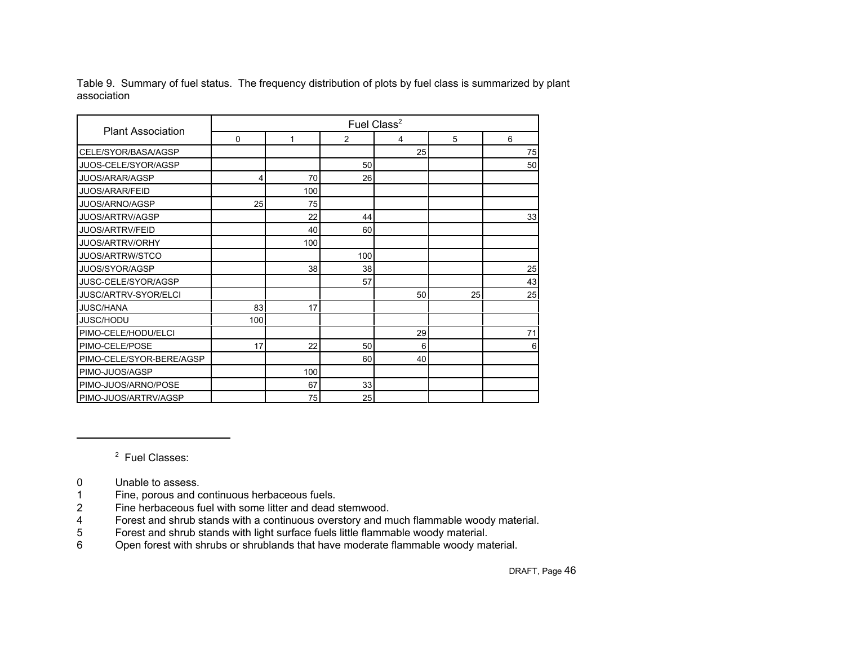Table 9. Summary of fuel status. The frequency distribution of plots by fuel class is summarized by plant association

| <b>Plant Association</b> |             |     |                | Fuel Class <sup>2</sup> |    |    |
|--------------------------|-------------|-----|----------------|-------------------------|----|----|
|                          | $\mathbf 0$ | 1   | $\overline{2}$ | $\overline{4}$          | 5  | 6  |
| CELE/SYOR/BASA/AGSP      |             |     |                | 25                      |    | 75 |
| JUOS-CELE/SYOR/AGSP      |             |     | 50             |                         |    | 50 |
| <b>JUOS/ARAR/AGSP</b>    | 4           | 70  | 26             |                         |    |    |
| <b>JUOS/ARAR/FEID</b>    |             | 100 |                |                         |    |    |
| JUOS/ARNO/AGSP           | 25          | 75  |                |                         |    |    |
| JUOS/ARTRV/AGSP          |             | 22  | 44             |                         |    | 33 |
| JUOS/ARTRV/FEID          |             | 40  | 60             |                         |    |    |
| JUOS/ARTRV/ORHY          |             | 100 |                |                         |    |    |
| JUOS/ARTRW/STCO          |             |     | 100            |                         |    |    |
| JUOS/SYOR/AGSP           |             | 38  | 38             |                         |    | 25 |
| JUSC-CELE/SYOR/AGSP      |             |     | 57             |                         |    | 43 |
| JUSC/ARTRV-SYOR/ELCI     |             |     |                | 50                      | 25 | 25 |
| <b>JUSC/HANA</b>         | 83          | 17  |                |                         |    |    |
| JUSC/HODU                | 100         |     |                |                         |    |    |
| PIMO-CELE/HODU/ELCI      |             |     |                | 29                      |    | 71 |
| PIMO-CELE/POSE           | 17          | 22  | 50             | 6                       |    | 6  |
| PIMO-CELE/SYOR-BERE/AGSP |             |     | 60             | 40                      |    |    |
| PIMO-JUOS/AGSP           |             | 100 |                |                         |    |    |
| PIMO-JUOS/ARNO/POSE      |             | 67  | 33             |                         |    |    |
| PIMO-JUOS/ARTRV/AGSP     |             | 75  | 25             |                         |    |    |

2 Fuel Classes:

- 0 Unable to assess.
- 1 Fine, porous and continuous herbaceous fuels.
- 2 Fine herbaceous fuel with some litter and dead stemwood.
- 4 Forest and shrub stands with a continuous overstory and much flammable woody material.<br>5 Forest and shrub stands with light surface fuels little flammable woody material.
- 5 Forest and shrub stands with light surface fuels little flammable woody material.
- 6 Open forest with shrubs or shrublands that have moderate flammable woody material.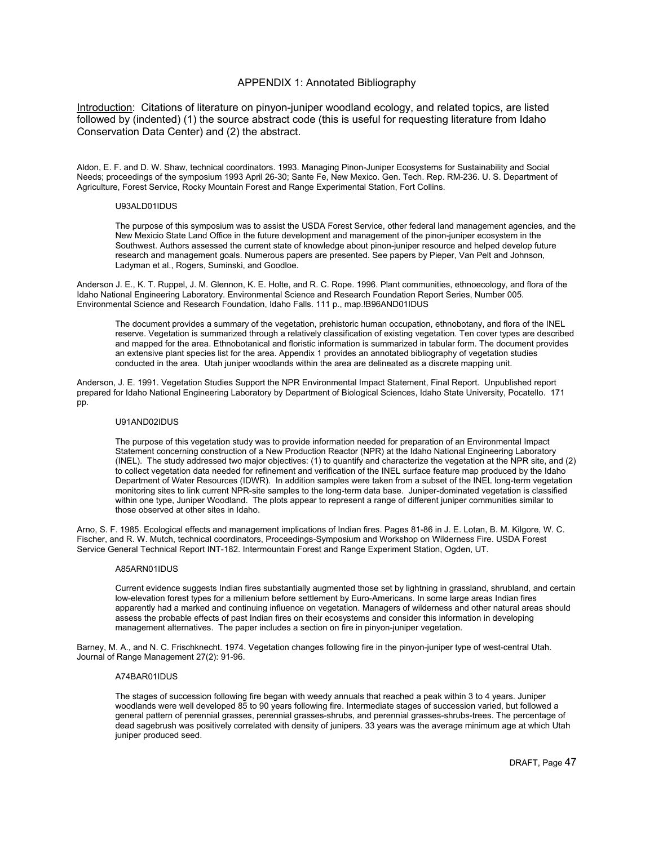# APPENDIX 1: Annotated Bibliography

Introduction: Citations of literature on pinyon-juniper woodland ecology, and related topics, are listed followed by (indented) (1) the source abstract code (this is useful for requesting literature from Idaho Conservation Data Center) and (2) the abstract.

Aldon, E. F. and D. W. Shaw, technical coordinators. 1993. Managing Pinon-Juniper Ecosystems for Sustainability and Social Needs; proceedings of the symposium 1993 April 26-30; Sante Fe, New Mexico. Gen. Tech. Rep. RM-236. U. S. Department of Agriculture, Forest Service, Rocky Mountain Forest and Range Experimental Station, Fort Collins.

## U93ALD01IDUS

The purpose of this symposium was to assist the USDA Forest Service, other federal land management agencies, and the New Mexicio State Land Office in the future development and management of the pinon-juniper ecosystem in the Southwest. Authors assessed the current state of knowledge about pinon-juniper resource and helped develop future research and management goals. Numerous papers are presented. See papers by Pieper, Van Pelt and Johnson, Ladyman et al., Rogers, Suminski, and Goodloe.

Anderson J. E., K. T. Ruppel, J. M. Glennon, K. E. Holte, and R. C. Rope. 1996. Plant communities, ethnoecology, and flora of the Idaho National Engineering Laboratory. Environmental Science and Research Foundation Report Series, Number 005. Environmental Science and Research Foundation, Idaho Falls. 111 p., map.!B96AND01IDUS

The document provides a summary of the vegetation, prehistoric human occupation, ethnobotany, and flora of the INEL reserve. Vegetation is summarized through a relatively classification of existing vegetation. Ten cover types are described and mapped for the area. Ethnobotanical and floristic information is summarized in tabular form. The document provides an extensive plant species list for the area. Appendix 1 provides an annotated bibliography of vegetation studies conducted in the area. Utah juniper woodlands within the area are delineated as a discrete mapping unit.

Anderson, J. E. 1991. Vegetation Studies Support the NPR Environmental Impact Statement, Final Report. Unpublished report prepared for Idaho National Engineering Laboratory by Department of Biological Sciences, Idaho State University, Pocatello. 171 pp.

## U91AND02IDUS

The purpose of this vegetation study was to provide information needed for preparation of an Environmental Impact Statement concerning construction of a New Production Reactor (NPR) at the Idaho National Engineering Laboratory (INEL). The study addressed two major objectives: (1) to quantify and characterize the vegetation at the NPR site, and (2) to collect vegetation data needed for refinement and verification of the INEL surface feature map produced by the Idaho Department of Water Resources (IDWR). In addition samples were taken from a subset of the INEL long-term vegetation monitoring sites to link current NPR-site samples to the long-term data base. Juniper-dominated vegetation is classified within one type, Juniper Woodland. The plots appear to represent a range of different juniper communities similar to those observed at other sites in Idaho.

Arno, S. F. 1985. Ecological effects and management implications of Indian fires. Pages 81-86 in J. E. Lotan, B. M. Kilgore, W. C. Fischer, and R. W. Mutch, technical coordinators, Proceedings-Symposium and Workshop on Wilderness Fire. USDA Forest Service General Technical Report INT-182. Intermountain Forest and Range Experiment Station, Ogden, UT.

## A85ARN01IDUS

Current evidence suggests Indian fires substantially augmented those set by lightning in grassland, shrubland, and certain low-elevation forest types for a millenium before settlement by Euro-Americans. In some large areas Indian fires apparently had a marked and continuing influence on vegetation. Managers of wilderness and other natural areas should assess the probable effects of past Indian fires on their ecosystems and consider this information in developing management alternatives. The paper includes a section on fire in pinyon-juniper vegetation.

Barney, M. A., and N. C. Frischknecht. 1974. Vegetation changes following fire in the pinyon-juniper type of west-central Utah. Journal of Range Management 27(2): 91-96.

## A74BAR01IDUS

The stages of succession following fire began with weedy annuals that reached a peak within 3 to 4 years. Juniper woodlands were well developed 85 to 90 years following fire. Intermediate stages of succession varied, but followed a general pattern of perennial grasses, perennial grasses-shrubs, and perennial grasses-shrubs-trees. The percentage of dead sagebrush was positively correlated with density of junipers. 33 years was the average minimum age at which Utah juniper produced seed.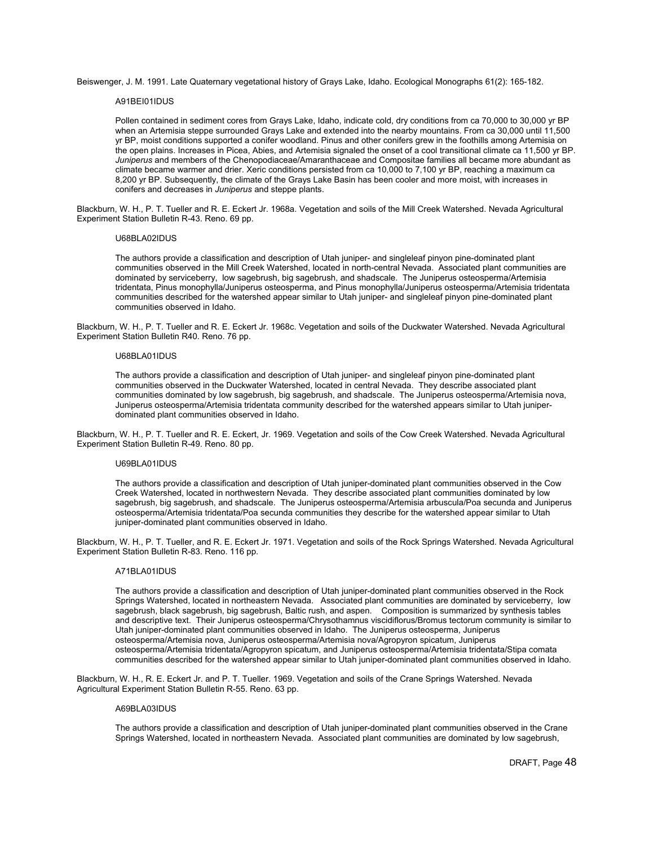Beiswenger, J. M. 1991. Late Quaternary vegetational history of Grays Lake, Idaho. Ecological Monographs 61(2): 165-182.

### A91BEI01IDUS

Pollen contained in sediment cores from Grays Lake, Idaho, indicate cold, dry conditions from ca 70,000 to 30,000 yr BP when an Artemisia steppe surrounded Grays Lake and extended into the nearby mountains. From ca 30,000 until 11,500 yr BP, moist conditions supported a conifer woodland. Pinus and other conifers grew in the foothills among Artemisia on the open plains. Increases in Picea, Abies, and Artemisia signaled the onset of a cool transitional climate ca 11,500 yr BP. *Juniperus* and members of the Chenopodiaceae/Amaranthaceae and Compositae families all became more abundant as climate became warmer and drier. Xeric conditions persisted from ca 10,000 to 7,100 yr BP, reaching a maximum ca 8,200 yr BP. Subsequently, the climate of the Grays Lake Basin has been cooler and more moist, with increases in conifers and decreases in *Juniperus* and steppe plants.

Blackburn, W. H., P. T. Tueller and R. E. Eckert Jr. 1968a. Vegetation and soils of the Mill Creek Watershed. Nevada Agricultural Experiment Station Bulletin R-43. Reno. 69 pp.

### U68BLA02IDUS

The authors provide a classification and description of Utah juniper- and singleleaf pinyon pine-dominated plant communities observed in the Mill Creek Watershed, located in north-central Nevada. Associated plant communities are dominated by serviceberry, low sagebrush, big sagebrush, and shadscale. The Juniperus osteosperma/Artemisia tridentata, Pinus monophylla/Juniperus osteosperma, and Pinus monophylla/Juniperus osteosperma/Artemisia tridentata communities described for the watershed appear similar to Utah juniper- and singleleaf pinyon pine-dominated plant communities observed in Idaho.

Blackburn, W. H., P. T. Tueller and R. E. Eckert Jr. 1968c. Vegetation and soils of the Duckwater Watershed. Nevada Agricultural Experiment Station Bulletin R40. Reno. 76 pp.

## U68BLA01IDUS

The authors provide a classification and description of Utah juniper- and singleleaf pinyon pine-dominated plant communities observed in the Duckwater Watershed, located in central Nevada. They describe associated plant communities dominated by low sagebrush, big sagebrush, and shadscale. The Juniperus osteosperma/Artemisia nova, Juniperus osteosperma/Artemisia tridentata community described for the watershed appears similar to Utah juniperdominated plant communities observed in Idaho.

Blackburn, W. H., P. T. Tueller and R. E. Eckert, Jr. 1969. Vegetation and soils of the Cow Creek Watershed. Nevada Agricultural Experiment Station Bulletin R-49. Reno. 80 pp.

### U69BLA01IDUS

The authors provide a classification and description of Utah juniper-dominated plant communities observed in the Cow Creek Watershed, located in northwestern Nevada. They describe associated plant communities dominated by low sagebrush, big sagebrush, and shadscale. The Juniperus osteosperma/Artemisia arbuscula/Poa secunda and Juniperus osteosperma/Artemisia tridentata/Poa secunda communities they describe for the watershed appear similar to Utah juniper-dominated plant communities observed in Idaho.

Blackburn, W. H., P. T. Tueller, and R. E. Eckert Jr. 1971. Vegetation and soils of the Rock Springs Watershed. Nevada Agricultural Experiment Station Bulletin R-83. Reno. 116 pp.

#### A71BLA01IDUS

The authors provide a classification and description of Utah juniper-dominated plant communities observed in the Rock Springs Watershed, located in northeastern Nevada. Associated plant communities are dominated by serviceberry, low sagebrush, black sagebrush, big sagebrush, Baltic rush, and aspen. Composition is summarized by synthesis tables and descriptive text. Their Juniperus osteosperma/Chrysothamnus viscidiflorus/Bromus tectorum community is similar to Utah juniper-dominated plant communities observed in Idaho. The Juniperus osteosperma, Juniperus osteosperma/Artemisia nova, Juniperus osteosperma/Artemisia nova/Agropyron spicatum, Juniperus osteosperma/Artemisia tridentata/Agropyron spicatum, and Juniperus osteosperma/Artemisia tridentata/Stipa comata communities described for the watershed appear similar to Utah juniper-dominated plant communities observed in Idaho.

Blackburn, W. H., R. E. Eckert Jr. and P. T. Tueller. 1969. Vegetation and soils of the Crane Springs Watershed. Nevada Agricultural Experiment Station Bulletin R-55. Reno. 63 pp.

### A69BLA03IDUS

The authors provide a classification and description of Utah juniper-dominated plant communities observed in the Crane Springs Watershed, located in northeastern Nevada. Associated plant communities are dominated by low sagebrush,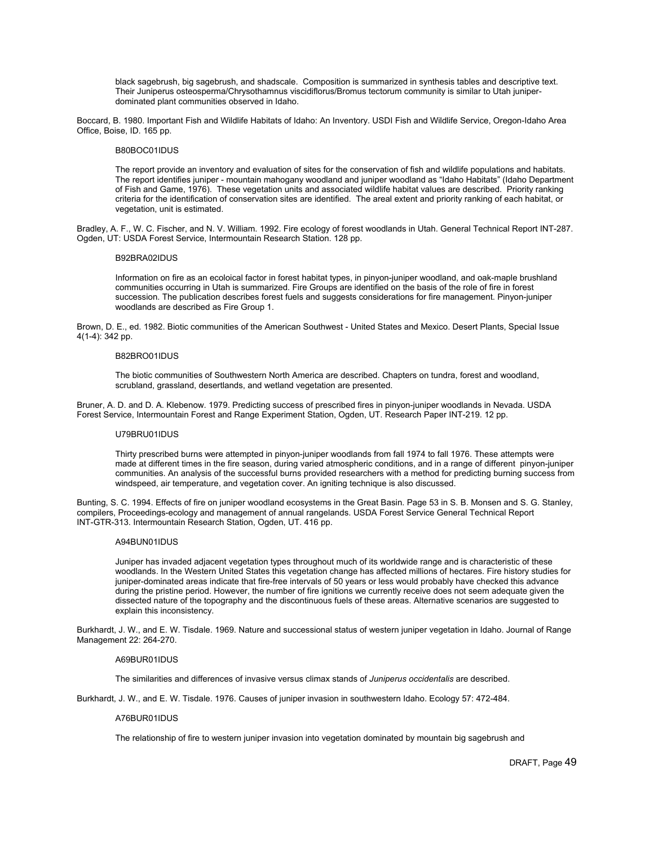black sagebrush, big sagebrush, and shadscale. Composition is summarized in synthesis tables and descriptive text. Their Juniperus osteosperma/Chrysothamnus viscidiflorus/Bromus tectorum community is similar to Utah juniperdominated plant communities observed in Idaho.

Boccard, B. 1980. Important Fish and Wildlife Habitats of Idaho: An Inventory. USDI Fish and Wildlife Service, Oregon-Idaho Area Office, Boise, ID. 165 pp.

## B80BOC01IDUS

The report provide an inventory and evaluation of sites for the conservation of fish and wildlife populations and habitats. The report identifies juniper - mountain mahogany woodland and juniper woodland as "Idaho Habitats" (Idaho Department of Fish and Game, 1976). These vegetation units and associated wildlife habitat values are described. Priority ranking criteria for the identification of conservation sites are identified. The areal extent and priority ranking of each habitat, or vegetation, unit is estimated.

Bradley, A. F., W. C. Fischer, and N. V. William. 1992. Fire ecology of forest woodlands in Utah. General Technical Report INT-287. Ogden, UT: USDA Forest Service, Intermountain Research Station. 128 pp.

### B92BRA02IDUS

Information on fire as an ecoloical factor in forest habitat types, in pinyon-juniper woodland, and oak-maple brushland communities occurring in Utah is summarized. Fire Groups are identified on the basis of the role of fire in forest succession. The publication describes forest fuels and suggests considerations for fire management. Pinyon-juniper woodlands are described as Fire Group 1.

Brown, D. E., ed. 1982. Biotic communities of the American Southwest - United States and Mexico. Desert Plants, Special Issue 4(1-4): 342 pp.

## B82BRO01IDUS

The biotic communities of Southwestern North America are described. Chapters on tundra, forest and woodland, scrubland, grassland, desertlands, and wetland vegetation are presented.

Bruner, A. D. and D. A. Klebenow. 1979. Predicting success of prescribed fires in pinyon-juniper woodlands in Nevada. USDA Forest Service, Intermountain Forest and Range Experiment Station, Ogden, UT. Research Paper INT-219. 12 pp.

## U79BRU01IDUS

Thirty prescribed burns were attempted in pinyon-juniper woodlands from fall 1974 to fall 1976. These attempts were made at different times in the fire season, during varied atmospheric conditions, and in a range of different pinyon-juniper communities. An analysis of the successful burns provided researchers with a method for predicting burning success from windspeed, air temperature, and vegetation cover. An igniting technique is also discussed.

Bunting, S. C. 1994. Effects of fire on juniper woodland ecosystems in the Great Basin. Page 53 in S. B. Monsen and S. G. Stanley, compilers, Proceedings-ecology and management of annual rangelands. USDA Forest Service General Technical Report INT-GTR-313. Intermountain Research Station, Ogden, UT. 416 pp.

## A94BUN01IDUS

Juniper has invaded adjacent vegetation types throughout much of its worldwide range and is characteristic of these woodlands. In the Western United States this vegetation change has affected millions of hectares. Fire history studies for juniper-dominated areas indicate that fire-free intervals of 50 years or less would probably have checked this advance during the pristine period. However, the number of fire ignitions we currently receive does not seem adequate given the dissected nature of the topography and the discontinuous fuels of these areas. Alternative scenarios are suggested to explain this inconsistency.

Burkhardt, J. W., and E. W. Tisdale. 1969. Nature and successional status of western juniper vegetation in Idaho. Journal of Range Management 22: 264-270.

### A69BUR01IDUS

The similarities and differences of invasive versus climax stands of *Juniperus occidentalis* are described.

Burkhardt, J. W., and E. W. Tisdale. 1976. Causes of juniper invasion in southwestern Idaho. Ecology 57: 472-484.

## A76BUR01IDUS

The relationship of fire to western juniper invasion into vegetation dominated by mountain big sagebrush and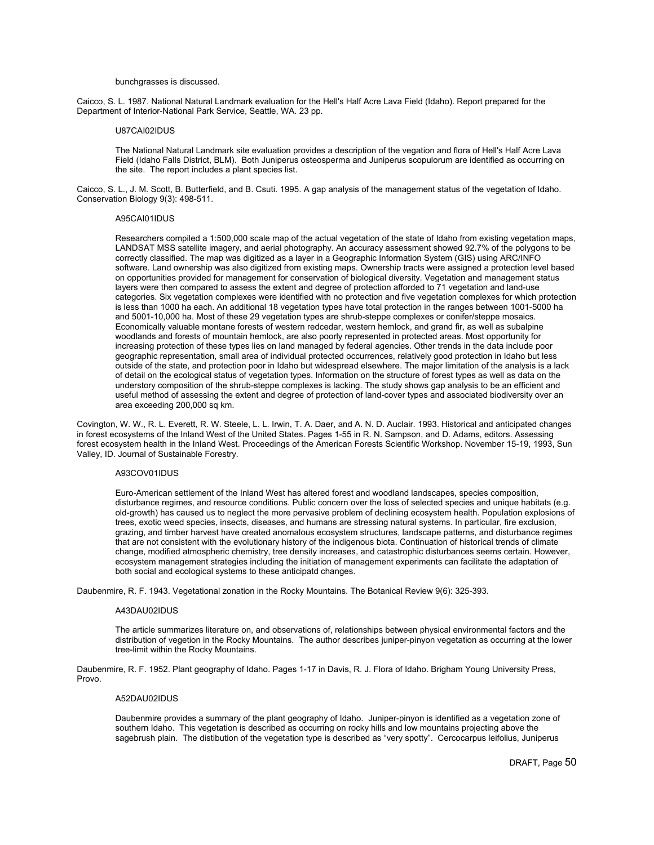### bunchgrasses is discussed.

Caicco, S. L. 1987. National Natural Landmark evaluation for the Hell's Half Acre Lava Field (Idaho). Report prepared for the Department of Interior-National Park Service, Seattle, WA. 23 pp.

## U87CAI02IDUS

The National Natural Landmark site evaluation provides a description of the vegation and flora of Hell's Half Acre Lava Field (Idaho Falls District, BLM). Both Juniperus osteosperma and Juniperus scopulorum are identified as occurring on the site. The report includes a plant species list.

Caicco, S. L., J. M. Scott, B. Butterfield, and B. Csuti. 1995. A gap analysis of the management status of the vegetation of Idaho. Conservation Biology 9(3): 498-511.

### A95CAI01IDUS

Researchers compiled a 1:500,000 scale map of the actual vegetation of the state of Idaho from existing vegetation maps, LANDSAT MSS satellite imagery, and aerial photography. An accuracy assessment showed 92.7% of the polygons to be correctly classified. The map was digitized as a layer in a Geographic Information System (GIS) using ARC/INFO software. Land ownership was also digitized from existing maps. Ownership tracts were assigned a protection level based on opportunities provided for management for conservation of biological diversity. Vegetation and management status layers were then compared to assess the extent and degree of protection afforded to 71 vegetation and land-use categories. Six vegetation complexes were identified with no protection and five vegetation complexes for which protection is less than 1000 ha each. An additional 18 vegetation types have total protection in the ranges between 1001-5000 ha and 5001-10,000 ha. Most of these 29 vegetation types are shrub-steppe complexes or conifer/steppe mosaics. Economically valuable montane forests of western redcedar, western hemlock, and grand fir, as well as subalpine woodlands and forests of mountain hemlock, are also poorly represented in protected areas. Most opportunity for increasing protection of these types lies on land managed by federal agencies. Other trends in the data include poor geographic representation, small area of individual protected occurrences, relatively good protection in Idaho but less outside of the state, and protection poor in Idaho but widespread elsewhere. The major limitation of the analysis is a lack of detail on the ecological status of vegetation types. Information on the structure of forest types as well as data on the understory composition of the shrub-steppe complexes is lacking. The study shows gap analysis to be an efficient and useful method of assessing the extent and degree of protection of land-cover types and associated biodiversity over an area exceeding 200,000 sq km.

Covington, W. W., R. L. Everett, R. W. Steele, L. L. Irwin, T. A. Daer, and A. N. D. Auclair. 1993. Historical and anticipated changes in forest ecosystems of the Inland West of the United States. Pages 1-55 in R. N. Sampson, and D. Adams, editors. Assessing forest ecosystem health in the Inland West. Proceedings of the American Forests Scientific Workshop. November 15-19, 1993, Sun Valley, ID. Journal of Sustainable Forestry.

### A93COV01IDUS

Euro-American settlement of the Inland West has altered forest and woodland landscapes, species composition, disturbance regimes, and resource conditions. Public concern over the loss of selected species and unique habitats (e.g. old-growth) has caused us to neglect the more pervasive problem of declining ecosystem health. Population explosions of trees, exotic weed species, insects, diseases, and humans are stressing natural systems. In particular, fire exclusion, grazing, and timber harvest have created anomalous ecosystem structures, landscape patterns, and disturbance regimes that are not consistent with the evolutionary history of the indigenous biota. Continuation of historical trends of climate change, modified atmospheric chemistry, tree density increases, and catastrophic disturbances seems certain. However, ecosystem management strategies including the initiation of management experiments can facilitate the adaptation of both social and ecological systems to these anticipatd changes.

Daubenmire, R. F. 1943. Vegetational zonation in the Rocky Mountains. The Botanical Review 9(6): 325-393.

#### A43DAU02IDUS

The article summarizes literature on, and observations of, relationships between physical environmental factors and the distribution of vegetion in the Rocky Mountains. The author describes juniper-pinyon vegetation as occurring at the lower tree-limit within the Rocky Mountains.

Daubenmire, R. F. 1952. Plant geography of Idaho. Pages 1-17 in Davis, R. J. Flora of Idaho. Brigham Young University Press, Provo.

### A52DAU02IDUS

Daubenmire provides a summary of the plant geography of Idaho. Juniper-pinyon is identified as a vegetation zone of southern Idaho. This vegetation is described as occurring on rocky hills and low mountains projecting above the sagebrush plain. The distibution of the vegetation type is described as "very spotty". Cercocarpus leifolius, Juniperus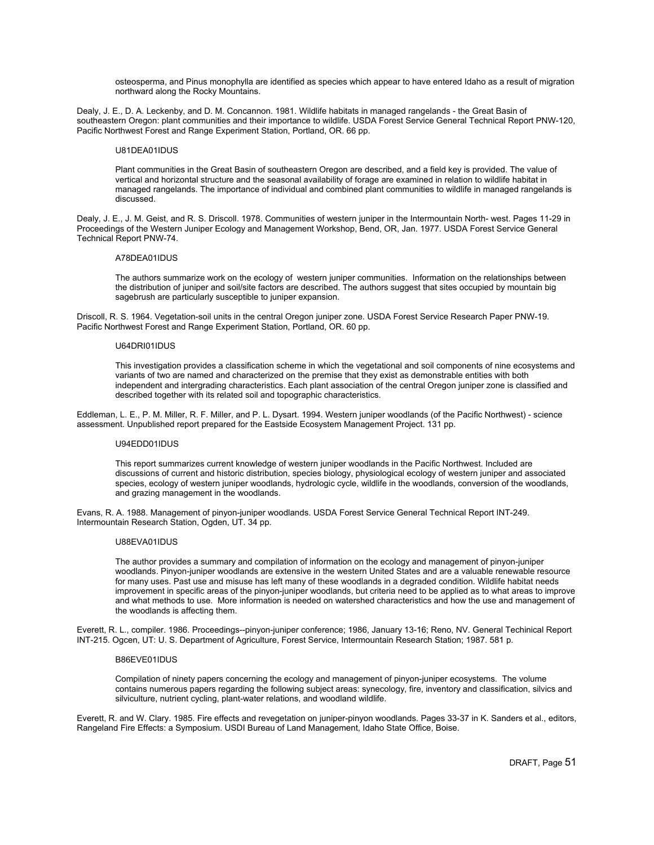osteosperma, and Pinus monophylla are identified as species which appear to have entered Idaho as a result of migration northward along the Rocky Mountains.

Dealy, J. E., D. A. Leckenby, and D. M. Concannon. 1981. Wildlife habitats in managed rangelands - the Great Basin of southeastern Oregon: plant communities and their importance to wildlife. USDA Forest Service General Technical Report PNW-120, Pacific Northwest Forest and Range Experiment Station, Portland, OR. 66 pp.

## U81DEA01IDUS

Plant communities in the Great Basin of southeastern Oregon are described, and a field key is provided. The value of vertical and horizontal structure and the seasonal availability of forage are examined in relation to wildlife habitat in managed rangelands. The importance of individual and combined plant communities to wildlife in managed rangelands is discussed.

Dealy, J. E., J. M. Geist, and R. S. Driscoll. 1978. Communities of western juniper in the Intermountain North- west. Pages 11-29 in Proceedings of the Western Juniper Ecology and Management Workshop, Bend, OR, Jan. 1977. USDA Forest Service General Technical Report PNW-74.

## A78DEA01IDUS

The authors summarize work on the ecology of western juniper communities. Information on the relationships between the distribution of juniper and soil/site factors are described. The authors suggest that sites occupied by mountain big sagebrush are particularly susceptible to juniper expansion.

Driscoll, R. S. 1964. Vegetation-soil units in the central Oregon juniper zone. USDA Forest Service Research Paper PNW-19. Pacific Northwest Forest and Range Experiment Station, Portland, OR. 60 pp.

### U64DRI01IDUS

This investigation provides a classification scheme in which the vegetational and soil components of nine ecosystems and variants of two are named and characterized on the premise that they exist as demonstrable entities with both independent and intergrading characteristics. Each plant association of the central Oregon juniper zone is classified and described together with its related soil and topographic characteristics.

Eddleman, L. E., P. M. Miller, R. F. Miller, and P. L. Dysart. 1994. Western juniper woodlands (of the Pacific Northwest) - science assessment. Unpublished report prepared for the Eastside Ecosystem Management Project. 131 pp.

## U94EDD01IDUS

This report summarizes current knowledge of western juniper woodlands in the Pacific Northwest. Included are discussions of current and historic distribution, species biology, physiological ecology of western juniper and associated species, ecology of western juniper woodlands, hydrologic cycle, wildlife in the woodlands, conversion of the woodlands, and grazing management in the woodlands.

Evans, R. A. 1988. Management of pinyon-juniper woodlands. USDA Forest Service General Technical Report INT-249. Intermountain Research Station, Ogden, UT. 34 pp.

## U88EVA01IDUS

The author provides a summary and compilation of information on the ecology and management of pinyon-juniper woodlands. Pinyon-juniper woodlands are extensive in the western United States and are a valuable renewable resource for many uses. Past use and misuse has left many of these woodlands in a degraded condition. Wildlife habitat needs improvement in specific areas of the pinyon-juniper woodlands, but criteria need to be applied as to what areas to improve and what methods to use. More information is needed on watershed characteristics and how the use and management of the woodlands is affecting them.

Everett, R. L., compiler. 1986. Proceedings--pinyon-juniper conference; 1986, January 13-16; Reno, NV. General Techinical Report INT-215. Ogcen, UT: U. S. Department of Agriculture, Forest Service, Intermountain Research Station; 1987. 581 p.

## B86EVE01IDUS

Compilation of ninety papers concerning the ecology and management of pinyon-juniper ecosystems. The volume contains numerous papers regarding the following subject areas: synecology, fire, inventory and classification, silvics and silviculture, nutrient cycling, plant-water relations, and woodland wildlife.

Everett, R. and W. Clary. 1985. Fire effects and revegetation on juniper-pinyon woodlands. Pages 33-37 in K. Sanders et al., editors, Rangeland Fire Effects: a Symposium. USDI Bureau of Land Management, Idaho State Office, Boise.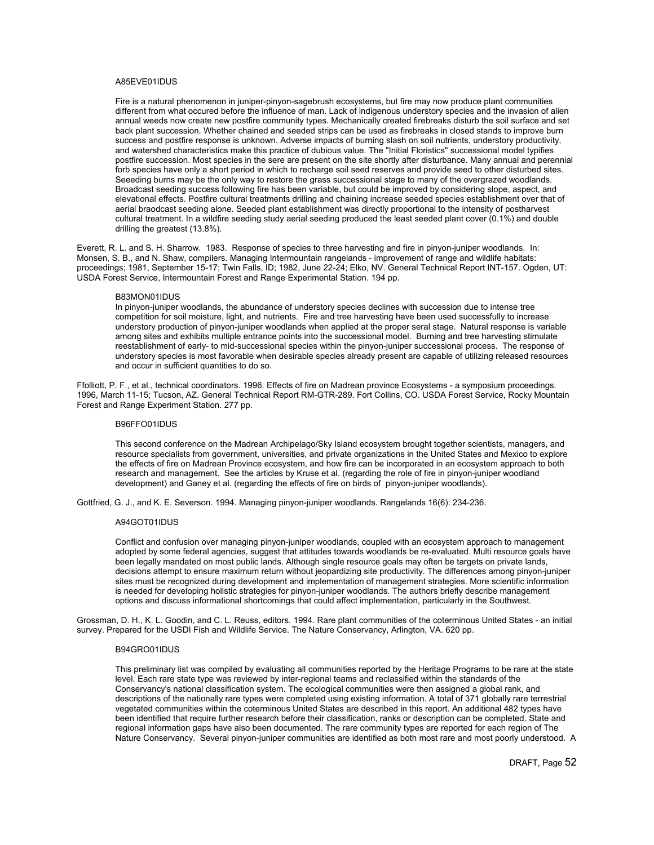## A85EVE01IDUS

Fire is a natural phenomenon in juniper-pinyon-sagebrush ecosystems, but fire may now produce plant communities different from what occured before the influence of man. Lack of indigenous understory species and the invasion of alien annual weeds now create new postfire community types. Mechanically created firebreaks disturb the soil surface and set back plant succession. Whether chained and seeded strips can be used as firebreaks in closed stands to improve burn success and postfire response is unknown. Adverse impacts of burning slash on soil nutrients, understory productivity, and watershed characteristics make this practice of dubious value. The "Initial Floristics" successional model typifies postfire succession. Most species in the sere are present on the site shortly after disturbance. Many annual and perennial forb species have only a short period in which to recharge soil seed reserves and provide seed to other disturbed sites. Seeeding burns may be the only way to restore the grass successional stage to many of the overgrazed woodlands. Broadcast seeding success following fire has been variable, but could be improved by considering slope, aspect, and elevational effects. Postfire cultural treatments drilling and chaining increase seeded species establishment over that of aerial braodcast seeding alone. Seeded plant establishment was directly proportional to the intensity of postharvest cultural treatment. In a wildfire seeding study aerial seeding produced the least seeded plant cover (0.1%) and double drilling the greatest (13.8%).

Everett, R. L. and S. H. Sharrow. 1983. Response of species to three harvesting and fire in pinyon-juniper woodlands. In: Monsen, S. B., and N. Shaw, compilers. Managing Intermountain rangelands - improvement of range and wildlife habitats: proceedings; 1981, September 15-17; Twin Falls, ID; 1982, June 22-24; Elko, NV. General Technical Report INT-157. Ogden, UT: USDA Forest Service, Intermountain Forest and Range Experimental Station. 194 pp.

#### B83MON01IDUS

In pinyon-juniper woodlands, the abundance of understory species declines with succession due to intense tree competition for soil moisture, light, and nutrients. Fire and tree harvesting have been used successfully to increase understory production of pinyon-juniper woodlands when applied at the proper seral stage. Natural response is variable among sites and exhibits multiple entrance points into the successional model. Burning and tree harvesting stimulate reestablishment of early- to mid-successional species within the pinyon-juniper successional process. The response of understory species is most favorable when desirable species already present are capable of utilizing released resources and occur in sufficient quantities to do so.

Ffolliott, P. F., et al., technical coordinators. 1996. Effects of fire on Madrean province Ecosystems - a symposium proceedings. 1996, March 11-15; Tucson, AZ. General Technical Report RM-GTR-289. Fort Collins, CO. USDA Forest Service, Rocky Mountain Forest and Range Experiment Station. 277 pp.

## B96FFO01IDUS

This second conference on the Madrean Archipelago/Sky Island ecosystem brought together scientists, managers, and resource specialists from government, universities, and private organizations in the United States and Mexico to explore the effects of fire on Madrean Province ecosystem, and how fire can be incorporated in an ecosystem approach to both research and management. See the articles by Kruse et al. (regarding the role of fire in pinyon-juniper woodland development) and Ganey et al. (regarding the effects of fire on birds of pinyon-juniper woodlands).

Gottfried, G. J., and K. E. Severson. 1994. Managing pinyon-juniper woodlands. Rangelands 16(6): 234-236.

## A94GOT01IDUS

Conflict and confusion over managing pinyon-juniper woodlands, coupled with an ecosystem approach to management adopted by some federal agencies, suggest that attitudes towards woodlands be re-evaluated. Multi resource goals have been legally mandated on most public lands. Although single resource goals may often be targets on private lands, decisions attempt to ensure maximum return without jeopardizing site productivity. The differences among pinyon-juniper sites must be recognized during development and implementation of management strategies. More scientific information is needed for developing holistic strategies for pinyon-juniper woodlands. The authors briefly describe management options and discuss informational shortcomings that could affect implementation, particularly in the Southwest.

Grossman, D. H., K. L. Goodin, and C. L. Reuss, editors. 1994. Rare plant communities of the coterminous United States - an initial survey. Prepared for the USDI Fish and Wildlife Service. The Nature Conservancy, Arlington, VA. 620 pp.

## B94GRO01IDUS

This preliminary list was compiled by evaluating all communities reported by the Heritage Programs to be rare at the state level. Each rare state type was reviewed by inter-regional teams and reclassified within the standards of the Conservancy's national classification system. The ecological communities were then assigned a global rank, and descriptions of the nationally rare types were completed using existing information. A total of 371 globally rare terrestrial vegetated communities within the coterminous United States are described in this report. An additional 482 types have been identified that require further research before their classification, ranks or description can be completed. State and regional information gaps have also been documented. The rare community types are reported for each region of The Nature Conservancy. Several pinyon-juniper communities are identified as both most rare and most poorly understood. A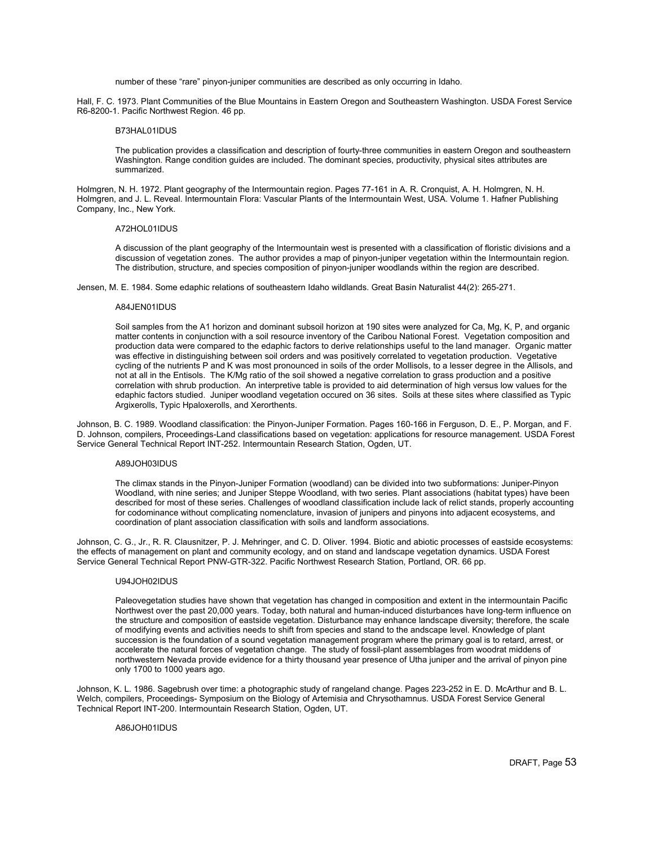number of these "rare" pinyon-juniper communities are described as only occurring in Idaho.

Hall, F. C. 1973. Plant Communities of the Blue Mountains in Eastern Oregon and Southeastern Washington. USDA Forest Service R6-8200-1. Pacific Northwest Region. 46 pp.

## B73HAL01IDUS

The publication provides a classification and description of fourty-three communities in eastern Oregon and southeastern Washington. Range condition guides are included. The dominant species, productivity, physical sites attributes are summarized.

Holmgren, N. H. 1972. Plant geography of the Intermountain region. Pages 77-161 in A. R. Cronquist, A. H. Holmgren, N. H. Holmgren, and J. L. Reveal. Intermountain Flora: Vascular Plants of the Intermountain West, USA. Volume 1. Hafner Publishing Company, Inc., New York.

## A72HOL01IDUS

A discussion of the plant geography of the Intermountain west is presented with a classification of floristic divisions and a discussion of vegetation zones. The author provides a map of pinyon-juniper vegetation within the Intermountain region. The distribution, structure, and species composition of pinyon-juniper woodlands within the region are described.

Jensen, M. E. 1984. Some edaphic relations of southeastern Idaho wildlands. Great Basin Naturalist 44(2): 265-271.

### A84JEN01IDUS

Soil samples from the A1 horizon and dominant subsoil horizon at 190 sites were analyzed for Ca, Mg, K, P, and organic matter contents in conjunction with a soil resource inventory of the Caribou National Forest. Vegetation composition and production data were compared to the edaphic factors to derive relationships useful to the land manager. Organic matter was effective in distinguishing between soil orders and was positively correlated to vegetation production. Vegetative cycling of the nutrients P and K was most pronounced in soils of the order Mollisols, to a lesser degree in the Allisols, and not at all in the Entisols. The K/Mg ratio of the soil showed a negative correlation to grass production and a positive correlation with shrub production. An interpretive table is provided to aid determination of high versus low values for the edaphic factors studied. Juniper woodland vegetation occured on 36 sites. Soils at these sites where classified as Typic Argixerolls, Typic Hpaloxerolls, and Xerorthents.

Johnson, B. C. 1989. Woodland classification: the Pinyon-Juniper Formation. Pages 160-166 in Ferguson, D. E., P. Morgan, and F. D. Johnson, compilers, Proceedings-Land classifications based on vegetation: applications for resource management. USDA Forest Service General Technical Report INT-252. Intermountain Research Station, Ogden, UT.

## A89JOH03IDUS

The climax stands in the Pinyon-Juniper Formation (woodland) can be divided into two subformations: Juniper-Pinyon Woodland, with nine series; and Juniper Steppe Woodland, with two series. Plant associations (habitat types) have been described for most of these series. Challenges of woodland classification include lack of relict stands, properly accounting for codominance without complicating nomenclature, invasion of junipers and pinyons into adjacent ecosystems, and coordination of plant association classification with soils and landform associations.

Johnson, C. G., Jr., R. R. Clausnitzer, P. J. Mehringer, and C. D. Oliver. 1994. Biotic and abiotic processes of eastside ecosystems: the effects of management on plant and community ecology, and on stand and landscape vegetation dynamics. USDA Forest Service General Technical Report PNW-GTR-322. Pacific Northwest Research Station, Portland, OR. 66 pp.

## U94JOH02IDUS

Paleovegetation studies have shown that vegetation has changed in composition and extent in the intermountain Pacific Northwest over the past 20,000 years. Today, both natural and human-induced disturbances have long-term influence on the structure and composition of eastside vegetation. Disturbance may enhance landscape diversity; therefore, the scale of modifying events and activities needs to shift from species and stand to the andscape level. Knowledge of plant succession is the foundation of a sound vegetation management program where the primary goal is to retard, arrest, or accelerate the natural forces of vegetation change. The study of fossil-plant assemblages from woodrat middens of northwestern Nevada provide evidence for a thirty thousand year presence of Utha juniper and the arrival of pinyon pine only 1700 to 1000 years ago.

Johnson, K. L. 1986. Sagebrush over time: a photographic study of rangeland change. Pages 223-252 in E. D. McArthur and B. L. Welch, compilers, Proceedings- Symposium on the Biology of Artemisia and Chrysothamnus. USDA Forest Service General Technical Report INT-200. Intermountain Research Station, Ogden, UT.

## A86JOH01IDUS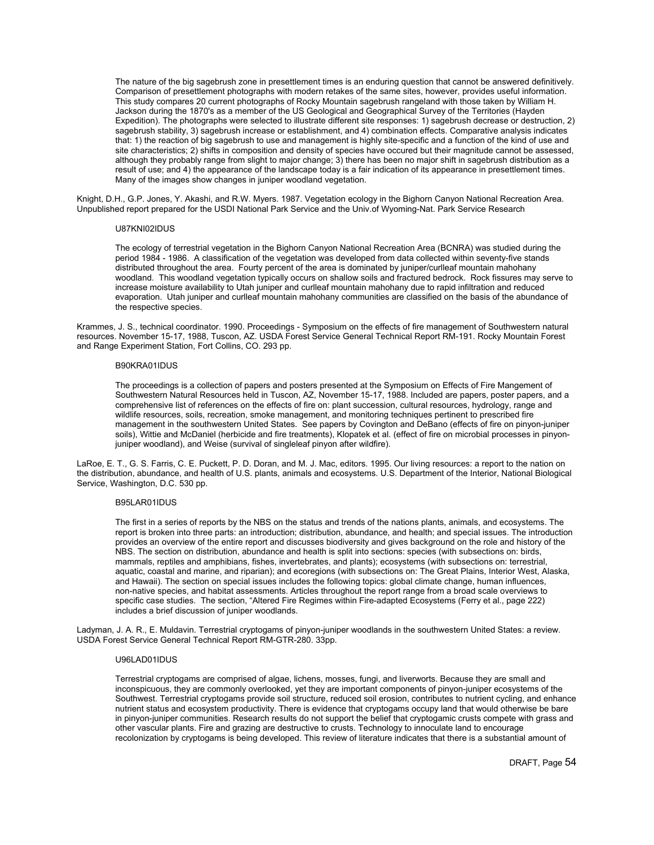The nature of the big sagebrush zone in presettlement times is an enduring question that cannot be answered definitively. Comparison of presettlement photographs with modern retakes of the same sites, however, provides useful information. This study compares 20 current photographs of Rocky Mountain sagebrush rangeland with those taken by William H. Jackson during the 1870's as a member of the US Geological and Geographical Survey of the Territories (Hayden Expedition). The photographs were selected to illustrate different site responses: 1) sagebrush decrease or destruction, 2) sagebrush stability, 3) sagebrush increase or establishment, and 4) combination effects. Comparative analysis indicates that: 1) the reaction of big sagebrush to use and management is highly site-specific and a function of the kind of use and site characteristics; 2) shifts in composition and density of species have occured but their magnitude cannot be assessed, although they probably range from slight to major change; 3) there has been no major shift in sagebrush distribution as a result of use; and 4) the appearance of the landscape today is a fair indication of its appearance in presettlement times. Many of the images show changes in juniper woodland vegetation.

Knight, D.H., G.P. Jones, Y. Akashi, and R.W. Myers. 1987. Vegetation ecology in the Bighorn Canyon National Recreation Area. Unpublished report prepared for the USDI National Park Service and the Univ.of Wyoming-Nat. Park Service Research

## U87KNI02IDUS

The ecology of terrestrial vegetation in the Bighorn Canyon National Recreation Area (BCNRA) was studied during the period 1984 - 1986. A classification of the vegetation was developed from data collected within seventy-five stands distributed throughout the area. Fourty percent of the area is dominated by juniper/curlleaf mountain mahohany woodland. This woodland vegetation typically occurs on shallow soils and fractured bedrock. Rock fissures may serve to increase moisture availability to Utah juniper and curlleaf mountain mahohany due to rapid infiltration and reduced evaporation. Utah juniper and curlleaf mountain mahohany communities are classified on the basis of the abundance of the respective species.

Krammes, J. S., technical coordinator. 1990. Proceedings - Symposium on the effects of fire management of Southwestern natural resources. November 15-17, 1988, Tuscon, AZ. USDA Forest Service General Technical Report RM-191. Rocky Mountain Forest and Range Experiment Station, Fort Collins, CO. 293 pp.

#### B90KRA01IDUS

The proceedings is a collection of papers and posters presented at the Symposium on Effects of Fire Mangement of Southwestern Natural Resources held in Tuscon, AZ, November 15-17, 1988. Included are papers, poster papers, and a comprehensive list of references on the effects of fire on: plant succession, cultural resources, hydrology, range and wildlife resources, soils, recreation, smoke management, and monitoring techniques pertinent to prescribed fire management in the southwestern United States. See papers by Covington and DeBano (effects of fire on pinyon-juniper soils), Wittie and McDaniel (herbicide and fire treatments), Klopatek et al. (effect of fire on microbial processes in pinyonjuniper woodland), and Weise (survival of singleleaf pinyon after wildfire).

LaRoe, E. T., G. S. Farris, C. E. Puckett, P. D. Doran, and M. J. Mac, editors. 1995. Our living resources: a report to the nation on the distribution, abundance, and health of U.S. plants, animals and ecosystems. U.S. Department of the Interior, National Biological Service, Washington, D.C. 530 pp.

### B95LAR01IDUS

The first in a series of reports by the NBS on the status and trends of the nations plants, animals, and ecosystems. The report is broken into three parts: an introduction; distribution, abundance, and health; and special issues. The introduction provides an overview of the entire report and discusses biodiversity and gives background on the role and history of the NBS. The section on distribution, abundance and health is split into sections: species (with subsections on: birds, mammals, reptiles and amphibians, fishes, invertebrates, and plants); ecosystems (with subsections on: terrestrial, aquatic, coastal and marine, and riparian); and ecoregions (with subsections on: The Great Plains, Interior West, Alaska, and Hawaii). The section on special issues includes the following topics: global climate change, human influences, non-native species, and habitat assessments. Articles throughout the report range from a broad scale overviews to specific case studies. The section, "Altered Fire Regimes within Fire-adapted Ecosystems (Ferry et al., page 222) includes a brief discussion of juniper woodlands.

Ladyman, J. A. R., E. Muldavin. Terrestrial cryptogams of pinyon-juniper woodlands in the southwestern United States: a review. USDA Forest Service General Technical Report RM-GTR-280. 33pp.

## U96LAD01IDUS

Terrestrial cryptogams are comprised of algae, lichens, mosses, fungi, and liverworts. Because they are small and inconspicuous, they are commonly overlooked, yet they are important components of pinyon-juniper ecosystems of the Southwest. Terrestrial cryptogams provide soil structure, reduced soil erosion, contributes to nutrient cycling, and enhance nutrient status and ecosystem productivity. There is evidence that cryptogams occupy land that would otherwise be bare in pinyon-juniper communities. Research results do not support the belief that cryptogamic crusts compete with grass and other vascular plants. Fire and grazing are destructive to crusts. Technology to innoculate land to encourage recolonization by cryptogams is being developed. This review of literature indicates that there is a substantial amount of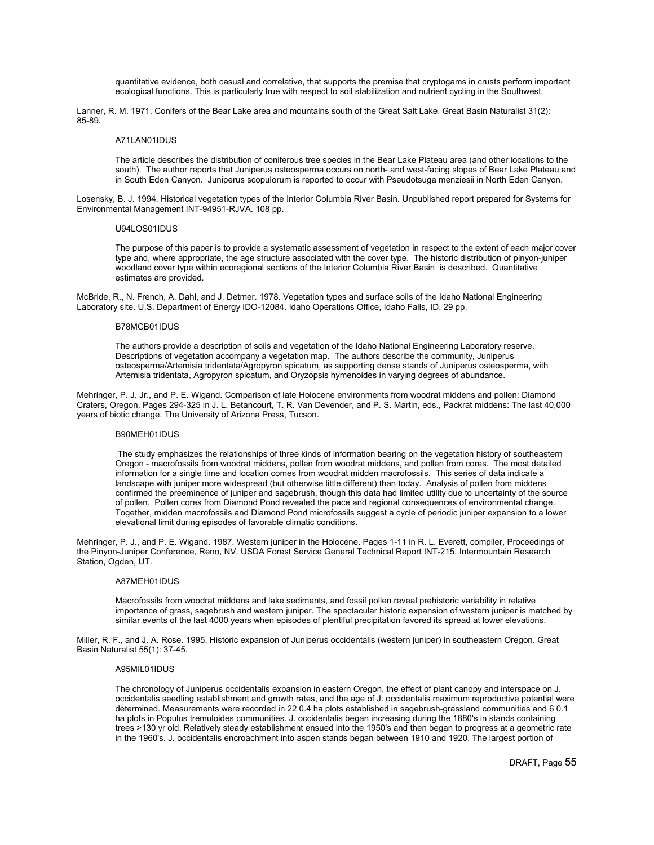quantitative evidence, both casual and correlative, that supports the premise that cryptogams in crusts perform important ecological functions. This is particularly true with respect to soil stabilization and nutrient cycling in the Southwest.

Lanner, R. M. 1971. Conifers of the Bear Lake area and mountains south of the Great Salt Lake. Great Basin Naturalist 31(2): 85-89.

### A71LAN01IDUS

The article describes the distribution of coniferous tree species in the Bear Lake Plateau area (and other locations to the south). The author reports that Juniperus osteosperma occurs on north- and west-facing slopes of Bear Lake Plateau and in South Eden Canyon. Juniperus scopulorum is reported to occur with Pseudotsuga menziesii in North Eden Canyon.

Losensky, B. J. 1994. Historical vegetation types of the Interior Columbia River Basin. Unpublished report prepared for Systems for Environmental Management INT-94951-RJVA. 108 pp.

### U94LOS01IDUS

The purpose of this paper is to provide a systematic assessment of vegetation in respect to the extent of each major cover type and, where appropriate, the age structure associated with the cover type. The historic distribution of pinyon-juniper woodland cover type within ecoregional sections of the Interior Columbia River Basin is described. Quantitative estimates are provided.

McBride, R., N. French, A. Dahl, and J. Detmer. 1978. Vegetation types and surface soils of the Idaho National Engineering Laboratory site. U.S. Department of Energy IDO-12084. Idaho Operations Office, Idaho Falls, ID. 29 pp.

### B78MCB01IDUS

The authors provide a description of soils and vegetation of the Idaho National Engineering Laboratory reserve. Descriptions of vegetation accompany a vegetation map. The authors describe the community, Juniperus osteosperma/Artemisia tridentata/Agropyron spicatum, as supporting dense stands of Juniperus osteosperma, with Artemisia tridentata, Agropyron spicatum, and Oryzopsis hymenoides in varying degrees of abundance.

Mehringer, P. J. Jr., and P. E. Wigand. Comparison of late Holocene environments from woodrat middens and pollen: Diamond Craters, Oregon. Pages 294-325 in J. L. Betancourt, T. R. Van Devender, and P. S. Martin, eds., Packrat middens: The last 40,000 years of biotic change. The University of Arizona Press, Tucson.

### B90MEH01IDUS

 The study emphasizes the relationships of three kinds of information bearing on the vegetation history of southeastern Oregon - macrofossils from woodrat middens, pollen from woodrat middens, and pollen from cores. The most detailed information for a single time and location comes from woodrat midden macrofossils. This series of data indicate a landscape with juniper more widespread (but otherwise little different) than today. Analysis of pollen from middens confirmed the preeminence of juniper and sagebrush, though this data had limited utility due to uncertainty of the source of pollen. Pollen cores from Diamond Pond revealed the pace and regional consequences of environmental change. Together, midden macrofossils and Diamond Pond microfossils suggest a cycle of periodic juniper expansion to a lower elevational limit during episodes of favorable climatic conditions.

Mehringer, P. J., and P. E. Wigand. 1987. Western juniper in the Holocene. Pages 1-11 in R. L. Everett, compiler, Proceedings of the Pinyon-Juniper Conference, Reno, NV. USDA Forest Service General Technical Report INT-215. Intermountain Research Station, Ogden, UT.

### A87MEH01IDUS

Macrofossils from woodrat middens and lake sediments, and fossil pollen reveal prehistoric variability in relative importance of grass, sagebrush and western juniper. The spectacular historic expansion of western juniper is matched by similar events of the last 4000 years when episodes of plentiful precipitation favored its spread at lower elevations.

Miller, R. F., and J. A. Rose. 1995. Historic expansion of Juniperus occidentalis (western juniper) in southeastern Oregon. Great Basin Naturalist 55(1): 37-45.

# A95MIL01IDUS

The chronology of Juniperus occidentalis expansion in eastern Oregon, the effect of plant canopy and interspace on J. occidentalis seedling establishment and growth rates, and the age of J. occidentalis maximum reproductive potential were determined. Measurements were recorded in 22 0.4 ha plots established in sagebrush-grassland communities and 6 0.1 ha plots in Populus tremuloides communities. J. occidentalis began increasing during the 1880's in stands containing trees >130 yr old. Relatively steady establishment ensued into the 1950's and then began to progress at a geometric rate in the 1960's. J. occidentalis encroachment into aspen stands began between 1910 and 1920. The largest portion of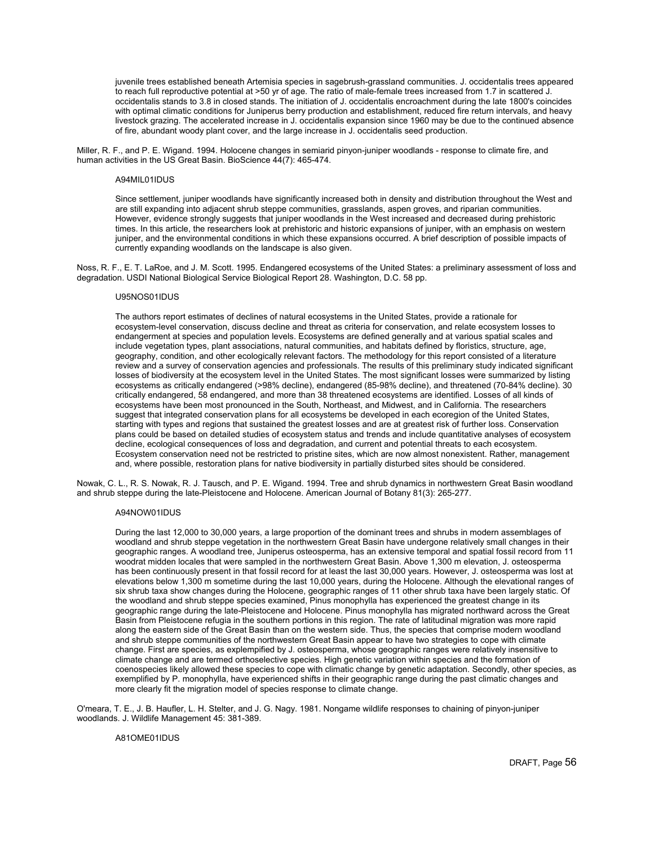juvenile trees established beneath Artemisia species in sagebrush-grassland communities. J. occidentalis trees appeared to reach full reproductive potential at >50 yr of age. The ratio of male-female trees increased from 1.7 in scattered J. occidentalis stands to 3.8 in closed stands. The initiation of J. occidentalis encroachment during the late 1800's coincides with optimal climatic conditions for Juniperus berry production and establishment, reduced fire return intervals, and heavy livestock grazing. The accelerated increase in J. occidentalis expansion since 1960 may be due to the continued absence of fire, abundant woody plant cover, and the large increase in J. occidentalis seed production.

Miller, R. F., and P. E. Wigand. 1994. Holocene changes in semiarid pinyon-juniper woodlands - response to climate fire, and human activities in the US Great Basin. BioScience 44(7): 465-474.

## A94MIL01IDUS

Since settlement, juniper woodlands have significantly increased both in density and distribution throughout the West and are still expanding into adjacent shrub steppe communities, grasslands, aspen groves, and riparian communities. However, evidence strongly suggests that juniper woodlands in the West increased and decreased during prehistoric times. In this article, the researchers look at prehistoric and historic expansions of juniper, with an emphasis on western juniper, and the environmental conditions in which these expansions occurred. A brief description of possible impacts of currently expanding woodlands on the landscape is also given.

Noss, R. F., E. T. LaRoe, and J. M. Scott. 1995. Endangered ecosystems of the United States: a preliminary assessment of loss and degradation. USDI National Biological Service Biological Report 28. Washington, D.C. 58 pp.

## U95NOS01IDUS

The authors report estimates of declines of natural ecosystems in the United States, provide a rationale for ecosystem-level conservation, discuss decline and threat as criteria for conservation, and relate ecosystem losses to endangerment at species and population levels. Ecosystems are defined generally and at various spatial scales and include vegetation types, plant associations, natural communities, and habitats defined by floristics, structure, age, geography, condition, and other ecologically relevant factors. The methodology for this report consisted of a literature review and a survey of conservation agencies and professionals. The results of this preliminary study indicated significant losses of biodiversity at the ecosystem level in the United States. The most significant losses were summarized by listing ecosystems as critically endangered (>98% decline), endangered (85-98% decline), and threatened (70-84% decline). 30 critically endangered, 58 endangered, and more than 38 threatened ecosystems are identified. Losses of all kinds of ecosystems have been most pronounced in the South, Northeast, and Midwest, and in California. The researchers suggest that integrated conservation plans for all ecosystems be developed in each ecoregion of the United States, starting with types and regions that sustained the greatest losses and are at greatest risk of further loss. Conservation plans could be based on detailed studies of ecosystem status and trends and include quantitative analyses of ecosystem decline, ecological consequences of loss and degradation, and current and potential threats to each ecosystem. Ecosystem conservation need not be restricted to pristine sites, which are now almost nonexistent. Rather, management and, where possible, restoration plans for native biodiversity in partially disturbed sites should be considered.

Nowak, C. L., R. S. Nowak, R. J. Tausch, and P. E. Wigand. 1994. Tree and shrub dynamics in northwestern Great Basin woodland and shrub steppe during the late-Pleistocene and Holocene. American Journal of Botany 81(3): 265-277.

## A94NOW01IDUS

During the last 12,000 to 30,000 years, a large proportion of the dominant trees and shrubs in modern assemblages of woodland and shrub steppe vegetation in the northwestern Great Basin have undergone relatively small changes in their geographic ranges. A woodland tree, Juniperus osteosperma, has an extensive temporal and spatial fossil record from 11 woodrat midden locales that were sampled in the northwestern Great Basin. Above 1,300 m elevation, J. osteosperma has been continuously present in that fossil record for at least the last 30,000 years. However, J. osteosperma was lost at elevations below 1,300 m sometime during the last 10,000 years, during the Holocene. Although the elevational ranges of six shrub taxa show changes during the Holocene, geographic ranges of 11 other shrub taxa have been largely static. Of the woodland and shrub steppe species examined, Pinus monophylla has experienced the greatest change in its geographic range during the late-Pleistocene and Holocene. Pinus monophylla has migrated northward across the Great Basin from Pleistocene refugia in the southern portions in this region. The rate of latitudinal migration was more rapid along the eastern side of the Great Basin than on the western side. Thus, the species that comprise modern woodland and shrub steppe communities of the northwestern Great Basin appear to have two strategies to cope with climate change. First are species, as explempified by J. osteosperma, whose geographic ranges were relatively insensitive to climate change and are termed orthoselective species. High genetic variation within species and the formation of coenospecies likely allowed these species to cope with climatic change by genetic adaptation. Secondly, other species, as exemplified by P. monophylla, have experienced shifts in their geographic range during the past climatic changes and more clearly fit the migration model of species response to climate change.

O'meara, T. E., J. B. Haufler, L. H. Stelter, and J. G. Nagy. 1981. Nongame wildlife responses to chaining of pinyon-juniper woodlands. J. Wildlife Management 45: 381-389.

A81OME01IDUS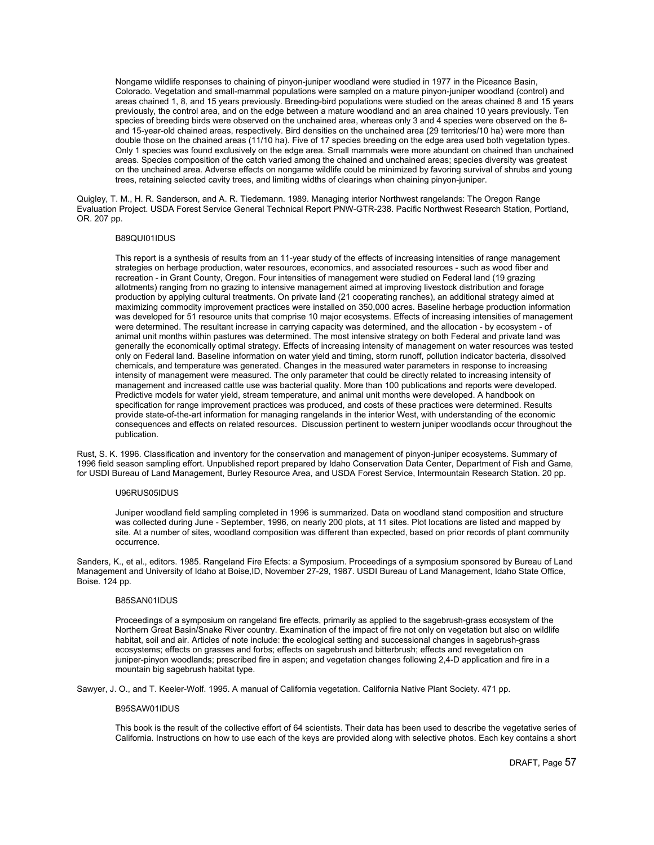Nongame wildlife responses to chaining of pinyon-juniper woodland were studied in 1977 in the Piceance Basin, Colorado. Vegetation and small-mammal populations were sampled on a mature pinyon-juniper woodland (control) and areas chained 1, 8, and 15 years previously. Breeding-bird populations were studied on the areas chained 8 and 15 years previously, the control area, and on the edge between a mature woodland and an area chained 10 years previously. Ten species of breeding birds were observed on the unchained area, whereas only 3 and 4 species were observed on the 8 and 15-year-old chained areas, respectively. Bird densities on the unchained area (29 territories/10 ha) were more than double those on the chained areas (11/10 ha). Five of 17 species breeding on the edge area used both vegetation types. Only 1 species was found exclusively on the edge area. Small mammals were more abundant on chained than unchained areas. Species composition of the catch varied among the chained and unchained areas; species diversity was greatest on the unchained area. Adverse effects on nongame wildlife could be minimized by favoring survival of shrubs and young trees, retaining selected cavity trees, and limiting widths of clearings when chaining pinyon-juniper.

Quigley, T. M., H. R. Sanderson, and A. R. Tiedemann. 1989. Managing interior Northwest rangelands: The Oregon Range Evaluation Project. USDA Forest Service General Technical Report PNW-GTR-238. Pacific Northwest Research Station, Portland, OR. 207 pp.

## B89QUI01IDUS

This report is a synthesis of results from an 11-year study of the effects of increasing intensities of range management strategies on herbage production, water resources, economics, and associated resources - such as wood fiber and recreation - in Grant County, Oregon. Four intensities of management were studied on Federal land (19 grazing allotments) ranging from no grazing to intensive management aimed at improving livestock distribution and forage production by applying cultural treatments. On private land (21 cooperating ranches), an additional strategy aimed at maximizing commodity improvement practices were installed on 350,000 acres. Baseline herbage production information was developed for 51 resource units that comprise 10 major ecosystems. Effects of increasing intensities of management were determined. The resultant increase in carrying capacity was determined, and the allocation - by ecosystem - of animal unit months within pastures was determined. The most intensive strategy on both Federal and private land was generally the economically optimal strategy. Effects of increasing intensity of management on water resources was tested only on Federal land. Baseline information on water yield and timing, storm runoff, pollution indicator bacteria, dissolved chemicals, and temperature was generated. Changes in the measured water parameters in response to increasing intensity of management were measured. The only parameter that could be directly related to increasing intensity of management and increased cattle use was bacterial quality. More than 100 publications and reports were developed. Predictive models for water yield, stream temperature, and animal unit months were developed. A handbook on specification for range improvement practices was produced, and costs of these practices were determined. Results provide state-of-the-art information for managing rangelands in the interior West, with understanding of the economic consequences and effects on related resources. Discussion pertinent to western juniper woodlands occur throughout the publication.

Rust, S. K. 1996. Classification and inventory for the conservation and management of pinyon-juniper ecosystems. Summary of 1996 field season sampling effort. Unpublished report prepared by Idaho Conservation Data Center, Department of Fish and Game, for USDI Bureau of Land Management, Burley Resource Area, and USDA Forest Service, Intermountain Research Station. 20 pp.

## U96RUS05IDUS

Juniper woodland field sampling completed in 1996 is summarized. Data on woodland stand composition and structure was collected during June - September, 1996, on nearly 200 plots, at 11 sites. Plot locations are listed and mapped by site. At a number of sites, woodland composition was different than expected, based on prior records of plant community occurrence.

Sanders, K., et al., editors. 1985. Rangeland Fire Efects: a Symposium. Proceedings of a symposium sponsored by Bureau of Land Management and University of Idaho at Boise,ID, November 27-29, 1987. USDI Bureau of Land Management, Idaho State Office, Boise. 124 pp.

## B85SAN01IDUS

Proceedings of a symposium on rangeland fire effects, primarily as applied to the sagebrush-grass ecosystem of the Northern Great Basin/Snake River country. Examination of the impact of fire not only on vegetation but also on wildlife habitat, soil and air. Articles of note include: the ecological setting and successional changes in sagebrush-grass ecosystems; effects on grasses and forbs; effects on sagebrush and bitterbrush; effects and revegetation on juniper-pinyon woodlands; prescribed fire in aspen; and vegetation changes following 2,4-D application and fire in a mountain big sagebrush habitat type.

Sawyer, J. O., and T. Keeler-Wolf. 1995. A manual of California vegetation. California Native Plant Society. 471 pp.

#### B95SAW01IDUS

This book is the result of the collective effort of 64 scientists. Their data has been used to describe the vegetative series of California. Instructions on how to use each of the keys are provided along with selective photos. Each key contains a short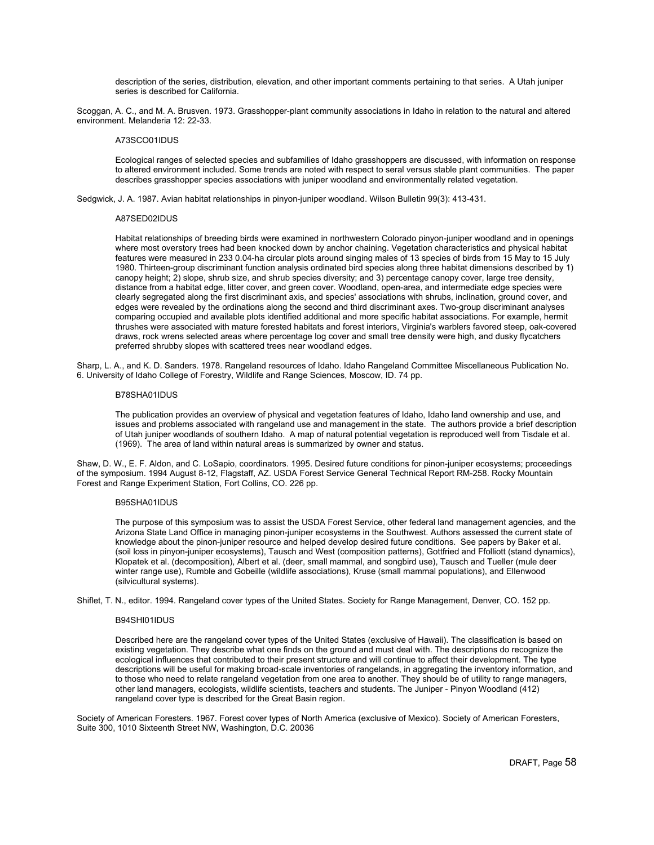description of the series, distribution, elevation, and other important comments pertaining to that series. A Utah juniper series is described for California.

Scoggan, A. C., and M. A. Brusven. 1973. Grasshopper-plant community associations in Idaho in relation to the natural and altered environment. Melanderia 12: 22-33.

## A73SCO01IDUS

Ecological ranges of selected species and subfamilies of Idaho grasshoppers are discussed, with information on response to altered environment included. Some trends are noted with respect to seral versus stable plant communities. The paper describes grasshopper species associations with juniper woodland and environmentally related vegetation.

Sedgwick, J. A. 1987. Avian habitat relationships in pinyon-juniper woodland. Wilson Bulletin 99(3): 413-431.

## A87SED02IDUS

Habitat relationships of breeding birds were examined in northwestern Colorado pinyon-juniper woodland and in openings where most overstory trees had been knocked down by anchor chaining. Vegetation characteristics and physical habitat features were measured in 233 0.04-ha circular plots around singing males of 13 species of birds from 15 May to 15 July 1980. Thirteen-group discriminant function analysis ordinated bird species along three habitat dimensions described by 1) canopy height; 2) slope, shrub size, and shrub species diversity; and 3) percentage canopy cover, large tree density, distance from a habitat edge, litter cover, and green cover. Woodland, open-area, and intermediate edge species were clearly segregated along the first discriminant axis, and species' associations with shrubs, inclination, ground cover, and edges were revealed by the ordinations along the second and third discriminant axes. Two-group discriminant analyses comparing occupied and available plots identified additional and more specific habitat associations. For example, hermit thrushes were associated with mature forested habitats and forest interiors, Virginia's warblers favored steep, oak-covered draws, rock wrens selected areas where percentage log cover and small tree density were high, and dusky flycatchers preferred shrubby slopes with scattered trees near woodland edges.

Sharp, L. A., and K. D. Sanders. 1978. Rangeland resources of Idaho. Idaho Rangeland Committee Miscellaneous Publication No. 6. University of Idaho College of Forestry, Wildlife and Range Sciences, Moscow, ID. 74 pp.

## B78SHA01IDUS

The publication provides an overview of physical and vegetation features of Idaho, Idaho land ownership and use, and issues and problems associated with rangeland use and management in the state. The authors provide a brief description of Utah juniper woodlands of southern Idaho. A map of natural potential vegetation is reproduced well from Tisdale et al. (1969). The area of land within natural areas is summarized by owner and status.

Shaw, D. W., E. F. Aldon, and C. LoSapio, coordinators. 1995. Desired future conditions for pinon-juniper ecosystems; proceedings of the symposium. 1994 August 8-12, Flagstaff, AZ. USDA Forest Service General Technical Report RM-258. Rocky Mountain Forest and Range Experiment Station, Fort Collins, CO. 226 pp.

## B95SHA01IDUS

The purpose of this symposium was to assist the USDA Forest Service, other federal land management agencies, and the Arizona State Land Office in managing pinon-juniper ecosystems in the Southwest. Authors assessed the current state of knowledge about the pinon-juniper resource and helped develop desired future conditions. See papers by Baker et al. (soil loss in pinyon-juniper ecosystems), Tausch and West (composition patterns), Gottfried and Ffolliott (stand dynamics), Klopatek et al. (decomposition), Albert et al. (deer, small mammal, and songbird use), Tausch and Tueller (mule deer winter range use), Rumble and Gobeille (wildlife associations), Kruse (small mammal populations), and Ellenwood (silvicultural systems).

Shiflet, T. N., editor. 1994. Rangeland cover types of the United States. Society for Range Management, Denver, CO. 152 pp.

## B94SHI01IDUS

Described here are the rangeland cover types of the United States (exclusive of Hawaii). The classification is based on existing vegetation. They describe what one finds on the ground and must deal with. The descriptions do recognize the ecological influences that contributed to their present structure and will continue to affect their development. The type descriptions will be useful for making broad-scale inventories of rangelands, in aggregating the inventory information, and to those who need to relate rangeland vegetation from one area to another. They should be of utility to range managers, other land managers, ecologists, wildlife scientists, teachers and students. The Juniper - Pinyon Woodland (412) rangeland cover type is described for the Great Basin region.

Society of American Foresters. 1967. Forest cover types of North America (exclusive of Mexico). Society of American Foresters, Suite 300, 1010 Sixteenth Street NW, Washington, D.C. 20036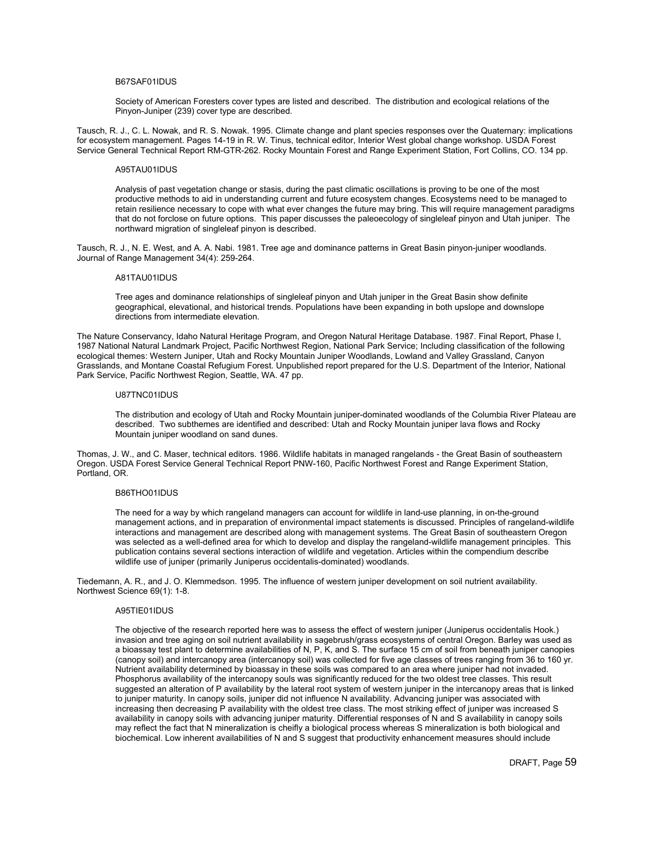## B67SAF01IDUS

Society of American Foresters cover types are listed and described. The distribution and ecological relations of the Pinyon-Juniper (239) cover type are described.

Tausch, R. J., C. L. Nowak, and R. S. Nowak. 1995. Climate change and plant species responses over the Quaternary: implications for ecosystem management. Pages 14-19 in R. W. Tinus, technical editor, Interior West global change workshop. USDA Forest Service General Technical Report RM-GTR-262. Rocky Mountain Forest and Range Experiment Station, Fort Collins, CO. 134 pp.

## A95TAU01IDUS

Analysis of past vegetation change or stasis, during the past climatic oscillations is proving to be one of the most productive methods to aid in understanding current and future ecosystem changes. Ecosystems need to be managed to retain resilience necessary to cope with what ever changes the future may bring. This will require management paradigms that do not forclose on future options. This paper discusses the paleoecology of singleleaf pinyon and Utah juniper. The northward migration of singleleaf pinyon is described.

Tausch, R. J., N. E. West, and A. A. Nabi. 1981. Tree age and dominance patterns in Great Basin pinyon-juniper woodlands. Journal of Range Management 34(4): 259-264.

## A81TAU01IDUS

Tree ages and dominance relationships of singleleaf pinyon and Utah juniper in the Great Basin show definite geographical, elevational, and historical trends. Populations have been expanding in both upslope and downslope directions from intermediate elevation.

The Nature Conservancy, Idaho Natural Heritage Program, and Oregon Natural Heritage Database. 1987. Final Report, Phase I, 1987 National Natural Landmark Project, Pacific Northwest Region, National Park Service; Including classification of the following ecological themes: Western Juniper, Utah and Rocky Mountain Juniper Woodlands, Lowland and Valley Grassland, Canyon Grasslands, and Montane Coastal Refugium Forest. Unpublished report prepared for the U.S. Department of the Interior, National Park Service, Pacific Northwest Region, Seattle, WA. 47 pp.

## U87TNC01IDUS

The distribution and ecology of Utah and Rocky Mountain juniper-dominated woodlands of the Columbia River Plateau are described. Two subthemes are identified and described: Utah and Rocky Mountain juniper lava flows and Rocky Mountain juniper woodland on sand dunes.

Thomas, J. W., and C. Maser, technical editors. 1986. Wildlife habitats in managed rangelands - the Great Basin of southeastern Oregon. USDA Forest Service General Technical Report PNW-160, Pacific Northwest Forest and Range Experiment Station, Portland, OR.

## B86THO01IDUS

The need for a way by which rangeland managers can account for wildlife in land-use planning, in on-the-ground management actions, and in preparation of environmental impact statements is discussed. Principles of rangeland-wildlife interactions and management are described along with management systems. The Great Basin of southeastern Oregon was selected as a well-defined area for which to develop and display the rangeland-wildlife management principles. This publication contains several sections interaction of wildlife and vegetation. Articles within the compendium describe wildlife use of juniper (primarily Juniperus occidentalis-dominated) woodlands.

Tiedemann, A. R., and J. O. Klemmedson. 1995. The influence of western juniper development on soil nutrient availability. Northwest Science 69(1): 1-8.

## A95TIE01IDUS

The objective of the research reported here was to assess the effect of western juniper (Juniperus occidentalis Hook.) invasion and tree aging on soil nutrient availability in sagebrush/grass ecosystems of central Oregon. Barley was used as a bioassay test plant to determine availabilities of N, P, K, and S. The surface 15 cm of soil from beneath juniper canopies (canopy soil) and intercanopy area (intercanopy soil) was collected for five age classes of trees ranging from 36 to 160 yr. Nutrient availability determined by bioassay in these soils was compared to an area where juniper had not invaded. Phosphorus availability of the intercanopy souls was significantly reduced for the two oldest tree classes. This result suggested an alteration of P availability by the lateral root system of western juniper in the intercanopy areas that is linked to juniper maturity. In canopy soils, juniper did not influence N availability. Advancing juniper was associated with increasing then decreasing P availability with the oldest tree class. The most striking effect of juniper was increased S availability in canopy soils with advancing juniper maturity. Differential responses of N and S availability in canopy soils may reflect the fact that N mineralization is cheifly a biological process whereas S mineralization is both biological and biochemical. Low inherent availabilities of N and S suggest that productivity enhancement measures should include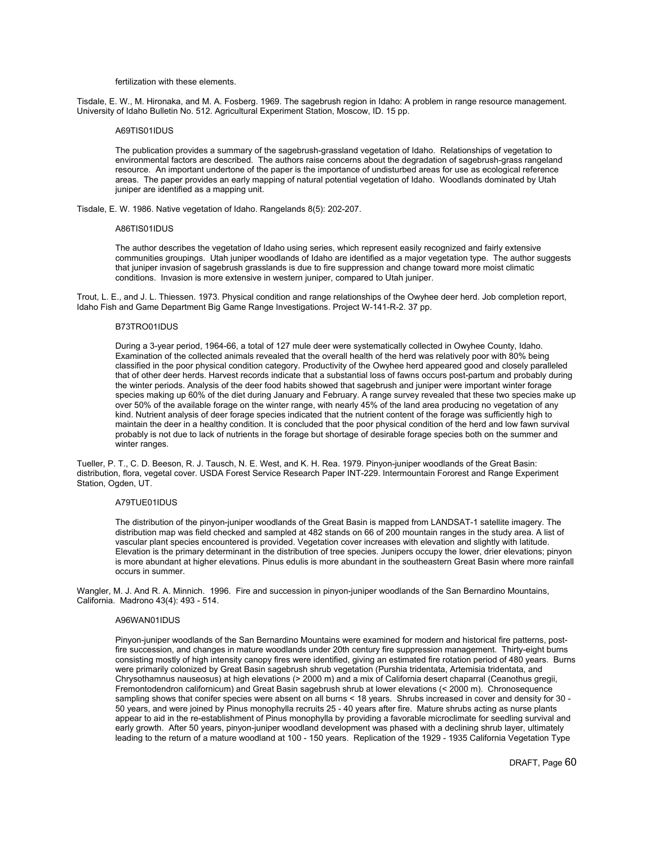#### fertilization with these elements.

Tisdale, E. W., M. Hironaka, and M. A. Fosberg. 1969. The sagebrush region in Idaho: A problem in range resource management. University of Idaho Bulletin No. 512. Agricultural Experiment Station, Moscow, ID. 15 pp.

## A69TIS01IDUS

The publication provides a summary of the sagebrush-grassland vegetation of Idaho. Relationships of vegetation to environmental factors are described. The authors raise concerns about the degradation of sagebrush-grass rangeland resource. An important undertone of the paper is the importance of undisturbed areas for use as ecological reference areas. The paper provides an early mapping of natural potential vegetation of Idaho. Woodlands dominated by Utah juniper are identified as a mapping unit.

Tisdale, E. W. 1986. Native vegetation of Idaho. Rangelands 8(5): 202-207.

## A86TIS01IDUS

The author describes the vegetation of Idaho using series, which represent easily recognized and fairly extensive communities groupings. Utah juniper woodlands of Idaho are identified as a major vegetation type. The author suggests that juniper invasion of sagebrush grasslands is due to fire suppression and change toward more moist climatic conditions. Invasion is more extensive in western juniper, compared to Utah juniper.

Trout, L. E., and J. L. Thiessen. 1973. Physical condition and range relationships of the Owyhee deer herd. Job completion report, Idaho Fish and Game Department Big Game Range Investigations. Project W-141-R-2. 37 pp.

#### B73TRO01IDUS

During a 3-year period, 1964-66, a total of 127 mule deer were systematically collected in Owyhee County, Idaho. Examination of the collected animals revealed that the overall health of the herd was relatively poor with 80% being classified in the poor physical condition category. Productivity of the Owyhee herd appeared good and closely paralleled that of other deer herds. Harvest records indicate that a substantial loss of fawns occurs post-partum and probably during the winter periods. Analysis of the deer food habits showed that sagebrush and juniper were important winter forage species making up 60% of the diet during January and February. A range survey revealed that these two species make up over 50% of the available forage on the winter range, with nearly 45% of the land area producing no vegetation of any kind. Nutrient analysis of deer forage species indicated that the nutrient content of the forage was sufficiently high to maintain the deer in a healthy condition. It is concluded that the poor physical condition of the herd and low fawn survival probably is not due to lack of nutrients in the forage but shortage of desirable forage species both on the summer and winter ranges.

Tueller, P. T., C. D. Beeson, R. J. Tausch, N. E. West, and K. H. Rea. 1979. Pinyon-juniper woodlands of the Great Basin: distribution, flora, vegetal cover. USDA Forest Service Research Paper INT-229. Intermountain Fororest and Range Experiment Station, Ogden, UT.

## A79TUE01IDUS

The distribution of the pinyon-juniper woodlands of the Great Basin is mapped from LANDSAT-1 satellite imagery. The distribution map was field checked and sampled at 482 stands on 66 of 200 mountain ranges in the study area. A list of vascular plant species encountered is provided. Vegetation cover increases with elevation and slightly with latitude. Elevation is the primary determinant in the distribution of tree species. Junipers occupy the lower, drier elevations; pinyon is more abundant at higher elevations. Pinus edulis is more abundant in the southeastern Great Basin where more rainfall occurs in summer.

Wangler, M. J. And R. A. Minnich. 1996. Fire and succession in pinyon-juniper woodlands of the San Bernardino Mountains, California. Madrono 43(4): 493 - 514.

## A96WAN01IDUS

Pinyon-juniper woodlands of the San Bernardino Mountains were examined for modern and historical fire patterns, postfire succession, and changes in mature woodlands under 20th century fire suppression management. Thirty-eight burns consisting mostly of high intensity canopy fires were identified, giving an estimated fire rotation period of 480 years. Burns were primarily colonized by Great Basin sagebrush shrub vegetation (Purshia tridentata, Artemisia tridentata, and Chrysothamnus nauseosus) at high elevations (> 2000 m) and a mix of California desert chaparral (Ceanothus gregii, Fremontodendron californicum) and Great Basin sagebrush shrub at lower elevations (< 2000 m). Chronosequence sampling shows that conifer species were absent on all burns < 18 years. Shrubs increased in cover and density for 30 -50 years, and were joined by Pinus monophylla recruits 25 - 40 years after fire. Mature shrubs acting as nurse plants appear to aid in the re-establishment of Pinus monophylla by providing a favorable microclimate for seedling survival and early growth. After 50 years, pinyon-juniper woodland development was phased with a declining shrub layer, ultimately leading to the return of a mature woodland at 100 - 150 years. Replication of the 1929 - 1935 California Vegetation Type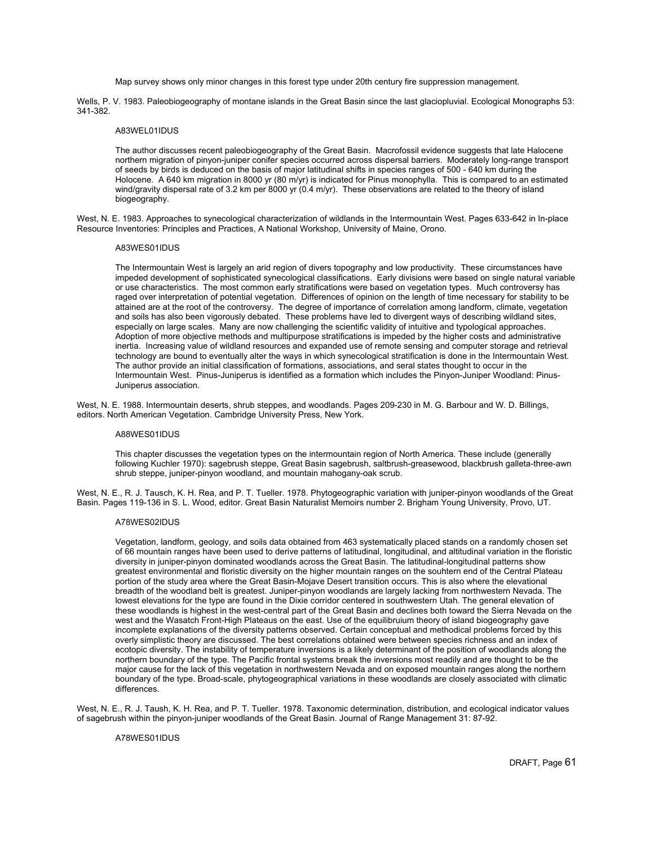Map survey shows only minor changes in this forest type under 20th century fire suppression management.

Wells, P. V. 1983. Paleobiogeography of montane islands in the Great Basin since the last glaciopluvial. Ecological Monographs 53: 341-382.

## A83WEL01IDUS

The author discusses recent paleobiogeography of the Great Basin. Macrofossil evidence suggests that late Halocene northern migration of pinyon-juniper conifer species occurred across dispersal barriers. Moderately long-range transport of seeds by birds is deduced on the basis of major latitudinal shifts in species ranges of 500 - 640 km during the Holocene. A 640 km migration in 8000 yr (80 m/yr) is indicated for Pinus monophylla. This is compared to an estimated wind/gravity dispersal rate of 3.2 km per 8000 yr (0.4 m/yr). These observations are related to the theory of island biogeography.

West, N. E. 1983. Approaches to synecological characterization of wildlands in the Intermountain West. Pages 633-642 in In-place Resource Inventories: Principles and Practices, A National Workshop, University of Maine, Orono.

## A83WES01IDUS

The Intermountain West is largely an arid region of divers topography and low productivity. These circumstances have impeded development of sophisticated synecological classifications. Early divisions were based on single natural variable or use characteristics. The most common early stratifications were based on vegetation types. Much controversy has raged over interpretation of potential vegetation. Differences of opinion on the length of time necessary for stability to be attained are at the root of the controversy. The degree of importance of correlation among landform, climate, vegetation and soils has also been vigorously debated. These problems have led to divergent ways of describing wildland sites, especially on large scales. Many are now challenging the scientific validity of intuitive and typological approaches. Adoption of more objective methods and multipurpose stratifications is impeded by the higher costs and administrative inertia. Increasing value of wildland resources and expanded use of remote sensing and computer storage and retrieval technology are bound to eventually alter the ways in which synecological stratification is done in the Intermountain West. The author provide an initial classification of formations, associations, and seral states thought to occur in the Intermountain West. Pinus-Juniperus is identified as a formation which includes the Pinyon-Juniper Woodland: Pinus-Juniperus association.

West, N. E. 1988. Intermountain deserts, shrub steppes, and woodlands. Pages 209-230 in M. G. Barbour and W. D. Billings, editors. North American Vegetation. Cambridge University Press, New York.

### A88WES01IDUS

This chapter discusses the vegetation types on the intermountain region of North America. These include (generally following Kuchler 1970): sagebrush steppe, Great Basin sagebrush, saltbrush-greasewood, blackbrush galleta-three-awn shrub steppe, juniper-pinyon woodland, and mountain mahogany-oak scrub.

West, N. E., R. J. Tausch, K. H. Rea, and P. T. Tueller. 1978. Phytogeographic variation with juniper-pinyon woodlands of the Great Basin. Pages 119-136 in S. L. Wood, editor. Great Basin Naturalist Memoirs number 2. Brigham Young University, Provo, UT.

## A78WES02IDUS

Vegetation, landform, geology, and soils data obtained from 463 systematically placed stands on a randomly chosen set of 66 mountain ranges have been used to derive patterns of latitudinal, longitudinal, and altitudinal variation in the floristic diversity in juniper-pinyon dominated woodlands across the Great Basin. The latitudinal-longitudinal patterns show greatest environmental and floristic diversity on the higher mountain ranges on the souhtern end of the Central Plateau portion of the study area where the Great Basin-Mojave Desert transition occurs. This is also where the elevational breadth of the woodland belt is greatest. Juniper-pinyon woodlands are largely lacking from northwestern Nevada. The lowest elevations for the type are found in the Dixie corridor centered in southwestern Utah. The general elevation of these woodlands is highest in the west-central part of the Great Basin and declines both toward the Sierra Nevada on the west and the Wasatch Front-High Plateaus on the east. Use of the equilibruium theory of island biogeography gave incomplete explanations of the diversity patterns observed. Certain conceptual and methodical problems forced by this overly simplistic theory are discussed. The best correlations obtained were between species richness and an index of ecotopic diversity. The instability of temperature inversions is a likely determinant of the position of woodlands along the northern boundary of the type. The Pacific frontal systems break the inversions most readily and are thought to be the major cause for the lack of this vegetation in northwestern Nevada and on exposed mountain ranges along the northern boundary of the type. Broad-scale, phytogeographical variations in these woodlands are closely associated with climatic differences.

West, N. E., R. J. Taush, K. H. Rea, and P. T. Tueller. 1978. Taxonomic determination, distribution, and ecological indicator values of sagebrush within the pinyon-juniper woodlands of the Great Basin. Journal of Range Management 31: 87-92.

### A78WES01IDUS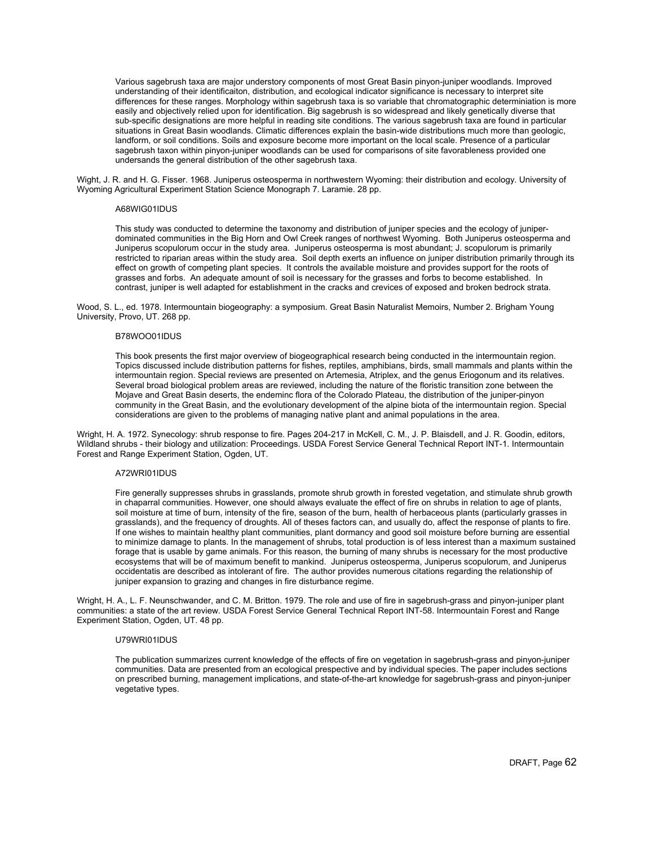Various sagebrush taxa are major understory components of most Great Basin pinyon-juniper woodlands. Improved understanding of their identificaiton, distribution, and ecological indicator significance is necessary to interpret site differences for these ranges. Morphology within sagebrush taxa is so variable that chromatographic determiniation is more easily and objectively relied upon for identification. Big sagebrush is so widespread and likely genetically diverse that sub-specific designations are more helpful in reading site conditions. The various sagebrush taxa are found in particular situations in Great Basin woodlands. Climatic differences explain the basin-wide distributions much more than geologic, landform, or soil conditions. Soils and exposure become more important on the local scale. Presence of a particular sagebrush taxon within pinyon-juniper woodlands can be used for comparisons of site favorableness provided one undersands the general distribution of the other sagebrush taxa.

Wight, J. R. and H. G. Fisser. 1968. Juniperus osteosperma in northwestern Wyoming: their distribution and ecology. University of Wyoming Agricultural Experiment Station Science Monograph 7. Laramie. 28 pp.

## A68WIG01IDUS

This study was conducted to determine the taxonomy and distribution of juniper species and the ecology of juniperdominated communities in the Big Horn and Owl Creek ranges of northwest Wyoming. Both Juniperus osteosperma and Juniperus scopulorum occur in the study area. Juniperus osteosperma is most abundant; J. scopulorum is primarily restricted to riparian areas within the study area. Soil depth exerts an influence on juniper distribution primarily through its effect on growth of competing plant species. It controls the available moisture and provides support for the roots of grasses and forbs. An adequate amount of soil is necessary for the grasses and forbs to become established. In contrast, juniper is well adapted for establishment in the cracks and crevices of exposed and broken bedrock strata.

Wood, S. L., ed. 1978. Intermountain biogeography: a symposium. Great Basin Naturalist Memoirs, Number 2. Brigham Young University, Provo, UT. 268 pp.

## B78WOO01IDUS

This book presents the first major overview of biogeographical research being conducted in the intermountain region. Topics discussed include distribution patterns for fishes, reptiles, amphibians, birds, small mammals and plants within the intermountain region. Special reviews are presented on Artemesia, Atriplex, and the genus Eriogonum and its relatives. Several broad biological problem areas are reviewed, including the nature of the floristic transition zone between the Mojave and Great Basin deserts, the endeminc flora of the Colorado Plateau, the distribution of the juniper-pinyon community in the Great Basin, and the evolutionary development of the alpine biota of the intermountain region. Special considerations are given to the problems of managing native plant and animal populations in the area.

Wright, H. A. 1972. Synecology: shrub response to fire. Pages 204-217 in McKell, C. M., J. P. Blaisdell, and J. R. Goodin, editors, Wildland shrubs - their biology and utilization: Proceedings. USDA Forest Service General Technical Report INT-1. Intermountain Forest and Range Experiment Station, Ogden, UT.

### A72WRI01IDUS

Fire generally suppresses shrubs in grasslands, promote shrub growth in forested vegetation, and stimulate shrub growth in chaparral communities. However, one should always evaluate the effect of fire on shrubs in relation to age of plants, soil moisture at time of burn, intensity of the fire, season of the burn, health of herbaceous plants (particularly grasses in grasslands), and the frequency of droughts. All of theses factors can, and usually do, affect the response of plants to fire. If one wishes to maintain healthy plant communities, plant dormancy and good soil moisture before burning are essential to minimize damage to plants. In the management of shrubs, total production is of less interest than a maximum sustained forage that is usable by game animals. For this reason, the burning of many shrubs is necessary for the most productive ecosystems that will be of maximum benefit to mankind. Juniperus osteosperma, Juniperus scopulorum, and Juniperus occidentatis are described as intolerant of fire. The author provides numerous citations regarding the relationship of juniper expansion to grazing and changes in fire disturbance regime.

Wright, H. A., L. F. Neunschwander, and C. M. Britton. 1979. The role and use of fire in sagebrush-grass and pinyon-juniper plant communities: a state of the art review. USDA Forest Service General Technical Report INT-58. Intermountain Forest and Range Experiment Station, Ogden, UT. 48 pp.

### U79WRI01IDUS

The publication summarizes current knowledge of the effects of fire on vegetation in sagebrush-grass and pinyon-juniper communities. Data are presented from an ecological prespective and by individual species. The paper includes sections on prescribed burning, management implications, and state-of-the-art knowledge for sagebrush-grass and pinyon-juniper vegetative types.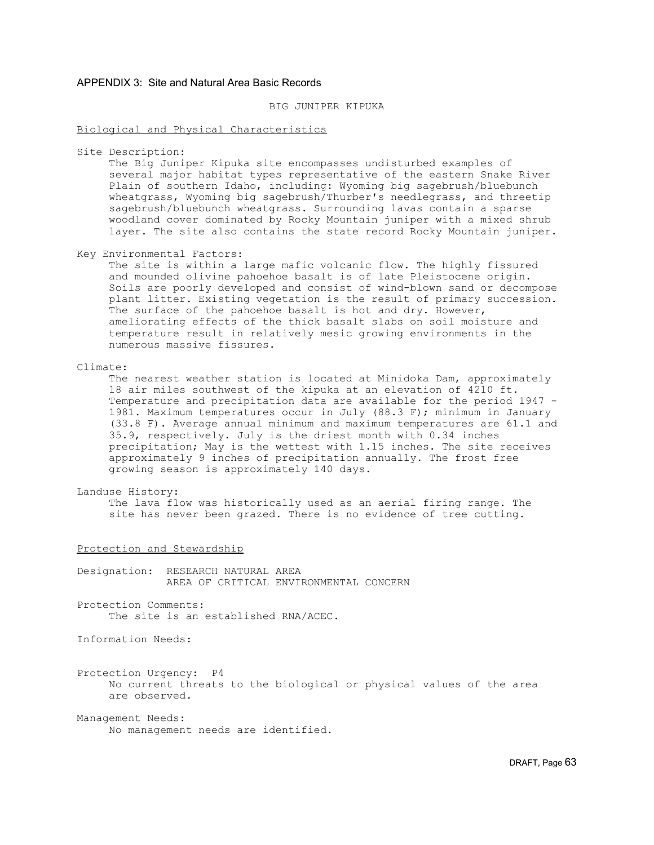# APPENDIX 3: Site and Natural Area Basic Records

# BIG JUNIPER KIPUKA

## Biological and Physical Characteristics

Site Description:

 The Big Juniper Kipuka site encompasses undisturbed examples of several major habitat types representative of the eastern Snake River Plain of southern Idaho, including: Wyoming big sagebrush/bluebunch wheatgrass, Wyoming big sagebrush/Thurber's needlegrass, and threetip sagebrush/bluebunch wheatgrass. Surrounding lavas contain a sparse woodland cover dominated by Rocky Mountain juniper with a mixed shrub layer. The site also contains the state record Rocky Mountain juniper.

Key Environmental Factors:

 The site is within a large mafic volcanic flow. The highly fissured and mounded olivine pahoehoe basalt is of late Pleistocene origin. Soils are poorly developed and consist of wind-blown sand or decompose plant litter. Existing vegetation is the result of primary succession. The surface of the pahoehoe basalt is hot and dry. However, ameliorating effects of the thick basalt slabs on soil moisture and temperature result in relatively mesic growing environments in the numerous massive fissures.

## Climate:

 The nearest weather station is located at Minidoka Dam, approximately 18 air miles southwest of the kipuka at an elevation of 4210 ft. Temperature and precipitation data are available for the period 1947 - 1981. Maximum temperatures occur in July (88.3 F); minimum in January (33.8 F). Average annual minimum and maximum temperatures are 61.1 and 35.9, respectively. July is the driest month with 0.34 inches precipitation; May is the wettest with 1.15 inches. The site receives approximately 9 inches of precipitation annually. The frost free growing season is approximately 140 days.

## Landuse History:

 The lava flow was historically used as an aerial firing range. The site has never been grazed. There is no evidence of tree cutting.

## Protection and Stewardship

Designation: RESEARCH NATURAL AREA AREA OF CRITICAL ENVIRONMENTAL CONCERN

Protection Comments: The site is an established RNA/ACEC.

Information Needs:

Protection Urgency: P4 No current threats to the biological or physical values of the area are observed.

Management Needs:

No management needs are identified.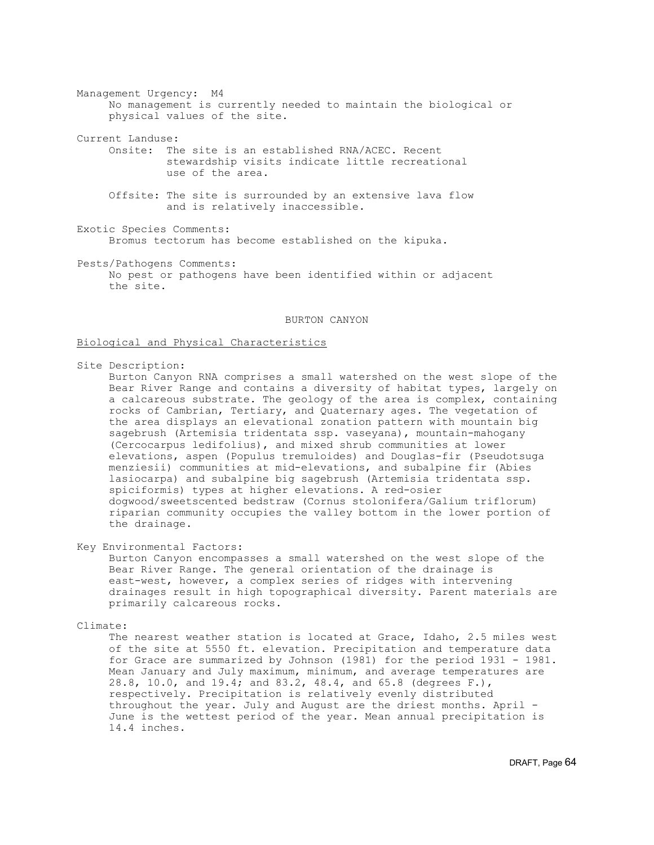Management Urgency: M4 No management is currently needed to maintain the biological or physical values of the site.

Current Landuse:

 Onsite: The site is an established RNA/ACEC. Recent stewardship visits indicate little recreational use of the area.

 Offsite: The site is surrounded by an extensive lava flow and is relatively inaccessible.

Exotic Species Comments: Bromus tectorum has become established on the kipuka.

Pests/Pathogens Comments: No pest or pathogens have been identified within or adjacent the site.

## BURTON CANYON

## Biological and Physical Characteristics

Site Description:

 Burton Canyon RNA comprises a small watershed on the west slope of the Bear River Range and contains a diversity of habitat types, largely on a calcareous substrate. The geology of the area is complex, containing rocks of Cambrian, Tertiary, and Quaternary ages. The vegetation of the area displays an elevational zonation pattern with mountain big sagebrush (Artemisia tridentata ssp. vaseyana), mountain-mahogany (Cercocarpus ledifolius), and mixed shrub communities at lower elevations, aspen (Populus tremuloides) and Douglas-fir (Pseudotsuga menziesii) communities at mid-elevations, and subalpine fir (Abies lasiocarpa) and subalpine big sagebrush (Artemisia tridentata ssp. spiciformis) types at higher elevations. A red-osier dogwood/sweetscented bedstraw (Cornus stolonifera/Galium triflorum) riparian community occupies the valley bottom in the lower portion of the drainage.

Key Environmental Factors:

 Burton Canyon encompasses a small watershed on the west slope of the Bear River Range. The general orientation of the drainage is east-west, however, a complex series of ridges with intervening drainages result in high topographical diversity. Parent materials are primarily calcareous rocks.

## Climate:

 The nearest weather station is located at Grace, Idaho, 2.5 miles west of the site at 5550 ft. elevation. Precipitation and temperature data for Grace are summarized by Johnson (1981) for the period 1931 - 1981. Mean January and July maximum, minimum, and average temperatures are 28.8, 10.0, and 19.4; and 83.2, 48.4, and 65.8 (degrees F.), respectively. Precipitation is relatively evenly distributed throughout the year. July and August are the driest months. April - June is the wettest period of the year. Mean annual precipitation is 14.4 inches.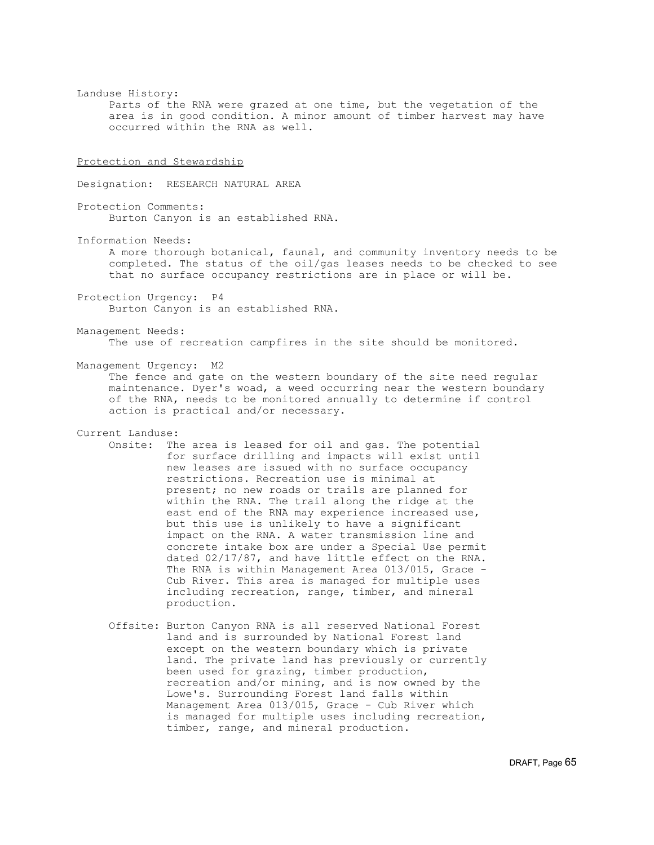Landuse History: Parts of the RNA were grazed at one time, but the vegetation of the area is in good condition. A minor amount of timber harvest may have occurred within the RNA as well. Protection and Stewardship Designation: RESEARCH NATURAL AREA Protection Comments: Burton Canyon is an established RNA. Information Needs: A more thorough botanical, faunal, and community inventory needs to be completed. The status of the oil/gas leases needs to be checked to see that no surface occupancy restrictions are in place or will be. Protection Urgency: P4 Burton Canyon is an established RNA. Management Needs: The use of recreation campfires in the site should be monitored. Management Urgency: M2 The fence and gate on the western boundary of the site need regular maintenance. Dyer's woad, a weed occurring near the western boundary of the RNA, needs to be monitored annually to determine if control action is practical and/or necessary. Current Landuse: Onsite: The area is leased for oil and gas. The potential for surface drilling and impacts will exist until new leases are issued with no surface occupancy restrictions. Recreation use is minimal at present; no new roads or trails are planned for within the RNA. The trail along the ridge at the east end of the RNA may experience increased use, but this use is unlikely to have a significant impact on the RNA. A water transmission line and concrete intake box are under a Special Use permit dated 02/17/87, and have little effect on the RNA. The RNA is within Management Area 013/015, Grace - Cub River. This area is managed for multiple uses including recreation, range, timber, and mineral production. Offsite: Burton Canyon RNA is all reserved National Forest land and is surrounded by National Forest land

 except on the western boundary which is private land. The private land has previously or currently been used for grazing, timber production, recreation and/or mining, and is now owned by the Lowe's. Surrounding Forest land falls within Management Area 013/015, Grace - Cub River which is managed for multiple uses including recreation, timber, range, and mineral production.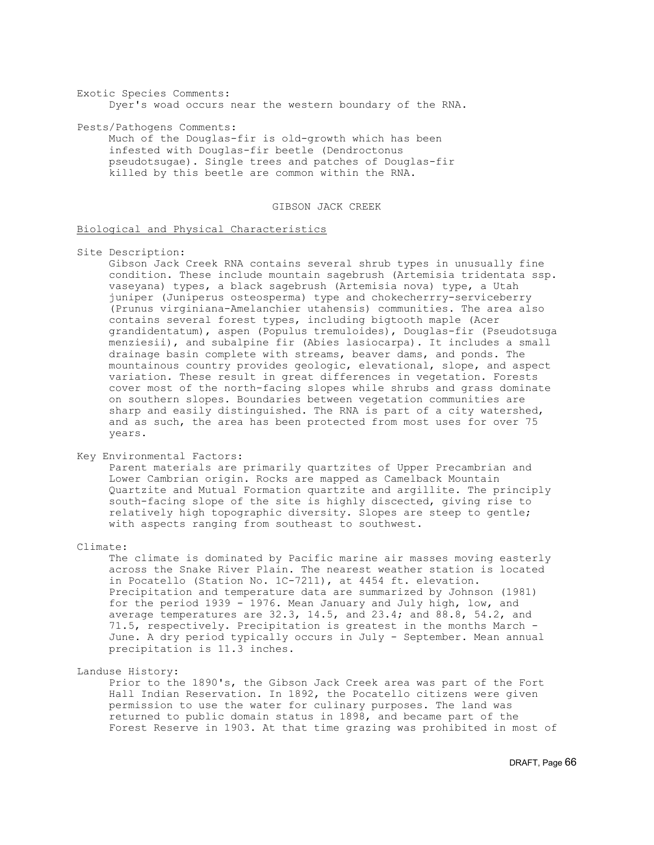Exotic Species Comments: Dyer's woad occurs near the western boundary of the RNA.

Pests/Pathogens Comments:

 Much of the Douglas-fir is old-growth which has been infested with Douglas-fir beetle (Dendroctonus pseudotsugae). Single trees and patches of Douglas-fir killed by this beetle are common within the RNA.

# GIBSON JACK CREEK

# Biological and Physical Characteristics

Site Description:

 Gibson Jack Creek RNA contains several shrub types in unusually fine condition. These include mountain sagebrush (Artemisia tridentata ssp. vaseyana) types, a black sagebrush (Artemisia nova) type, a Utah juniper (Juniperus osteosperma) type and chokecherrry-serviceberry (Prunus virginiana-Amelanchier utahensis) communities. The area also contains several forest types, including bigtooth maple (Acer grandidentatum), aspen (Populus tremuloides), Douglas-fir (Pseudotsuga menziesii), and subalpine fir (Abies lasiocarpa). It includes a small drainage basin complete with streams, beaver dams, and ponds. The mountainous country provides geologic, elevational, slope, and aspect variation. These result in great differences in vegetation. Forests cover most of the north-facing slopes while shrubs and grass dominate on southern slopes. Boundaries between vegetation communities are sharp and easily distinguished. The RNA is part of a city watershed, and as such, the area has been protected from most uses for over 75 years.

Key Environmental Factors:

 Parent materials are primarily quartzites of Upper Precambrian and Lower Cambrian origin. Rocks are mapped as Camelback Mountain Quartzite and Mutual Formation quartzite and argillite. The principly south-facing slope of the site is highly discected, giving rise to relatively high topographic diversity. Slopes are steep to gentle; with aspects ranging from southeast to southwest.

Climate:

 The climate is dominated by Pacific marine air masses moving easterly across the Snake River Plain. The nearest weather station is located in Pocatello (Station No. 1C-7211), at 4454 ft. elevation. Precipitation and temperature data are summarized by Johnson (1981) for the period 1939 - 1976. Mean January and July high, low, and average temperatures are 32.3, 14.5, and 23.4; and 88.8, 54.2, and 71.5, respectively. Precipitation is greatest in the months March - June. A dry period typically occurs in July - September. Mean annual precipitation is 11.3 inches.

Landuse History:

 Prior to the 1890's, the Gibson Jack Creek area was part of the Fort Hall Indian Reservation. In 1892, the Pocatello citizens were given permission to use the water for culinary purposes. The land was returned to public domain status in 1898, and became part of the Forest Reserve in 1903. At that time grazing was prohibited in most of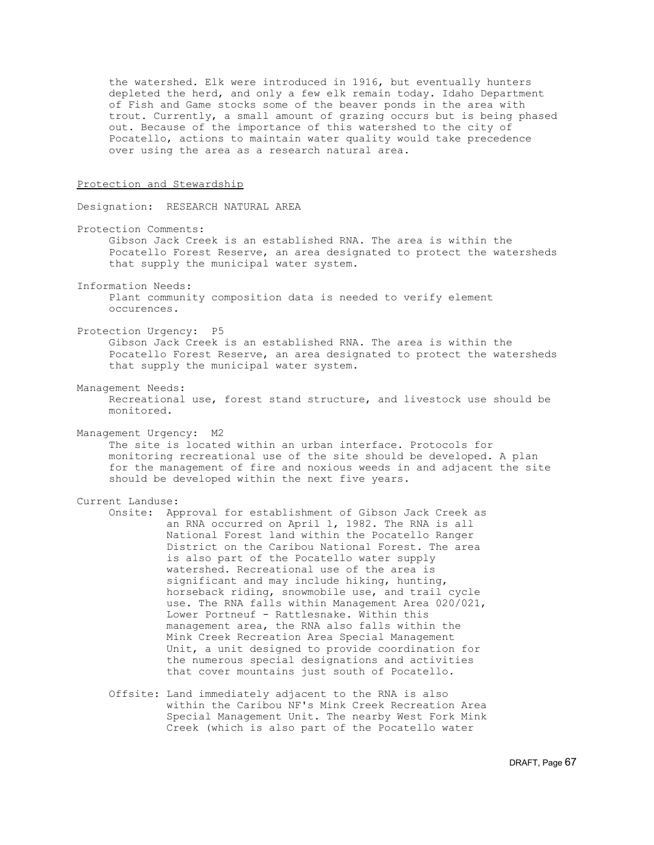the watershed. Elk were introduced in 1916, but eventually hunters depleted the herd, and only a few elk remain today. Idaho Department of Fish and Game stocks some of the beaver ponds in the area with trout. Currently, a small amount of grazing occurs but is being phased out. Because of the importance of this watershed to the city of Pocatello, actions to maintain water quality would take precedence over using the area as a research natural area.

## Protection and Stewardship

Designation: RESEARCH NATURAL AREA

Protection Comments:

 Gibson Jack Creek is an established RNA. The area is within the Pocatello Forest Reserve, an area designated to protect the watersheds that supply the municipal water system.

Information Needs:

 Plant community composition data is needed to verify element occurences.

Protection Urgency: P5

 Gibson Jack Creek is an established RNA. The area is within the Pocatello Forest Reserve, an area designated to protect the watersheds that supply the municipal water system.

- Management Needs:
	- Recreational use, forest stand structure, and livestock use should be monitored.

Management Urgency: M2

 The site is located within an urban interface. Protocols for monitoring recreational use of the site should be developed. A plan for the management of fire and noxious weeds in and adjacent the site should be developed within the next five years.

## Current Landuse:

 Onsite: Approval for establishment of Gibson Jack Creek as an RNA occurred on April 1, 1982. The RNA is all National Forest land within the Pocatello Ranger District on the Caribou National Forest. The area is also part of the Pocatello water supply watershed. Recreational use of the area is significant and may include hiking, hunting, horseback riding, snowmobile use, and trail cycle use. The RNA falls within Management Area 020/021, Lower Portneuf - Rattlesnake. Within this management area, the RNA also falls within the Mink Creek Recreation Area Special Management Unit, a unit designed to provide coordination for the numerous special designations and activities that cover mountains just south of Pocatello.

 Offsite: Land immediately adjacent to the RNA is also within the Caribou NF's Mink Creek Recreation Area Special Management Unit. The nearby West Fork Mink Creek (which is also part of the Pocatello water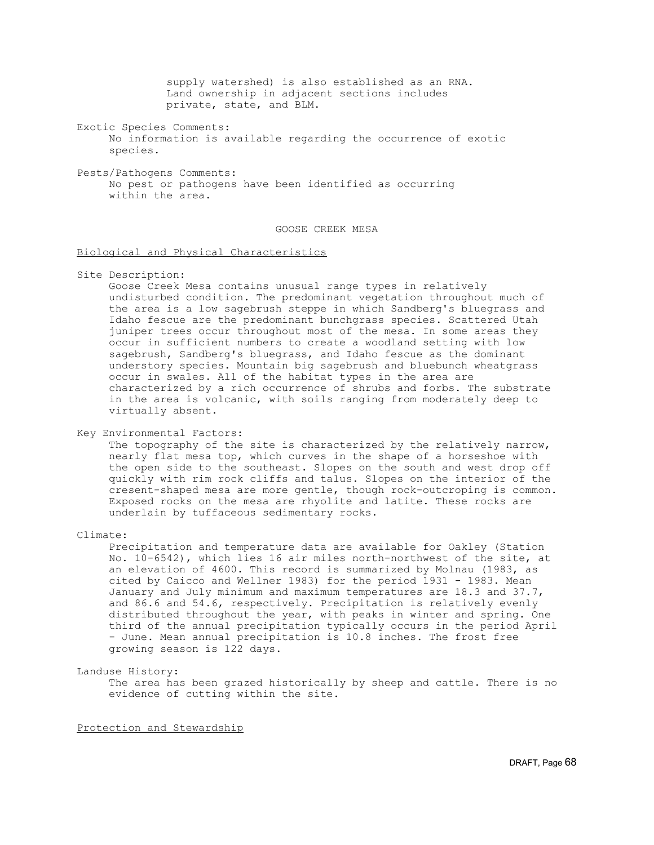supply watershed) is also established as an RNA. Land ownership in adjacent sections includes private, state, and BLM.

Exotic Species Comments: No information is available regarding the occurrence of exotic species.

Pests/Pathogens Comments: No pest or pathogens have been identified as occurring within the area.

# GOOSE CREEK MESA

# Biological and Physical Characteristics

Site Description:

 Goose Creek Mesa contains unusual range types in relatively undisturbed condition. The predominant vegetation throughout much of the area is a low sagebrush steppe in which Sandberg's bluegrass and Idaho fescue are the predominant bunchgrass species. Scattered Utah juniper trees occur throughout most of the mesa. In some areas they occur in sufficient numbers to create a woodland setting with low sagebrush, Sandberg's bluegrass, and Idaho fescue as the dominant understory species. Mountain big sagebrush and bluebunch wheatgrass occur in swales. All of the habitat types in the area are characterized by a rich occurrence of shrubs and forbs. The substrate in the area is volcanic, with soils ranging from moderately deep to virtually absent.

Key Environmental Factors:

 The topography of the site is characterized by the relatively narrow, nearly flat mesa top, which curves in the shape of a horseshoe with the open side to the southeast. Slopes on the south and west drop off quickly with rim rock cliffs and talus. Slopes on the interior of the cresent-shaped mesa are more gentle, though rock-outcroping is common. Exposed rocks on the mesa are rhyolite and latite. These rocks are underlain by tuffaceous sedimentary rocks.

Climate:

 Precipitation and temperature data are available for Oakley (Station No. 10-6542), which lies 16 air miles north-northwest of the site, at an elevation of 4600. This record is summarized by Molnau (1983, as cited by Caicco and Wellner 1983) for the period 1931 - 1983. Mean January and July minimum and maximum temperatures are 18.3 and 37.7, and 86.6 and 54.6, respectively. Precipitation is relatively evenly distributed throughout the year, with peaks in winter and spring. One third of the annual precipitation typically occurs in the period April - June. Mean annual precipitation is 10.8 inches. The frost free growing season is 122 days.

# Landuse History:

 The area has been grazed historically by sheep and cattle. There is no evidence of cutting within the site.

Protection and Stewardship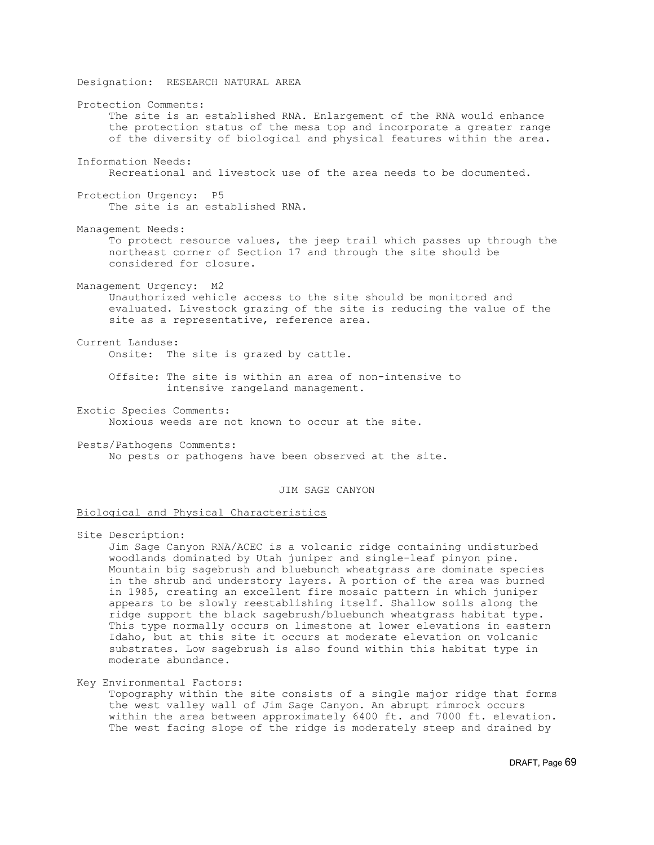Designation: RESEARCH NATURAL AREA Protection Comments: The site is an established RNA. Enlargement of the RNA would enhance the protection status of the mesa top and incorporate a greater range of the diversity of biological and physical features within the area. Information Needs: Recreational and livestock use of the area needs to be documented. Protection Urgency: P5 The site is an established RNA. Management Needs: To protect resource values, the jeep trail which passes up through the northeast corner of Section 17 and through the site should be considered for closure. Management Urgency: M2 Unauthorized vehicle access to the site should be monitored and evaluated. Livestock grazing of the site is reducing the value of the site as a representative, reference area. Current Landuse: Onsite: The site is grazed by cattle. Offsite: The site is within an area of non-intensive to intensive rangeland management. Exotic Species Comments: Noxious weeds are not known to occur at the site. Pests/Pathogens Comments: No pests or pathogens have been observed at the site. JIM SAGE CANYON

Biological and Physical Characteristics

Site Description:

 Jim Sage Canyon RNA/ACEC is a volcanic ridge containing undisturbed woodlands dominated by Utah juniper and single-leaf pinyon pine. Mountain big sagebrush and bluebunch wheatgrass are dominate species in the shrub and understory layers. A portion of the area was burned in 1985, creating an excellent fire mosaic pattern in which juniper appears to be slowly reestablishing itself. Shallow soils along the ridge support the black sagebrush/bluebunch wheatgrass habitat type. This type normally occurs on limestone at lower elevations in eastern Idaho, but at this site it occurs at moderate elevation on volcanic substrates. Low sagebrush is also found within this habitat type in moderate abundance.

Key Environmental Factors: Topography within the site consists of a single major ridge that forms the west valley wall of Jim Sage Canyon. An abrupt rimrock occurs within the area between approximately 6400 ft. and 7000 ft. elevation. The west facing slope of the ridge is moderately steep and drained by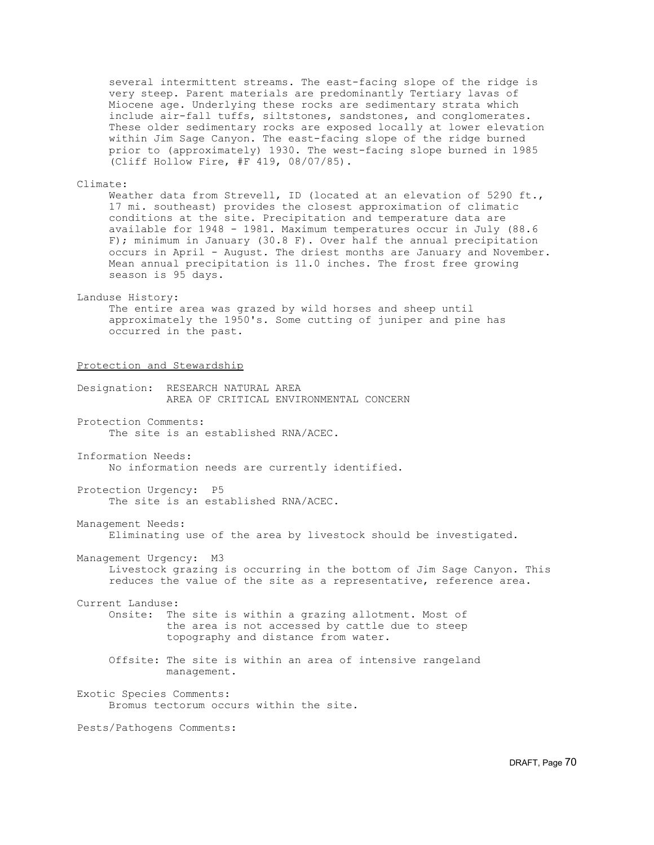several intermittent streams. The east-facing slope of the ridge is very steep. Parent materials are predominantly Tertiary lavas of Miocene age. Underlying these rocks are sedimentary strata which include air-fall tuffs, siltstones, sandstones, and conglomerates. These older sedimentary rocks are exposed locally at lower elevation within Jim Sage Canyon. The east-facing slope of the ridge burned prior to (approximately) 1930. The west-facing slope burned in 1985 (Cliff Hollow Fire, #F 419, 08/07/85).

Climate: Weather data from Strevell, ID (located at an elevation of 5290 ft., 17 mi. southeast) provides the closest approximation of climatic conditions at the site. Precipitation and temperature data are available for 1948 - 1981. Maximum temperatures occur in July (88.6 F); minimum in January (30.8 F). Over half the annual precipitation occurs in April - August. The driest months are January and November. Mean annual precipitation is 11.0 inches. The frost free growing season is 95 days.

## Landuse History:

 The entire area was grazed by wild horses and sheep until approximately the 1950's. Some cutting of juniper and pine has occurred in the past.

Protection and Stewardship

Designation: RESEARCH NATURAL AREA AREA OF CRITICAL ENVIRONMENTAL CONCERN

Protection Comments: The site is an established RNA/ACEC.

Information Needs: No information needs are currently identified.

Protection Urgency: P5 The site is an established RNA/ACEC.

Management Needs:

Eliminating use of the area by livestock should be investigated.

Management Urgency: M3 Livestock grazing is occurring in the bottom of Jim Sage Canyon. This reduces the value of the site as a representative, reference area.

Current Landuse: Onsite: The site is within a grazing allotment. Most of the area is not accessed by cattle due to steep topography and distance from water.

 Offsite: The site is within an area of intensive rangeland management.

Exotic Species Comments: Bromus tectorum occurs within the site.

Pests/Pathogens Comments: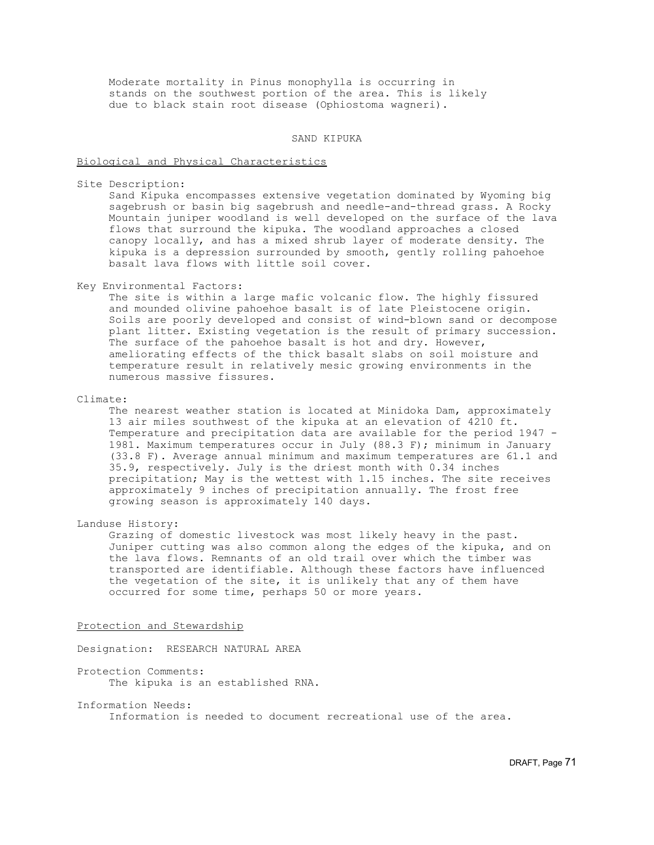Moderate mortality in Pinus monophylla is occurring in stands on the southwest portion of the area. This is likely due to black stain root disease (Ophiostoma wagneri).

SAND KIPUKA

## Biological and Physical Characteristics

Site Description:

 Sand Kipuka encompasses extensive vegetation dominated by Wyoming big sagebrush or basin big sagebrush and needle-and-thread grass. A Rocky Mountain juniper woodland is well developed on the surface of the lava flows that surround the kipuka. The woodland approaches a closed canopy locally, and has a mixed shrub layer of moderate density. The kipuka is a depression surrounded by smooth, gently rolling pahoehoe basalt lava flows with little soil cover.

Key Environmental Factors:

 The site is within a large mafic volcanic flow. The highly fissured and mounded olivine pahoehoe basalt is of late Pleistocene origin. Soils are poorly developed and consist of wind-blown sand or decompose plant litter. Existing vegetation is the result of primary succession. The surface of the pahoehoe basalt is hot and dry. However, ameliorating effects of the thick basalt slabs on soil moisture and temperature result in relatively mesic growing environments in the numerous massive fissures.

Climate:

 The nearest weather station is located at Minidoka Dam, approximately 13 air miles southwest of the kipuka at an elevation of 4210 ft. Temperature and precipitation data are available for the period 1947 - 1981. Maximum temperatures occur in July (88.3 F); minimum in January (33.8 F). Average annual minimum and maximum temperatures are 61.1 and 35.9, respectively. July is the driest month with 0.34 inches precipitation; May is the wettest with 1.15 inches. The site receives approximately 9 inches of precipitation annually. The frost free growing season is approximately 140 days.

Landuse History:

 Grazing of domestic livestock was most likely heavy in the past. Juniper cutting was also common along the edges of the kipuka, and on the lava flows. Remnants of an old trail over which the timber was transported are identifiable. Although these factors have influenced the vegetation of the site, it is unlikely that any of them have occurred for some time, perhaps 50 or more years.

### Protection and Stewardship

Designation: RESEARCH NATURAL AREA

- Protection Comments: The kipuka is an established RNA.
- Information Needs: Information is needed to document recreational use of the area.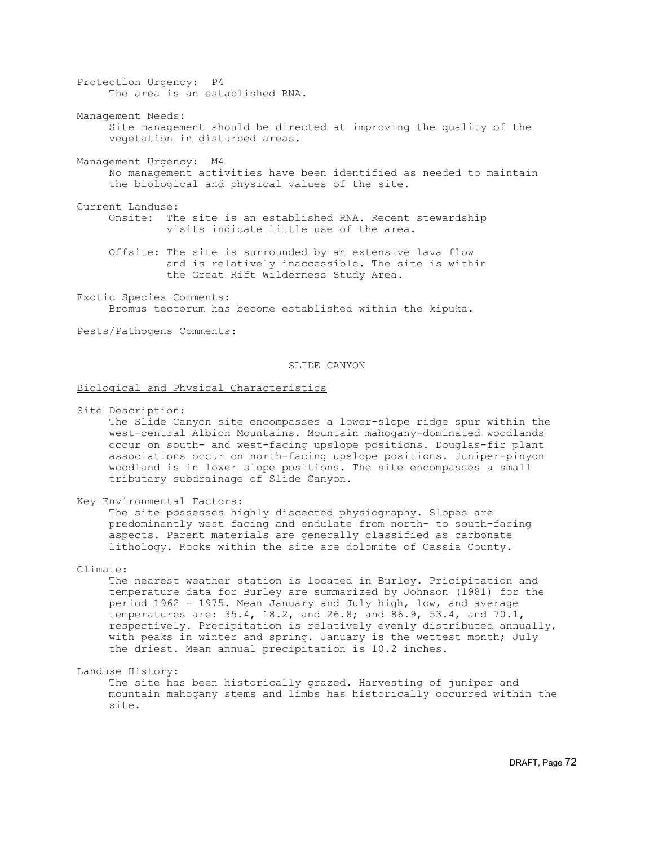Protection Urgency: P4 The area is an established RNA.

Management Needs: Site management should be directed at improving the quality of the vegetation in disturbed areas.

Management Urgency: M4 No management activities have been identified as needed to maintain the biological and physical values of the site.

Current Landuse: Onsite: The site is an established RNA. Recent stewardship visits indicate little use of the area.

 Offsite: The site is surrounded by an extensive lava flow and is relatively inaccessible. The site is within the Great Rift Wilderness Study Area.

Exotic Species Comments: Bromus tectorum has become established within the kipuka.

Pests/Pathogens Comments:

## SLIDE CANYON

Biological and Physical Characteristics

Site Description:

 The Slide Canyon site encompasses a lower-slope ridge spur within the west-central Albion Mountains. Mountain mahogany-dominated woodlands occur on south- and west-facing upslope positions. Douglas-fir plant associations occur on north-facing upslope positions. Juniper-pinyon woodland is in lower slope positions. The site encompasses a small tributary subdrainage of Slide Canyon.

#### Key Environmental Factors:

 The site possesses highly discected physiography. Slopes are predominantly west facing and endulate from north- to south-facing aspects. Parent materials are generally classified as carbonate lithology. Rocks within the site are dolomite of Cassia County.

## Climate:

 The nearest weather station is located in Burley. Pricipitation and temperature data for Burley are summarized by Johnson (1981) for the period 1962 - 1975. Mean January and July high, low, and average temperatures are: 35.4, 18.2, and 26.8; and 86.9, 53.4, and 70.1, respectively. Precipitation is relatively evenly distributed annually, with peaks in winter and spring. January is the wettest month; July the driest. Mean annual precipitation is 10.2 inches.

Landuse History:

 The site has been historically grazed. Harvesting of juniper and mountain mahogany stems and limbs has historically occurred within the site.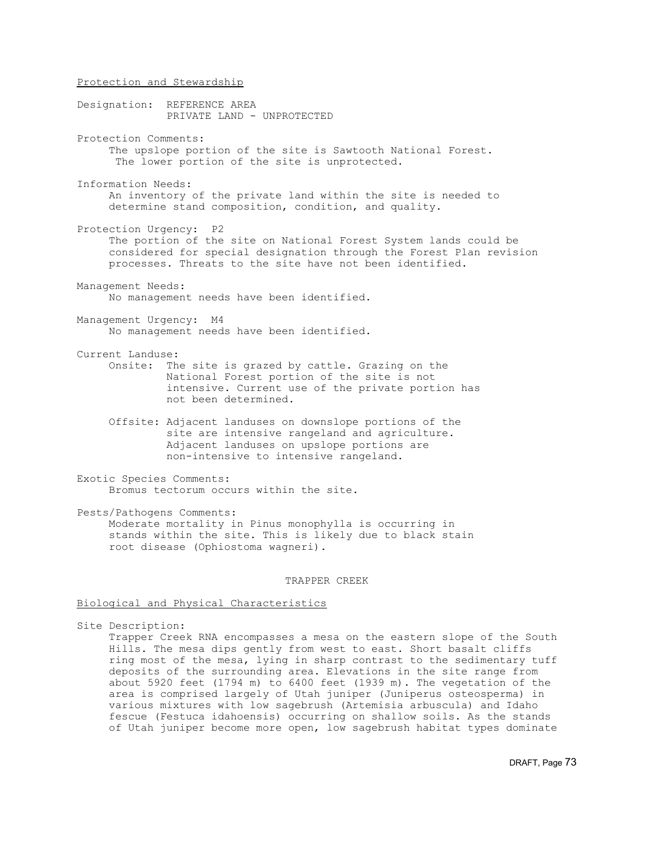Protection and Stewardship Designation: REFERENCE AREA PRIVATE LAND - UNPROTECTED Protection Comments: The upslope portion of the site is Sawtooth National Forest. The lower portion of the site is unprotected. Information Needs: An inventory of the private land within the site is needed to determine stand composition, condition, and quality. Protection Urgency: P2 The portion of the site on National Forest System lands could be considered for special designation through the Forest Plan revision processes. Threats to the site have not been identified. Management Needs: No management needs have been identified. Management Urgency: M4 No management needs have been identified. Current Landuse: Onsite: The site is grazed by cattle. Grazing on the National Forest portion of the site is not intensive. Current use of the private portion has not been determined. Offsite: Adjacent landuses on downslope portions of the site are intensive rangeland and agriculture. Adjacent landuses on upslope portions are non-intensive to intensive rangeland. Exotic Species Comments: Bromus tectorum occurs within the site.

Pests/Pathogens Comments: Moderate mortality in Pinus monophylla is occurring in stands within the site. This is likely due to black stain root disease (Ophiostoma wagneri).

### TRAPPER CREEK

## Biological and Physical Characteristics

Site Description:

 Trapper Creek RNA encompasses a mesa on the eastern slope of the South Hills. The mesa dips gently from west to east. Short basalt cliffs ring most of the mesa, lying in sharp contrast to the sedimentary tuff deposits of the surrounding area. Elevations in the site range from about 5920 feet (1794 m) to 6400 feet (1939 m). The vegetation of the area is comprised largely of Utah juniper (Juniperus osteosperma) in various mixtures with low sagebrush (Artemisia arbuscula) and Idaho fescue (Festuca idahoensis) occurring on shallow soils. As the stands of Utah juniper become more open, low sagebrush habitat types dominate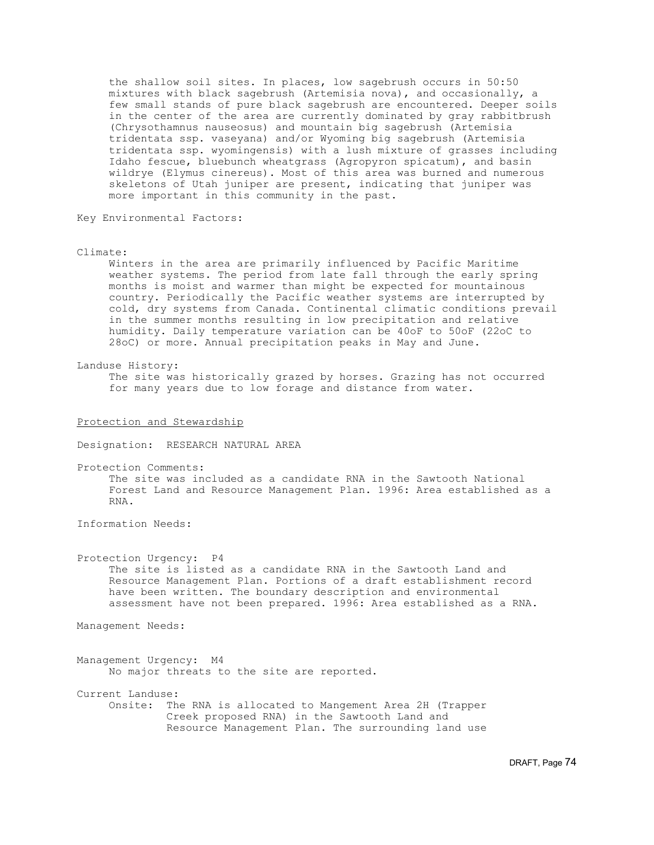the shallow soil sites. In places, low sagebrush occurs in 50:50 mixtures with black sagebrush (Artemisia nova), and occasionally, a few small stands of pure black sagebrush are encountered. Deeper soils in the center of the area are currently dominated by gray rabbitbrush (Chrysothamnus nauseosus) and mountain big sagebrush (Artemisia tridentata ssp. vaseyana) and/or Wyoming big sagebrush (Artemisia tridentata ssp. wyomingensis) with a lush mixture of grasses including Idaho fescue, bluebunch wheatgrass (Agropyron spicatum), and basin wildrye (Elymus cinereus). Most of this area was burned and numerous skeletons of Utah juniper are present, indicating that juniper was more important in this community in the past.

Key Environmental Factors:

Climate:

 Winters in the area are primarily influenced by Pacific Maritime weather systems. The period from late fall through the early spring months is moist and warmer than might be expected for mountainous country. Periodically the Pacific weather systems are interrupted by cold, dry systems from Canada. Continental climatic conditions prevail in the summer months resulting in low precipitation and relative humidity. Daily temperature variation can be 40oF to 50oF (22oC to 28oC) or more. Annual precipitation peaks in May and June.

Landuse History:

 The site was historically grazed by horses. Grazing has not occurred for many years due to low forage and distance from water.

Protection and Stewardship

Designation: RESEARCH NATURAL AREA

Protection Comments:

 The site was included as a candidate RNA in the Sawtooth National Forest Land and Resource Management Plan. 1996: Area established as a RNA.

Information Needs:

Protection Urgency: P4

 The site is listed as a candidate RNA in the Sawtooth Land and Resource Management Plan. Portions of a draft establishment record have been written. The boundary description and environmental assessment have not been prepared. 1996: Area established as a RNA.

Management Needs:

Management Urgency: M4 No major threats to the site are reported.

Current Landuse: Onsite: The RNA is allocated to Mangement Area 2H (Trapper Creek proposed RNA) in the Sawtooth Land and Resource Management Plan. The surrounding land use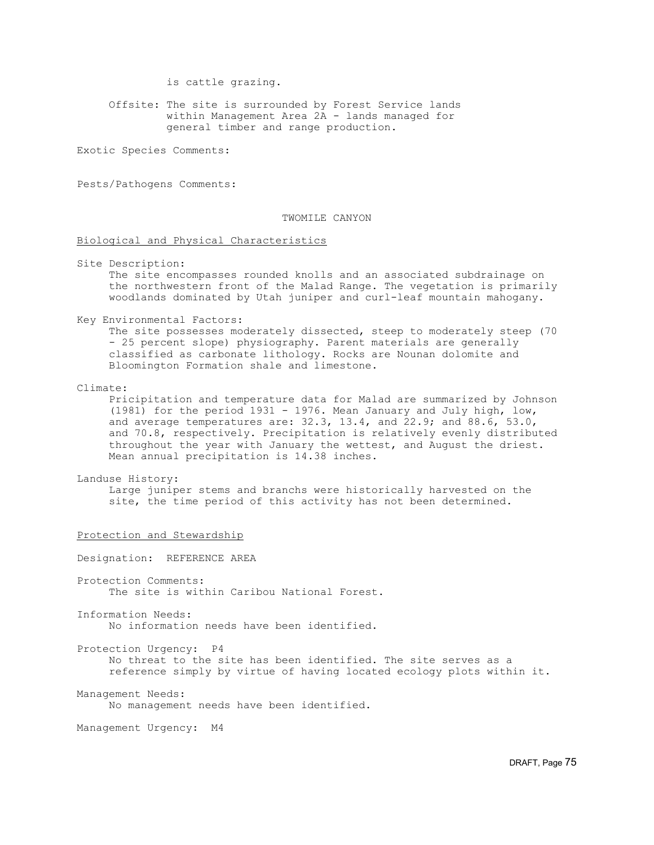is cattle grazing.

 Offsite: The site is surrounded by Forest Service lands within Management Area 2A - lands managed for general timber and range production.

Exotic Species Comments:

Pests/Pathogens Comments:

# TWOMILE CANYON

## Biological and Physical Characteristics

Site Description:

 The site encompasses rounded knolls and an associated subdrainage on the northwestern front of the Malad Range. The vegetation is primarily woodlands dominated by Utah juniper and curl-leaf mountain mahogany.

Key Environmental Factors:

 The site possesses moderately dissected, steep to moderately steep (70 - 25 percent slope) physiography. Parent materials are generally classified as carbonate lithology. Rocks are Nounan dolomite and Bloomington Formation shale and limestone.

Climate:

 Pricipitation and temperature data for Malad are summarized by Johnson (1981) for the period 1931 - 1976. Mean January and July high, low, and average temperatures are: 32.3, 13.4, and 22.9; and 88.6, 53.0, and 70.8, respectively. Precipitation is relatively evenly distributed throughout the year with January the wettest, and August the driest. Mean annual precipitation is 14.38 inches.

#### Landuse History:

 Large juniper stems and branchs were historically harvested on the site, the time period of this activity has not been determined.

### Protection and Stewardship

Designation: REFERENCE AREA Protection Comments: The site is within Caribou National Forest. Information Needs:

No information needs have been identified.

Protection Urgency: P4 No threat to the site has been identified. The site serves as a reference simply by virtue of having located ecology plots within it.

Management Needs: No management needs have been identified.

Management Urgency: M4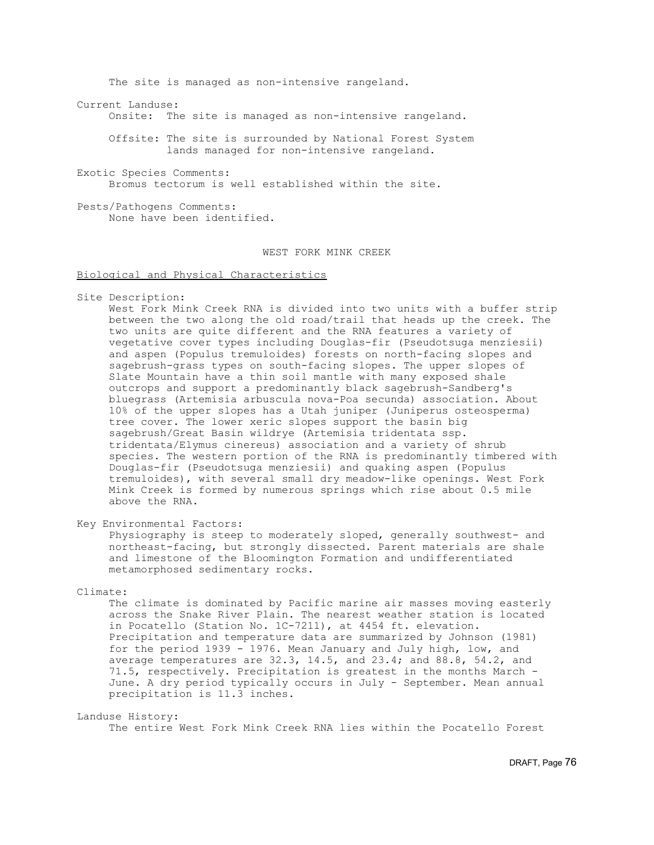The site is managed as non-intensive rangeland.

Current Landuse:

Onsite: The site is managed as non-intensive rangeland.

 Offsite: The site is surrounded by National Forest System lands managed for non-intensive rangeland.

Exotic Species Comments: Bromus tectorum is well established within the site.

Pests/Pathogens Comments: None have been identified.

# WEST FORK MINK CREEK

Biological and Physical Characteristics

Site Description:

 West Fork Mink Creek RNA is divided into two units with a buffer strip between the two along the old road/trail that heads up the creek. The two units are quite different and the RNA features a variety of vegetative cover types including Douglas-fir (Pseudotsuga menziesii) and aspen (Populus tremuloides) forests on north-facing slopes and sagebrush-grass types on south-facing slopes. The upper slopes of Slate Mountain have a thin soil mantle with many exposed shale outcrops and support a predominantly black sagebrush-Sandberg's bluegrass (Artemisia arbuscula nova-Poa secunda) association. About 10% of the upper slopes has a Utah juniper (Juniperus osteosperma) tree cover. The lower xeric slopes support the basin big sagebrush/Great Basin wildrye (Artemisia tridentata ssp. tridentata/Elymus cinereus) association and a variety of shrub species. The western portion of the RNA is predominantly timbered with Douglas-fir (Pseudotsuga menziesii) and quaking aspen (Populus tremuloides), with several small dry meadow-like openings. West Fork Mink Creek is formed by numerous springs which rise about 0.5 mile above the RNA.

Key Environmental Factors:

 Physiography is steep to moderately sloped, generally southwest- and northeast-facing, but strongly dissected. Parent materials are shale and limestone of the Bloomington Formation and undifferentiated metamorphosed sedimentary rocks.

Climate:

 The climate is dominated by Pacific marine air masses moving easterly across the Snake River Plain. The nearest weather station is located in Pocatello (Station No. 1C-7211), at 4454 ft. elevation. Precipitation and temperature data are summarized by Johnson (1981) for the period 1939 - 1976. Mean January and July high, low, and average temperatures are 32.3, 14.5, and 23.4; and 88.8, 54.2, and 71.5, respectively. Precipitation is greatest in the months March - June. A dry period typically occurs in July - September. Mean annual precipitation is 11.3 inches.

Landuse History:

The entire West Fork Mink Creek RNA lies within the Pocatello Forest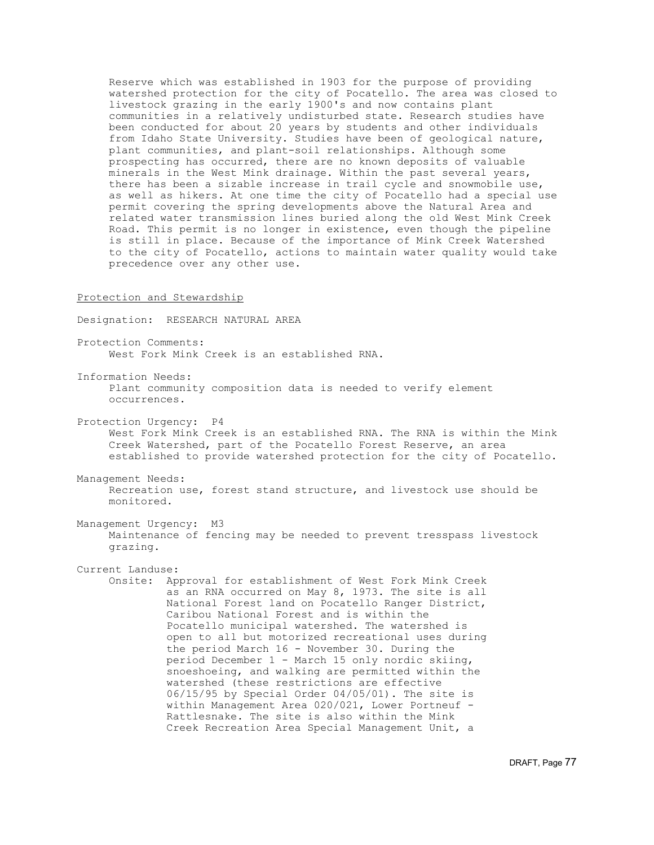Reserve which was established in 1903 for the purpose of providing watershed protection for the city of Pocatello. The area was closed to livestock grazing in the early 1900's and now contains plant communities in a relatively undisturbed state. Research studies have been conducted for about 20 years by students and other individuals from Idaho State University. Studies have been of geological nature, plant communities, and plant-soil relationships. Although some prospecting has occurred, there are no known deposits of valuable minerals in the West Mink drainage. Within the past several years, there has been a sizable increase in trail cycle and snowmobile use, as well as hikers. At one time the city of Pocatello had a special use permit covering the spring developments above the Natural Area and related water transmission lines buried along the old West Mink Creek Road. This permit is no longer in existence, even though the pipeline is still in place. Because of the importance of Mink Creek Watershed to the city of Pocatello, actions to maintain water quality would take precedence over any other use.

## Protection and Stewardship

Designation: RESEARCH NATURAL AREA

Protection Comments: West Fork Mink Creek is an established RNA.

Information Needs: Plant community composition data is needed to verify element occurrences.

- Protection Urgency: P4 West Fork Mink Creek is an established RNA. The RNA is within the Mink Creek Watershed, part of the Pocatello Forest Reserve, an area established to provide watershed protection for the city of Pocatello.
- Management Needs: Recreation use, forest stand structure, and livestock use should be monitored.
- Management Urgency: M3 Maintenance of fencing may be needed to prevent tresspass livestock grazing.

Current Landuse:

 Onsite: Approval for establishment of West Fork Mink Creek as an RNA occurred on May 8, 1973. The site is all National Forest land on Pocatello Ranger District, Caribou National Forest and is within the Pocatello municipal watershed. The watershed is open to all but motorized recreational uses during the period March 16 - November 30. During the period December 1 - March 15 only nordic skiing, snoeshoeing, and walking are permitted within the watershed (these restrictions are effective 06/15/95 by Special Order 04/05/01). The site is within Management Area 020/021, Lower Portneuf - Rattlesnake. The site is also within the Mink Creek Recreation Area Special Management Unit, a